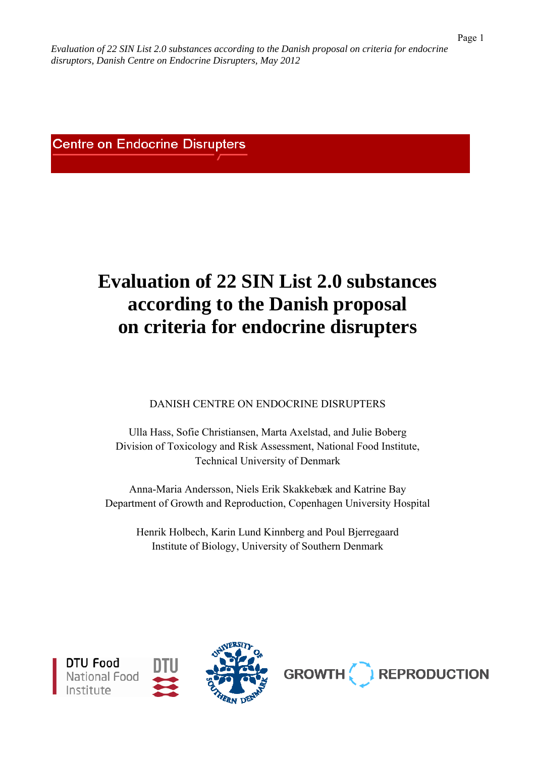**Centre on Endocrine Disrupters** 

# **Evaluation of 22 SIN List 2.0 substances according to the Danish proposal on criteria for endocrine disrupters**

DANISH CENTRE ON ENDOCRINE DISRUPTERS

Ulla Hass, Sofie Christiansen, Marta Axelstad, and Julie Boberg Division of Toxicology and Risk Assessment, National Food Institute, Technical University of Denmark

Anna-Maria Andersson, Niels Erik Skakkebæk and Katrine Bay Department of Growth and Reproduction, Copenhagen University Hospital

Henrik Holbech, Karin Lund Kinnberg and Poul Bjerregaard Institute of Biology, University of Southern Denmark





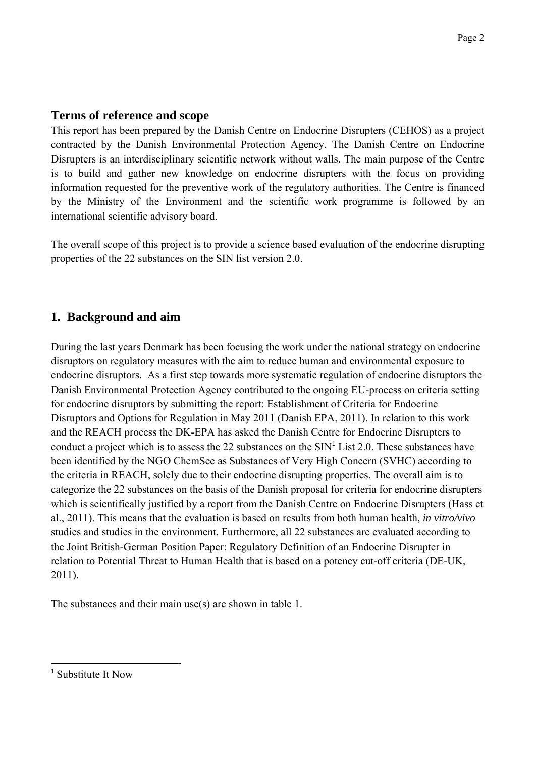## **Terms of reference and scope**

This report has been prepared by the Danish Centre on Endocrine Disrupters (CEHOS) as a project contracted by the Danish Environmental Protection Agency. The Danish Centre on Endocrine Disrupters is an interdisciplinary scientific network without walls. The main purpose of the Centre is to build and gather new knowledge on endocrine disrupters with the focus on providing information requested for the preventive work of the regulatory authorities. The Centre is financed by the Ministry of the Environment and the scientific work programme is followed by an international scientific advisory board.

The overall scope of this project is to provide a science based evaluation of the endocrine disrupting properties of the 22 substances on the SIN list version 2.0.

# **1. Background and aim**

During the last years Denmark has been focusing the work under the national strategy on endocrine disruptors on regulatory measures with the aim to reduce human and environmental exposure to endocrine disruptors. As a first step towards more systematic regulation of endocrine disruptors the Danish Environmental Protection Agency contributed to the ongoing EU-process on criteria setting for endocrine disruptors by submitting the report: Establishment of Criteria for Endocrine Disruptors and Options for Regulation in May 2011 (Danish EPA, 2011). In relation to this work and the REACH process the DK-EPA has asked the Danish Centre for Endocrine Disrupters to conduct a project which is to assess the 22 substances on the  $SIN<sup>1</sup>$  List 2.0. These substances have been identified by the NGO ChemSec as Substances of Very High Concern (SVHC) according to the criteria in REACH, solely due to their endocrine disrupting properties. The overall aim is to categorize the 22 substances on the basis of the Danish proposal for criteria for endocrine disrupters which is scientifically justified by a report from the Danish Centre on Endocrine Disrupters (Hass et al., 2011). This means that the evaluation is based on results from both human health, *in vitro/vivo* studies and studies in the environment. Furthermore, all 22 substances are evaluated according to the Joint British-German Position Paper: Regulatory Definition of an Endocrine Disrupter in relation to Potential Threat to Human Health that is based on a potency cut-off criteria (DE-UK, 2011).

The substances and their main use(s) are shown in table 1.

 $\overline{a}$ 

<sup>&</sup>lt;sup>1</sup> Substitute It Now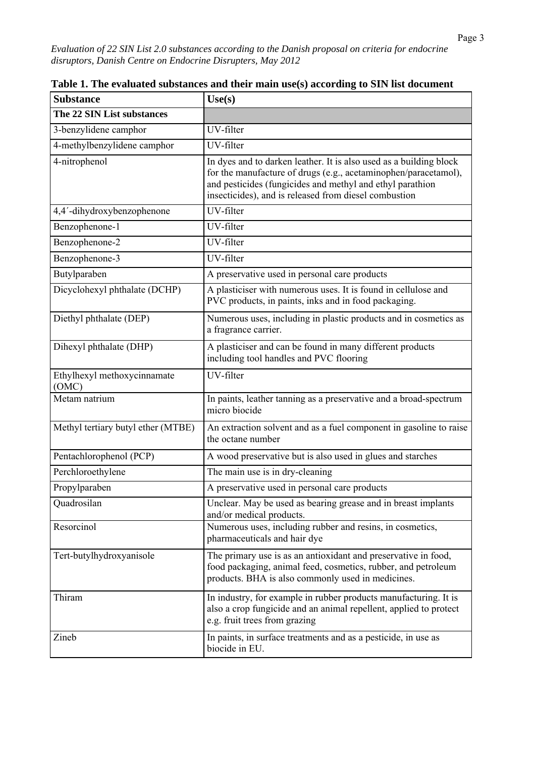| <b>Substance</b>                     | Use(s)                                                                                                                                                                                                                                                      |
|--------------------------------------|-------------------------------------------------------------------------------------------------------------------------------------------------------------------------------------------------------------------------------------------------------------|
| The 22 SIN List substances           |                                                                                                                                                                                                                                                             |
| 3-benzylidene camphor                | UV-filter                                                                                                                                                                                                                                                   |
| 4-methylbenzylidene camphor          | UV-filter                                                                                                                                                                                                                                                   |
| 4-nitrophenol                        | In dyes and to darken leather. It is also used as a building block<br>for the manufacture of drugs (e.g., acetaminophen/paracetamol),<br>and pesticides (fungicides and methyl and ethyl parathion<br>insecticides), and is released from diesel combustion |
| 4,4'-dihydroxybenzophenone           | UV-filter                                                                                                                                                                                                                                                   |
| Benzophenone-1                       | UV-filter                                                                                                                                                                                                                                                   |
| Benzophenone-2                       | UV-filter                                                                                                                                                                                                                                                   |
| Benzophenone-3                       | UV-filter                                                                                                                                                                                                                                                   |
| Butylparaben                         | A preservative used in personal care products                                                                                                                                                                                                               |
| Dicyclohexyl phthalate (DCHP)        | A plasticiser with numerous uses. It is found in cellulose and<br>PVC products, in paints, inks and in food packaging.                                                                                                                                      |
| Diethyl phthalate (DEP)              | Numerous uses, including in plastic products and in cosmetics as<br>a fragrance carrier.                                                                                                                                                                    |
| Dihexyl phthalate (DHP)              | A plasticiser and can be found in many different products<br>including tool handles and PVC flooring                                                                                                                                                        |
| Ethylhexyl methoxycinnamate<br>(OMC) | UV-filter                                                                                                                                                                                                                                                   |
| Metam natrium                        | In paints, leather tanning as a preservative and a broad-spectrum<br>micro biocide                                                                                                                                                                          |
| Methyl tertiary butyl ether (MTBE)   | An extraction solvent and as a fuel component in gasoline to raise<br>the octane number                                                                                                                                                                     |
| Pentachlorophenol (PCP)              | A wood preservative but is also used in glues and starches                                                                                                                                                                                                  |
| Perchloroethylene                    | The main use is in dry-cleaning                                                                                                                                                                                                                             |
| Propylparaben                        | A preservative used in personal care products                                                                                                                                                                                                               |
| Quadrosilan                          | Unclear. May be used as bearing grease and in breast implants<br>and/or medical products.                                                                                                                                                                   |
| Resorcinol                           | Numerous uses, including rubber and resins, in cosmetics,<br>pharmaceuticals and hair dye                                                                                                                                                                   |
| Tert-butylhydroxyanisole             | The primary use is as an antioxidant and preservative in food,<br>food packaging, animal feed, cosmetics, rubber, and petroleum<br>products. BHA is also commonly used in medicines.                                                                        |
| Thiram                               | In industry, for example in rubber products manufacturing. It is<br>also a crop fungicide and an animal repellent, applied to protect<br>e.g. fruit trees from grazing                                                                                      |
| Zineb                                | In paints, in surface treatments and as a pesticide, in use as<br>biocide in EU.                                                                                                                                                                            |

**Table 1. The evaluated substances and their main use(s) according to SIN list document**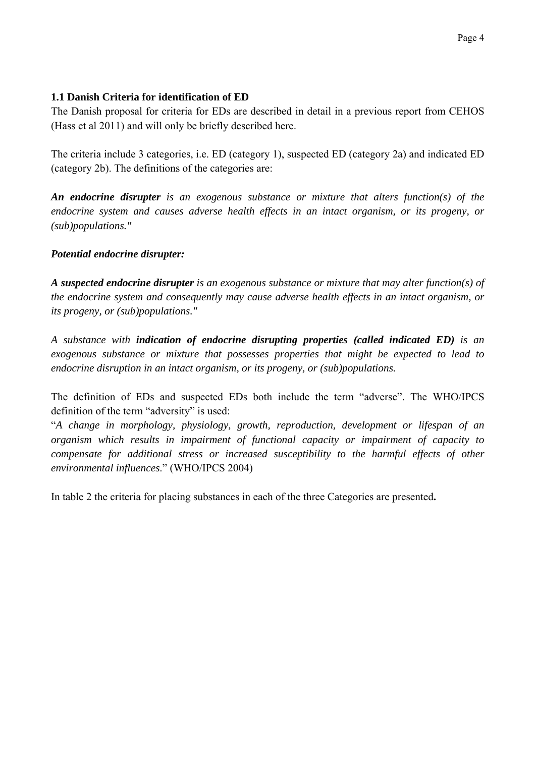## **1.1 Danish Criteria for identification of ED**

The Danish proposal for criteria for EDs are described in detail in a previous report from CEHOS (Hass et al 2011) and will only be briefly described here.

The criteria include 3 categories, i.e. ED (category 1), suspected ED (category 2a) and indicated ED (category 2b). The definitions of the categories are:

*An endocrine disrupter is an exogenous substance or mixture that alters function(s) of the*  endocrine system and causes adverse health effects in an intact organism, or its progeny, or *(sub)populations."* 

## *Potential endocrine disrupter:*

*A suspected endocrine disrupter is an exogenous substance or mixture that may alter function(s) of the endocrine system and consequently may cause adverse health effects in an intact organism, or its progeny, or (sub)populations."* 

*A substance with indication of endocrine disrupting properties (called indicated ED) is an exogenous substance or mixture that possesses properties that might be expected to lead to endocrine disruption in an intact organism, or its progeny, or (sub)populations.* 

The definition of EDs and suspected EDs both include the term "adverse". The WHO/IPCS definition of the term "adversity" is used:

"*A change in morphology, physiology, growth, reproduction, development or lifespan of an organism which results in impairment of functional capacity or impairment of capacity to compensate for additional stress or increased susceptibility to the harmful effects of other environmental influences*." (WHO/IPCS 2004)

In table 2 the criteria for placing substances in each of the three Categories are presented**.**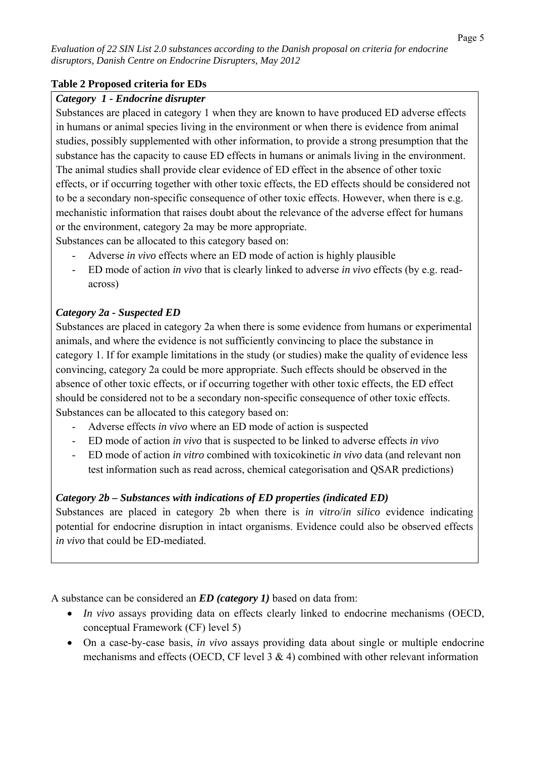## **Table 2 Proposed criteria for EDs**

## *Category 1 - Endocrine disrupter*

Substances are placed in category 1 when they are known to have produced ED adverse effects in humans or animal species living in the environment or when there is evidence from animal studies, possibly supplemented with other information, to provide a strong presumption that the substance has the capacity to cause ED effects in humans or animals living in the environment. The animal studies shall provide clear evidence of ED effect in the absence of other toxic effects, or if occurring together with other toxic effects, the ED effects should be considered not to be a secondary non-specific consequence of other toxic effects. However, when there is e.g. mechanistic information that raises doubt about the relevance of the adverse effect for humans or the environment, category 2a may be more appropriate.

Substances can be allocated to this category based on:

- Adverse *in vivo* effects where an ED mode of action is highly plausible
- ED mode of action *in vivo* that is clearly linked to adverse *in vivo* effects (by e.g. readacross)

## *Category 2a - Suspected ED*

Substances are placed in category 2a when there is some evidence from humans or experimental animals, and where the evidence is not sufficiently convincing to place the substance in category 1. If for example limitations in the study (or studies) make the quality of evidence less convincing, category 2a could be more appropriate. Such effects should be observed in the absence of other toxic effects, or if occurring together with other toxic effects, the ED effect should be considered not to be a secondary non-specific consequence of other toxic effects. Substances can be allocated to this category based on:

- Adverse effects *in vivo* where an ED mode of action is suspected
- ED mode of action *in vivo* that is suspected to be linked to adverse effects *in vivo*
- ED mode of action *in vitro* combined with toxicokinetic *in vivo* data (and relevant non test information such as read across, chemical categorisation and QSAR predictions)

## *Category 2b – Substances with indications of ED properties (indicated ED)*

Substances are placed in category 2b when there is *in vitro*/*in silico* evidence indicating potential for endocrine disruption in intact organisms. Evidence could also be observed effects *in vivo* that could be ED-mediated.

A substance can be considered an *ED (category 1)* based on data from:

- *In vivo* assays providing data on effects clearly linked to endocrine mechanisms (OECD, conceptual Framework (CF) level 5)
- On a case-by-case basis, *in vivo* assays providing data about single or multiple endocrine mechanisms and effects (OECD, CF level  $3 \& 4$ ) combined with other relevant information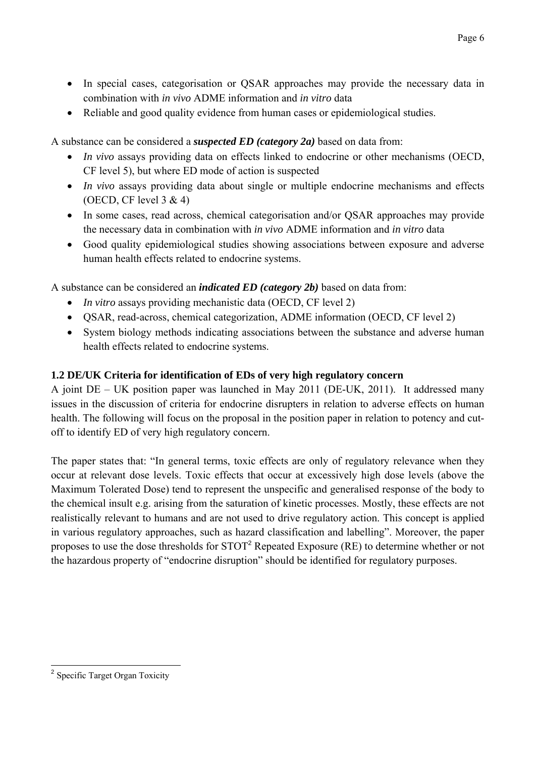- In special cases, categorisation or QSAR approaches may provide the necessary data in combination with *in vivo* ADME information and *in vitro* data
- Reliable and good quality evidence from human cases or epidemiological studies.

A substance can be considered a *suspected ED (category 2a)* based on data from:

- *In vivo* assays providing data on effects linked to endocrine or other mechanisms (OECD, CF level 5), but where ED mode of action is suspected
- *In vivo* assays providing data about single or multiple endocrine mechanisms and effects (OECD, CF level  $3 \& 4$ )
- In some cases, read across, chemical categorisation and/or QSAR approaches may provide the necessary data in combination with *in vivo* ADME information and *in vitro* data
- Good quality epidemiological studies showing associations between exposure and adverse human health effects related to endocrine systems.

A substance can be considered an *indicated ED (category 2b)* based on data from:

- *In vitro* assays providing mechanistic data (OECD, CF level 2)
- QSAR, read-across, chemical categorization, ADME information (OECD, CF level 2)
- System biology methods indicating associations between the substance and adverse human health effects related to endocrine systems.

# **1.2 DE/UK Criteria for identification of EDs of very high regulatory concern**

A joint DE – UK position paper was launched in May 2011 (DE-UK, 2011). It addressed many issues in the discussion of criteria for endocrine disrupters in relation to adverse effects on human health. The following will focus on the proposal in the position paper in relation to potency and cutoff to identify ED of very high regulatory concern.

The paper states that: "In general terms, toxic effects are only of regulatory relevance when they occur at relevant dose levels. Toxic effects that occur at excessively high dose levels (above the Maximum Tolerated Dose) tend to represent the unspecific and generalised response of the body to the chemical insult e.g. arising from the saturation of kinetic processes. Mostly, these effects are not realistically relevant to humans and are not used to drive regulatory action. This concept is applied in various regulatory approaches, such as hazard classification and labelling". Moreover, the paper proposes to use the dose thresholds for  $STOT<sup>2</sup>$  Repeated Exposure (RE) to determine whether or not the hazardous property of "endocrine disruption" should be identified for regulatory purposes.

 $\overline{\phantom{a}}$ <sup>2</sup> Specific Target Organ Toxicity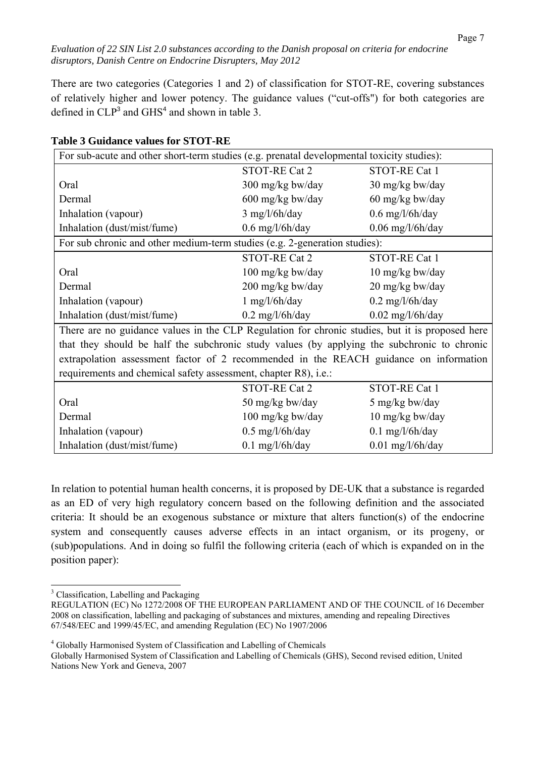There are two categories (Categories 1 and 2) of classification for STOT-RE, covering substances of relatively higher and lower potency. The guidance values ("cut-offs") for both categories are defined in  $CLP<sup>3</sup>$  and  $GHS<sup>4</sup>$  and shown in table 3.

| For sub-acute and other short-term studies (e.g. prenatal developmental toxicity studies):      |                            |                           |  |
|-------------------------------------------------------------------------------------------------|----------------------------|---------------------------|--|
|                                                                                                 | STOT-RE Cat 2              | STOT-RE Cat 1             |  |
| Oral                                                                                            | $300 \text{ mg/kg}$ bw/day | $30 \text{ mg/kg}$ bw/day |  |
| Dermal                                                                                          | $600 \text{ mg/kg}$ bw/day | 60 mg/kg bw/day           |  |
| Inhalation (vapour)                                                                             | $3$ mg/l/6h/day            | $0.6$ mg/l/6h/day         |  |
| Inhalation (dust/mist/fume)                                                                     | $0.6$ mg/l/6h/day          | $0.06$ mg/l/6h/day        |  |
| For sub chronic and other medium-term studies (e.g. 2-generation studies):                      |                            |                           |  |
|                                                                                                 | <b>STOT-RE Cat 2</b>       | STOT-RE Cat 1             |  |
| Oral                                                                                            | 100 mg/kg bw/day           | 10 mg/kg bw/day           |  |
| Dermal                                                                                          | 200 mg/kg bw/day           | 20 mg/kg bw/day           |  |
| Inhalation (vapour)                                                                             | $1$ mg/l/6h/day            | $0.2 \text{ mg/l/6h/day}$ |  |
| Inhalation (dust/mist/fume)                                                                     | $0.2 \text{ mg/l/6h/day}$  | $0.02$ mg/l/6h/day        |  |
| There are no guidance values in the CLP Regulation for chronic studies, but it is proposed here |                            |                           |  |
| that they should be half the subchronic study values (by applying the subchronic to chronic     |                            |                           |  |
| extrapolation assessment factor of 2 recommended in the REACH guidance on information           |                            |                           |  |
| requirements and chemical safety assessment, chapter R8), <i>i.e.</i> :                         |                            |                           |  |
|                                                                                                 | STOT-RE Cat 2              | STOT-RE Cat 1             |  |
| Oral                                                                                            | 50 mg/kg bw/day            | 5 mg/kg bw/day            |  |
| Dermal                                                                                          | $100 \text{ mg/kg}$ bw/day | 10 mg/kg bw/day           |  |
| Inhalation (vapour)                                                                             | $0.5 \text{ mg}/l/6h/day$  | $0.1$ mg/l/6h/day         |  |
| Inhalation (dust/mist/fume)                                                                     | $0.1$ mg/l/6h/day          | $0.01$ mg/l/6h/day        |  |

#### **Table 3 Guidance values for STOT-RE**

In relation to potential human health concerns, it is proposed by DE-UK that a substance is regarded as an ED of very high regulatory concern based on the following definition and the associated criteria: It should be an exogenous substance or mixture that alters function(s) of the endocrine system and consequently causes adverse effects in an intact organism, or its progeny, or (sub)populations. And in doing so fulfil the following criteria (each of which is expanded on in the position paper):

<sup>&</sup>lt;sup>3</sup> Classification, Labelling and Packaging

REGULATION (EC) No 1272/2008 OF THE EUROPEAN PARLIAMENT AND OF THE COUNCIL of 16 December 2008 on classification, labelling and packaging of substances and mixtures, amending and repealing Directives 67/548/EEC and 1999/45/EC, and amending Regulation (EC) No 1907/2006

<sup>&</sup>lt;sup>4</sup> Globally Harmonised System of Classification and Labelling of Chemicals

Globally Harmonised System of Classification and Labelling of Chemicals (GHS), Second revised edition, United Nations New York and Geneva, 2007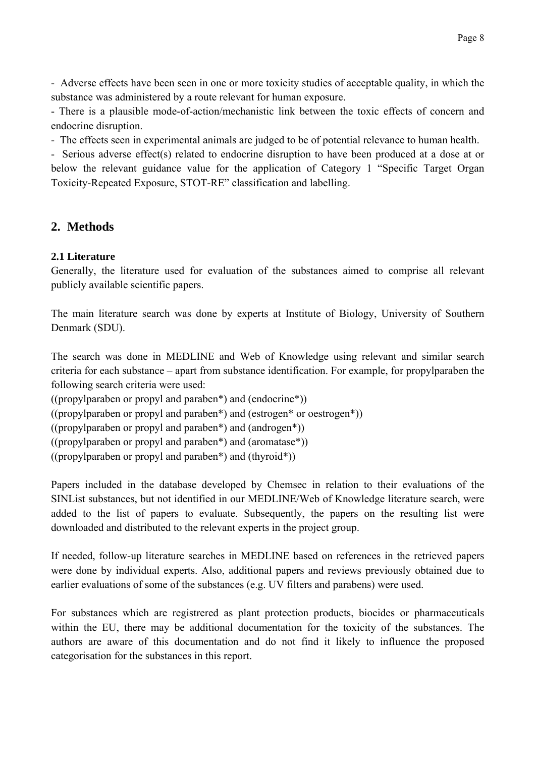- Adverse effects have been seen in one or more toxicity studies of acceptable quality, in which the substance was administered by a route relevant for human exposure.

- There is a plausible mode-of-action/mechanistic link between the toxic effects of concern and endocrine disruption.

- The effects seen in experimental animals are judged to be of potential relevance to human health.

- Serious adverse effect(s) related to endocrine disruption to have been produced at a dose at or below the relevant guidance value for the application of Category 1 "Specific Target Organ Toxicity-Repeated Exposure, STOT-RE" classification and labelling.

# **2. Methods**

## **2.1 Literature**

Generally, the literature used for evaluation of the substances aimed to comprise all relevant publicly available scientific papers.

The main literature search was done by experts at Institute of Biology, University of Southern Denmark (SDU).

The search was done in MEDLINE and Web of Knowledge using relevant and similar search criteria for each substance – apart from substance identification. For example, for propylparaben the following search criteria were used:

((propylparaben or propyl and paraben\*) and (endocrine\*))

((propylparaben or propyl and paraben\*) and (estrogen\* or oestrogen\*))

((propylparaben or propyl and paraben\*) and (androgen\*))

((propylparaben or propyl and paraben\*) and (aromatase\*))

((propylparaben or propyl and paraben\*) and (thyroid\*))

Papers included in the database developed by Chemsec in relation to their evaluations of the SINList substances, but not identified in our MEDLINE/Web of Knowledge literature search, were added to the list of papers to evaluate. Subsequently, the papers on the resulting list were downloaded and distributed to the relevant experts in the project group.

If needed, follow-up literature searches in MEDLINE based on references in the retrieved papers were done by individual experts. Also, additional papers and reviews previously obtained due to earlier evaluations of some of the substances (e.g. UV filters and parabens) were used.

For substances which are registrered as plant protection products, biocides or pharmaceuticals within the EU, there may be additional documentation for the toxicity of the substances. The authors are aware of this documentation and do not find it likely to influence the proposed categorisation for the substances in this report.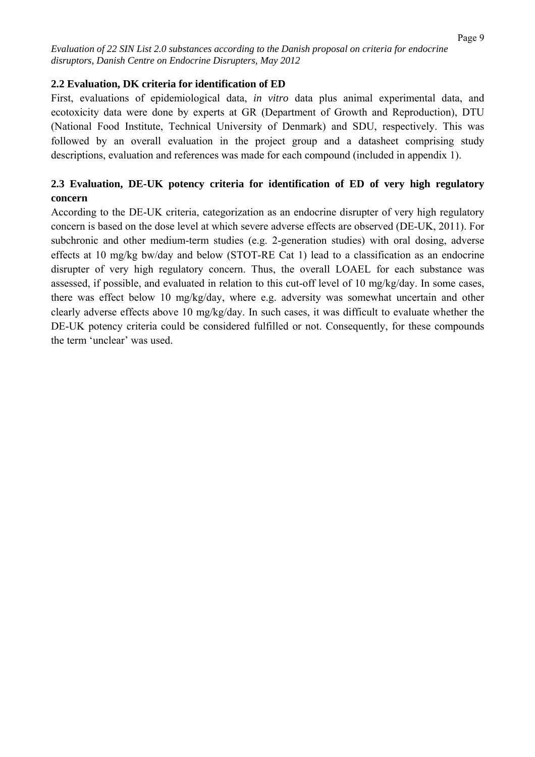#### **2.2 Evaluation, DK criteria for identification of ED**

First, evaluations of epidemiological data, *in vitro* data plus animal experimental data, and ecotoxicity data were done by experts at GR (Department of Growth and Reproduction), DTU (National Food Institute, Technical University of Denmark) and SDU, respectively. This was followed by an overall evaluation in the project group and a datasheet comprising study descriptions, evaluation and references was made for each compound (included in appendix 1).

## **2.3 Evaluation, DE-UK potency criteria for identification of ED of very high regulatory concern**

According to the DE-UK criteria, categorization as an endocrine disrupter of very high regulatory concern is based on the dose level at which severe adverse effects are observed (DE-UK, 2011). For subchronic and other medium-term studies (e.g. 2-generation studies) with oral dosing, adverse effects at 10 mg/kg bw/day and below (STOT-RE Cat 1) lead to a classification as an endocrine disrupter of very high regulatory concern. Thus, the overall LOAEL for each substance was assessed, if possible, and evaluated in relation to this cut-off level of 10 mg/kg/day. In some cases, there was effect below 10 mg/kg/day, where e.g. adversity was somewhat uncertain and other clearly adverse effects above 10 mg/kg/day. In such cases, it was difficult to evaluate whether the DE-UK potency criteria could be considered fulfilled or not. Consequently, for these compounds the term 'unclear' was used.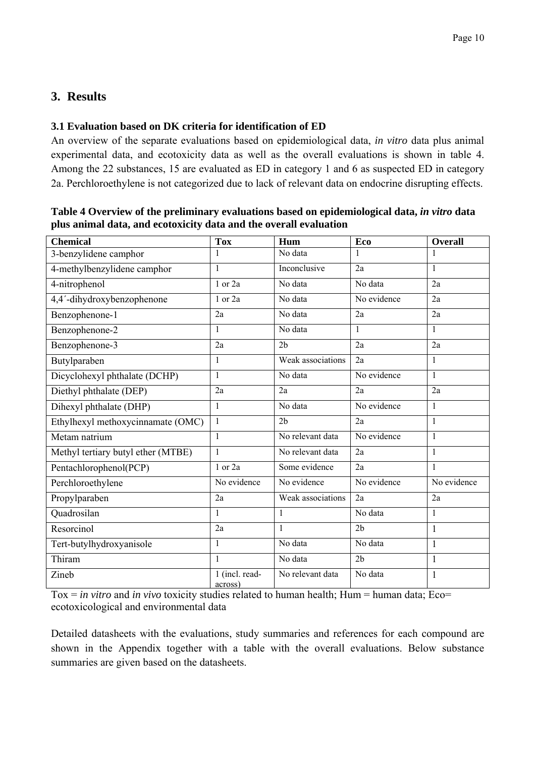# **3. Results**

## **3.1 Evaluation based on DK criteria for identification of ED**

An overview of the separate evaluations based on epidemiological data, *in vitro* data plus animal experimental data, and ecotoxicity data as well as the overall evaluations is shown in table 4. Among the 22 substances, 15 are evaluated as ED in category 1 and 6 as suspected ED in category 2a. Perchloroethylene is not categorized due to lack of relevant data on endocrine disrupting effects.

| <b>Chemical</b>                    | <b>Tox</b>                | Hum               | Eco            | <b>Overall</b> |
|------------------------------------|---------------------------|-------------------|----------------|----------------|
| 3-benzylidene camphor              |                           | No data           |                |                |
| 4-methylbenzylidene camphor        | 1                         | Inconclusive      | 2a             |                |
| 4-nitrophenol                      | $1$ or $2a$               | No data           | No data        | 2a             |
| 4,4'-dihydroxybenzophenone         | 1 or 2a                   | No data           | No evidence    | 2a             |
| Benzophenone-1                     | 2a                        | No data           | 2a             | 2a             |
| Benzophenone-2                     | $\mathbf{1}$              | No data           | $\mathbf{1}$   | $\mathbf{1}$   |
| Benzophenone-3                     | 2a                        | 2 <sub>b</sub>    | 2a             | 2a             |
| Butylparaben                       | 1                         | Weak associations | 2a             | 1              |
| Dicyclohexyl phthalate (DCHP)      | $\mathbf{1}$              | No data           | No evidence    | $\mathbf{1}$   |
| Diethyl phthalate (DEP)            | 2a                        | 2a                | 2a             | 2a             |
| Dihexyl phthalate (DHP)            | $\mathbf{1}$              | No data           | No evidence    | $\mathbf{1}$   |
| Ethylhexyl methoxycinnamate (OMC)  | $\mathbf{1}$              | 2 <sub>b</sub>    | 2a             | $\mathbf{1}$   |
| Metam natrium                      | $\mathbf{1}$              | No relevant data  | No evidence    | $\mathbf{1}$   |
| Methyl tertiary butyl ether (MTBE) | $\mathbf{1}$              | No relevant data  | 2a             | $\mathbf{1}$   |
| Pentachlorophenol(PCP)             | 1 or 2a                   | Some evidence     | 2a             | 1              |
| Perchloroethylene                  | No evidence               | No evidence       | No evidence    | No evidence    |
| Propylparaben                      | 2a                        | Weak associations | 2a             | 2a             |
| Quadrosilan                        | $\mathbf{1}$              | $\mathbf{1}$      | No data        | 1              |
| Resorcinol                         | 2a                        | $\mathbf{1}$      | 2 <sub>b</sub> | 1              |
| Tert-butylhydroxyanisole           | $\mathbf{1}$              | No data           | No data        | 1              |
| Thiram                             | $\mathbf{1}$              | No data           | 2 <sub>b</sub> | 1              |
| Zineb                              | 1 (incl. read-<br>across) | No relevant data  | No data        | 1              |

#### **Table 4 Overview of the preliminary evaluations based on epidemiological data,** *in vitro* **data plus animal data, and ecotoxicity data and the overall evaluation**

Tox = *in vitro* and *in vivo* toxicity studies related to human health; Hum = human data; Eco= ecotoxicological and environmental data

Detailed datasheets with the evaluations, study summaries and references for each compound are shown in the Appendix together with a table with the overall evaluations. Below substance summaries are given based on the datasheets.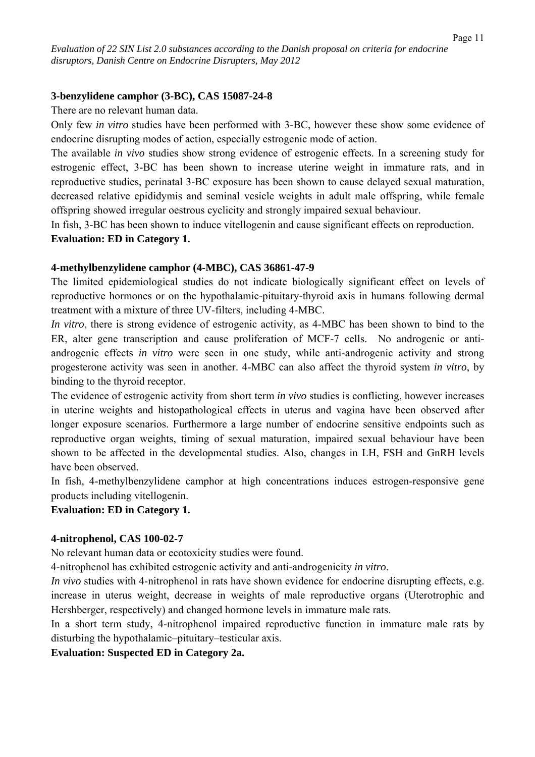#### **3-benzylidene camphor (3-BC), CAS 15087-24-8**

There are no relevant human data.

Only few *in vitro* studies have been performed with 3-BC, however these show some evidence of endocrine disrupting modes of action, especially estrogenic mode of action.

The available *in vivo* studies show strong evidence of estrogenic effects. In a screening study for estrogenic effect, 3-BC has been shown to increase uterine weight in immature rats, and in reproductive studies, perinatal 3-BC exposure has been shown to cause delayed sexual maturation, decreased relative epididymis and seminal vesicle weights in adult male offspring, while female offspring showed irregular oestrous cyclicity and strongly impaired sexual behaviour.

In fish, 3-BC has been shown to induce vitellogenin and cause significant effects on reproduction.

**Evaluation: ED in Category 1.** 

#### **4-methylbenzylidene camphor (4-MBC), CAS 36861-47-9**

The limited epidemiological studies do not indicate biologically significant effect on levels of reproductive hormones or on the hypothalamic-pituitary-thyroid axis in humans following dermal treatment with a mixture of three UV-filters, including 4-MBC.

*In vitro*, there is strong evidence of estrogenic activity, as 4-MBC has been shown to bind to the ER, alter gene transcription and cause proliferation of MCF-7 cells. No androgenic or antiandrogenic effects *in vitro* were seen in one study, while anti-androgenic activity and strong progesterone activity was seen in another. 4-MBC can also affect the thyroid system *in vitro*, by binding to the thyroid receptor.

The evidence of estrogenic activity from short term *in vivo* studies is conflicting, however increases in uterine weights and histopathological effects in uterus and vagina have been observed after longer exposure scenarios. Furthermore a large number of endocrine sensitive endpoints such as reproductive organ weights, timing of sexual maturation, impaired sexual behaviour have been shown to be affected in the developmental studies. Also, changes in LH, FSH and GnRH levels have been observed.

In fish, 4-methylbenzylidene camphor at high concentrations induces estrogen-responsive gene products including vitellogenin.

#### **Evaluation: ED in Category 1.**

#### **4-nitrophenol, CAS 100-02-7**

No relevant human data or ecotoxicity studies were found.

4-nitrophenol has exhibited estrogenic activity and anti-androgenicity *in vitro*.

*In vivo* studies with 4-nitrophenol in rats have shown evidence for endocrine disrupting effects, e.g. increase in uterus weight, decrease in weights of male reproductive organs (Uterotrophic and Hershberger, respectively) and changed hormone levels in immature male rats.

In a short term study, 4-nitrophenol impaired reproductive function in immature male rats by disturbing the hypothalamic–pituitary–testicular axis.

**Evaluation: Suspected ED in Category 2a.**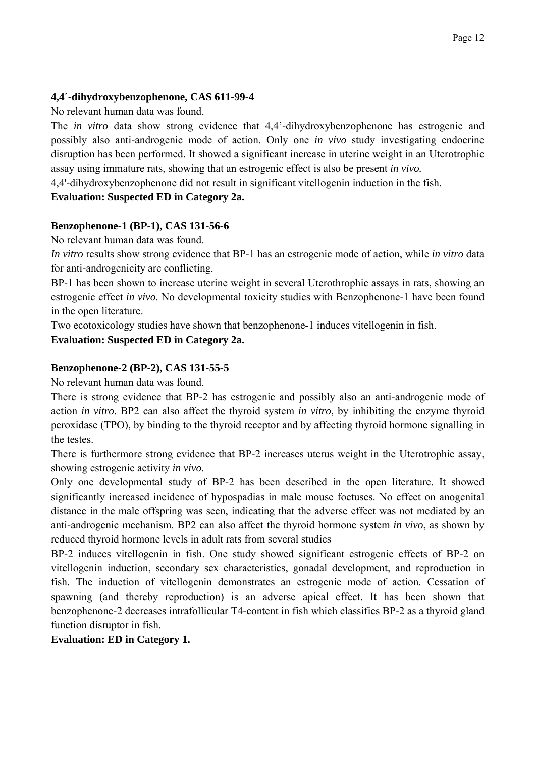## **4,4´-dihydroxybenzophenone, CAS 611-99-4**

No relevant human data was found.

The *in vitro* data show strong evidence that 4,4'-dihydroxybenzophenone has estrogenic and possibly also anti-androgenic mode of action. Only one *in vivo* study investigating endocrine disruption has been performed. It showed a significant increase in uterine weight in an Uterotrophic assay using immature rats, showing that an estrogenic effect is also be present *in vivo.*

4,4'-dihydroxybenzophenone did not result in significant vitellogenin induction in the fish.

## **Evaluation: Suspected ED in Category 2a.**

## **Benzophenone-1 (BP-1), CAS 131-56-6**

No relevant human data was found.

*In vitro* results show strong evidence that BP-1 has an estrogenic mode of action, while *in vitro* data for anti-androgenicity are conflicting.

BP-1 has been shown to increase uterine weight in several Uterothrophic assays in rats, showing an estrogenic effect *in vivo*. No developmental toxicity studies with Benzophenone-1 have been found in the open literature.

Two ecotoxicology studies have shown that benzophenone-1 induces vitellogenin in fish.

## **Evaluation: Suspected ED in Category 2a.**

## **Benzophenone-2 (BP-2), CAS 131-55-5**

No relevant human data was found.

There is strong evidence that BP-2 has estrogenic and possibly also an anti-androgenic mode of action *in vitro*. BP2 can also affect the thyroid system *in vitro*, by inhibiting the enzyme thyroid peroxidase (TPO), by binding to the thyroid receptor and by affecting thyroid hormone signalling in the testes.

There is furthermore strong evidence that BP-2 increases uterus weight in the Uterotrophic assay, showing estrogenic activity *in vivo*.

Only one developmental study of BP-2 has been described in the open literature. It showed significantly increased incidence of hypospadias in male mouse foetuses. No effect on anogenital distance in the male offspring was seen, indicating that the adverse effect was not mediated by an anti-androgenic mechanism. BP2 can also affect the thyroid hormone system *in vivo*, as shown by reduced thyroid hormone levels in adult rats from several studies

BP-2 induces vitellogenin in fish. One study showed significant estrogenic effects of BP-2 on vitellogenin induction, secondary sex characteristics, gonadal development, and reproduction in fish. The induction of vitellogenin demonstrates an estrogenic mode of action. Cessation of spawning (and thereby reproduction) is an adverse apical effect. It has been shown that benzophenone-2 decreases intrafollicular T4-content in fish which classifies BP-2 as a thyroid gland function disruptor in fish.

**Evaluation: ED in Category 1.**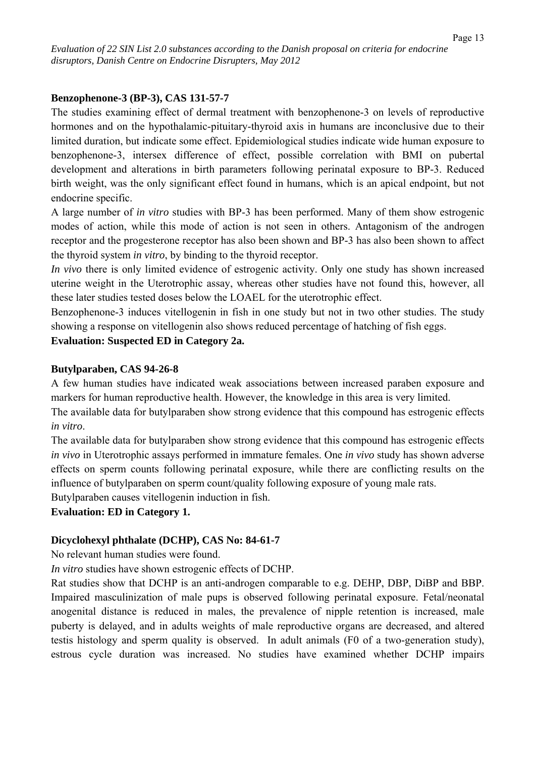#### **Benzophenone-3 (BP-3), CAS 131-57-7**

The studies examining effect of dermal treatment with benzophenone-3 on levels of reproductive hormones and on the hypothalamic-pituitary-thyroid axis in humans are inconclusive due to their limited duration, but indicate some effect. Epidemiological studies indicate wide human exposure to benzophenone-3, intersex difference of effect, possible correlation with BMI on pubertal development and alterations in birth parameters following perinatal exposure to BP-3. Reduced birth weight, was the only significant effect found in humans, which is an apical endpoint, but not endocrine specific.

A large number of *in vitro* studies with BP-3 has been performed. Many of them show estrogenic modes of action, while this mode of action is not seen in others. Antagonism of the androgen receptor and the progesterone receptor has also been shown and BP-3 has also been shown to affect the thyroid system *in vitro*, by binding to the thyroid receptor.

*In vivo* there is only limited evidence of estrogenic activity. Only one study has shown increased uterine weight in the Uterotrophic assay, whereas other studies have not found this, however, all these later studies tested doses below the LOAEL for the uterotrophic effect.

Benzophenone-3 induces vitellogenin in fish in one study but not in two other studies. The study showing a response on vitellogenin also shows reduced percentage of hatching of fish eggs.

#### **Evaluation: Suspected ED in Category 2a.**

#### **Butylparaben, CAS 94-26-8**

A few human studies have indicated weak associations between increased paraben exposure and markers for human reproductive health. However, the knowledge in this area is very limited.

The available data for butylparaben show strong evidence that this compound has estrogenic effects *in vitro*.

The available data for butylparaben show strong evidence that this compound has estrogenic effects *in vivo* in Uterotrophic assays performed in immature females. One *in vivo* study has shown adverse effects on sperm counts following perinatal exposure, while there are conflicting results on the influence of butylparaben on sperm count/quality following exposure of young male rats.

Butylparaben causes vitellogenin induction in fish.

#### **Evaluation: ED in Category 1.**

#### **Dicyclohexyl phthalate (DCHP), CAS No: 84-61-7**

No relevant human studies were found.

*In vitro* studies have shown estrogenic effects of DCHP.

Rat studies show that DCHP is an anti-androgen comparable to e.g. DEHP, DBP, DiBP and BBP. Impaired masculinization of male pups is observed following perinatal exposure. Fetal/neonatal anogenital distance is reduced in males, the prevalence of nipple retention is increased, male puberty is delayed, and in adults weights of male reproductive organs are decreased, and altered testis histology and sperm quality is observed. In adult animals (F0 of a two-generation study), estrous cycle duration was increased. No studies have examined whether DCHP impairs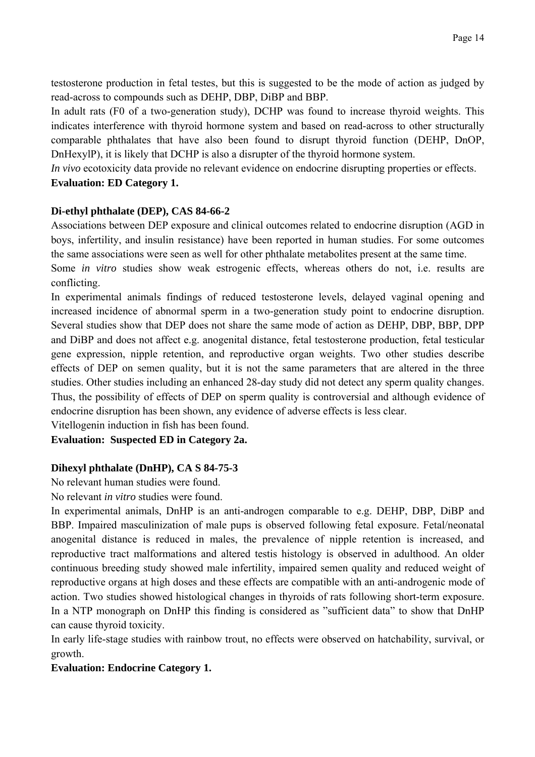testosterone production in fetal testes, but this is suggested to be the mode of action as judged by read-across to compounds such as DEHP, DBP, DiBP and BBP.

In adult rats (F0 of a two-generation study), DCHP was found to increase thyroid weights. This indicates interference with thyroid hormone system and based on read-across to other structurally comparable phthalates that have also been found to disrupt thyroid function (DEHP, DnOP, DnHexylP), it is likely that DCHP is also a disrupter of the thyroid hormone system.

*In vivo* ecotoxicity data provide no relevant evidence on endocrine disrupting properties or effects.

## **Evaluation: ED Category 1.**

## **Di-ethyl phthalate (DEP), CAS 84-66-2**

Associations between DEP exposure and clinical outcomes related to endocrine disruption (AGD in boys, infertility, and insulin resistance) have been reported in human studies. For some outcomes the same associations were seen as well for other phthalate metabolites present at the same time.

Some *in vitro* studies show weak estrogenic effects, whereas others do not, i.e. results are conflicting.

In experimental animals findings of reduced testosterone levels, delayed vaginal opening and increased incidence of abnormal sperm in a two-generation study point to endocrine disruption. Several studies show that DEP does not share the same mode of action as DEHP, DBP, BBP, DPP and DiBP and does not affect e.g. anogenital distance, fetal testosterone production, fetal testicular gene expression, nipple retention, and reproductive organ weights. Two other studies describe effects of DEP on semen quality, but it is not the same parameters that are altered in the three studies. Other studies including an enhanced 28-day study did not detect any sperm quality changes. Thus, the possibility of effects of DEP on sperm quality is controversial and although evidence of endocrine disruption has been shown, any evidence of adverse effects is less clear.

Vitellogenin induction in fish has been found.

**Evaluation: Suspected ED in Category 2a.** 

## **Dihexyl phthalate (DnHP), CA S 84-75-3**

No relevant human studies were found.

No relevant *in vitro* studies were found.

In experimental animals, DnHP is an anti-androgen comparable to e.g. DEHP, DBP, DiBP and BBP. Impaired masculinization of male pups is observed following fetal exposure. Fetal/neonatal anogenital distance is reduced in males, the prevalence of nipple retention is increased, and reproductive tract malformations and altered testis histology is observed in adulthood. An older continuous breeding study showed male infertility, impaired semen quality and reduced weight of reproductive organs at high doses and these effects are compatible with an anti-androgenic mode of action. Two studies showed histological changes in thyroids of rats following short-term exposure. In a NTP monograph on DnHP this finding is considered as "sufficient data" to show that DnHP can cause thyroid toxicity.

In early life-stage studies with rainbow trout, no effects were observed on hatchability, survival, or growth.

#### **Evaluation: Endocrine Category 1.**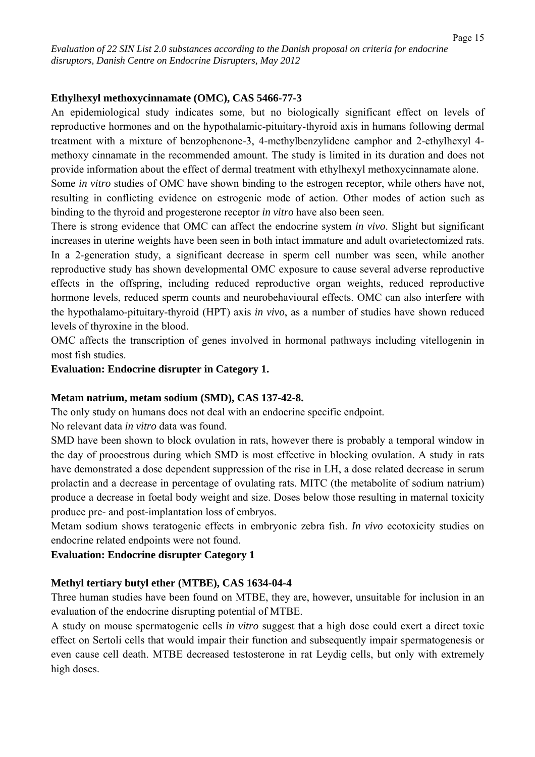#### **Ethylhexyl methoxycinnamate (OMC), CAS 5466-77-3**

An epidemiological study indicates some, but no biologically significant effect on levels of reproductive hormones and on the hypothalamic-pituitary-thyroid axis in humans following dermal treatment with a mixture of benzophenone-3, 4-methylbenzylidene camphor and 2-ethylhexyl 4 methoxy cinnamate in the recommended amount. The study is limited in its duration and does not provide information about the effect of dermal treatment with ethylhexyl methoxycinnamate alone.

Some *in vitro* studies of OMC have shown binding to the estrogen receptor, while others have not, resulting in conflicting evidence on estrogenic mode of action. Other modes of action such as binding to the thyroid and progesterone receptor *in vitro* have also been seen.

There is strong evidence that OMC can affect the endocrine system *in vivo*. Slight but significant increases in uterine weights have been seen in both intact immature and adult ovarietectomized rats. In a 2-generation study, a significant decrease in sperm cell number was seen, while another reproductive study has shown developmental OMC exposure to cause several adverse reproductive effects in the offspring, including reduced reproductive organ weights, reduced reproductive hormone levels, reduced sperm counts and neurobehavioural effects. OMC can also interfere with the hypothalamo-pituitary-thyroid (HPT) axis *in vivo*, as a number of studies have shown reduced levels of thyroxine in the blood.

OMC affects the transcription of genes involved in hormonal pathways including vitellogenin in most fish studies.

**Evaluation: Endocrine disrupter in Category 1.** 

#### **Metam natrium, metam sodium (SMD), CAS 137-42-8.**

The only study on humans does not deal with an endocrine specific endpoint.

No relevant data *in vitro* data was found.

SMD have been shown to block ovulation in rats, however there is probably a temporal window in the day of prooestrous during which SMD is most effective in blocking ovulation. A study in rats have demonstrated a dose dependent suppression of the rise in LH, a dose related decrease in serum prolactin and a decrease in percentage of ovulating rats. MITC (the metabolite of sodium natrium) produce a decrease in foetal body weight and size. Doses below those resulting in maternal toxicity produce pre- and post-implantation loss of embryos.

Metam sodium shows teratogenic effects in embryonic zebra fish. *In vivo* ecotoxicity studies on endocrine related endpoints were not found.

**Evaluation: Endocrine disrupter Category 1** 

#### **Methyl tertiary butyl ether (MTBE), CAS 1634-04-4**

Three human studies have been found on MTBE, they are, however, unsuitable for inclusion in an evaluation of the endocrine disrupting potential of MTBE.

A study on mouse spermatogenic cells *in vitro* suggest that a high dose could exert a direct toxic effect on Sertoli cells that would impair their function and subsequently impair spermatogenesis or even cause cell death. MTBE decreased testosterone in rat Leydig cells, but only with extremely high doses.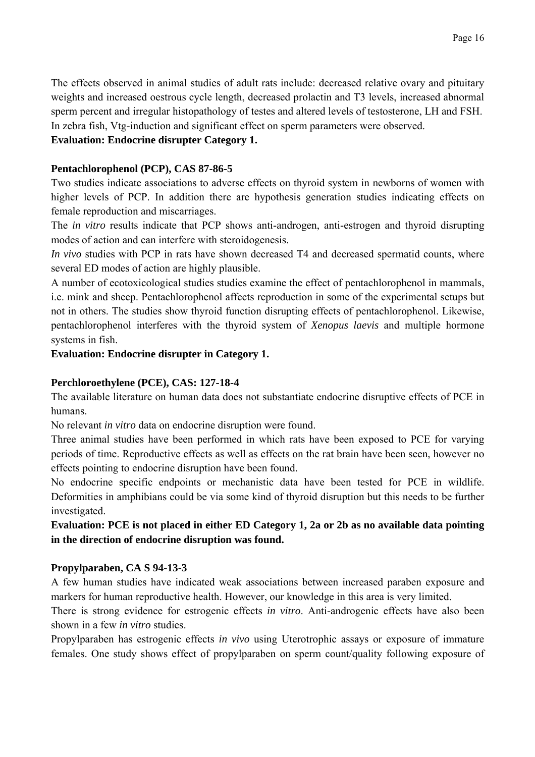The effects observed in animal studies of adult rats include: decreased relative ovary and pituitary weights and increased oestrous cycle length, decreased prolactin and T3 levels, increased abnormal sperm percent and irregular histopathology of testes and altered levels of testosterone, LH and FSH. In zebra fish, Vtg-induction and significant effect on sperm parameters were observed.

## **Evaluation: Endocrine disrupter Category 1.**

## **Pentachlorophenol (PCP), CAS 87-86-5**

Two studies indicate associations to adverse effects on thyroid system in newborns of women with higher levels of PCP. In addition there are hypothesis generation studies indicating effects on female reproduction and miscarriages.

The *in vitro* results indicate that PCP shows anti-androgen, anti-estrogen and thyroid disrupting modes of action and can interfere with steroidogenesis.

*In vivo* studies with PCP in rats have shown decreased T4 and decreased spermatid counts, where several ED modes of action are highly plausible.

A number of ecotoxicological studies studies examine the effect of pentachlorophenol in mammals, i.e. mink and sheep. Pentachlorophenol affects reproduction in some of the experimental setups but not in others. The studies show thyroid function disrupting effects of pentachlorophenol. Likewise, pentachlorophenol interferes with the thyroid system of *Xenopus laevis* and multiple hormone systems in fish.

## **Evaluation: Endocrine disrupter in Category 1.**

## **Perchloroethylene (PCE), CAS: 127-18-4**

The available literature on human data does not substantiate endocrine disruptive effects of PCE in humans.

No relevant *in vitro* data on endocrine disruption were found.

Three animal studies have been performed in which rats have been exposed to PCE for varying periods of time. Reproductive effects as well as effects on the rat brain have been seen, however no effects pointing to endocrine disruption have been found.

No endocrine specific endpoints or mechanistic data have been tested for PCE in wildlife. Deformities in amphibians could be via some kind of thyroid disruption but this needs to be further investigated.

**Evaluation: PCE is not placed in either ED Category 1, 2a or 2b as no available data pointing in the direction of endocrine disruption was found.** 

## **Propylparaben, CA S 94-13-3**

A few human studies have indicated weak associations between increased paraben exposure and markers for human reproductive health. However, our knowledge in this area is very limited.

There is strong evidence for estrogenic effects *in vitro*. Anti-androgenic effects have also been shown in a few *in vitro* studies.

Propylparaben has estrogenic effects *in vivo* using Uterotrophic assays or exposure of immature females. One study shows effect of propylparaben on sperm count/quality following exposure of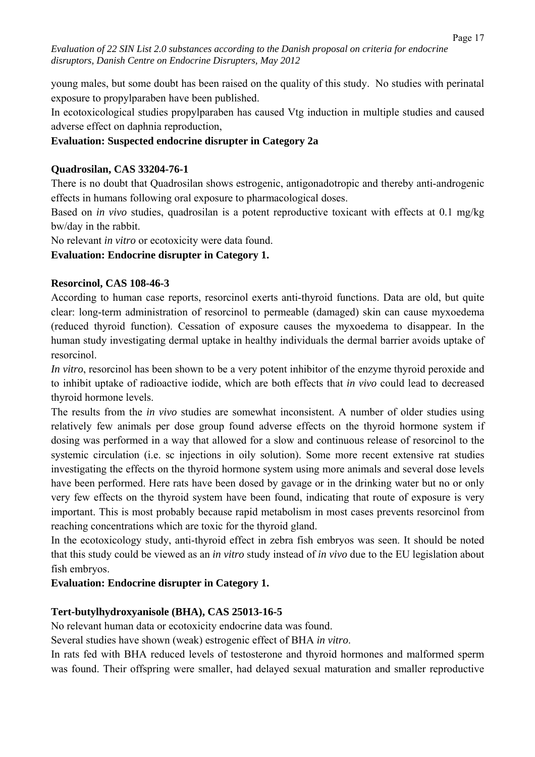young males, but some doubt has been raised on the quality of this study. No studies with perinatal exposure to propylparaben have been published.

In ecotoxicological studies propylparaben has caused Vtg induction in multiple studies and caused adverse effect on daphnia reproduction,

## **Evaluation: Suspected endocrine disrupter in Category 2a**

## **Quadrosilan, CAS 33204-76-1**

There is no doubt that Quadrosilan shows estrogenic, antigonadotropic and thereby anti-androgenic effects in humans following oral exposure to pharmacological doses.

Based on *in vivo* studies, quadrosilan is a potent reproductive toxicant with effects at 0.1 mg/kg bw/day in the rabbit.

No relevant *in vitro* or ecotoxicity were data found.

## **Evaluation: Endocrine disrupter in Category 1.**

#### **Resorcinol, CAS 108-46-3**

According to human case reports, resorcinol exerts anti-thyroid functions. Data are old, but quite clear: long-term administration of resorcinol to permeable (damaged) skin can cause myxoedema (reduced thyroid function). Cessation of exposure causes the myxoedema to disappear. In the human study investigating dermal uptake in healthy individuals the dermal barrier avoids uptake of resorcinol.

*In vitro*, resorcinol has been shown to be a very potent inhibitor of the enzyme thyroid peroxide and to inhibit uptake of radioactive iodide, which are both effects that *in vivo* could lead to decreased thyroid hormone levels.

The results from the *in vivo* studies are somewhat inconsistent. A number of older studies using relatively few animals per dose group found adverse effects on the thyroid hormone system if dosing was performed in a way that allowed for a slow and continuous release of resorcinol to the systemic circulation (i.e. sc injections in oily solution). Some more recent extensive rat studies investigating the effects on the thyroid hormone system using more animals and several dose levels have been performed. Here rats have been dosed by gavage or in the drinking water but no or only very few effects on the thyroid system have been found, indicating that route of exposure is very important. This is most probably because rapid metabolism in most cases prevents resorcinol from reaching concentrations which are toxic for the thyroid gland.

In the ecotoxicology study, anti-thyroid effect in zebra fish embryos was seen. It should be noted that this study could be viewed as an *in vitro* study instead of *in vivo* due to the EU legislation about fish embryos.

## **Evaluation: Endocrine disrupter in Category 1.**

#### **Tert-butylhydroxyanisole (BHA), CAS 25013-16-5**

No relevant human data or ecotoxicity endocrine data was found.

Several studies have shown (weak) estrogenic effect of BHA *in vitro*.

In rats fed with BHA reduced levels of testosterone and thyroid hormones and malformed sperm was found. Their offspring were smaller, had delayed sexual maturation and smaller reproductive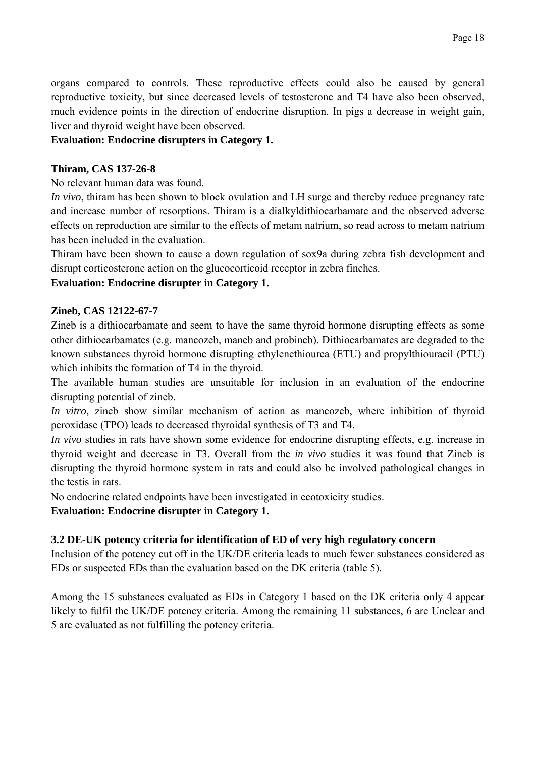organs compared to controls. These reproductive effects could also be caused by general reproductive toxicity, but since decreased levels of testosterone and T4 have also been observed, much evidence points in the direction of endocrine disruption. In pigs a decrease in weight gain, liver and thyroid weight have been observed.

## **Evaluation: Endocrine disrupters in Category 1.**

#### **Thiram, CAS 137-26-8**

No relevant human data was found.

*In vivo*, thiram has been shown to block ovulation and LH surge and thereby reduce pregnancy rate and increase number of resorptions. Thiram is a dialkyldithiocarbamate and the observed adverse effects on reproduction are similar to the effects of metam natrium, so read across to metam natrium has been included in the evaluation.

Thiram have been shown to cause a down regulation of sox9a during zebra fish development and disrupt corticosterone action on the glucocorticoid receptor in zebra finches.

#### **Evaluation: Endocrine disrupter in Category 1.**

#### **Zineb, CAS 12122-67-7**

Zineb is a dithiocarbamate and seem to have the same thyroid hormone disrupting effects as some other dithiocarbamates (e.g. mancozeb, maneb and probineb). Dithiocarbamates are degraded to the known substances thyroid hormone disrupting ethylenethiourea (ETU) and propylthiouracil (PTU) which inhibits the formation of T4 in the thyroid.

The available human studies are unsuitable for inclusion in an evaluation of the endocrine disrupting potential of zineb.

*In vitro*, zineb show similar mechanism of action as mancozeb, where inhibition of thyroid peroxidase (TPO) leads to decreased thyroidal synthesis of T3 and T4.

*In vivo* studies in rats have shown some evidence for endocrine disrupting effects, e.g. increase in thyroid weight and decrease in T3. Overall from the *in vivo* studies it was found that Zineb is disrupting the thyroid hormone system in rats and could also be involved pathological changes in the testis in rats.

No endocrine related endpoints have been investigated in ecotoxicity studies.

**Evaluation: Endocrine disrupter in Category 1.** 

#### **3.2 DE-UK potency criteria for identification of ED of very high regulatory concern**

Inclusion of the potency cut off in the UK/DE criteria leads to much fewer substances considered as EDs or suspected EDs than the evaluation based on the DK criteria (table 5).

Among the 15 substances evaluated as EDs in Category 1 based on the DK criteria only 4 appear likely to fulfil the UK/DE potency criteria. Among the remaining 11 substances, 6 are Unclear and 5 are evaluated as not fulfilling the potency criteria.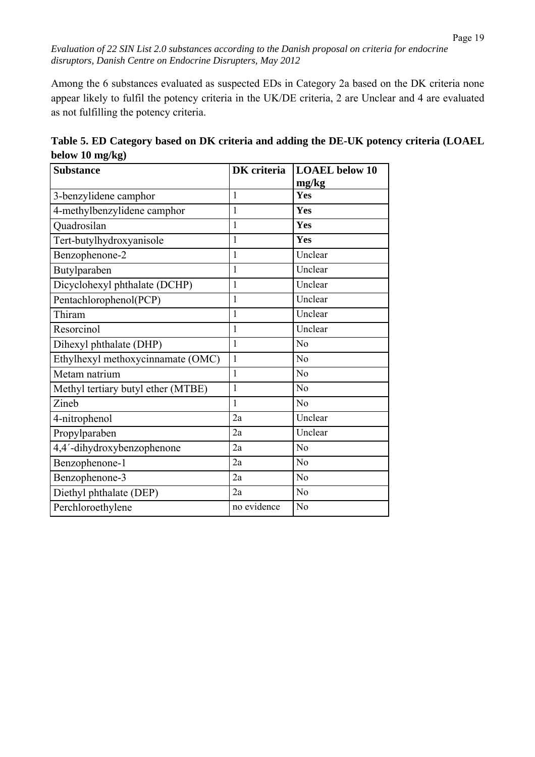Among the 6 substances evaluated as suspected EDs in Category 2a based on the DK criteria none appear likely to fulfil the potency criteria in the UK/DE criteria, 2 are Unclear and 4 are evaluated as not fulfilling the potency criteria.

| <b>Substance</b>                   | DK criteria  | <b>LOAEL</b> below 10<br>mg/kg |
|------------------------------------|--------------|--------------------------------|
| 3-benzylidene camphor              | 1            | Yes                            |
| 4-methylbenzylidene camphor        | $\mathbf{1}$ | Yes                            |
| Quadrosilan                        | 1            | Yes                            |
| Tert-butylhydroxyanisole           | $\mathbf{1}$ | Yes                            |
| Benzophenone-2                     | 1            | Unclear                        |
| Butylparaben                       | 1            | Unclear                        |
| Dicyclohexyl phthalate (DCHP)      | 1            | Unclear                        |
| Pentachlorophenol(PCP)             | 1            | Unclear                        |
| Thiram                             | $\mathbf{1}$ | Unclear                        |
| Resorcinol                         | 1            | Unclear                        |
| Dihexyl phthalate (DHP)            | 1            | N <sub>o</sub>                 |
| Ethylhexyl methoxycinnamate (OMC)  | 1            | N <sub>o</sub>                 |
| Metam natrium                      | 1            | N <sub>o</sub>                 |
| Methyl tertiary butyl ether (MTBE) | $\mathbf{1}$ | N <sub>0</sub>                 |
| Zineb                              | $\mathbf{1}$ | N <sub>o</sub>                 |
| 4-nitrophenol                      | 2a           | Unclear                        |
| Propylparaben                      | 2a           | Unclear                        |
| 4,4'-dihydroxybenzophenone         | 2a           | N <sub>o</sub>                 |
| Benzophenone-1                     | 2a           | N <sub>o</sub>                 |
| Benzophenone-3                     | 2a           | N <sub>o</sub>                 |
| Diethyl phthalate (DEP)            | 2a           | N <sub>o</sub>                 |
| Perchloroethylene                  | no evidence  | No                             |

**Table 5. ED Category based on DK criteria and adding the DE-UK potency criteria (LOAEL below 10 mg/kg)**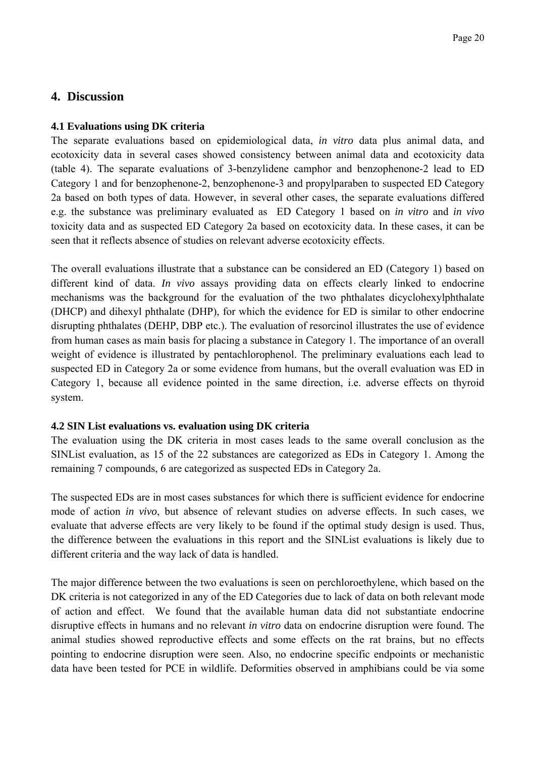## **4. Discussion**

#### **4.1 Evaluations using DK criteria**

The separate evaluations based on epidemiological data, *in vitro* data plus animal data, and ecotoxicity data in several cases showed consistency between animal data and ecotoxicity data (table 4). The separate evaluations of 3-benzylidene camphor and benzophenone-2 lead to ED Category 1 and for benzophenone-2, benzophenone-3 and propylparaben to suspected ED Category 2a based on both types of data. However, in several other cases, the separate evaluations differed e.g. the substance was preliminary evaluated as ED Category 1 based on *in vitro* and *in vivo* toxicity data and as suspected ED Category 2a based on ecotoxicity data. In these cases, it can be seen that it reflects absence of studies on relevant adverse ecotoxicity effects.

The overall evaluations illustrate that a substance can be considered an ED (Category 1) based on different kind of data. *In vivo* assays providing data on effects clearly linked to endocrine mechanisms was the background for the evaluation of the two phthalates dicyclohexylphthalate (DHCP) and dihexyl phthalate (DHP), for which the evidence for ED is similar to other endocrine disrupting phthalates (DEHP, DBP etc.). The evaluation of resorcinol illustrates the use of evidence from human cases as main basis for placing a substance in Category 1. The importance of an overall weight of evidence is illustrated by pentachlorophenol. The preliminary evaluations each lead to suspected ED in Category 2a or some evidence from humans, but the overall evaluation was ED in Category 1, because all evidence pointed in the same direction, i.e. adverse effects on thyroid system.

#### **4.2 SIN List evaluations vs. evaluation using DK criteria**

The evaluation using the DK criteria in most cases leads to the same overall conclusion as the SINList evaluation, as 15 of the 22 substances are categorized as EDs in Category 1. Among the remaining 7 compounds, 6 are categorized as suspected EDs in Category 2a.

The suspected EDs are in most cases substances for which there is sufficient evidence for endocrine mode of action *in vivo*, but absence of relevant studies on adverse effects. In such cases, we evaluate that adverse effects are very likely to be found if the optimal study design is used. Thus, the difference between the evaluations in this report and the SINList evaluations is likely due to different criteria and the way lack of data is handled.

The major difference between the two evaluations is seen on perchloroethylene, which based on the DK criteria is not categorized in any of the ED Categories due to lack of data on both relevant mode of action and effect. We found that the available human data did not substantiate endocrine disruptive effects in humans and no relevant *in vitro* data on endocrine disruption were found. The animal studies showed reproductive effects and some effects on the rat brains, but no effects pointing to endocrine disruption were seen. Also, no endocrine specific endpoints or mechanistic data have been tested for PCE in wildlife. Deformities observed in amphibians could be via some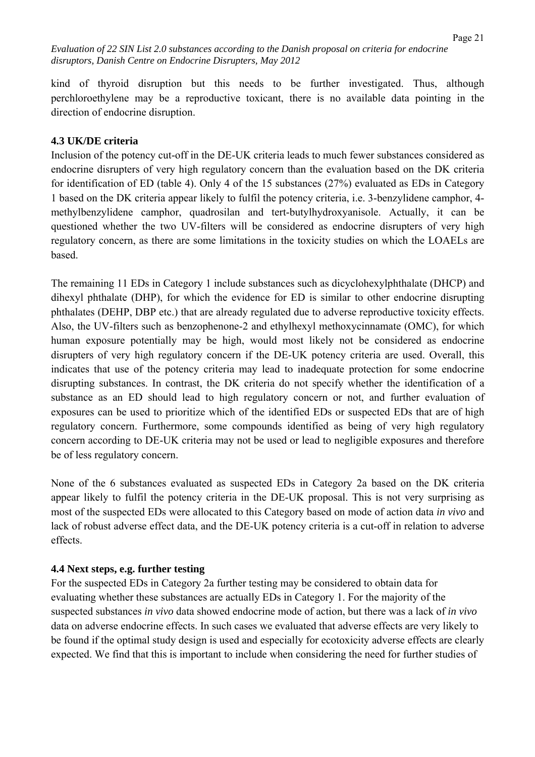kind of thyroid disruption but this needs to be further investigated. Thus, although perchloroethylene may be a reproductive toxicant, there is no available data pointing in the direction of endocrine disruption.

#### **4.3 UK/DE criteria**

Inclusion of the potency cut-off in the DE-UK criteria leads to much fewer substances considered as endocrine disrupters of very high regulatory concern than the evaluation based on the DK criteria for identification of ED (table 4). Only 4 of the 15 substances (27%) evaluated as EDs in Category 1 based on the DK criteria appear likely to fulfil the potency criteria, i.e. 3-benzylidene camphor, 4 methylbenzylidene camphor, quadrosilan and tert-butylhydroxyanisole. Actually, it can be questioned whether the two UV-filters will be considered as endocrine disrupters of very high regulatory concern, as there are some limitations in the toxicity studies on which the LOAELs are based.

The remaining 11 EDs in Category 1 include substances such as dicyclohexylphthalate (DHCP) and dihexyl phthalate (DHP), for which the evidence for ED is similar to other endocrine disrupting phthalates (DEHP, DBP etc.) that are already regulated due to adverse reproductive toxicity effects. Also, the UV-filters such as benzophenone-2 and ethylhexyl methoxycinnamate (OMC), for which human exposure potentially may be high, would most likely not be considered as endocrine disrupters of very high regulatory concern if the DE-UK potency criteria are used. Overall, this indicates that use of the potency criteria may lead to inadequate protection for some endocrine disrupting substances. In contrast, the DK criteria do not specify whether the identification of a substance as an ED should lead to high regulatory concern or not, and further evaluation of exposures can be used to prioritize which of the identified EDs or suspected EDs that are of high regulatory concern. Furthermore, some compounds identified as being of very high regulatory concern according to DE-UK criteria may not be used or lead to negligible exposures and therefore be of less regulatory concern.

None of the 6 substances evaluated as suspected EDs in Category 2a based on the DK criteria appear likely to fulfil the potency criteria in the DE-UK proposal. This is not very surprising as most of the suspected EDs were allocated to this Category based on mode of action data *in vivo* and lack of robust adverse effect data, and the DE-UK potency criteria is a cut-off in relation to adverse effects.

#### **4.4 Next steps, e.g. further testing**

For the suspected EDs in Category 2a further testing may be considered to obtain data for evaluating whether these substances are actually EDs in Category 1. For the majority of the suspected substances *in vivo* data showed endocrine mode of action, but there was a lack of *in vivo* data on adverse endocrine effects. In such cases we evaluated that adverse effects are very likely to be found if the optimal study design is used and especially for ecotoxicity adverse effects are clearly expected. We find that this is important to include when considering the need for further studies of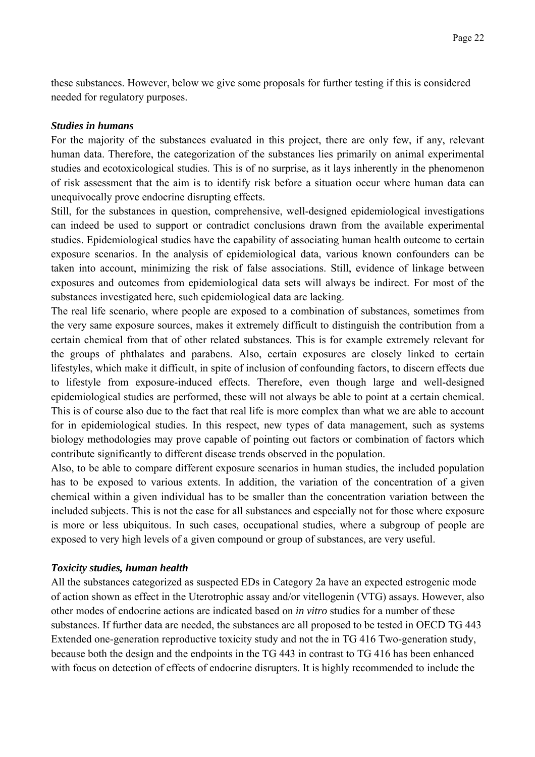these substances. However, below we give some proposals for further testing if this is considered needed for regulatory purposes.

#### *Studies in humans*

For the majority of the substances evaluated in this project, there are only few, if any, relevant human data. Therefore, the categorization of the substances lies primarily on animal experimental studies and ecotoxicological studies. This is of no surprise, as it lays inherently in the phenomenon of risk assessment that the aim is to identify risk before a situation occur where human data can unequivocally prove endocrine disrupting effects.

Still, for the substances in question, comprehensive, well-designed epidemiological investigations can indeed be used to support or contradict conclusions drawn from the available experimental studies. Epidemiological studies have the capability of associating human health outcome to certain exposure scenarios. In the analysis of epidemiological data, various known confounders can be taken into account, minimizing the risk of false associations. Still, evidence of linkage between exposures and outcomes from epidemiological data sets will always be indirect. For most of the substances investigated here, such epidemiological data are lacking.

The real life scenario, where people are exposed to a combination of substances, sometimes from the very same exposure sources, makes it extremely difficult to distinguish the contribution from a certain chemical from that of other related substances. This is for example extremely relevant for the groups of phthalates and parabens. Also, certain exposures are closely linked to certain lifestyles, which make it difficult, in spite of inclusion of confounding factors, to discern effects due to lifestyle from exposure-induced effects. Therefore, even though large and well-designed epidemiological studies are performed, these will not always be able to point at a certain chemical. This is of course also due to the fact that real life is more complex than what we are able to account for in epidemiological studies. In this respect, new types of data management, such as systems biology methodologies may prove capable of pointing out factors or combination of factors which contribute significantly to different disease trends observed in the population.

Also, to be able to compare different exposure scenarios in human studies, the included population has to be exposed to various extents. In addition, the variation of the concentration of a given chemical within a given individual has to be smaller than the concentration variation between the included subjects. This is not the case for all substances and especially not for those where exposure is more or less ubiquitous. In such cases, occupational studies, where a subgroup of people are exposed to very high levels of a given compound or group of substances, are very useful.

#### *Toxicity studies, human health*

All the substances categorized as suspected EDs in Category 2a have an expected estrogenic mode of action shown as effect in the Uterotrophic assay and/or vitellogenin (VTG) assays. However, also other modes of endocrine actions are indicated based on *in vitro* studies for a number of these substances. If further data are needed, the substances are all proposed to be tested in OECD TG 443 Extended one-generation reproductive toxicity study and not the in TG 416 Two-generation study, because both the design and the endpoints in the TG 443 in contrast to TG 416 has been enhanced with focus on detection of effects of endocrine disrupters. It is highly recommended to include the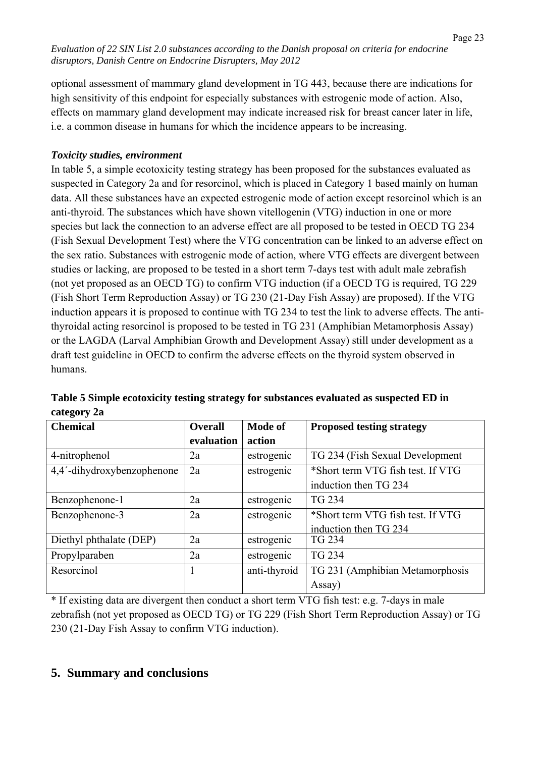optional assessment of mammary gland development in TG 443, because there are indications for high sensitivity of this endpoint for especially substances with estrogenic mode of action. Also, effects on mammary gland development may indicate increased risk for breast cancer later in life, i.e. a common disease in humans for which the incidence appears to be increasing.

## *Toxicity studies, environment*

In table 5, a simple ecotoxicity testing strategy has been proposed for the substances evaluated as suspected in Category 2a and for resorcinol, which is placed in Category 1 based mainly on human data. All these substances have an expected estrogenic mode of action except resorcinol which is an anti-thyroid. The substances which have shown vitellogenin (VTG) induction in one or more species but lack the connection to an adverse effect are all proposed to be tested in OECD TG 234 (Fish Sexual Development Test) where the VTG concentration can be linked to an adverse effect on the sex ratio. Substances with estrogenic mode of action, where VTG effects are divergent between studies or lacking, are proposed to be tested in a short term 7-days test with adult male zebrafish (not yet proposed as an OECD TG) to confirm VTG induction (if a OECD TG is required, TG 229 (Fish Short Term Reproduction Assay) or TG 230 (21-Day Fish Assay) are proposed). If the VTG induction appears it is proposed to continue with TG 234 to test the link to adverse effects. The antithyroidal acting resorcinol is proposed to be tested in TG 231 (Amphibian Metamorphosis Assay) or the LAGDA (Larval Amphibian Growth and Development Assay) still under development as a draft test guideline in OECD to confirm the adverse effects on the thyroid system observed in humans.

| <b>Chemical</b>            | <b>Overall</b> | <b>Mode of</b> | <b>Proposed testing strategy</b>  |
|----------------------------|----------------|----------------|-----------------------------------|
|                            | evaluation     | action         |                                   |
| 4-nitrophenol              | 2a             | estrogenic     | TG 234 (Fish Sexual Development   |
| 4,4'-dihydroxybenzophenone | 2a             | estrogenic     | *Short term VTG fish test. If VTG |
|                            |                |                | induction then TG 234             |
| Benzophenone-1             | 2a             | estrogenic     | <b>TG 234</b>                     |
| Benzophenone-3             | 2a             | estrogenic     | *Short term VTG fish test. If VTG |
|                            |                |                | induction then TG 234             |
| Diethyl phthalate (DEP)    | 2a             | estrogenic     | TG 234                            |
| Propylparaben              | 2a             | estrogenic     | <b>TG 234</b>                     |
| Resorcinol                 |                | anti-thyroid   | TG 231 (Amphibian Metamorphosis   |
|                            |                |                | Assay)                            |

**Table 5 Simple ecotoxicity testing strategy for substances evaluated as suspected ED in category 2a** 

\* If existing data are divergent then conduct a short term VTG fish test: e.g. 7-days in male zebrafish (not yet proposed as OECD TG) or TG 229 (Fish Short Term Reproduction Assay) or TG 230 (21-Day Fish Assay to confirm VTG induction).

# **5. Summary and conclusions**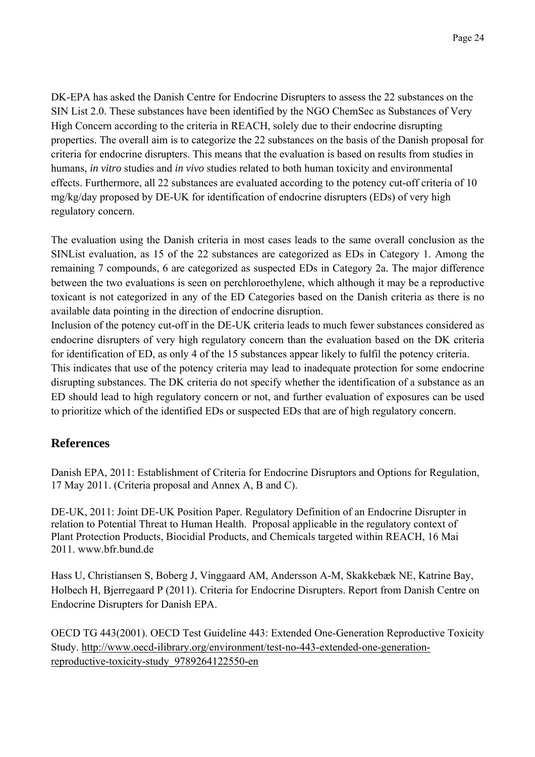DK-EPA has asked the Danish Centre for Endocrine Disrupters to assess the 22 substances on the SIN List 2.0. These substances have been identified by the NGO ChemSec as Substances of Very High Concern according to the criteria in REACH, solely due to their endocrine disrupting properties. The overall aim is to categorize the 22 substances on the basis of the Danish proposal for criteria for endocrine disrupters. This means that the evaluation is based on results from studies in humans, *in vitro* studies and *in vivo* studies related to both human toxicity and environmental effects. Furthermore, all 22 substances are evaluated according to the potency cut-off criteria of 10 mg/kg/day proposed by DE-UK for identification of endocrine disrupters (EDs) of very high regulatory concern.

The evaluation using the Danish criteria in most cases leads to the same overall conclusion as the SINList evaluation, as 15 of the 22 substances are categorized as EDs in Category 1. Among the remaining 7 compounds, 6 are categorized as suspected EDs in Category 2a. The major difference between the two evaluations is seen on perchloroethylene, which although it may be a reproductive toxicant is not categorized in any of the ED Categories based on the Danish criteria as there is no available data pointing in the direction of endocrine disruption.

Inclusion of the potency cut-off in the DE-UK criteria leads to much fewer substances considered as endocrine disrupters of very high regulatory concern than the evaluation based on the DK criteria for identification of ED, as only 4 of the 15 substances appear likely to fulfil the potency criteria.

This indicates that use of the potency criteria may lead to inadequate protection for some endocrine disrupting substances. The DK criteria do not specify whether the identification of a substance as an ED should lead to high regulatory concern or not, and further evaluation of exposures can be used to prioritize which of the identified EDs or suspected EDs that are of high regulatory concern.

# **References**

Danish EPA, 2011: Establishment of Criteria for Endocrine Disruptors and Options for Regulation, 17 May 2011. (Criteria proposal and Annex A, B and C).

DE-UK, 2011: Joint DE-UK Position Paper. Regulatory Definition of an Endocrine Disrupter in relation to Potential Threat to Human Health. Proposal applicable in the regulatory context of Plant Protection Products, Biocidial Products, and Chemicals targeted within REACH, 16 Mai 2011. www.bfr.bund.de

Hass U, Christiansen S, Boberg J, Vinggaard AM, Andersson A-M, Skakkebæk NE, Katrine Bay, Holbech H, Bjerregaard P (2011). Criteria for Endocrine Disrupters. Report from Danish Centre on Endocrine Disrupters for Danish EPA.

OECD TG 443(2001). OECD Test Guideline 443: Extended One-Generation Reproductive Toxicity Study. http://www.oecd-ilibrary.org/environment/test-no-443-extended-one-generationreproductive-toxicity-study\_9789264122550-en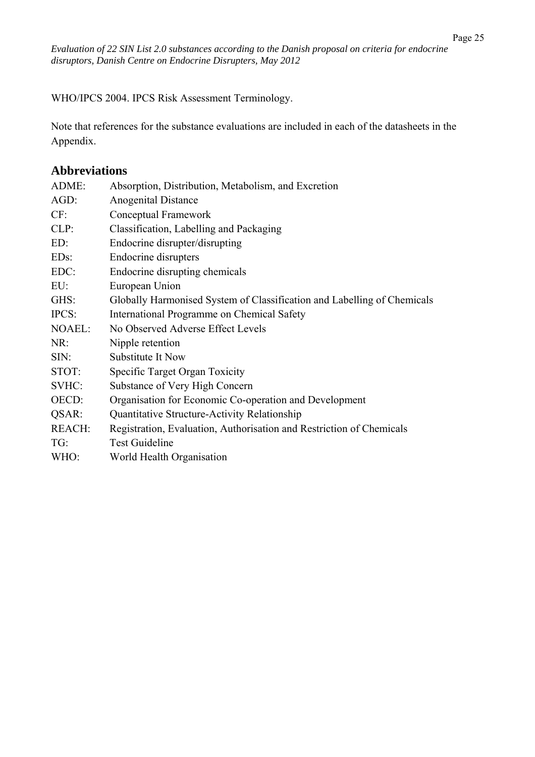WHO/IPCS 2004. IPCS Risk Assessment Terminology.

Note that references for the substance evaluations are included in each of the datasheets in the Appendix.

## **Abbreviations**

| ADME:             | Absorption, Distribution, Metabolism, and Excretion                     |
|-------------------|-------------------------------------------------------------------------|
| AGD:              | <b>Anogenital Distance</b>                                              |
| CF:               | Conceptual Framework                                                    |
| CLP:              | Classification, Labelling and Packaging                                 |
| ED:               | Endocrine disrupter/disrupting                                          |
| ED <sub>s</sub> : | <b>Endocrine disrupters</b>                                             |
| EDC:              | Endocrine disrupting chemicals                                          |
| EU:               | European Union                                                          |
| GHS:              | Globally Harmonised System of Classification and Labelling of Chemicals |
| IPCS:             | International Programme on Chemical Safety                              |
| <b>NOAEL:</b>     | No Observed Adverse Effect Levels                                       |
| NR:               | Nipple retention                                                        |
| SIN:              | Substitute It Now                                                       |
| STOT:             | Specific Target Organ Toxicity                                          |
| SVHC:             | Substance of Very High Concern                                          |
| OECD:             | Organisation for Economic Co-operation and Development                  |
| QSAR:             | Quantitative Structure-Activity Relationship                            |
| <b>REACH:</b>     | Registration, Evaluation, Authorisation and Restriction of Chemicals    |
| TG:               | <b>Test Guideline</b>                                                   |
| WHO:              | World Health Organisation                                               |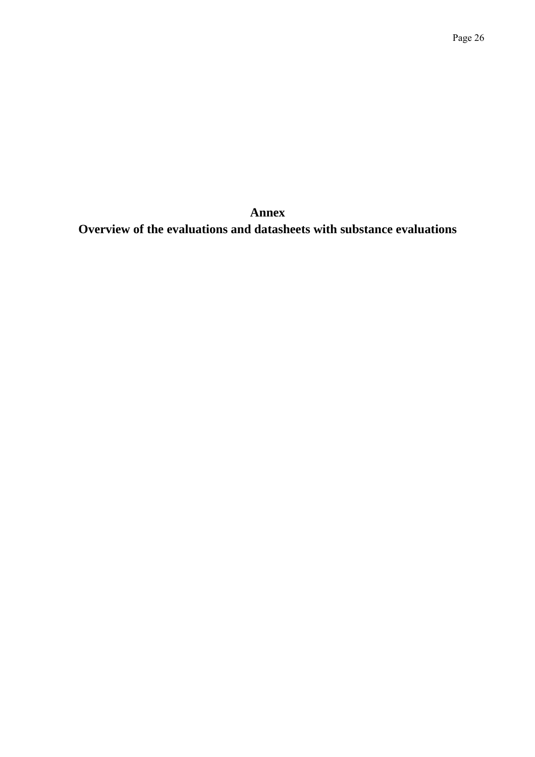**Annex Overview of the evaluations and datasheets with substance evaluations**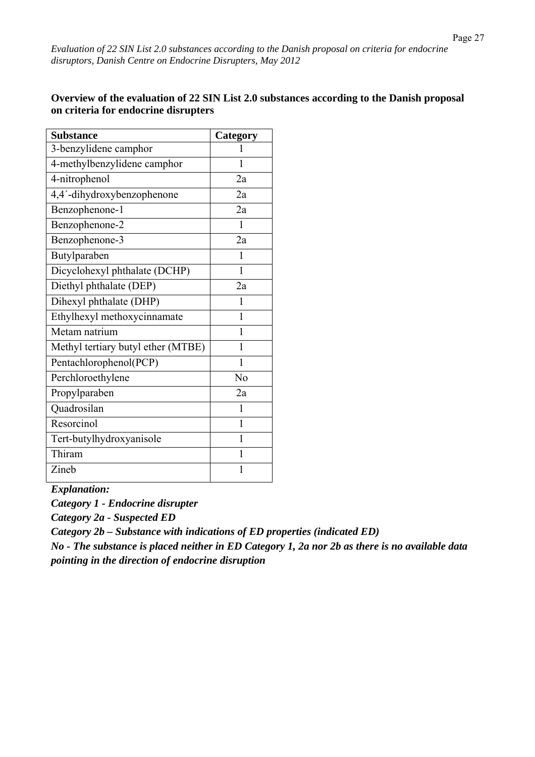#### **Overview of the evaluation of 22 SIN List 2.0 substances according to the Danish proposal on criteria for endocrine disrupters**

| <b>Substance</b>                   | Category     |
|------------------------------------|--------------|
| 3-benzylidene camphor              |              |
| 4-methylbenzylidene camphor        | 1            |
| 4-nitrophenol                      | 2a           |
| 4,4'-dihydroxybenzophenone         | 2a           |
| Benzophenone-1                     | 2a           |
| Benzophenone-2                     | $\mathbf{1}$ |
| Benzophenone-3                     | 2a           |
| Butylparaben                       | 1            |
| Dicyclohexyl phthalate (DCHP)      | 1            |
| Diethyl phthalate (DEP)            | 2a           |
| Dihexyl phthalate (DHP)            | 1            |
| Ethylhexyl methoxycinnamate        | 1            |
| Metam natrium                      | 1            |
| Methyl tertiary butyl ether (MTBE) | 1            |
| Pentachlorophenol(PCP)             | 1            |
| Perchloroethylene                  | No           |
| Propylparaben                      | 2a           |
| Quadrosilan                        | 1            |
| Resorcinol                         | 1            |
| Tert-butylhydroxyanisole           | 1            |
| Thiram                             | $\mathbf{1}$ |
| Zineb                              | 1            |

*Explanation:* 

*Category 1 - Endocrine disrupter* 

*Category 2a - Suspected ED* 

*Category 2b – Substance with indications of ED properties (indicated ED)* 

*No - The substance is placed neither in ED Category 1, 2a nor 2b as there is no available data pointing in the direction of endocrine disruption*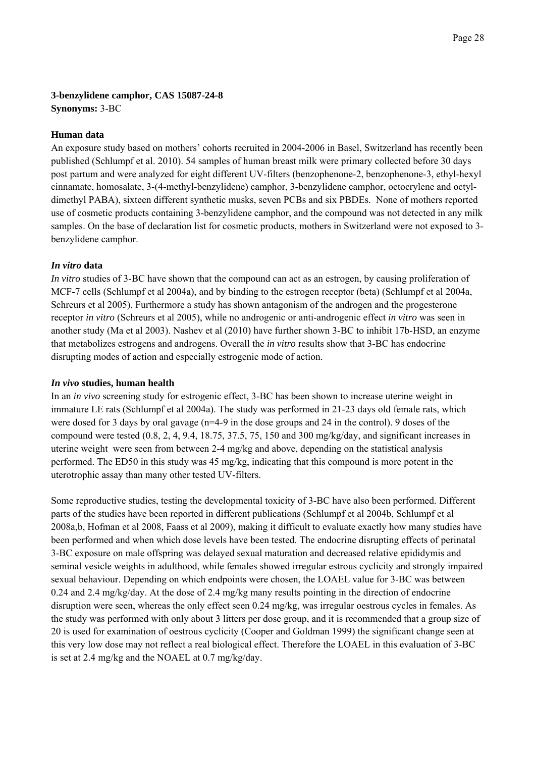# **3-benzylidene camphor, CAS 15087-24-8**

**Synonyms:** 3-BC

#### **Human data**

An exposure study based on mothers' cohorts recruited in 2004-2006 in Basel, Switzerland has recently been published (Schlumpf et al. 2010). 54 samples of human breast milk were primary collected before 30 days post partum and were analyzed for eight different UV-filters (benzophenone-2, benzophenone-3, ethyl-hexyl cinnamate, homosalate, 3-(4-methyl-benzylidene) camphor, 3-benzylidene camphor, octocrylene and octyldimethyl PABA), sixteen different synthetic musks, seven PCBs and six PBDEs. None of mothers reported use of cosmetic products containing 3-benzylidene camphor, and the compound was not detected in any milk samples. On the base of declaration list for cosmetic products, mothers in Switzerland were not exposed to 3 benzylidene camphor.

#### *In vitro* **data**

*In vitro* studies of 3-BC have shown that the compound can act as an estrogen, by causing proliferation of MCF-7 cells (Schlumpf et al 2004a), and by binding to the estrogen receptor (beta) (Schlumpf et al 2004a, Schreurs et al 2005). Furthermore a study has shown antagonism of the androgen and the progesterone receptor *in vitro* (Schreurs et al 2005), while no androgenic or anti-androgenic effect *in vitro* was seen in another study (Ma et al 2003). Nashev et al (2010) have further shown 3-BC to inhibit 17b-HSD, an enzyme that metabolizes estrogens and androgens. Overall the *in vitro* results show that 3-BC has endocrine disrupting modes of action and especially estrogenic mode of action.

#### *In vivo* **studies, human health**

In an *in vivo* screening study for estrogenic effect, 3-BC has been shown to increase uterine weight in immature LE rats (Schlumpf et al 2004a). The study was performed in 21-23 days old female rats, which were dosed for 3 days by oral gavage (n=4-9 in the dose groups and 24 in the control). 9 doses of the compound were tested  $(0.8, 2, 4, 9.4, 18.75, 37.5, 75, 150, and 300 \frac{mg}{kg}$  and significant increases in uterine weight were seen from between 2-4 mg/kg and above, depending on the statistical analysis performed. The ED50 in this study was 45 mg/kg, indicating that this compound is more potent in the uterotrophic assay than many other tested UV-filters.

Some reproductive studies, testing the developmental toxicity of 3-BC have also been performed. Different parts of the studies have been reported in different publications (Schlumpf et al 2004b, Schlumpf et al 2008a,b, Hofman et al 2008, Faass et al 2009), making it difficult to evaluate exactly how many studies have been performed and when which dose levels have been tested. The endocrine disrupting effects of perinatal 3-BC exposure on male offspring was delayed sexual maturation and decreased relative epididymis and seminal vesicle weights in adulthood, while females showed irregular estrous cyclicity and strongly impaired sexual behaviour. Depending on which endpoints were chosen, the LOAEL value for 3-BC was between 0.24 and 2.4 mg/kg/day. At the dose of 2.4 mg/kg many results pointing in the direction of endocrine disruption were seen, whereas the only effect seen 0.24 mg/kg, was irregular oestrous cycles in females. As the study was performed with only about 3 litters per dose group, and it is recommended that a group size of 20 is used for examination of oestrous cyclicity (Cooper and Goldman 1999) the significant change seen at this very low dose may not reflect a real biological effect. Therefore the LOAEL in this evaluation of 3-BC is set at 2.4 mg/kg and the NOAEL at 0.7 mg/kg/day.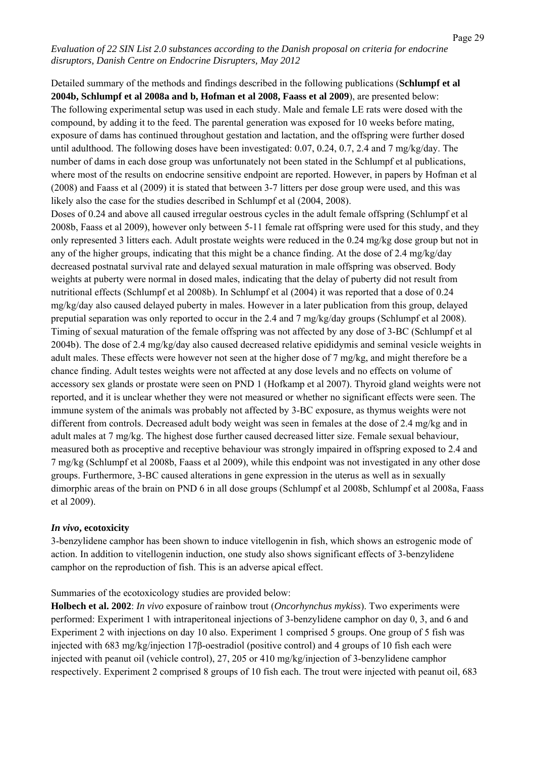Detailed summary of the methods and findings described in the following publications (**Schlumpf et al 2004b, Schlumpf et al 2008a and b, Hofman et al 2008, Faass et al 2009**), are presented below: The following experimental setup was used in each study. Male and female LE rats were dosed with the compound, by adding it to the feed. The parental generation was exposed for 10 weeks before mating, exposure of dams has continued throughout gestation and lactation, and the offspring were further dosed until adulthood. The following doses have been investigated: 0.07, 0.24, 0.7, 2.4 and 7 mg/kg/day. The number of dams in each dose group was unfortunately not been stated in the Schlumpf et al publications, where most of the results on endocrine sensitive endpoint are reported. However, in papers by Hofman et al (2008) and Faass et al (2009) it is stated that between 3-7 litters per dose group were used, and this was likely also the case for the studies described in Schlumpf et al (2004, 2008).

Doses of 0.24 and above all caused irregular oestrous cycles in the adult female offspring (Schlumpf et al 2008b, Faass et al 2009), however only between 5-11 female rat offspring were used for this study, and they only represented 3 litters each. Adult prostate weights were reduced in the 0.24 mg/kg dose group but not in any of the higher groups, indicating that this might be a chance finding. At the dose of 2.4 mg/kg/day decreased postnatal survival rate and delayed sexual maturation in male offspring was observed. Body weights at puberty were normal in dosed males, indicating that the delay of puberty did not result from nutritional effects (Schlumpf et al 2008b). In Schlumpf et al (2004) it was reported that a dose of 0.24 mg/kg/day also caused delayed puberty in males. However in a later publication from this group, delayed preputial separation was only reported to occur in the 2.4 and 7 mg/kg/day groups (Schlumpf et al 2008). Timing of sexual maturation of the female offspring was not affected by any dose of 3-BC (Schlumpf et al 2004b). The dose of 2.4 mg/kg/day also caused decreased relative epididymis and seminal vesicle weights in adult males. These effects were however not seen at the higher dose of 7 mg/kg, and might therefore be a chance finding. Adult testes weights were not affected at any dose levels and no effects on volume of accessory sex glands or prostate were seen on PND 1 (Hofkamp et al 2007). Thyroid gland weights were not reported, and it is unclear whether they were not measured or whether no significant effects were seen. The immune system of the animals was probably not affected by 3-BC exposure, as thymus weights were not different from controls. Decreased adult body weight was seen in females at the dose of 2.4 mg/kg and in adult males at 7 mg/kg. The highest dose further caused decreased litter size. Female sexual behaviour, measured both as proceptive and receptive behaviour was strongly impaired in offspring exposed to 2.4 and 7 mg/kg (Schlumpf et al 2008b, Faass et al 2009), while this endpoint was not investigated in any other dose groups. Furthermore, 3-BC caused alterations in gene expression in the uterus as well as in sexually dimorphic areas of the brain on PND 6 in all dose groups (Schlumpf et al 2008b, Schlumpf et al 2008a, Faass et al 2009).

#### *In vivo***, ecotoxicity**

3-benzylidene camphor has been shown to induce vitellogenin in fish, which shows an estrogenic mode of action. In addition to vitellogenin induction, one study also shows significant effects of 3-benzylidene camphor on the reproduction of fish. This is an adverse apical effect.

Summaries of the ecotoxicology studies are provided below:

**Holbech et al. 2002**: *In vivo* exposure of rainbow trout (*Oncorhynchus mykiss*). Two experiments were performed: Experiment 1 with intraperitoneal injections of 3-benzylidene camphor on day 0, 3, and 6 and Experiment 2 with injections on day 10 also. Experiment 1 comprised 5 groups. One group of 5 fish was injected with 683 mg/kg/injection 17β-oestradiol (positive control) and 4 groups of 10 fish each were injected with peanut oil (vehicle control), 27, 205 or 410 mg/kg/injection of 3-benzylidene camphor respectively. Experiment 2 comprised 8 groups of 10 fish each. The trout were injected with peanut oil, 683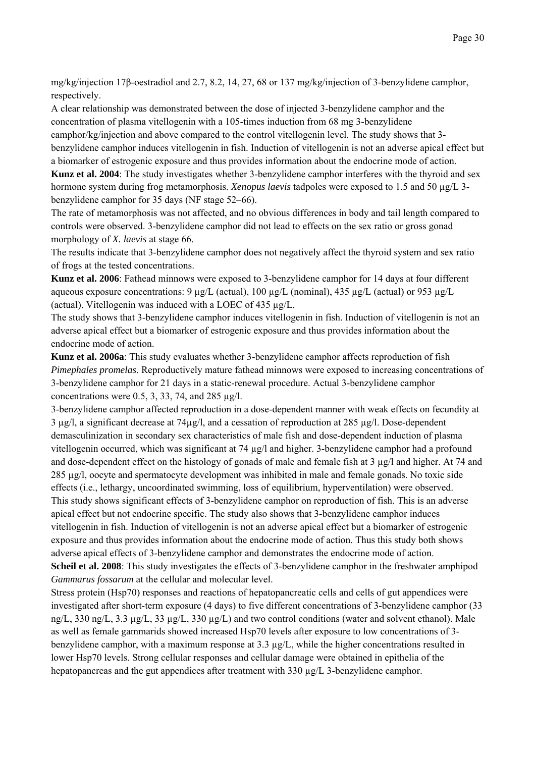mg/kg/injection 17β-oestradiol and 2.7, 8.2, 14, 27, 68 or 137 mg/kg/injection of 3-benzylidene camphor, respectively.

A clear relationship was demonstrated between the dose of injected 3-benzylidene camphor and the concentration of plasma vitellogenin with a 105-times induction from 68 mg 3-benzylidene camphor/kg/injection and above compared to the control vitellogenin level. The study shows that 3-

benzylidene camphor induces vitellogenin in fish. Induction of vitellogenin is not an adverse apical effect but a biomarker of estrogenic exposure and thus provides information about the endocrine mode of action.

**Kunz et al. 2004**: The study investigates whether 3-benzylidene camphor interferes with the thyroid and sex hormone system during frog metamorphosis. *Xenopus laevis* tadpoles were exposed to 1.5 and 50 µg/L 3 benzylidene camphor for 35 days (NF stage 52–66).

The rate of metamorphosis was not affected, and no obvious differences in body and tail length compared to controls were observed. 3-benzylidene camphor did not lead to effects on the sex ratio or gross gonad morphology of *X. laevis* at stage 66.

The results indicate that 3-benzylidene camphor does not negatively affect the thyroid system and sex ratio of frogs at the tested concentrations.

**Kunz et al. 2006**: Fathead minnows were exposed to 3-benzylidene camphor for 14 days at four different aqueous exposure concentrations: 9 µg/L (actual), 100 µg/L (nominal), 435 µg/L (actual) or 953 µg/L (actual). Vitellogenin was induced with a LOEC of 435 µg/L.

The study shows that 3-benzylidene camphor induces vitellogenin in fish. Induction of vitellogenin is not an adverse apical effect but a biomarker of estrogenic exposure and thus provides information about the endocrine mode of action.

**Kunz et al. 2006a**: This study evaluates whether 3-benzylidene camphor affects reproduction of fish *Pimephales promelas*. Reproductively mature fathead minnows were exposed to increasing concentrations of 3-benzylidene camphor for 21 days in a static-renewal procedure. Actual 3-benzylidene camphor concentrations were  $0.5$ ,  $3$ ,  $33$ ,  $74$ , and  $285 \mu$ g/l.

3-benzylidene camphor affected reproduction in a dose-dependent manner with weak effects on fecundity at 3 µg/l, a significant decrease at 74µg/l, and a cessation of reproduction at 285 µg/l. Dose-dependent demasculinization in secondary sex characteristics of male fish and dose-dependent induction of plasma vitellogenin occurred, which was significant at 74 µg/l and higher. 3-benzylidene camphor had a profound and dose-dependent effect on the histology of gonads of male and female fish at 3 µg/l and higher. At 74 and 285 µg/l, oocyte and spermatocyte development was inhibited in male and female gonads. No toxic side effects (i.e., lethargy, uncoordinated swimming, loss of equilibrium, hyperventilation) were observed. This study shows significant effects of 3-benzylidene camphor on reproduction of fish. This is an adverse apical effect but not endocrine specific. The study also shows that 3-benzylidene camphor induces vitellogenin in fish. Induction of vitellogenin is not an adverse apical effect but a biomarker of estrogenic exposure and thus provides information about the endocrine mode of action. Thus this study both shows adverse apical effects of 3-benzylidene camphor and demonstrates the endocrine mode of action.

**Scheil et al. 2008**: This study investigates the effects of 3-benzylidene camphor in the freshwater amphipod *Gammarus fossarum* at the cellular and molecular level.

Stress protein (Hsp70) responses and reactions of hepatopancreatic cells and cells of gut appendices were investigated after short-term exposure (4 days) to five different concentrations of 3-benzylidene camphor (33 ng/L, 330 ng/L, 3.3 µg/L, 33 µg/L, 330 µg/L) and two control conditions (water and solvent ethanol). Male as well as female gammarids showed increased Hsp70 levels after exposure to low concentrations of 3 benzylidene camphor, with a maximum response at 3.3 µg/L, while the higher concentrations resulted in lower Hsp70 levels. Strong cellular responses and cellular damage were obtained in epithelia of the hepatopancreas and the gut appendices after treatment with 330 µg/L 3-benzylidene camphor.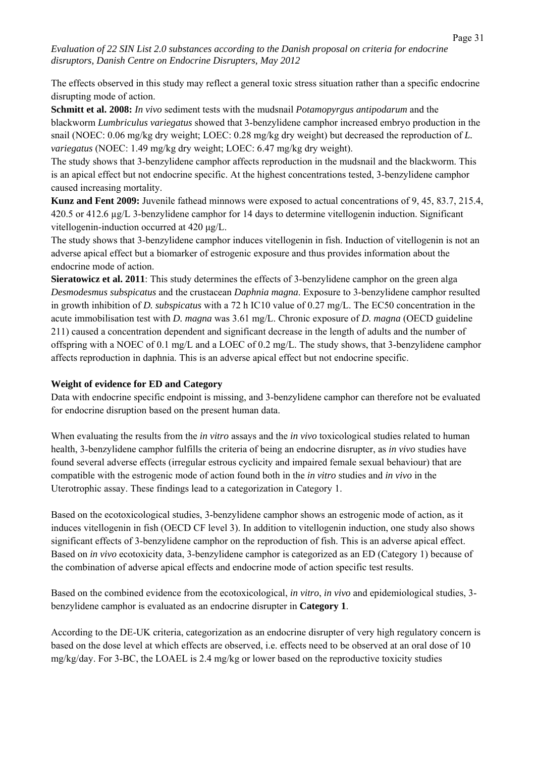The effects observed in this study may reflect a general toxic stress situation rather than a specific endocrine disrupting mode of action.

**Schmitt et al. 2008:** *In vivo* sediment tests with the mudsnail *Potamopyrgus antipodarum* and the blackworm *Lumbriculus variegatus* showed that 3-benzylidene camphor increased embryo production in the snail (NOEC: 0.06 mg/kg dry weight; LOEC: 0.28 mg/kg dry weight) but decreased the reproduction of *L. variegatus* (NOEC: 1.49 mg/kg dry weight; LOEC: 6.47 mg/kg dry weight).

The study shows that 3-benzylidene camphor affects reproduction in the mudsnail and the blackworm. This is an apical effect but not endocrine specific. At the highest concentrations tested, 3-benzylidene camphor caused increasing mortality.

**Kunz and Fent 2009:** Juvenile fathead minnows were exposed to actual concentrations of 9, 45, 83.7, 215.4, 420.5 or 412.6 µg/L 3-benzylidene camphor for 14 days to determine vitellogenin induction. Significant vitellogenin-induction occurred at 420 μg/L.

The study shows that 3-benzylidene camphor induces vitellogenin in fish. Induction of vitellogenin is not an adverse apical effect but a biomarker of estrogenic exposure and thus provides information about the endocrine mode of action.

**Sieratowicz et al. 2011**: This study determines the effects of 3-benzylidene camphor on the green alga *Desmodesmus subspicatus* and the crustacean *Daphnia magna*. Exposure to 3-benzylidene camphor resulted in growth inhibition of *D. subspicatus* with a 72 h IC10 value of 0.27 mg/L. The EC50 concentration in the acute immobilisation test with *D. magna* was 3.61 mg/L. Chronic exposure of *D. magna* (OECD guideline 211) caused a concentration dependent and significant decrease in the length of adults and the number of offspring with a NOEC of 0.1 mg/L and a LOEC of 0.2 mg/L. The study shows, that 3-benzylidene camphor affects reproduction in daphnia. This is an adverse apical effect but not endocrine specific.

#### **Weight of evidence for ED and Category**

Data with endocrine specific endpoint is missing, and 3-benzylidene camphor can therefore not be evaluated for endocrine disruption based on the present human data.

When evaluating the results from the *in vitro* assays and the *in vivo* toxicological studies related to human health, 3-benzylidene camphor fulfills the criteria of being an endocrine disrupter, as *in vivo* studies have found several adverse effects (irregular estrous cyclicity and impaired female sexual behaviour) that are compatible with the estrogenic mode of action found both in the *in vitro* studies and *in vivo* in the Uterotrophic assay. These findings lead to a categorization in Category 1.

Based on the ecotoxicological studies, 3-benzylidene camphor shows an estrogenic mode of action, as it induces vitellogenin in fish (OECD CF level 3). In addition to vitellogenin induction, one study also shows significant effects of 3-benzylidene camphor on the reproduction of fish. This is an adverse apical effect. Based on *in vivo* ecotoxicity data, 3-benzylidene camphor is categorized as an ED (Category 1) because of the combination of adverse apical effects and endocrine mode of action specific test results.

Based on the combined evidence from the ecotoxicological, *in vitro*, *in vivo* and epidemiological studies, 3 benzylidene camphor is evaluated as an endocrine disrupter in **Category 1**.

According to the DE-UK criteria, categorization as an endocrine disrupter of very high regulatory concern is based on the dose level at which effects are observed, i.e. effects need to be observed at an oral dose of 10 mg/kg/day. For 3-BC, the LOAEL is 2.4 mg/kg or lower based on the reproductive toxicity studies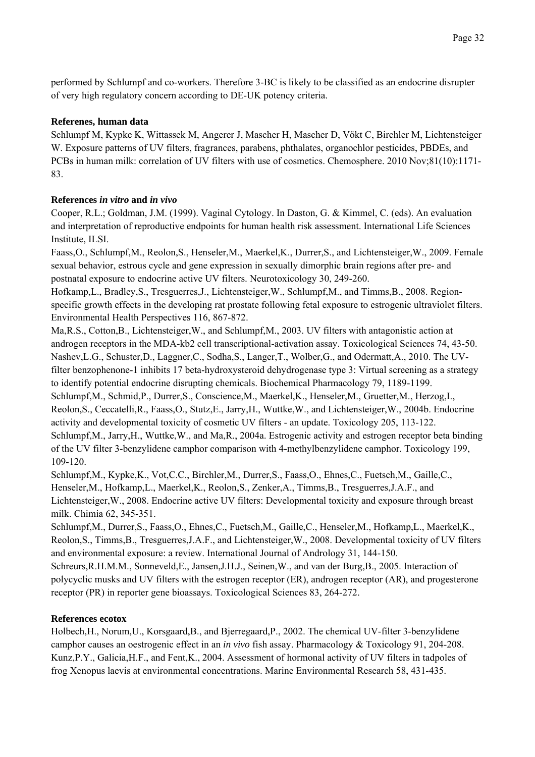performed by Schlumpf and co-workers. Therefore 3-BC is likely to be classified as an endocrine disrupter of very high regulatory concern according to DE-UK potency criteria.

#### **Referenes, human data**

Schlumpf M, Kypke K, Wittassek M, Angerer J, Mascher H, Mascher D, Vökt C, Birchler M, Lichtensteiger W. Exposure patterns of UV filters, fragrances, parabens, phthalates, organochlor pesticides, PBDEs, and PCBs in human milk: correlation of UV filters with use of cosmetics. Chemosphere. 2010 Nov;81(10):1171- 83.

#### **References** *in vitro* **and** *in vivo*

Cooper, R.L.; Goldman, J.M. (1999). Vaginal Cytology. In Daston, G. & Kimmel, C. (eds). An evaluation and interpretation of reproductive endpoints for human health risk assessment. International Life Sciences Institute, ILSI.

Faass,O., Schlumpf,M., Reolon,S., Henseler,M., Maerkel,K., Durrer,S., and Lichtensteiger,W., 2009. Female sexual behavior, estrous cycle and gene expression in sexually dimorphic brain regions after pre- and postnatal exposure to endocrine active UV filters. Neurotoxicology 30, 249-260.

Hofkamp,L., Bradley,S., Tresguerres,J., Lichtensteiger,W., Schlumpf,M., and Timms,B., 2008. Regionspecific growth effects in the developing rat prostate following fetal exposure to estrogenic ultraviolet filters. Environmental Health Perspectives 116, 867-872.

Ma,R.S., Cotton,B., Lichtensteiger,W., and Schlumpf,M., 2003. UV filters with antagonistic action at androgen receptors in the MDA-kb2 cell transcriptional-activation assay. Toxicological Sciences 74, 43-50. Nashev,L.G., Schuster,D., Laggner,C., Sodha,S., Langer,T., Wolber,G., and Odermatt,A., 2010. The UVfilter benzophenone-1 inhibits 17 beta-hydroxysteroid dehydrogenase type 3: Virtual screening as a strategy to identify potential endocrine disrupting chemicals. Biochemical Pharmacology 79, 1189-1199. Schlumpf,M., Schmid,P., Durrer,S., Conscience,M., Maerkel,K., Henseler,M., Gruetter,M., Herzog,I., Reolon,S., Ceccatelli,R., Faass,O., Stutz,E., Jarry,H., Wuttke,W., and Lichtensteiger,W., 2004b. Endocrine activity and developmental toxicity of cosmetic UV filters - an update. Toxicology 205, 113-122. Schlumpf,M., Jarry,H., Wuttke,W., and Ma,R., 2004a. Estrogenic activity and estrogen receptor beta binding of the UV filter 3-benzylidene camphor comparison with 4-methylbenzylidene camphor. Toxicology 199, 109-120.

Schlumpf,M., Kypke,K., Vot,C.C., Birchler,M., Durrer,S., Faass,O., Ehnes,C., Fuetsch,M., Gaille,C., Henseler,M., Hofkamp,L., Maerkel,K., Reolon,S., Zenker,A., Timms,B., Tresguerres,J.A.F., and Lichtensteiger,W., 2008. Endocrine active UV filters: Developmental toxicity and exposure through breast milk. Chimia 62, 345-351.

Schlumpf,M., Durrer,S., Faass,O., Ehnes,C., Fuetsch,M., Gaille,C., Henseler,M., Hofkamp,L., Maerkel,K., Reolon,S., Timms,B., Tresguerres,J.A.F., and Lichtensteiger,W., 2008. Developmental toxicity of UV filters and environmental exposure: a review. International Journal of Andrology 31, 144-150.

Schreurs,R.H.M.M., Sonneveld,E., Jansen,J.H.J., Seinen,W., and van der Burg,B., 2005. Interaction of polycyclic musks and UV filters with the estrogen receptor (ER), androgen receptor (AR), and progesterone receptor (PR) in reporter gene bioassays. Toxicological Sciences 83, 264-272.

#### **References ecotox**

Holbech,H., Norum,U., Korsgaard,B., and Bjerregaard,P., 2002. The chemical UV-filter 3-benzylidene camphor causes an oestrogenic effect in an *in vivo* fish assay. Pharmacology & Toxicology 91, 204-208. Kunz,P.Y., Galicia,H.F., and Fent,K., 2004. Assessment of hormonal activity of UV filters in tadpoles of frog Xenopus laevis at environmental concentrations. Marine Environmental Research 58, 431-435.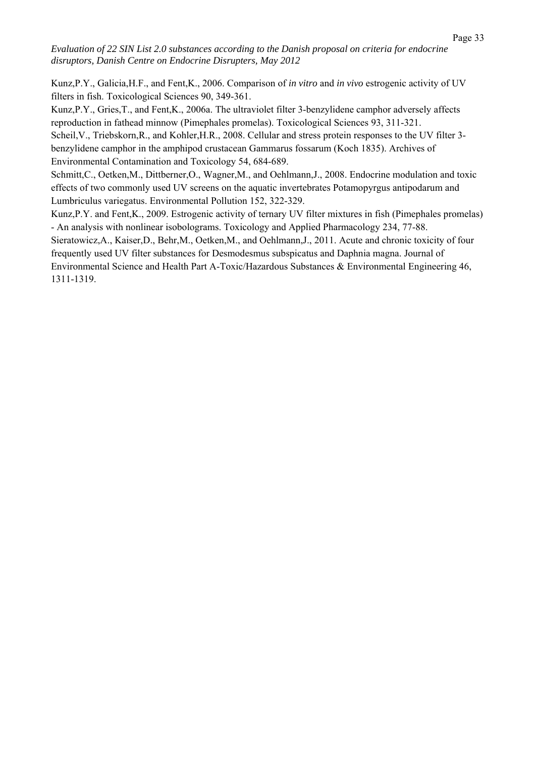Kunz,P.Y., Galicia,H.F., and Fent,K., 2006. Comparison of *in vitro* and *in vivo* estrogenic activity of UV filters in fish. Toxicological Sciences 90, 349-361.

Kunz,P.Y., Gries,T., and Fent,K., 2006a. The ultraviolet filter 3-benzylidene camphor adversely affects reproduction in fathead minnow (Pimephales promelas). Toxicological Sciences 93, 311-321.

Scheil, V., Triebskorn, R., and Kohler, H.R., 2008. Cellular and stress protein responses to the UV filter 3benzylidene camphor in the amphipod crustacean Gammarus fossarum (Koch 1835). Archives of Environmental Contamination and Toxicology 54, 684-689.

Schmitt,C., Oetken,M., Dittberner,O., Wagner,M., and Oehlmann,J., 2008. Endocrine modulation and toxic effects of two commonly used UV screens on the aquatic invertebrates Potamopyrgus antipodarum and Lumbriculus variegatus. Environmental Pollution 152, 322-329.

Kunz,P.Y. and Fent,K., 2009. Estrogenic activity of ternary UV filter mixtures in fish (Pimephales promelas) - An analysis with nonlinear isobolograms. Toxicology and Applied Pharmacology 234, 77-88.

Sieratowicz,A., Kaiser,D., Behr,M., Oetken,M., and Oehlmann,J., 2011. Acute and chronic toxicity of four frequently used UV filter substances for Desmodesmus subspicatus and Daphnia magna. Journal of Environmental Science and Health Part A-Toxic/Hazardous Substances & Environmental Engineering 46, 1311-1319.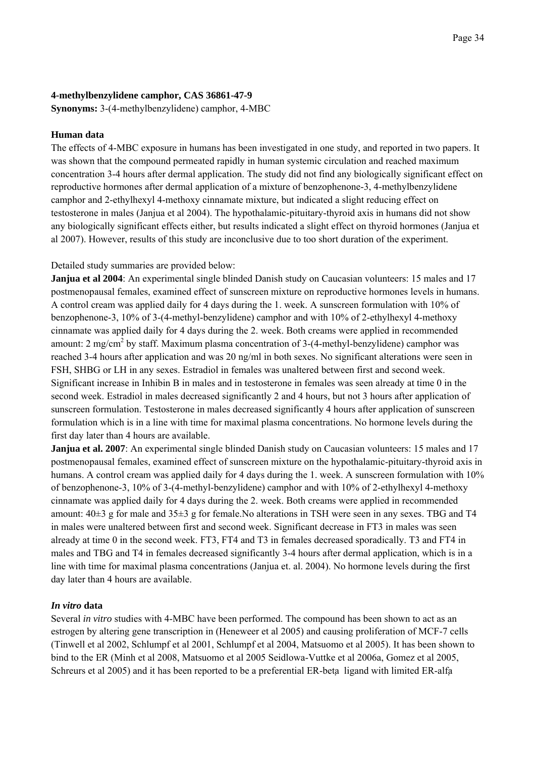#### **4-methylbenzylidene camphor, CAS 36861-47-9**

**Synonyms:** 3-(4-methylbenzylidene) camphor, 4-MBC

#### **Human data**

The effects of 4-MBC exposure in humans has been investigated in one study, and reported in two papers. It was shown that the compound permeated rapidly in human systemic circulation and reached maximum concentration 3-4 hours after dermal application. The study did not find any biologically significant effect on reproductive hormones after dermal application of a mixture of benzophenone-3, 4-methylbenzylidene camphor and 2-ethylhexyl 4-methoxy cinnamate mixture, but indicated a slight reducing effect on testosterone in males (Janjua et al 2004). The hypothalamic-pituitary-thyroid axis in humans did not show any biologically significant effects either, but results indicated a slight effect on thyroid hormones (Janjua et al 2007). However, results of this study are inconclusive due to too short duration of the experiment.

Detailed study summaries are provided below:

**Janjua et al 2004**: An experimental single blinded Danish study on Caucasian volunteers: 15 males and 17 postmenopausal females, examined effect of sunscreen mixture on reproductive hormones levels in humans. A control cream was applied daily for 4 days during the 1. week. A sunscreen formulation with 10% of benzophenone-3, 10% of 3-(4-methyl-benzylidene) camphor and with 10% of 2-ethylhexyl 4-methoxy cinnamate was applied daily for 4 days during the 2. week. Both creams were applied in recommended amount: 2 mg/cm<sup>2</sup> by staff. Maximum plasma concentration of 3-(4-methyl-benzylidene) camphor was reached 3-4 hours after application and was 20 ng/ml in both sexes. No significant alterations were seen in FSH, SHBG or LH in any sexes. Estradiol in females was unaltered between first and second week. Significant increase in Inhibin B in males and in testosterone in females was seen already at time 0 in the second week. Estradiol in males decreased significantly 2 and 4 hours, but not 3 hours after application of sunscreen formulation. Testosterone in males decreased significantly 4 hours after application of sunscreen formulation which is in a line with time for maximal plasma concentrations. No hormone levels during the first day later than 4 hours are available.

**Janjua et al. 2007**: An experimental single blinded Danish study on Caucasian volunteers: 15 males and 17 postmenopausal females, examined effect of sunscreen mixture on the hypothalamic-pituitary-thyroid axis in humans. A control cream was applied daily for 4 days during the 1. week. A sunscreen formulation with 10% of benzophenone-3, 10% of 3-(4-methyl-benzylidene) camphor and with 10% of 2-ethylhexyl 4-methoxy cinnamate was applied daily for 4 days during the 2. week. Both creams were applied in recommended amount:  $40\pm3$  g for male and  $35\pm3$  g for female. No alterations in TSH were seen in any sexes. TBG and T4 in males were unaltered between first and second week. Significant decrease in FT3 in males was seen already at time 0 in the second week. FT3, FT4 and T3 in females decreased sporadically. T3 and FT4 in males and TBG and T4 in females decreased significantly 3-4 hours after dermal application, which is in a line with time for maximal plasma concentrations (Janjua et. al. 2004). No hormone levels during the first day later than 4 hours are available.

#### *In vitro* **data**

Several *in vitro* studies with 4-MBC have been performed. The compound has been shown to act as an estrogen by altering gene transcription in (Heneweer et al 2005) and causing proliferation of MCF-7 cells (Tinwell et al 2002, Schlumpf et al 2001, Schlumpf et al 2004, Matsuomo et al 2005). It has been shown to bind to the ER (Minh et al 2008, Matsuomo et al 2005 Seidlowa-Vuttke et al 2006a, Gomez et al 2005, Schreurs et al 2005) and it has been reported to be a preferential ER-beta ligand with limited ER-alfa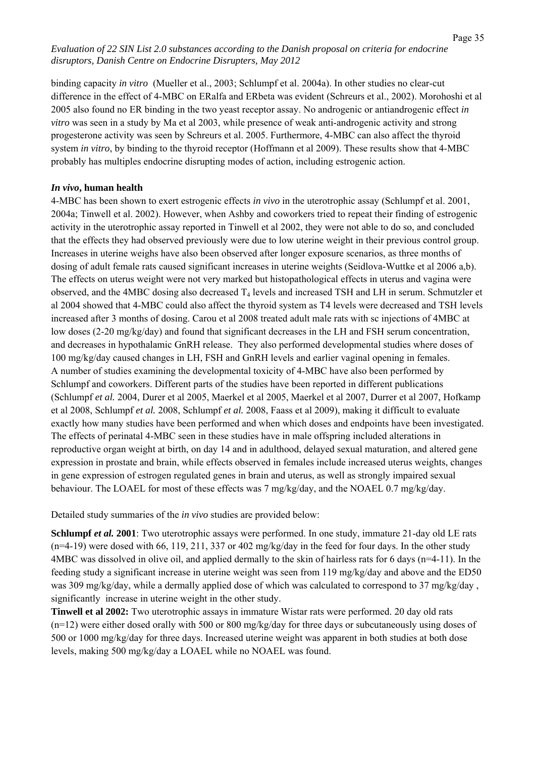binding capacity *in vitro* (Mueller et al., 2003; Schlumpf et al. 2004a). In other studies no clear-cut difference in the effect of 4-MBC on ERalfa and ERbeta was evident (Schreurs et al., 2002). Morohoshi et al 2005 also found no ER binding in the two yeast receptor assay. No androgenic or antiandrogenic effect *in vitro* was seen in a study by Ma et al 2003, while presence of weak anti-androgenic activity and strong progesterone activity was seen by Schreurs et al. 2005. Furthermore, 4-MBC can also affect the thyroid system *in vitro*, by binding to the thyroid receptor (Hoffmann et al 2009). These results show that 4-MBC probably has multiples endocrine disrupting modes of action, including estrogenic action.

#### *In vivo***, human health**

4-MBC has been shown to exert estrogenic effects *in vivo* in the uterotrophic assay (Schlumpf et al. 2001, 2004a; Tinwell et al. 2002). However, when Ashby and coworkers tried to repeat their finding of estrogenic activity in the uterotrophic assay reported in Tinwell et al 2002, they were not able to do so, and concluded that the effects they had observed previously were due to low uterine weight in their previous control group. Increases in uterine weighs have also been observed after longer exposure scenarios, as three months of dosing of adult female rats caused significant increases in uterine weights (Seidlova-Wuttke et al 2006 a,b). The effects on uterus weight were not very marked but histopathological effects in uterus and vagina were observed, and the 4MBC dosing also decreased  $T_4$  levels and increased TSH and LH in serum. Schmutzler et al 2004 showed that 4-MBC could also affect the thyroid system as T4 levels were decreased and TSH levels increased after 3 months of dosing. Carou et al 2008 treated adult male rats with sc injections of 4MBC at low doses (2-20 mg/kg/day) and found that significant decreases in the LH and FSH serum concentration, and decreases in hypothalamic GnRH release. They also performed developmental studies where doses of 100 mg/kg/day caused changes in LH, FSH and GnRH levels and earlier vaginal opening in females. A number of studies examining the developmental toxicity of 4-MBC have also been performed by Schlumpf and coworkers. Different parts of the studies have been reported in different publications (Schlumpf *et al.* 2004, Durer et al 2005, Maerkel et al 2005, Maerkel et al 2007, Durrer et al 2007, Hofkamp et al 2008, Schlumpf *et al.* 2008, Schlumpf *et al.* 2008, Faass et al 2009), making it difficult to evaluate exactly how many studies have been performed and when which doses and endpoints have been investigated. The effects of perinatal 4-MBC seen in these studies have in male offspring included alterations in reproductive organ weight at birth, on day 14 and in adulthood, delayed sexual maturation, and altered gene expression in prostate and brain, while effects observed in females include increased uterus weights, changes in gene expression of estrogen regulated genes in brain and uterus, as well as strongly impaired sexual behaviour. The LOAEL for most of these effects was 7 mg/kg/day, and the NOAEL 0.7 mg/kg/day.

Detailed study summaries of the *in vivo* studies are provided below:

**Schlumpf** *et al.* **2001**: Two uterotrophic assays were performed. In one study, immature 21-day old LE rats (n=4-19) were dosed with 66, 119, 211, 337 or 402 mg/kg/day in the feed for four days. In the other study 4MBC was dissolved in olive oil, and applied dermally to the skin of hairless rats for 6 days (n=4-11). In the feeding study a significant increase in uterine weight was seen from 119 mg/kg/day and above and the ED50 was 309 mg/kg/day, while a dermally applied dose of which was calculated to correspond to 37 mg/kg/day , significantly increase in uterine weight in the other study.

**Tinwell et al 2002:** Two uterotrophic assays in immature Wistar rats were performed. 20 day old rats (n=12) were either dosed orally with 500 or 800 mg/kg/day for three days or subcutaneously using doses of 500 or 1000 mg/kg/day for three days. Increased uterine weight was apparent in both studies at both dose levels, making 500 mg/kg/day a LOAEL while no NOAEL was found.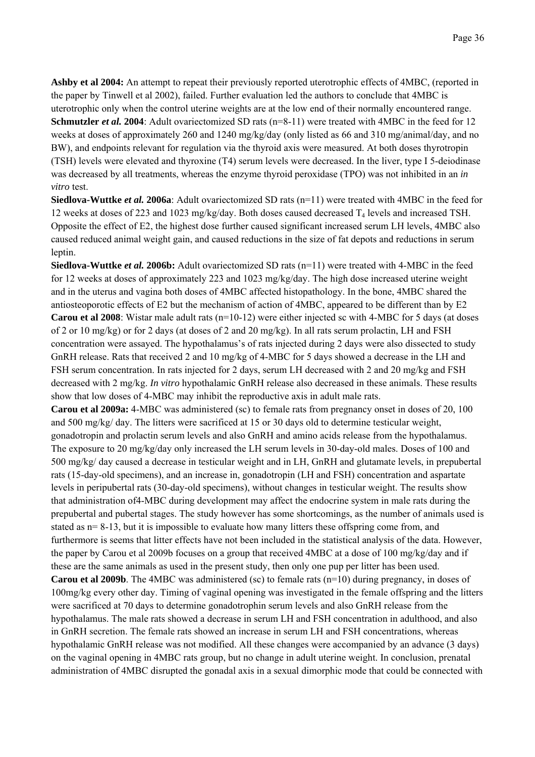**Ashby et al 2004:** An attempt to repeat their previously reported uterotrophic effects of 4MBC, (reported in the paper by Tinwell et al 2002), failed. Further evaluation led the authors to conclude that 4MBC is uterotrophic only when the control uterine weights are at the low end of their normally encountered range. **Schmutzler** *et al.* 2004: Adult ovariectomized SD rats (n=8-11) were treated with 4MBC in the feed for 12 weeks at doses of approximately 260 and 1240 mg/kg/day (only listed as 66 and 310 mg/animal/day, and no BW), and endpoints relevant for regulation via the thyroid axis were measured. At both doses thyrotropin (TSH) levels were elevated and thyroxine (T4) serum levels were decreased. In the liver, type I 5-deiodinase was decreased by all treatments, whereas the enzyme thyroid peroxidase (TPO) was not inhibited in an *in vitro* test.

**Siedlova-Wuttke** *et al.* 2006a: Adult ovariectomized SD rats (n=11) were treated with 4MBC in the feed for 12 weeks at doses of 223 and 1023 mg/kg/day. Both doses caused decreased  $T_4$  levels and increased TSH. Opposite the effect of E2, the highest dose further caused significant increased serum LH levels, 4MBC also caused reduced animal weight gain, and caused reductions in the size of fat depots and reductions in serum leptin.

**Siedlova-Wuttke** *et al.* 2006b: Adult ovariectomized SD rats (n=11) were treated with 4-MBC in the feed for 12 weeks at doses of approximately 223 and 1023 mg/kg/day. The high dose increased uterine weight and in the uterus and vagina both doses of 4MBC affected histopathology. In the bone, 4MBC shared the antiosteoporotic effects of E2 but the mechanism of action of 4MBC, appeared to be different than by E2 **Carou et al 2008**: Wistar male adult rats  $(n=10-12)$  were either injected sc with 4-MBC for 5 days (at doses of 2 or 10 mg/kg) or for 2 days (at doses of 2 and 20 mg/kg). In all rats serum prolactin, LH and FSH concentration were assayed. The hypothalamus's of rats injected during 2 days were also dissected to study GnRH release. Rats that received 2 and 10 mg/kg of 4-MBC for 5 days showed a decrease in the LH and FSH serum concentration. In rats injected for 2 days, serum LH decreased with 2 and 20 mg/kg and FSH decreased with 2 mg/kg. *In vitro* hypothalamic GnRH release also decreased in these animals. These results show that low doses of 4-MBC may inhibit the reproductive axis in adult male rats.

**Carou et al 2009a:** 4-MBC was administered (sc) to female rats from pregnancy onset in doses of 20, 100 and 500 mg/kg/ day. The litters were sacrificed at 15 or 30 days old to determine testicular weight, gonadotropin and prolactin serum levels and also GnRH and amino acids release from the hypothalamus. The exposure to 20 mg/kg/day only increased the LH serum levels in 30-day-old males. Doses of 100 and 500 mg/kg/ day caused a decrease in testicular weight and in LH, GnRH and glutamate levels, in prepubertal rats (15-day-old specimens), and an increase in, gonadotropin (LH and FSH) concentration and aspartate levels in peripubertal rats (30-day-old specimens), without changes in testicular weight. The results show that administration of4-MBC during development may affect the endocrine system in male rats during the prepubertal and pubertal stages. The study however has some shortcomings, as the number of animals used is stated as  $n=8-13$ , but it is impossible to evaluate how many litters these offspring come from, and furthermore is seems that litter effects have not been included in the statistical analysis of the data. However, the paper by Carou et al 2009b focuses on a group that received 4MBC at a dose of 100 mg/kg/day and if these are the same animals as used in the present study, then only one pup per litter has been used. **Carou et al 2009b**. The 4MBC was administered (sc) to female rats (n=10) during pregnancy, in doses of 100mg/kg every other day. Timing of vaginal opening was investigated in the female offspring and the litters were sacrificed at 70 days to determine gonadotrophin serum levels and also GnRH release from the hypothalamus. The male rats showed a decrease in serum LH and FSH concentration in adulthood, and also in GnRH secretion. The female rats showed an increase in serum LH and FSH concentrations, whereas hypothalamic GnRH release was not modified. All these changes were accompanied by an advance (3 days) on the vaginal opening in 4MBC rats group, but no change in adult uterine weight. In conclusion, prenatal administration of 4MBC disrupted the gonadal axis in a sexual dimorphic mode that could be connected with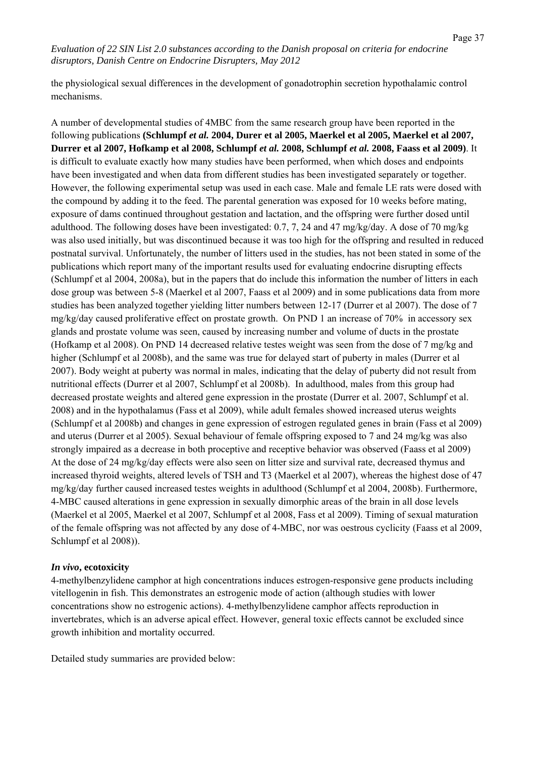the physiological sexual differences in the development of gonadotrophin secretion hypothalamic control mechanisms.

A number of developmental studies of 4MBC from the same research group have been reported in the following publications **(Schlumpf** *et al.* **2004, Durer et al 2005, Maerkel et al 2005, Maerkel et al 2007, Durrer et al 2007, Hofkamp et al 2008, Schlumpf** *et al.* **2008, Schlumpf** *et al.* **2008, Faass et al 2009)**. It is difficult to evaluate exactly how many studies have been performed, when which doses and endpoints have been investigated and when data from different studies has been investigated separately or together. However, the following experimental setup was used in each case. Male and female LE rats were dosed with the compound by adding it to the feed. The parental generation was exposed for 10 weeks before mating, exposure of dams continued throughout gestation and lactation, and the offspring were further dosed until adulthood. The following doses have been investigated: 0.7, 7, 24 and 47 mg/kg/day. A dose of 70 mg/kg was also used initially, but was discontinued because it was too high for the offspring and resulted in reduced postnatal survival. Unfortunately, the number of litters used in the studies, has not been stated in some of the publications which report many of the important results used for evaluating endocrine disrupting effects (Schlumpf et al 2004, 2008a), but in the papers that do include this information the number of litters in each dose group was between 5-8 (Maerkel et al 2007, Faass et al 2009) and in some publications data from more studies has been analyzed together yielding litter numbers between 12-17 (Durrer et al 2007). The dose of 7 mg/kg/day caused proliferative effect on prostate growth. On PND 1 an increase of 70% in accessory sex glands and prostate volume was seen, caused by increasing number and volume of ducts in the prostate (Hofkamp et al 2008). On PND 14 decreased relative testes weight was seen from the dose of 7 mg/kg and higher (Schlumpf et al 2008b), and the same was true for delayed start of puberty in males (Durrer et al 2007). Body weight at puberty was normal in males, indicating that the delay of puberty did not result from nutritional effects (Durrer et al 2007, Schlumpf et al 2008b). In adulthood, males from this group had decreased prostate weights and altered gene expression in the prostate (Durrer et al. 2007, Schlumpf et al. 2008) and in the hypothalamus (Fass et al 2009), while adult females showed increased uterus weights (Schlumpf et al 2008b) and changes in gene expression of estrogen regulated genes in brain (Fass et al 2009) and uterus (Durrer et al 2005). Sexual behaviour of female offspring exposed to 7 and 24 mg/kg was also strongly impaired as a decrease in both proceptive and receptive behavior was observed (Faass et al 2009) At the dose of 24 mg/kg/day effects were also seen on litter size and survival rate, decreased thymus and increased thyroid weights, altered levels of TSH and T3 (Maerkel et al 2007), whereas the highest dose of 47 mg/kg/day further caused increased testes weights in adulthood (Schlumpf et al 2004, 2008b). Furthermore, 4-MBC caused alterations in gene expression in sexually dimorphic areas of the brain in all dose levels (Maerkel et al 2005, Maerkel et al 2007, Schlumpf et al 2008, Fass et al 2009). Timing of sexual maturation of the female offspring was not affected by any dose of 4-MBC, nor was oestrous cyclicity (Faass et al 2009, Schlumpf et al 2008)).

### *In vivo***, ecotoxicity**

4-methylbenzylidene camphor at high concentrations induces estrogen-responsive gene products including vitellogenin in fish. This demonstrates an estrogenic mode of action (although studies with lower concentrations show no estrogenic actions). 4-methylbenzylidene camphor affects reproduction in invertebrates, which is an adverse apical effect. However, general toxic effects cannot be excluded since growth inhibition and mortality occurred.

Detailed study summaries are provided below: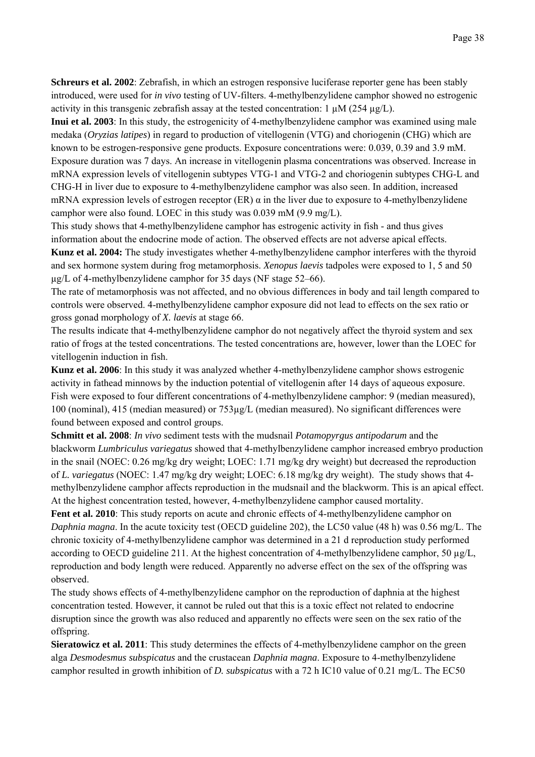**Schreurs et al. 2002**: Zebrafish, in which an estrogen responsive luciferase reporter gene has been stably introduced, were used for *in vivo* testing of UV-filters. 4-methylbenzylidene camphor showed no estrogenic activity in this transgenic zebrafish assay at the tested concentration:  $1 \mu M (254 \mu g/L)$ .

**Inui et al. 2003**: In this study, the estrogenicity of 4-methylbenzylidene camphor was examined using male medaka (*Oryzias latipes*) in regard to production of vitellogenin (VTG) and choriogenin (CHG) which are known to be estrogen-responsive gene products. Exposure concentrations were: 0.039, 0.39 and 3.9 mM. Exposure duration was 7 days. An increase in vitellogenin plasma concentrations was observed. Increase in mRNA expression levels of vitellogenin subtypes VTG-1 and VTG-2 and choriogenin subtypes CHG-L and CHG-H in liver due to exposure to 4-methylbenzylidene camphor was also seen. In addition, increased mRNA expression levels of estrogen receptor  $(ER)$   $\alpha$  in the liver due to exposure to 4-methylbenzylidene camphor were also found. LOEC in this study was 0.039 mM (9.9 mg/L).

This study shows that 4-methylbenzylidene camphor has estrogenic activity in fish - and thus gives information about the endocrine mode of action. The observed effects are not adverse apical effects. **Kunz et al. 2004:** The study investigates whether 4-methylbenzylidene camphor interferes with the thyroid and sex hormone system during frog metamorphosis. *Xenopus laevis* tadpoles were exposed to 1, 5 and 50 µg/L of 4-methylbenzylidene camphor for 35 days (NF stage 52–66).

The rate of metamorphosis was not affected, and no obvious differences in body and tail length compared to controls were observed. 4-methylbenzylidene camphor exposure did not lead to effects on the sex ratio or gross gonad morphology of *X. laevis* at stage 66.

The results indicate that 4-methylbenzylidene camphor do not negatively affect the thyroid system and sex ratio of frogs at the tested concentrations. The tested concentrations are, however, lower than the LOEC for vitellogenin induction in fish.

**Kunz et al. 2006**: In this study it was analyzed whether 4-methylbenzylidene camphor shows estrogenic activity in fathead minnows by the induction potential of vitellogenin after 14 days of aqueous exposure. Fish were exposed to four different concentrations of 4-methylbenzylidene camphor: 9 (median measured), 100 (nominal), 415 (median measured) or 753µg/L (median measured). No significant differences were found between exposed and control groups.

**Schmitt et al. 2008**: *In vivo* sediment tests with the mudsnail *Potamopyrgus antipodarum* and the blackworm *Lumbriculus variegatus* showed that 4-methylbenzylidene camphor increased embryo production in the snail (NOEC: 0.26 mg/kg dry weight; LOEC: 1.71 mg/kg dry weight) but decreased the reproduction of *L. variegatus* (NOEC: 1.47 mg/kg dry weight; LOEC: 6.18 mg/kg dry weight). The study shows that 4 methylbenzylidene camphor affects reproduction in the mudsnail and the blackworm. This is an apical effect. At the highest concentration tested, however, 4-methylbenzylidene camphor caused mortality.

**Fent et al. 2010**: This study reports on acute and chronic effects of 4-methylbenzylidene camphor on *Daphnia magna*. In the acute toxicity test (OECD guideline 202), the LC50 value (48 h) was 0.56 mg/L. The chronic toxicity of 4-methylbenzylidene camphor was determined in a 21 d reproduction study performed according to OECD guideline 211. At the highest concentration of 4-methylbenzylidene camphor, 50  $\mu$ g/L, reproduction and body length were reduced. Apparently no adverse effect on the sex of the offspring was observed.

The study shows effects of 4-methylbenzylidene camphor on the reproduction of daphnia at the highest concentration tested. However, it cannot be ruled out that this is a toxic effect not related to endocrine disruption since the growth was also reduced and apparently no effects were seen on the sex ratio of the offspring.

**Sieratowicz et al. 2011**: This study determines the effects of 4-methylbenzylidene camphor on the green alga *Desmodesmus subspicatus* and the crustacean *Daphnia magna*. Exposure to 4-methylbenzylidene camphor resulted in growth inhibition of *D. subspicatus* with a 72 h IC10 value of 0.21 mg/L. The EC50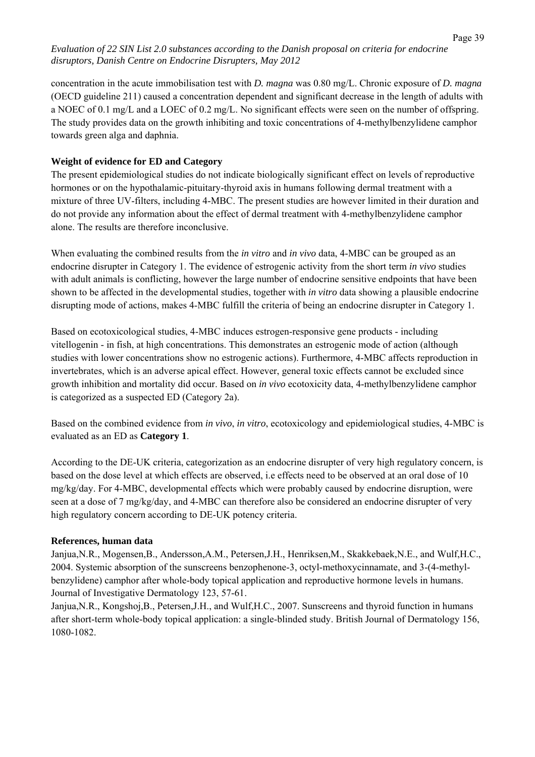concentration in the acute immobilisation test with *D. magna* was 0.80 mg/L. Chronic exposure of *D. magna*  (OECD guideline 211) caused a concentration dependent and significant decrease in the length of adults with a NOEC of 0.1 mg/L and a LOEC of 0.2 mg/L. No significant effects were seen on the number of offspring. The study provides data on the growth inhibiting and toxic concentrations of 4-methylbenzylidene camphor towards green alga and daphnia.

# **Weight of evidence for ED and Category**

The present epidemiological studies do not indicate biologically significant effect on levels of reproductive hormones or on the hypothalamic-pituitary-thyroid axis in humans following dermal treatment with a mixture of three UV-filters, including 4-MBC. The present studies are however limited in their duration and do not provide any information about the effect of dermal treatment with 4-methylbenzylidene camphor alone. The results are therefore inconclusive.

When evaluating the combined results from the *in vitro* and *in vivo* data, 4-MBC can be grouped as an endocrine disrupter in Category 1. The evidence of estrogenic activity from the short term *in vivo* studies with adult animals is conflicting, however the large number of endocrine sensitive endpoints that have been shown to be affected in the developmental studies, together with *in vitro* data showing a plausible endocrine disrupting mode of actions, makes 4-MBC fulfill the criteria of being an endocrine disrupter in Category 1.

Based on ecotoxicological studies, 4-MBC induces estrogen-responsive gene products - including vitellogenin - in fish, at high concentrations. This demonstrates an estrogenic mode of action (although studies with lower concentrations show no estrogenic actions). Furthermore, 4-MBC affects reproduction in invertebrates, which is an adverse apical effect. However, general toxic effects cannot be excluded since growth inhibition and mortality did occur. Based on *in vivo* ecotoxicity data, 4-methylbenzylidene camphor is categorized as a suspected ED (Category 2a).

Based on the combined evidence from *in vivo*, *in vitro*, ecotoxicology and epidemiological studies, 4-MBC is evaluated as an ED as **Category 1**.

According to the DE-UK criteria, categorization as an endocrine disrupter of very high regulatory concern, is based on the dose level at which effects are observed, i.e effects need to be observed at an oral dose of 10 mg/kg/day. For 4-MBC, developmental effects which were probably caused by endocrine disruption, were seen at a dose of 7 mg/kg/day, and 4-MBC can therefore also be considered an endocrine disrupter of very high regulatory concern according to DE-UK potency criteria.

# **References, human data**

Janjua,N.R., Mogensen,B., Andersson,A.M., Petersen,J.H., Henriksen,M., Skakkebaek,N.E., and Wulf,H.C., 2004. Systemic absorption of the sunscreens benzophenone-3, octyl-methoxycinnamate, and 3-(4-methylbenzylidene) camphor after whole-body topical application and reproductive hormone levels in humans. Journal of Investigative Dermatology 123, 57-61.

Janjua,N.R., Kongshoj,B., Petersen,J.H., and Wulf,H.C., 2007. Sunscreens and thyroid function in humans after short-term whole-body topical application: a single-blinded study. British Journal of Dermatology 156, 1080-1082.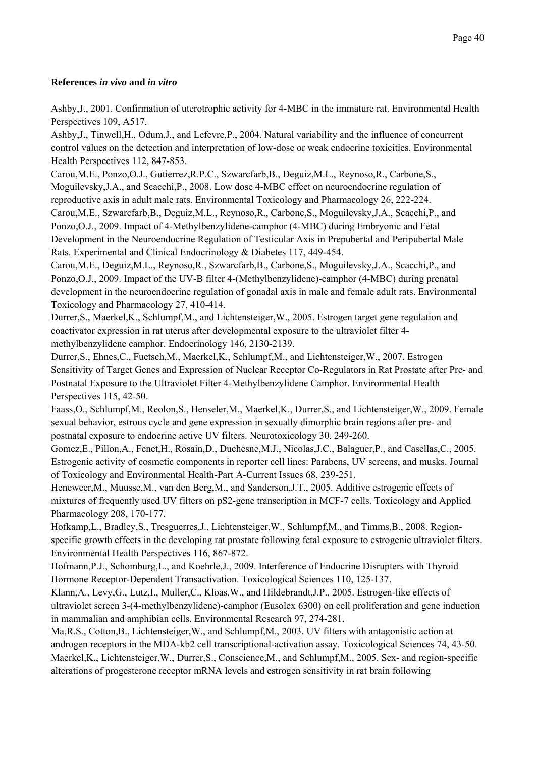# **References** *in vivo* **and** *in vitro*

Ashby,J., 2001. Confirmation of uterotrophic activity for 4-MBC in the immature rat. Environmental Health Perspectives 109, A517.

Ashby,J., Tinwell,H., Odum,J., and Lefevre,P., 2004. Natural variability and the influence of concurrent control values on the detection and interpretation of low-dose or weak endocrine toxicities. Environmental Health Perspectives 112, 847-853.

Carou,M.E., Ponzo,O.J., Gutierrez,R.P.C., Szwarcfarb,B., Deguiz,M.L., Reynoso,R., Carbone,S., Moguilevsky,J.A., and Scacchi,P., 2008. Low dose 4-MBC effect on neuroendocrine regulation of reproductive axis in adult male rats. Environmental Toxicology and Pharmacology 26, 222-224. Carou,M.E., Szwarcfarb,B., Deguiz,M.L., Reynoso,R., Carbone,S., Moguilevsky,J.A., Scacchi,P., and Ponzo,O.J., 2009. Impact of 4-Methylbenzylidene-camphor (4-MBC) during Embryonic and Fetal Development in the Neuroendocrine Regulation of Testicular Axis in Prepubertal and Peripubertal Male Rats. Experimental and Clinical Endocrinology & Diabetes 117, 449-454.

Carou,M.E., Deguiz,M.L., Reynoso,R., Szwarcfarb,B., Carbone,S., Moguilevsky,J.A., Scacchi,P., and Ponzo,O.J., 2009. Impact of the UV-B filter 4-(Methylbenzylidene)-camphor (4-MBC) during prenatal development in the neuroendocrine regulation of gonadal axis in male and female adult rats. Environmental Toxicology and Pharmacology 27, 410-414.

Durrer,S., Maerkel,K., Schlumpf,M., and Lichtensteiger,W., 2005. Estrogen target gene regulation and coactivator expression in rat uterus after developmental exposure to the ultraviolet filter 4 methylbenzylidene camphor. Endocrinology 146, 2130-2139.

Durrer,S., Ehnes,C., Fuetsch,M., Maerkel,K., Schlumpf,M., and Lichtensteiger,W., 2007. Estrogen Sensitivity of Target Genes and Expression of Nuclear Receptor Co-Regulators in Rat Prostate after Pre- and Postnatal Exposure to the Ultraviolet Filter 4-Methylbenzylidene Camphor. Environmental Health Perspectives 115, 42-50.

Faass,O., Schlumpf,M., Reolon,S., Henseler,M., Maerkel,K., Durrer,S., and Lichtensteiger,W., 2009. Female sexual behavior, estrous cycle and gene expression in sexually dimorphic brain regions after pre- and postnatal exposure to endocrine active UV filters. Neurotoxicology 30, 249-260.

Gomez,E., Pillon,A., Fenet,H., Rosain,D., Duchesne,M.J., Nicolas,J.C., Balaguer,P., and Casellas,C., 2005. Estrogenic activity of cosmetic components in reporter cell lines: Parabens, UV screens, and musks. Journal of Toxicology and Environmental Health-Part A-Current Issues 68, 239-251.

Heneweer,M., Muusse,M., van den Berg,M., and Sanderson,J.T., 2005. Additive estrogenic effects of mixtures of frequently used UV filters on pS2-gene transcription in MCF-7 cells. Toxicology and Applied Pharmacology 208, 170-177.

Hofkamp,L., Bradley,S., Tresguerres,J., Lichtensteiger,W., Schlumpf,M., and Timms,B., 2008. Regionspecific growth effects in the developing rat prostate following fetal exposure to estrogenic ultraviolet filters. Environmental Health Perspectives 116, 867-872.

Hofmann,P.J., Schomburg,L., and Koehrle,J., 2009. Interference of Endocrine Disrupters with Thyroid Hormone Receptor-Dependent Transactivation. Toxicological Sciences 110, 125-137.

Klann,A., Levy,G., Lutz,I., Muller,C., Kloas,W., and Hildebrandt,J.P., 2005. Estrogen-like effects of ultraviolet screen 3-(4-methylbenzylidene)-camphor (Eusolex 6300) on cell proliferation and gene induction in mammalian and amphibian cells. Environmental Research 97, 274-281.

Ma,R.S., Cotton,B., Lichtensteiger,W., and Schlumpf,M., 2003. UV filters with antagonistic action at androgen receptors in the MDA-kb2 cell transcriptional-activation assay. Toxicological Sciences 74, 43-50. Maerkel,K., Lichtensteiger,W., Durrer,S., Conscience,M., and Schlumpf,M., 2005. Sex- and region-specific alterations of progesterone receptor mRNA levels and estrogen sensitivity in rat brain following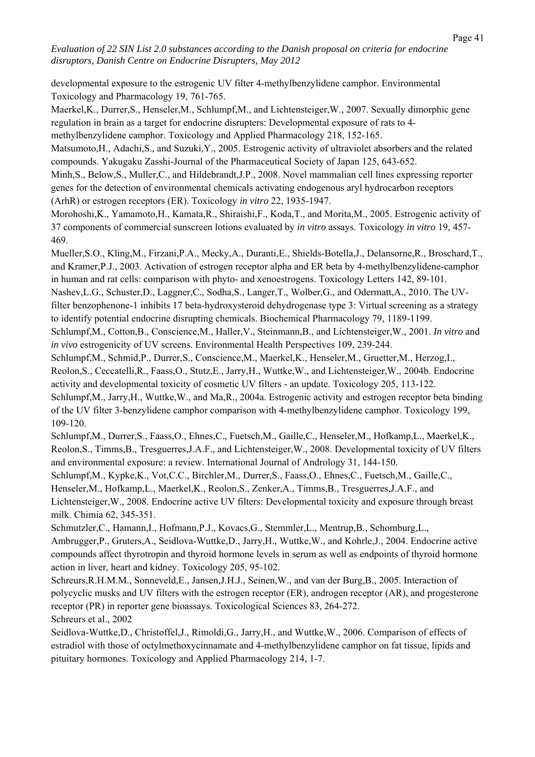developmental exposure to the estrogenic UV filter 4-methylbenzylidene camphor. Environmental Toxicology and Pharmacology 19, 761-765.

Maerkel,K., Durrer,S., Henseler,M., Schlumpf,M., and Lichtensteiger,W., 2007. Sexually dimorphic gene regulation in brain as a target for endocrine disrupters: Developmental exposure of rats to 4-

methylbenzylidene camphor. Toxicology and Applied Pharmacology 218, 152-165.

Matsumoto,H., Adachi,S., and Suzuki,Y., 2005. Estrogenic activity of ultraviolet absorbers and the related compounds. Yakugaku Zasshi-Journal of the Pharmaceutical Society of Japan 125, 643-652.

Minh,S., Below,S., Muller,C., and Hildebrandt,J.P., 2008. Novel mammalian cell lines expressing reporter genes for the detection of environmental chemicals activating endogenous aryl hydrocarbon receptors (ArhR) or estrogen receptors (ER). Toxicology *in vitro* 22, 1935-1947.

Morohoshi,K., Yamamoto,H., Kamata,R., Shiraishi,F., Koda,T., and Morita,M., 2005. Estrogenic activity of 37 components of commercial sunscreen lotions evaluated by *in vitro* assays. Toxicology *in vitro* 19, 457- 469.

Mueller,S.O., Kling,M., Firzani,P.A., Mecky,A., Duranti,E., Shields-Botella,J., Delansorne,R., Broschard,T., and Kramer,P.J., 2003. Activation of estrogen receptor alpha and ER beta by 4-methylbenzylidene-camphor in human and rat cells: comparison with phyto- and xenoestrogens. Toxicology Letters 142, 89-101.

Nashev,L.G., Schuster,D., Laggner,C., Sodha,S., Langer,T., Wolber,G., and Odermatt,A., 2010. The UVfilter benzophenone-1 inhibits 17 beta-hydroxysteroid dehydrogenase type 3: Virtual screening as a strategy to identify potential endocrine disrupting chemicals. Biochemical Pharmacology 79, 1189-1199.

Schlumpf,M., Cotton,B., Conscience,M., Haller,V., Steinmann,B., and Lichtensteiger,W., 2001. *In vitro* and *in vivo* estrogenicity of UV screens. Environmental Health Perspectives 109, 239-244.

Schlumpf,M., Schmid,P., Durrer,S., Conscience,M., Maerkel,K., Henseler,M., Gruetter,M., Herzog,I., Reolon,S., Ceccatelli,R., Faass,O., Stutz,E., Jarry,H., Wuttke,W., and Lichtensteiger,W., 2004b. Endocrine activity and developmental toxicity of cosmetic UV filters - an update. Toxicology 205, 113-122.

Schlumpf,M., Jarry,H., Wuttke,W., and Ma,R., 2004a. Estrogenic activity and estrogen receptor beta binding of the UV filter 3-benzylidene camphor comparison with 4-methylbenzylidene camphor. Toxicology 199, 109-120.

Schlumpf,M., Durrer,S., Faass,O., Ehnes,C., Fuetsch,M., Gaille,C., Henseler,M., Hofkamp,L., Maerkel,K., Reolon,S., Timms,B., Tresguerres,J.A.F., and Lichtensteiger,W., 2008. Developmental toxicity of UV filters and environmental exposure: a review. International Journal of Andrology 31, 144-150.

Schlumpf,M., Kypke,K., Vot,C.C., Birchler,M., Durrer,S., Faass,O., Ehnes,C., Fuetsch,M., Gaille,C.,

Henseler,M., Hofkamp,L., Maerkel,K., Reolon,S., Zenker,A., Timms,B., Tresguerres,J.A.F., and Lichtensteiger,W., 2008. Endocrine active UV filters: Developmental toxicity and exposure through breast milk. Chimia 62, 345-351.

Schmutzler,C., Hamann,I., Hofmann,P.J., Kovacs,G., Stemmler,L., Mentrup,B., Schomburg,L.,

Ambrugger,P., Gruters,A., Seidlova-Wuttke,D., Jarry,H., Wuttke,W., and Kohrle,J., 2004. Endocrine active compounds affect thyrotropin and thyroid hormone levels in serum as well as endpoints of thyroid hormone action in liver, heart and kidney. Toxicology 205, 95-102.

Schreurs,R.H.M.M., Sonneveld,E., Jansen,J.H.J., Seinen,W., and van der Burg,B., 2005. Interaction of polycyclic musks and UV filters with the estrogen receptor (ER), androgen receptor (AR), and progesterone receptor (PR) in reporter gene bioassays. Toxicological Sciences 83, 264-272. Schreurs et al., 2002

Seidlova-Wuttke,D., Christoffel,J., Rimoldi,G., Jarry,H., and Wuttke,W., 2006. Comparison of effects of estradiol with those of octylmethoxycinnamate and 4-methylbenzylidene camphor on fat tissue, lipids and pituitary hormones. Toxicology and Applied Pharmacology 214, 1-7.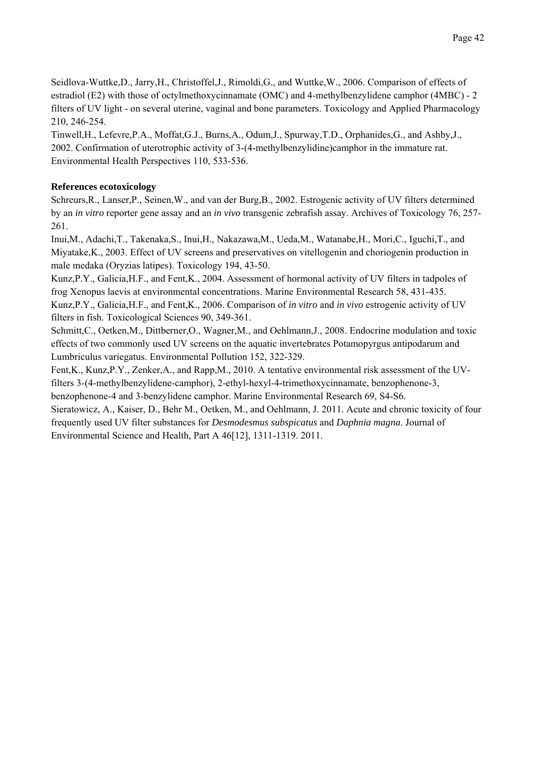Seidlova-Wuttke,D., Jarry,H., Christoffel,J., Rimoldi,G., and Wuttke,W., 2006. Comparison of effects of estradiol (E2) with those of octylmethoxycinnamate (OMC) and 4-methylbenzylidene camphor (4MBC) - 2 filters of UV light - on several uterine, vaginal and bone parameters. Toxicology and Applied Pharmacology 210, 246-254.

Tinwell,H., Lefevre,P.A., Moffat,G.J., Burns,A., Odum,J., Spurway,T.D., Orphanides,G., and Ashby,J., 2002. Confirmation of uterotrophic activity of 3-(4-methylbenzylidine)camphor in the immature rat. Environmental Health Perspectives 110, 533-536.

# **References ecotoxicology**

Schreurs,R., Lanser,P., Seinen,W., and van der Burg,B., 2002. Estrogenic activity of UV filters determined by an *in vitro* reporter gene assay and an *in vivo* transgenic zebrafish assay. Archives of Toxicology 76, 257- 261.

Inui,M., Adachi,T., Takenaka,S., Inui,H., Nakazawa,M., Ueda,M., Watanabe,H., Mori,C., Iguchi,T., and Miyatake,K., 2003. Effect of UV screens and preservatives on vitellogenin and choriogenin production in male medaka (Oryzias latipes). Toxicology 194, 43-50.

Kunz,P.Y., Galicia,H.F., and Fent,K., 2004. Assessment of hormonal activity of UV filters in tadpoles of frog Xenopus laevis at environmental concentrations. Marine Environmental Research 58, 431-435.

Kunz,P.Y., Galicia,H.F., and Fent,K., 2006. Comparison of *in vitro* and *in vivo* estrogenic activity of UV filters in fish. Toxicological Sciences 90, 349-361.

Schmitt,C., Oetken,M., Dittberner,O., Wagner,M., and Oehlmann,J., 2008. Endocrine modulation and toxic effects of two commonly used UV screens on the aquatic invertebrates Potamopyrgus antipodarum and Lumbriculus variegatus. Environmental Pollution 152, 322-329.

Fent,K., Kunz,P.Y., Zenker,A., and Rapp,M., 2010. A tentative environmental risk assessment of the UVfilters 3-(4-methylbenzylidene-camphor), 2-ethyl-hexyl-4-trimethoxycinnamate, benzophenone-3,

benzophenone-4 and 3-benzylidene camphor. Marine Environmental Research 69, S4-S6.

Sieratowicz, A., Kaiser, D., Behr M., Oetken, M., and Oehlmann, J. 2011. Acute and chronic toxicity of four frequently used UV filter substances for *Desmodesmus subspicatus* and *Daphnia magna*. Journal of Environmental Science and Health, Part A 46[12], 1311-1319. 2011.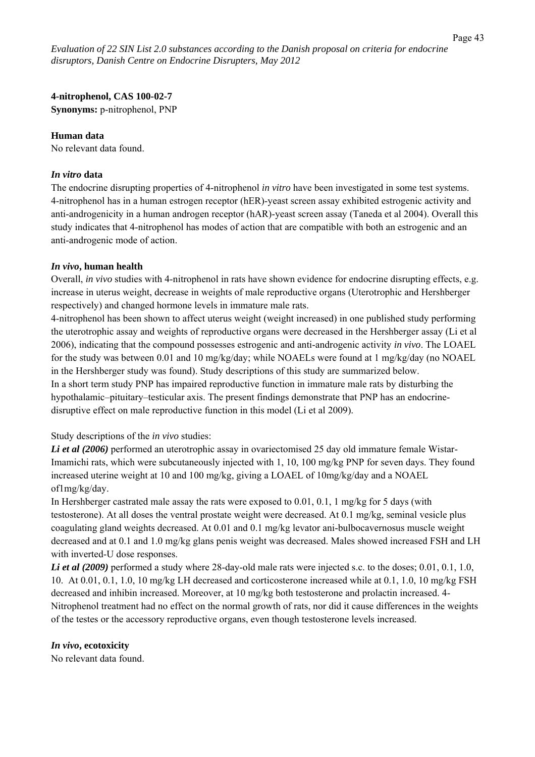**4-nitrophenol, CAS 100-02-7** 

**Synonyms:** p-nitrophenol, PNP

# **Human data**

No relevant data found.

# *In vitro* **data**

The endocrine disrupting properties of 4-nitrophenol *in vitro* have been investigated in some test systems. 4-nitrophenol has in a human estrogen receptor (hER)-yeast screen assay exhibited estrogenic activity and anti-androgenicity in a human androgen receptor (hAR)-yeast screen assay (Taneda et al 2004). Overall this study indicates that 4-nitrophenol has modes of action that are compatible with both an estrogenic and an anti-androgenic mode of action.

# *In vivo***, human health**

Overall, *in vivo* studies with 4-nitrophenol in rats have shown evidence for endocrine disrupting effects, e.g. increase in uterus weight, decrease in weights of male reproductive organs (Uterotrophic and Hershberger respectively) and changed hormone levels in immature male rats.

4-nitrophenol has been shown to affect uterus weight (weight increased) in one published study performing the uterotrophic assay and weights of reproductive organs were decreased in the Hershberger assay (Li et al 2006), indicating that the compound possesses estrogenic and anti-androgenic activity *in vivo*. The LOAEL for the study was between 0.01 and 10 mg/kg/day; while NOAELs were found at 1 mg/kg/day (no NOAEL in the Hershberger study was found). Study descriptions of this study are summarized below. In a short term study PNP has impaired reproductive function in immature male rats by disturbing the hypothalamic–pituitary–testicular axis. The present findings demonstrate that PNP has an endocrinedisruptive effect on male reproductive function in this model (Li et al 2009).

Study descriptions of the *in vivo* studies:

*Li et al (2006)* performed an uterotrophic assay in ovariectomised 25 day old immature female Wistar-Imamichi rats, which were subcutaneously injected with 1, 10, 100 mg/kg PNP for seven days. They found increased uterine weight at 10 and 100 mg/kg, giving a LOAEL of 10mg/kg/day and a NOAEL of1mg/kg/day.

In Hershberger castrated male assay the rats were exposed to 0.01, 0.1, 1 mg/kg for 5 days (with testosterone). At all doses the ventral prostate weight were decreased. At 0.1 mg/kg, seminal vesicle plus coagulating gland weights decreased. At 0.01 and 0.1 mg/kg levator ani-bulbocavernosus muscle weight decreased and at 0.1 and 1.0 mg/kg glans penis weight was decreased. Males showed increased FSH and LH with inverted-U dose responses.

*Li et al (2009)* performed a study where 28-day-old male rats were injected s.c. to the doses; 0.01, 0.1, 1.0, 10. At 0.01, 0.1, 1.0, 10 mg/kg LH decreased and corticosterone increased while at 0.1, 1.0, 10 mg/kg FSH decreased and inhibin increased. Moreover, at 10 mg/kg both testosterone and prolactin increased. 4- Nitrophenol treatment had no effect on the normal growth of rats, nor did it cause differences in the weights of the testes or the accessory reproductive organs, even though testosterone levels increased.

# *In vivo***, ecotoxicity**

No relevant data found.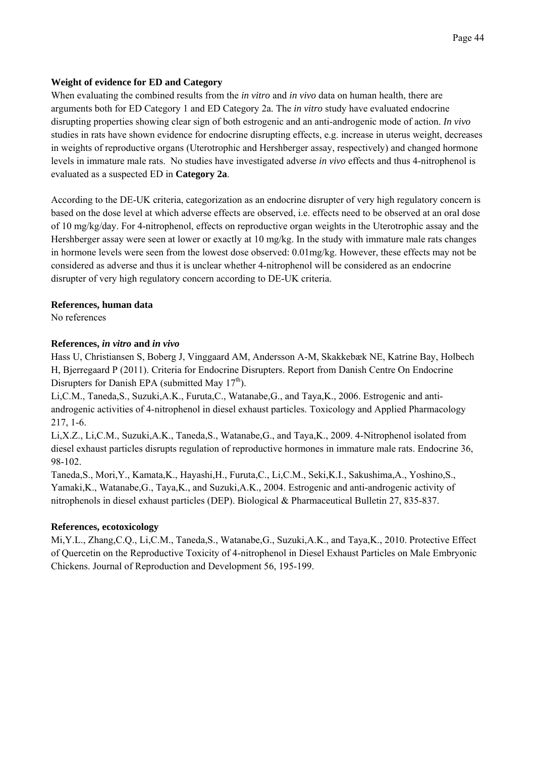# **Weight of evidence for ED and Category**

When evaluating the combined results from the *in vitro* and *in vivo* data on human health, there are arguments both for ED Category 1 and ED Category 2a. The *in vitro* study have evaluated endocrine disrupting properties showing clear sign of both estrogenic and an anti-androgenic mode of action. *In vivo* studies in rats have shown evidence for endocrine disrupting effects, e.g. increase in uterus weight, decreases in weights of reproductive organs (Uterotrophic and Hershberger assay, respectively) and changed hormone levels in immature male rats. No studies have investigated adverse *in vivo* effects and thus 4-nitrophenol is evaluated as a suspected ED in **Category 2a**.

According to the DE-UK criteria, categorization as an endocrine disrupter of very high regulatory concern is based on the dose level at which adverse effects are observed, i.e. effects need to be observed at an oral dose of 10 mg/kg/day. For 4-nitrophenol, effects on reproductive organ weights in the Uterotrophic assay and the Hershberger assay were seen at lower or exactly at 10 mg/kg. In the study with immature male rats changes in hormone levels were seen from the lowest dose observed: 0.01mg/kg. However, these effects may not be considered as adverse and thus it is unclear whether 4-nitrophenol will be considered as an endocrine disrupter of very high regulatory concern according to DE-UK criteria.

# **References, human data**

No references

# **References,** *in vitro* **and** *in vivo*

Hass U, Christiansen S, Boberg J, Vinggaard AM, Andersson A-M, Skakkebæk NE, Katrine Bay, Holbech H, Bjerregaard P (2011). Criteria for Endocrine Disrupters. Report from Danish Centre On Endocrine Disrupters for Danish EPA (submitted May  $17<sup>th</sup>$ ).

Li,C.M., Taneda,S., Suzuki,A.K., Furuta,C., Watanabe,G., and Taya,K., 2006. Estrogenic and antiandrogenic activities of 4-nitrophenol in diesel exhaust particles. Toxicology and Applied Pharmacology 217, 1-6.

Li,X.Z., Li,C.M., Suzuki,A.K., Taneda,S., Watanabe,G., and Taya,K., 2009. 4-Nitrophenol isolated from diesel exhaust particles disrupts regulation of reproductive hormones in immature male rats. Endocrine 36, 98-102.

Taneda,S., Mori,Y., Kamata,K., Hayashi,H., Furuta,C., Li,C.M., Seki,K.I., Sakushima,A., Yoshino,S., Yamaki,K., Watanabe,G., Taya,K., and Suzuki,A.K., 2004. Estrogenic and anti-androgenic activity of nitrophenols in diesel exhaust particles (DEP). Biological & Pharmaceutical Bulletin 27, 835-837.

# **References, ecotoxicology**

Mi,Y.L., Zhang,C.Q., Li,C.M., Taneda,S., Watanabe,G., Suzuki,A.K., and Taya,K., 2010. Protective Effect of Quercetin on the Reproductive Toxicity of 4-nitrophenol in Diesel Exhaust Particles on Male Embryonic Chickens. Journal of Reproduction and Development 56, 195-199.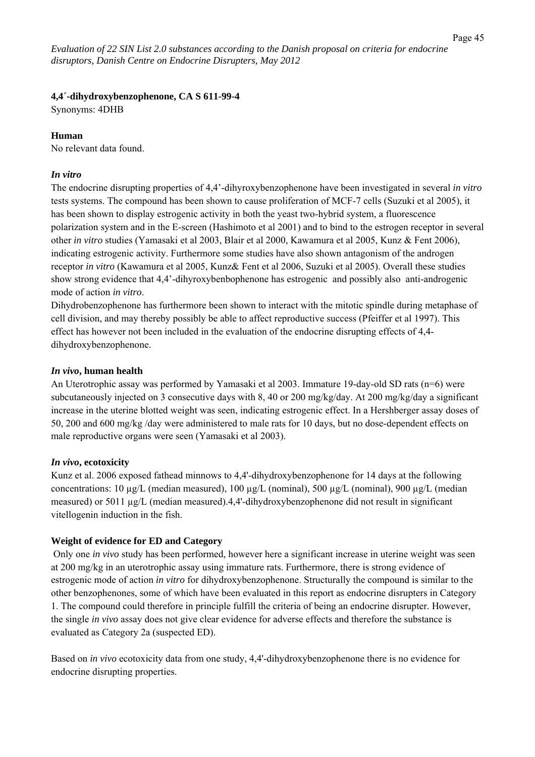# **4,4´-dihydroxybenzophenone, CA S 611-99-4**

Synonyms: 4DHB

# **Human**

No relevant data found.

# *In vitro*

The endocrine disrupting properties of 4,4'-dihyroxybenzophenone have been investigated in several *in vitro* tests systems. The compound has been shown to cause proliferation of MCF-7 cells (Suzuki et al 2005), it has been shown to display estrogenic activity in both the yeast two-hybrid system, a fluorescence polarization system and in the E-screen (Hashimoto et al 2001) and to bind to the estrogen receptor in several other *in vitro* studies (Yamasaki et al 2003, Blair et al 2000, Kawamura et al 2005, Kunz & Fent 2006), indicating estrogenic activity. Furthermore some studies have also shown antagonism of the androgen receptor *in vitro* (Kawamura et al 2005, Kunz& Fent et al 2006, Suzuki et al 2005). Overall these studies show strong evidence that 4,4'-dihyroxybenbophenone has estrogenic and possibly also anti-androgenic mode of action *in vitro*.

Dihydrobenzophenone has furthermore been shown to interact with the mitotic spindle during metaphase of cell division, and may thereby possibly be able to affect reproductive success (Pfeiffer et al 1997). This effect has however not been included in the evaluation of the endocrine disrupting effects of 4,4 dihydroxybenzophenone.

# *In vivo***, human health**

An Uterotrophic assay was performed by Yamasaki et al 2003. Immature 19-day-old SD rats (n=6) were subcutaneously injected on 3 consecutive days with 8, 40 or 200 mg/kg/day. At 200 mg/kg/day a significant increase in the uterine blotted weight was seen, indicating estrogenic effect. In a Hershberger assay doses of 50, 200 and 600 mg/kg /day were administered to male rats for 10 days, but no dose-dependent effects on male reproductive organs were seen (Yamasaki et al 2003).

# *In vivo***, ecotoxicity**

Kunz et al. 2006 exposed fathead minnows to 4,4'-dihydroxybenzophenone for 14 days at the following concentrations:  $10 \mu g/L$  (median measured),  $100 \mu g/L$  (nominal),  $500 \mu g/L$  (nominal),  $900 \mu g/L$  (median measured) or 5011 µg/L (median measured).4,4'-dihydroxybenzophenone did not result in significant vitellogenin induction in the fish.

# **Weight of evidence for ED and Category**

 Only one *in vivo* study has been performed, however here a significant increase in uterine weight was seen at 200 mg/kg in an uterotrophic assay using immature rats. Furthermore, there is strong evidence of estrogenic mode of action *in vitro* for dihydroxybenzophenone. Structurally the compound is similar to the other benzophenones, some of which have been evaluated in this report as endocrine disrupters in Category 1. The compound could therefore in principle fulfill the criteria of being an endocrine disrupter. However, the single *in vivo* assay does not give clear evidence for adverse effects and therefore the substance is evaluated as Category 2a (suspected ED).

Based on *in vivo* ecotoxicity data from one study, 4,4'-dihydroxybenzophenone there is no evidence for endocrine disrupting properties.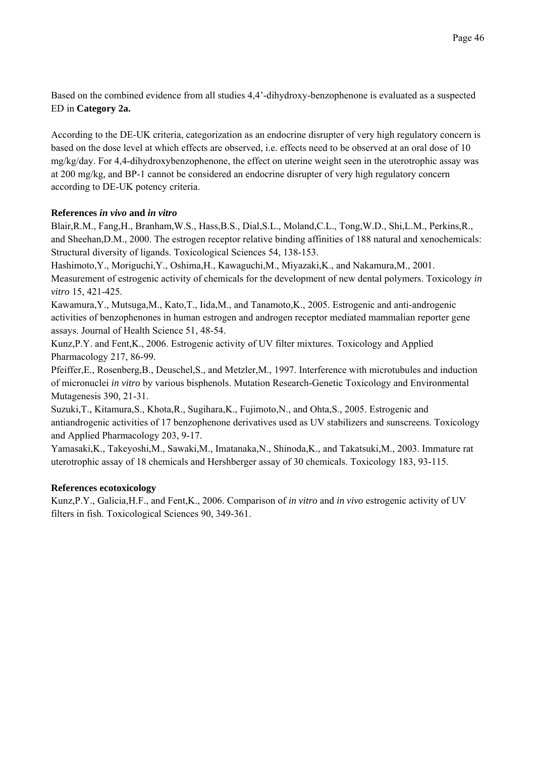Based on the combined evidence from all studies 4,4'-dihydroxy-benzophenone is evaluated as a suspected ED in **Category 2a.**

According to the DE-UK criteria, categorization as an endocrine disrupter of very high regulatory concern is based on the dose level at which effects are observed, i.e. effects need to be observed at an oral dose of 10 mg/kg/day. For 4,4-dihydroxybenzophenone, the effect on uterine weight seen in the uterotrophic assay was at 200 mg/kg, and BP-1 cannot be considered an endocrine disrupter of very high regulatory concern according to DE-UK potency criteria.

### **References** *in vivo* **and** *in vitro*

Blair,R.M., Fang,H., Branham,W.S., Hass,B.S., Dial,S.L., Moland,C.L., Tong,W.D., Shi,L.M., Perkins,R., and Sheehan,D.M., 2000. The estrogen receptor relative binding affinities of 188 natural and xenochemicals: Structural diversity of ligands. Toxicological Sciences 54, 138-153.

Hashimoto,Y., Moriguchi,Y., Oshima,H., Kawaguchi,M., Miyazaki,K., and Nakamura,M., 2001. Measurement of estrogenic activity of chemicals for the development of new dental polymers. Toxicology *in vitro* 15, 421-425.

Kawamura,Y., Mutsuga,M., Kato,T., Iida,M., and Tanamoto,K., 2005. Estrogenic and anti-androgenic activities of benzophenones in human estrogen and androgen receptor mediated mammalian reporter gene assays. Journal of Health Science 51, 48-54.

Kunz,P.Y. and Fent,K., 2006. Estrogenic activity of UV filter mixtures. Toxicology and Applied Pharmacology 217, 86-99.

Pfeiffer,E., Rosenberg,B., Deuschel,S., and Metzler,M., 1997. Interference with microtubules and induction of micronuclei *in vitro* by various bisphenols. Mutation Research-Genetic Toxicology and Environmental Mutagenesis 390, 21-31.

Suzuki,T., Kitamura,S., Khota,R., Sugihara,K., Fujimoto,N., and Ohta,S., 2005. Estrogenic and antiandrogenic activities of 17 benzophenone derivatives used as UV stabilizers and sunscreens. Toxicology and Applied Pharmacology 203, 9-17.

Yamasaki,K., Takeyoshi,M., Sawaki,M., Imatanaka,N., Shinoda,K., and Takatsuki,M., 2003. Immature rat uterotrophic assay of 18 chemicals and Hershberger assay of 30 chemicals. Toxicology 183, 93-115.

# **References ecotoxicology**

Kunz,P.Y., Galicia,H.F., and Fent,K., 2006. Comparison of *in vitro* and *in vivo* estrogenic activity of UV filters in fish. Toxicological Sciences 90, 349-361.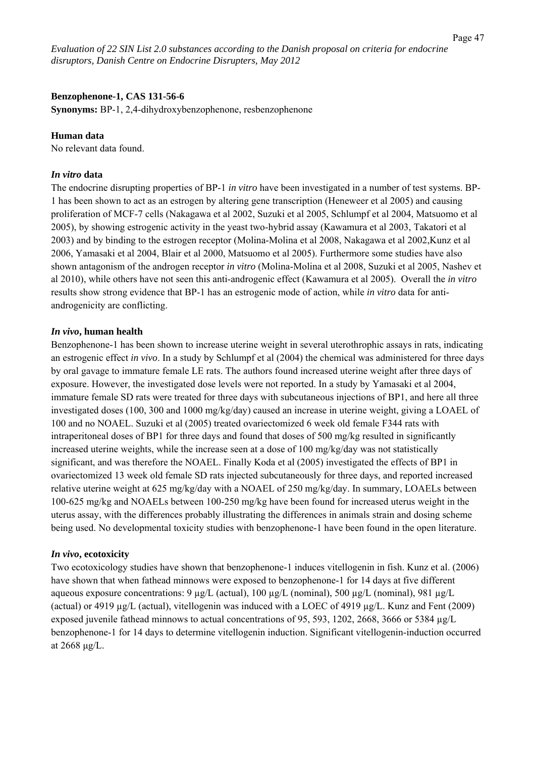#### **Benzophenone-1, CAS 131-56-6**

**Synonyms:** BP-1, 2,4-dihydroxybenzophenone, resbenzophenone

#### **Human data**

No relevant data found.

### *In vitro* **data**

The endocrine disrupting properties of BP-1 *in vitro* have been investigated in a number of test systems. BP-1 has been shown to act as an estrogen by altering gene transcription (Heneweer et al 2005) and causing proliferation of MCF-7 cells (Nakagawa et al 2002, Suzuki et al 2005, Schlumpf et al 2004, Matsuomo et al 2005), by showing estrogenic activity in the yeast two-hybrid assay (Kawamura et al 2003, Takatori et al 2003) and by binding to the estrogen receptor (Molina-Molina et al 2008, Nakagawa et al 2002,Kunz et al 2006, Yamasaki et al 2004, Blair et al 2000, Matsuomo et al 2005). Furthermore some studies have also shown antagonism of the androgen receptor *in vitro* (Molina-Molina et al 2008, Suzuki et al 2005, Nashev et al 2010), while others have not seen this anti-androgenic effect (Kawamura et al 2005). Overall the *in vitro* results show strong evidence that BP-1 has an estrogenic mode of action, while *in vitro* data for antiandrogenicity are conflicting.

#### *In vivo***, human health**

Benzophenone-1 has been shown to increase uterine weight in several uterothrophic assays in rats, indicating an estrogenic effect *in vivo*. In a study by Schlumpf et al (2004) the chemical was administered for three days by oral gavage to immature female LE rats. The authors found increased uterine weight after three days of exposure. However, the investigated dose levels were not reported. In a study by Yamasaki et al 2004, immature female SD rats were treated for three days with subcutaneous injections of BP1, and here all three investigated doses (100, 300 and 1000 mg/kg/day) caused an increase in uterine weight, giving a LOAEL of 100 and no NOAEL. Suzuki et al (2005) treated ovariectomized 6 week old female F344 rats with intraperitoneal doses of BP1 for three days and found that doses of 500 mg/kg resulted in significantly increased uterine weights, while the increase seen at a dose of 100 mg/kg/day was not statistically significant, and was therefore the NOAEL. Finally Koda et al (2005) investigated the effects of BP1 in ovariectomized 13 week old female SD rats injected subcutaneously for three days, and reported increased relative uterine weight at 625 mg/kg/day with a NOAEL of 250 mg/kg/day. In summary, LOAELs between 100-625 mg/kg and NOAELs between 100-250 mg/kg have been found for increased uterus weight in the uterus assay, with the differences probably illustrating the differences in animals strain and dosing scheme being used. No developmental toxicity studies with benzophenone-1 have been found in the open literature.

#### *In vivo***, ecotoxicity**

Two ecotoxicology studies have shown that benzophenone-1 induces vitellogenin in fish. Kunz et al. (2006) have shown that when fathead minnows were exposed to benzophenone-1 for 14 days at five different aqueous exposure concentrations:  $9 \mu g/L$  (actual),  $100 \mu g/L$  (nominal),  $500 \mu g/L$  (nominal),  $981 \mu g/L$ (actual) or 4919 µg/L (actual), vitellogenin was induced with a LOEC of 4919 µg/L. Kunz and Fent (2009) exposed juvenile fathead minnows to actual concentrations of 95, 593, 1202, 2668, 3666 or 5384 µg/L benzophenone-1 for 14 days to determine vitellogenin induction. Significant vitellogenin-induction occurred at 2668 μg/L.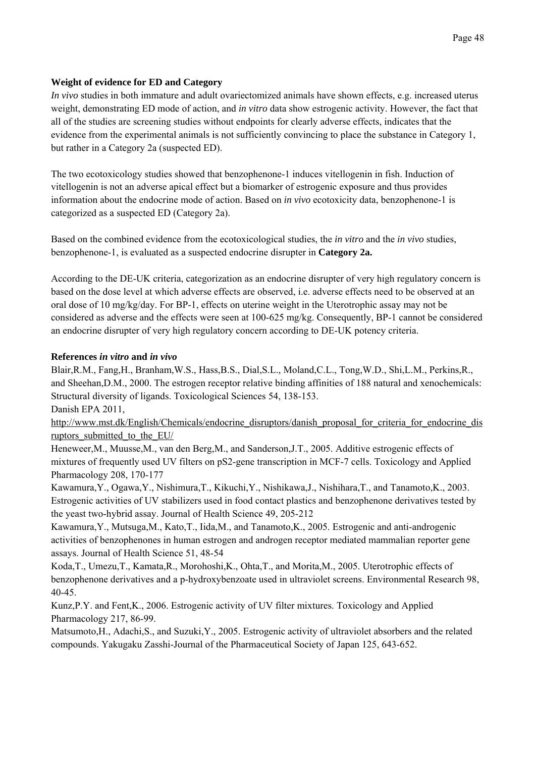# **Weight of evidence for ED and Category**

*In vivo* studies in both immature and adult ovariectomized animals have shown effects, e.g. increased uterus weight, demonstrating ED mode of action, and *in vitro* data show estrogenic activity. However, the fact that all of the studies are screening studies without endpoints for clearly adverse effects, indicates that the evidence from the experimental animals is not sufficiently convincing to place the substance in Category 1, but rather in a Category 2a (suspected ED).

The two ecotoxicology studies showed that benzophenone-1 induces vitellogenin in fish. Induction of vitellogenin is not an adverse apical effect but a biomarker of estrogenic exposure and thus provides information about the endocrine mode of action. Based on *in vivo* ecotoxicity data, benzophenone-1 is categorized as a suspected ED (Category 2a).

Based on the combined evidence from the ecotoxicological studies, the *in vitro* and the *in vivo* studies, benzophenone-1, is evaluated as a suspected endocrine disrupter in **Category 2a.**

According to the DE-UK criteria, categorization as an endocrine disrupter of very high regulatory concern is based on the dose level at which adverse effects are observed, i.e. adverse effects need to be observed at an oral dose of 10 mg/kg/day. For BP-1, effects on uterine weight in the Uterotrophic assay may not be considered as adverse and the effects were seen at 100-625 mg/kg. Consequently, BP-1 cannot be considered an endocrine disrupter of very high regulatory concern according to DE-UK potency criteria.

### **References** *in vitro* **and** *in vivo*

Blair,R.M., Fang,H., Branham,W.S., Hass,B.S., Dial,S.L., Moland,C.L., Tong,W.D., Shi,L.M., Perkins,R., and Sheehan,D.M., 2000. The estrogen receptor relative binding affinities of 188 natural and xenochemicals: Structural diversity of ligands. Toxicological Sciences 54, 138-153. Danish EPA 2011,

http://www.mst.dk/English/Chemicals/endocrine\_disruptors/danish\_proposal\_for\_criteria\_for\_endocrine\_dis ruptors submitted to the EU/

Heneweer,M., Muusse,M., van den Berg,M., and Sanderson,J.T., 2005. Additive estrogenic effects of mixtures of frequently used UV filters on pS2-gene transcription in MCF-7 cells. Toxicology and Applied Pharmacology 208, 170-177

Kawamura,Y., Ogawa,Y., Nishimura,T., Kikuchi,Y., Nishikawa,J., Nishihara,T., and Tanamoto,K., 2003. Estrogenic activities of UV stabilizers used in food contact plastics and benzophenone derivatives tested by the yeast two-hybrid assay. Journal of Health Science 49, 205-212

Kawamura,Y., Mutsuga,M., Kato,T., Iida,M., and Tanamoto,K., 2005. Estrogenic and anti-androgenic activities of benzophenones in human estrogen and androgen receptor mediated mammalian reporter gene assays. Journal of Health Science 51, 48-54

Koda,T., Umezu,T., Kamata,R., Morohoshi,K., Ohta,T., and Morita,M., 2005. Uterotrophic effects of benzophenone derivatives and a p-hydroxybenzoate used in ultraviolet screens. Environmental Research 98, 40-45.

Kunz,P.Y. and Fent,K., 2006. Estrogenic activity of UV filter mixtures. Toxicology and Applied Pharmacology 217, 86-99.

Matsumoto,H., Adachi,S., and Suzuki,Y., 2005. Estrogenic activity of ultraviolet absorbers and the related compounds. Yakugaku Zasshi-Journal of the Pharmaceutical Society of Japan 125, 643-652.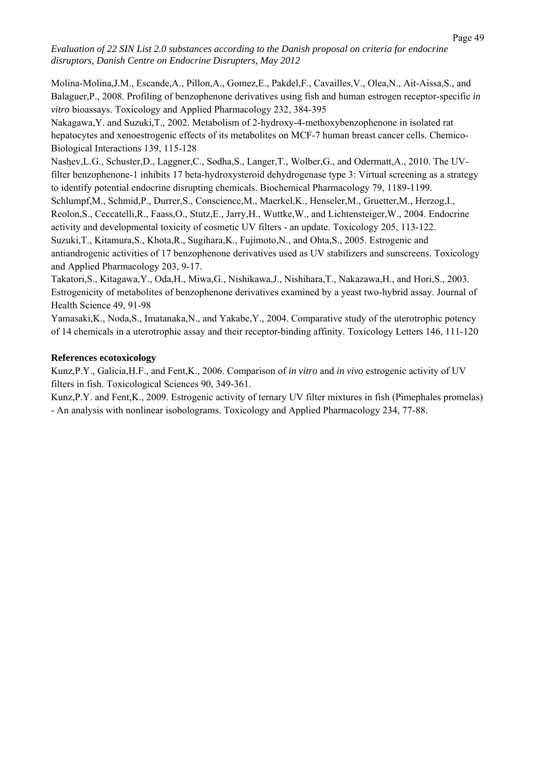Molina-Molina,J.M., Escande,A., Pillon,A., Gomez,E., Pakdel,F., Cavailles,V., Olea,N., Ait-Aissa,S., and Balaguer,P., 2008. Profiling of benzophenone derivatives using fish and human estrogen receptor-specific *in vitro* bioassays. Toxicology and Applied Pharmacology 232, 384-395

Nakagawa,Y. and Suzuki,T., 2002. Metabolism of 2-hydroxy-4-methoxybenzophenone in isolated rat hepatocytes and xenoestrogenic effects of its metabolites on MCF-7 human breast cancer cells. Chemico-Biological Interactions 139, 115-128

Nashev,L.G., Schuster,D., Laggner,C., Sodha,S., Langer,T., Wolber,G., and Odermatt,A., 2010. The UVfilter benzophenone-1 inhibits 17 beta-hydroxysteroid dehydrogenase type 3: Virtual screening as a strategy to identify potential endocrine disrupting chemicals. Biochemical Pharmacology 79, 1189-1199.

Schlumpf,M., Schmid,P., Durrer,S., Conscience,M., Maerkel,K., Henseler,M., Gruetter,M., Herzog,I., Reolon,S., Ceccatelli,R., Faass,O., Stutz,E., Jarry,H., Wuttke,W., and Lichtensteiger,W., 2004. Endocrine activity and developmental toxicity of cosmetic UV filters - an update. Toxicology 205, 113-122. Suzuki,T., Kitamura,S., Khota,R., Sugihara,K., Fujimoto,N., and Ohta,S., 2005. Estrogenic and antiandrogenic activities of 17 benzophenone derivatives used as UV stabilizers and sunscreens. Toxicology and Applied Pharmacology 203, 9-17.

Takatori,S., Kitagawa,Y., Oda,H., Miwa,G., Nishikawa,J., Nishihara,T., Nakazawa,H., and Hori,S., 2003. Estrogenicity of metabolites of benzophenone derivatives examined by a yeast two-hybrid assay. Journal of Health Science 49, 91-98

Yamasaki,K., Noda,S., Imatanaka,N., and Yakabe,Y., 2004. Comparative study of the uterotrophic potency of 14 chemicals in a uterotrophic assay and their receptor-binding affinity. Toxicology Letters 146, 111-120

### **References ecotoxicology**

Kunz,P.Y., Galicia,H.F., and Fent,K., 2006. Comparison of *in vitro* and *in vivo* estrogenic activity of UV filters in fish. Toxicological Sciences 90, 349-361.

Kunz,P.Y. and Fent,K., 2009. Estrogenic activity of ternary UV filter mixtures in fish (Pimephales promelas) - An analysis with nonlinear isobolograms. Toxicology and Applied Pharmacology 234, 77-88.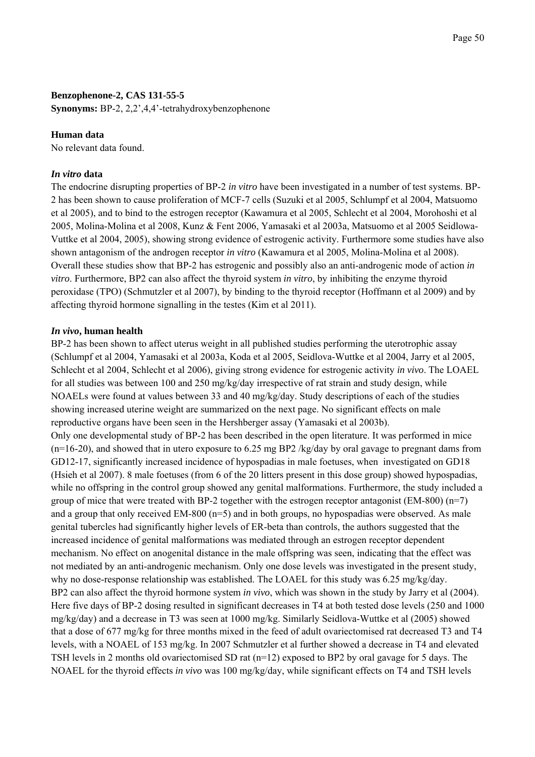### **Benzophenone-2, CAS 131-55-5**

**Synonyms:** BP-2, 2,2',4,4'-tetrahydroxybenzophenone

### **Human data**

No relevant data found.

## *In vitro* **data**

The endocrine disrupting properties of BP-2 *in vitro* have been investigated in a number of test systems. BP-2 has been shown to cause proliferation of MCF-7 cells (Suzuki et al 2005, Schlumpf et al 2004, Matsuomo et al 2005), and to bind to the estrogen receptor (Kawamura et al 2005, Schlecht et al 2004, Morohoshi et al 2005, Molina-Molina et al 2008, Kunz & Fent 2006, Yamasaki et al 2003a, Matsuomo et al 2005 Seidlowa-Vuttke et al 2004, 2005), showing strong evidence of estrogenic activity. Furthermore some studies have also shown antagonism of the androgen receptor *in vitro* (Kawamura et al 2005, Molina-Molina et al 2008). Overall these studies show that BP-2 has estrogenic and possibly also an anti-androgenic mode of action *in vitro*. Furthermore, BP2 can also affect the thyroid system *in vitro*, by inhibiting the enzyme thyroid peroxidase (TPO) (Schmutzler et al 2007), by binding to the thyroid receptor (Hoffmann et al 2009) and by affecting thyroid hormone signalling in the testes (Kim et al 2011).

### *In vivo***, human health**

BP-2 has been shown to affect uterus weight in all published studies performing the uterotrophic assay (Schlumpf et al 2004, Yamasaki et al 2003a, Koda et al 2005, Seidlova-Wuttke et al 2004, Jarry et al 2005, Schlecht et al 2004, Schlecht et al 2006), giving strong evidence for estrogenic activity *in vivo*. The LOAEL for all studies was between 100 and 250 mg/kg/day irrespective of rat strain and study design, while NOAELs were found at values between 33 and 40 mg/kg/day. Study descriptions of each of the studies showing increased uterine weight are summarized on the next page. No significant effects on male reproductive organs have been seen in the Hershberger assay (Yamasaki et al 2003b). Only one developmental study of BP-2 has been described in the open literature. It was performed in mice  $(n=16-20)$ , and showed that in utero exposure to 6.25 mg BP2 /kg/day by oral gavage to pregnant dams from GD12-17, significantly increased incidence of hypospadias in male foetuses, when investigated on GD18 (Hsieh et al 2007). 8 male foetuses (from 6 of the 20 litters present in this dose group) showed hypospadias, while no offspring in the control group showed any genital malformations. Furthermore, the study included a group of mice that were treated with BP-2 together with the estrogen receptor antagonist ( $EM-800$ ) ( $n=7$ ) and a group that only received EM-800 (n=5) and in both groups, no hypospadias were observed. As male genital tubercles had significantly higher levels of ER-beta than controls, the authors suggested that the increased incidence of genital malformations was mediated through an estrogen receptor dependent mechanism. No effect on anogenital distance in the male offspring was seen, indicating that the effect was not mediated by an anti-androgenic mechanism. Only one dose levels was investigated in the present study, why no dose-response relationship was established. The LOAEL for this study was 6.25 mg/kg/day. BP2 can also affect the thyroid hormone system *in vivo*, which was shown in the study by Jarry et al (2004). Here five days of BP-2 dosing resulted in significant decreases in T4 at both tested dose levels (250 and 1000 mg/kg/day) and a decrease in T3 was seen at 1000 mg/kg. Similarly Seidlova-Wuttke et al (2005) showed that a dose of 677 mg/kg for three months mixed in the feed of adult ovariectomised rat decreased T3 and T4 levels, with a NOAEL of 153 mg/kg. In 2007 Schmutzler et al further showed a decrease in T4 and elevated TSH levels in 2 months old ovariectomised SD rat (n=12) exposed to BP2 by oral gavage for 5 days. The NOAEL for the thyroid effects *in vivo* was 100 mg/kg/day, while significant effects on T4 and TSH levels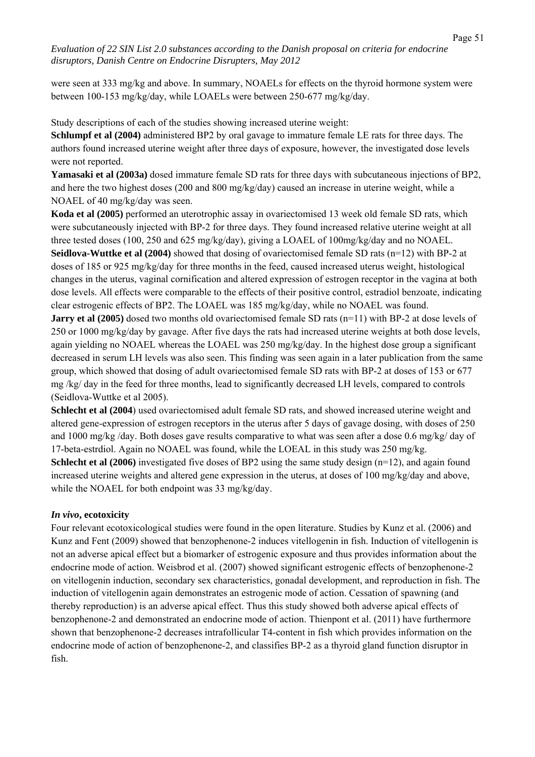were seen at 333 mg/kg and above. In summary, NOAELs for effects on the thyroid hormone system were between 100-153 mg/kg/day, while LOAELs were between 250-677 mg/kg/day.

Study descriptions of each of the studies showing increased uterine weight:

**Schlumpf et al (2004)** administered BP2 by oral gavage to immature female LE rats for three days. The authors found increased uterine weight after three days of exposure, however, the investigated dose levels were not reported.

**Yamasaki et al (2003a)** dosed immature female SD rats for three days with subcutaneous injections of BP2, and here the two highest doses (200 and 800 mg/kg/day) caused an increase in uterine weight, while a NOAEL of 40 mg/kg/day was seen.

**Koda et al (2005)** performed an uterotrophic assay in ovariectomised 13 week old female SD rats, which were subcutaneously injected with BP-2 for three days. They found increased relative uterine weight at all three tested doses (100, 250 and 625 mg/kg/day), giving a LOAEL of 100mg/kg/day and no NOAEL. **Seidlova-Wuttke et al (2004)** showed that dosing of ovariectomised female SD rats (n=12) with BP-2 at doses of 185 or 925 mg/kg/day for three months in the feed, caused increased uterus weight, histological changes in the uterus, vaginal cornification and altered expression of estrogen receptor in the vagina at both dose levels. All effects were comparable to the effects of their positive control, estradiol benzoate, indicating clear estrogenic effects of BP2. The LOAEL was 185 mg/kg/day, while no NOAEL was found. **Jarry et al (2005)** dosed two months old ovariectomised female SD rats (n=11) with BP-2 at dose levels of

250 or 1000 mg/kg/day by gavage. After five days the rats had increased uterine weights at both dose levels, again yielding no NOAEL whereas the LOAEL was 250 mg/kg/day. In the highest dose group a significant decreased in serum LH levels was also seen. This finding was seen again in a later publication from the same group, which showed that dosing of adult ovariectomised female SD rats with BP-2 at doses of 153 or 677 mg /kg/ day in the feed for three months, lead to significantly decreased LH levels, compared to controls (Seidlova-Wuttke et al 2005).

**Schlecht et al (2004**) used ovariectomised adult female SD rats, and showed increased uterine weight and altered gene-expression of estrogen receptors in the uterus after 5 days of gavage dosing, with doses of 250 and 1000 mg/kg /day. Both doses gave results comparative to what was seen after a dose 0.6 mg/kg/ day of 17-beta-estrdiol. Again no NOAEL was found, while the LOEAL in this study was 250 mg/kg. **Schlecht et al (2006)** investigated five doses of BP2 using the same study design  $(n=12)$ , and again found increased uterine weights and altered gene expression in the uterus, at doses of 100 mg/kg/day and above, while the NOAEL for both endpoint was 33 mg/kg/day.

### *In vivo***, ecotoxicity**

Four relevant ecotoxicological studies were found in the open literature. Studies by Kunz et al. (2006) and Kunz and Fent (2009) showed that benzophenone-2 induces vitellogenin in fish. Induction of vitellogenin is not an adverse apical effect but a biomarker of estrogenic exposure and thus provides information about the endocrine mode of action. Weisbrod et al. (2007) showed significant estrogenic effects of benzophenone-2 on vitellogenin induction, secondary sex characteristics, gonadal development, and reproduction in fish. The induction of vitellogenin again demonstrates an estrogenic mode of action. Cessation of spawning (and thereby reproduction) is an adverse apical effect. Thus this study showed both adverse apical effects of benzophenone-2 and demonstrated an endocrine mode of action. Thienpont et al. (2011) have furthermore shown that benzophenone-2 decreases intrafollicular T4-content in fish which provides information on the endocrine mode of action of benzophenone-2, and classifies BP-2 as a thyroid gland function disruptor in fish.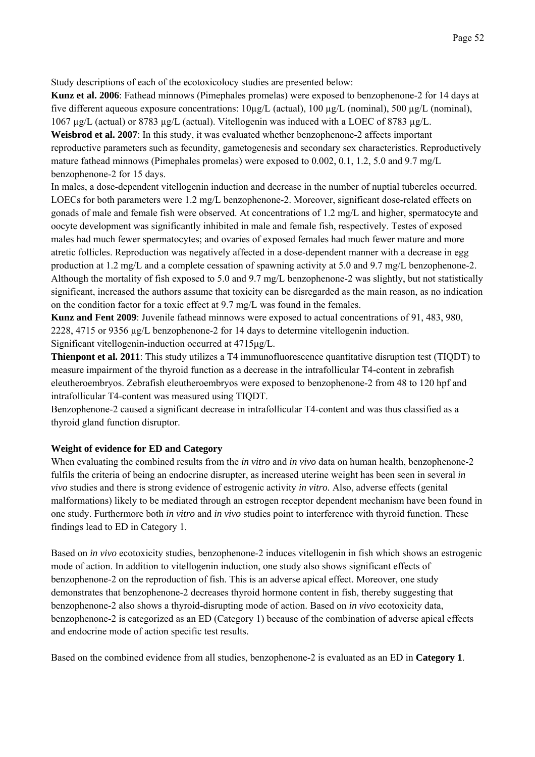Study descriptions of each of the ecotoxicolocy studies are presented below:

**Kunz et al. 2006**: Fathead minnows (Pimephales promelas) were exposed to benzophenone-2 for 14 days at five different aqueous exposure concentrations:  $10\mu g/L$  (actual),  $100 \mu g/L$  (nominal),  $500 \mu g/L$  (nominal), 1067 µg/L (actual) or 8783 µg/L (actual). Vitellogenin was induced with a LOEC of 8783 µg/L.

**Weisbrod et al. 2007**: In this study, it was evaluated whether benzophenone-2 affects important reproductive parameters such as fecundity, gametogenesis and secondary sex characteristics. Reproductively mature fathead minnows (Pimephales promelas) were exposed to 0.002, 0.1, 1.2, 5.0 and 9.7 mg/L benzophenone-2 for 15 days.

In males, a dose-dependent vitellogenin induction and decrease in the number of nuptial tubercles occurred. LOECs for both parameters were 1.2 mg/L benzophenone-2. Moreover, significant dose-related effects on gonads of male and female fish were observed. At concentrations of 1.2 mg/L and higher, spermatocyte and oocyte development was significantly inhibited in male and female fish, respectively. Testes of exposed males had much fewer spermatocytes; and ovaries of exposed females had much fewer mature and more atretic follicles. Reproduction was negatively affected in a dose-dependent manner with a decrease in egg production at 1.2 mg/L and a complete cessation of spawning activity at 5.0 and 9.7 mg/L benzophenone-2. Although the mortality of fish exposed to 5.0 and 9.7 mg/L benzophenone-2 was slightly, but not statistically significant, increased the authors assume that toxicity can be disregarded as the main reason, as no indication on the condition factor for a toxic effect at 9.7 mg/L was found in the females.

**Kunz and Fent 2009**: Juvenile fathead minnows were exposed to actual concentrations of 91, 483, 980, 2228, 4715 or 9356 µg/L benzophenone-2 for 14 days to determine vitellogenin induction. Significant vitellogenin-induction occurred at 4715μg/L.

**Thienpont et al. 2011**: This study utilizes a T4 immunofluorescence quantitative disruption test (TIQDT) to measure impairment of the thyroid function as a decrease in the intrafollicular T4-content in zebrafish eleutheroembryos. Zebrafish eleutheroembryos were exposed to benzophenone-2 from 48 to 120 hpf and intrafollicular T4-content was measured using TIQDT.

Benzophenone-2 caused a significant decrease in intrafollicular T4-content and was thus classified as a thyroid gland function disruptor.

# **Weight of evidence for ED and Category**

When evaluating the combined results from the *in vitro* and *in vivo* data on human health, benzophenone-2 fulfils the criteria of being an endocrine disrupter, as increased uterine weight has been seen in several *in vivo* studies and there is strong evidence of estrogenic activity *in vitro.* Also, adverse effects (genital malformations) likely to be mediated through an estrogen receptor dependent mechanism have been found in one study. Furthermore both *in vitro* and *in vivo* studies point to interference with thyroid function. These findings lead to ED in Category 1.

Based on *in vivo* ecotoxicity studies, benzophenone-2 induces vitellogenin in fish which shows an estrogenic mode of action. In addition to vitellogenin induction, one study also shows significant effects of benzophenone-2 on the reproduction of fish. This is an adverse apical effect. Moreover, one study demonstrates that benzophenone-2 decreases thyroid hormone content in fish, thereby suggesting that benzophenone-2 also shows a thyroid-disrupting mode of action. Based on *in vivo* ecotoxicity data, benzophenone-2 is categorized as an ED (Category 1) because of the combination of adverse apical effects and endocrine mode of action specific test results.

Based on the combined evidence from all studies, benzophenone-2 is evaluated as an ED in **Category 1**.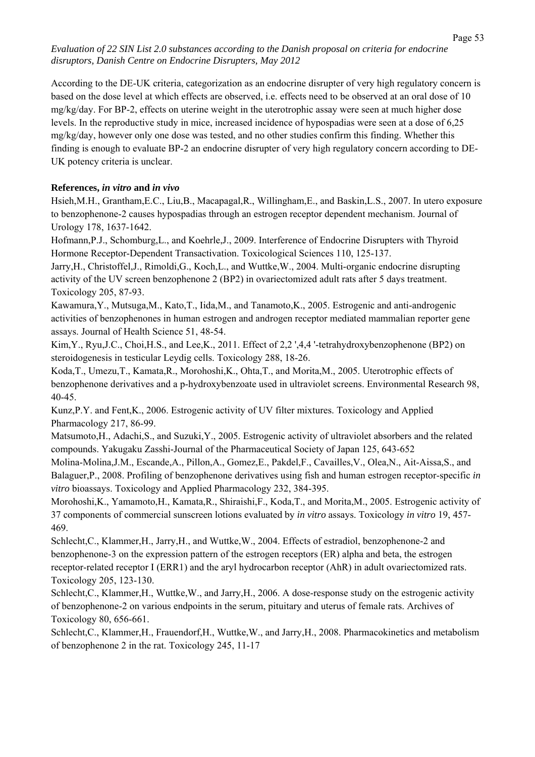According to the DE-UK criteria, categorization as an endocrine disrupter of very high regulatory concern is based on the dose level at which effects are observed, i.e. effects need to be observed at an oral dose of 10 mg/kg/day. For BP-2, effects on uterine weight in the uterotrophic assay were seen at much higher dose levels. In the reproductive study in mice, increased incidence of hypospadias were seen at a dose of 6,25 mg/kg/day, however only one dose was tested, and no other studies confirm this finding. Whether this finding is enough to evaluate BP-2 an endocrine disrupter of very high regulatory concern according to DE-UK potency criteria is unclear.

# **References,** *in vitro* **and** *in vivo*

Hsieh,M.H., Grantham,E.C., Liu,B., Macapagal,R., Willingham,E., and Baskin,L.S., 2007. In utero exposure to benzophenone-2 causes hypospadias through an estrogen receptor dependent mechanism. Journal of Urology 178, 1637-1642.

Hofmann,P.J., Schomburg,L., and Koehrle,J., 2009. Interference of Endocrine Disrupters with Thyroid Hormone Receptor-Dependent Transactivation. Toxicological Sciences 110, 125-137.

Jarry,H., Christoffel,J., Rimoldi,G., Koch,L., and Wuttke,W., 2004. Multi-organic endocrine disrupting activity of the UV screen benzophenone 2 (BP2) in ovariectomized adult rats after 5 days treatment. Toxicology 205, 87-93.

Kawamura,Y., Mutsuga,M., Kato,T., Iida,M., and Tanamoto,K., 2005. Estrogenic and anti-androgenic activities of benzophenones in human estrogen and androgen receptor mediated mammalian reporter gene assays. Journal of Health Science 51, 48-54.

Kim, Y., Ryu, J.C., Choi, H.S., and Lee, K., 2011. Effect of 2,2 ', 4,4'-tetrahydroxybenzophenone (BP2) on steroidogenesis in testicular Leydig cells. Toxicology 288, 18-26.

Koda,T., Umezu,T., Kamata,R., Morohoshi,K., Ohta,T., and Morita,M., 2005. Uterotrophic effects of benzophenone derivatives and a p-hydroxybenzoate used in ultraviolet screens. Environmental Research 98, 40-45.

Kunz,P.Y. and Fent,K., 2006. Estrogenic activity of UV filter mixtures. Toxicology and Applied Pharmacology 217, 86-99.

Matsumoto,H., Adachi,S., and Suzuki,Y., 2005. Estrogenic activity of ultraviolet absorbers and the related compounds. Yakugaku Zasshi-Journal of the Pharmaceutical Society of Japan 125, 643-652

Molina-Molina,J.M., Escande,A., Pillon,A., Gomez,E., Pakdel,F., Cavailles,V., Olea,N., Ait-Aissa,S., and Balaguer,P., 2008. Profiling of benzophenone derivatives using fish and human estrogen receptor-specific *in vitro* bioassays. Toxicology and Applied Pharmacology 232, 384-395.

Morohoshi,K., Yamamoto,H., Kamata,R., Shiraishi,F., Koda,T., and Morita,M., 2005. Estrogenic activity of 37 components of commercial sunscreen lotions evaluated by *in vitro* assays. Toxicology *in vitro* 19, 457- 469.

Schlecht,C., Klammer,H., Jarry,H., and Wuttke,W., 2004. Effects of estradiol, benzophenone-2 and benzophenone-3 on the expression pattern of the estrogen receptors (ER) alpha and beta, the estrogen receptor-related receptor I (ERR1) and the aryl hydrocarbon receptor (AhR) in adult ovariectomized rats. Toxicology 205, 123-130.

Schlecht,C., Klammer,H., Wuttke,W., and Jarry,H., 2006. A dose-response study on the estrogenic activity of benzophenone-2 on various endpoints in the serum, pituitary and uterus of female rats. Archives of Toxicology 80, 656-661.

Schlecht,C., Klammer,H., Frauendorf,H., Wuttke,W., and Jarry,H., 2008. Pharmacokinetics and metabolism of benzophenone 2 in the rat. Toxicology 245, 11-17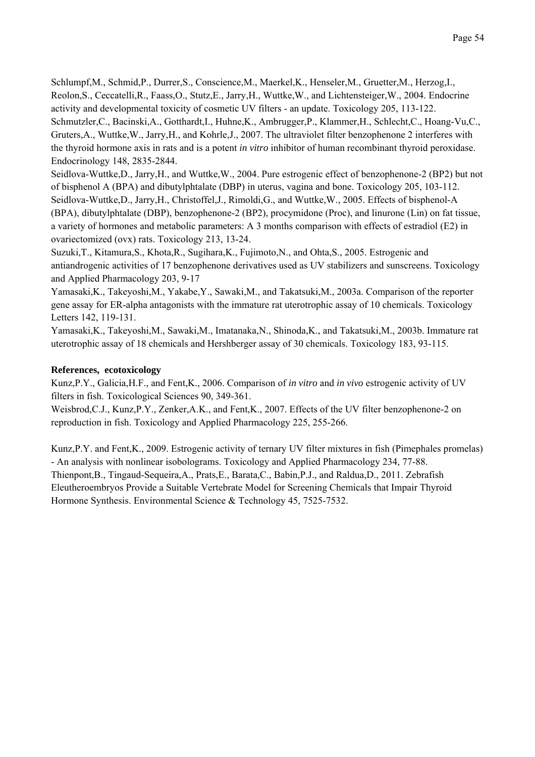Schlumpf,M., Schmid,P., Durrer,S., Conscience,M., Maerkel,K., Henseler,M., Gruetter,M., Herzog,I., Reolon,S., Ceccatelli,R., Faass,O., Stutz,E., Jarry,H., Wuttke,W., and Lichtensteiger,W., 2004. Endocrine activity and developmental toxicity of cosmetic UV filters - an update. Toxicology 205, 113-122. Schmutzler,C., Bacinski,A., Gotthardt,I., Huhne,K., Ambrugger,P., Klammer,H., Schlecht,C., Hoang-Vu,C., Gruters,A., Wuttke,W., Jarry,H., and Kohrle,J., 2007. The ultraviolet filter benzophenone 2 interferes with the thyroid hormone axis in rats and is a potent *in vitro* inhibitor of human recombinant thyroid peroxidase. Endocrinology 148, 2835-2844.

Seidlova-Wuttke,D., Jarry,H., and Wuttke,W., 2004. Pure estrogenic effect of benzophenone-2 (BP2) but not of bisphenol A (BPA) and dibutylphtalate (DBP) in uterus, vagina and bone. Toxicology 205, 103-112. Seidlova-Wuttke,D., Jarry,H., Christoffel,J., Rimoldi,G., and Wuttke,W., 2005. Effects of bisphenol-A (BPA), dibutylphtalate (DBP), benzophenone-2 (BP2), procymidone (Proc), and linurone (Lin) on fat tissue, a variety of hormones and metabolic parameters: A 3 months comparison with effects of estradiol (E2) in ovariectomized (ovx) rats. Toxicology 213, 13-24.

Suzuki,T., Kitamura,S., Khota,R., Sugihara,K., Fujimoto,N., and Ohta,S., 2005. Estrogenic and antiandrogenic activities of 17 benzophenone derivatives used as UV stabilizers and sunscreens. Toxicology and Applied Pharmacology 203, 9-17

Yamasaki,K., Takeyoshi,M., Yakabe,Y., Sawaki,M., and Takatsuki,M., 2003a. Comparison of the reporter gene assay for ER-alpha antagonists with the immature rat uterotrophic assay of 10 chemicals. Toxicology Letters 142, 119-131.

Yamasaki,K., Takeyoshi,M., Sawaki,M., Imatanaka,N., Shinoda,K., and Takatsuki,M., 2003b. Immature rat uterotrophic assay of 18 chemicals and Hershberger assay of 30 chemicals. Toxicology 183, 93-115.

# **References, ecotoxicology**

Kunz,P.Y., Galicia,H.F., and Fent,K., 2006. Comparison of *in vitro* and *in vivo* estrogenic activity of UV filters in fish. Toxicological Sciences 90, 349-361.

Weisbrod,C.J., Kunz,P.Y., Zenker,A.K., and Fent,K., 2007. Effects of the UV filter benzophenone-2 on reproduction in fish. Toxicology and Applied Pharmacology 225, 255-266.

Kunz,P.Y. and Fent,K., 2009. Estrogenic activity of ternary UV filter mixtures in fish (Pimephales promelas) - An analysis with nonlinear isobolograms. Toxicology and Applied Pharmacology 234, 77-88. Thienpont,B., Tingaud-Sequeira,A., Prats,E., Barata,C., Babin,P.J., and Raldua,D., 2011. Zebrafish Eleutheroembryos Provide a Suitable Vertebrate Model for Screening Chemicals that Impair Thyroid Hormone Synthesis. Environmental Science & Technology 45, 7525-7532.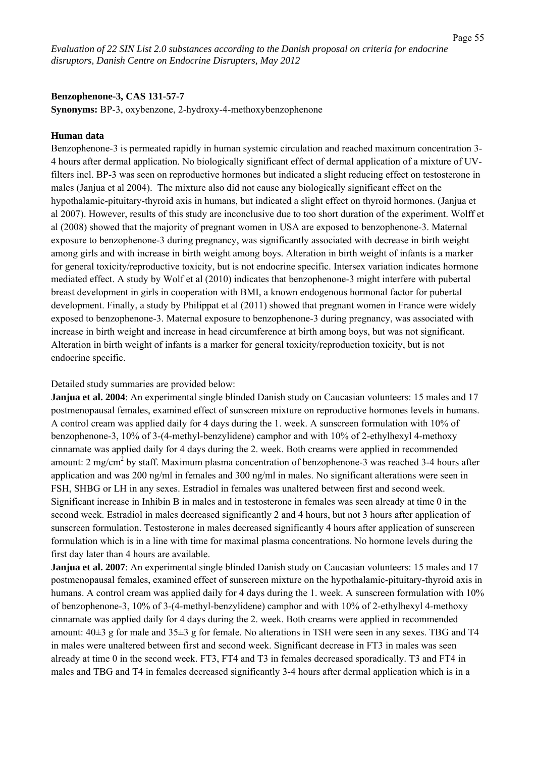#### **Benzophenone-3, CAS 131-57-7**

**Synonyms:** BP-3, oxybenzone, 2-hydroxy-4-methoxybenzophenone

#### **Human data**

Benzophenone-3 is permeated rapidly in human systemic circulation and reached maximum concentration 3- 4 hours after dermal application. No biologically significant effect of dermal application of a mixture of UVfilters incl. BP-3 was seen on reproductive hormones but indicated a slight reducing effect on testosterone in males (Janjua et al 2004). The mixture also did not cause any biologically significant effect on the hypothalamic-pituitary-thyroid axis in humans, but indicated a slight effect on thyroid hormones. (Janjua et al 2007). However, results of this study are inconclusive due to too short duration of the experiment. Wolff et al (2008) showed that the majority of pregnant women in USA are exposed to benzophenone-3. Maternal exposure to benzophenone-3 during pregnancy, was significantly associated with decrease in birth weight among girls and with increase in birth weight among boys. Alteration in birth weight of infants is a marker for general toxicity/reproductive toxicity, but is not endocrine specific. Intersex variation indicates hormone mediated effect. A study by Wolf et al (2010) indicates that benzophenone-3 might interfere with pubertal breast development in girls in cooperation with BMI, a known endogenous hormonal factor for pubertal development. Finally, a study by Philippat et al (2011) showed that pregnant women in France were widely exposed to benzophenone-3. Maternal exposure to benzophenone-3 during pregnancy, was associated with increase in birth weight and increase in head circumference at birth among boys, but was not significant. Alteration in birth weight of infants is a marker for general toxicity/reproduction toxicity, but is not endocrine specific.

Detailed study summaries are provided below:

**Janjua et al. 2004**: An experimental single blinded Danish study on Caucasian volunteers: 15 males and 17 postmenopausal females, examined effect of sunscreen mixture on reproductive hormones levels in humans. A control cream was applied daily for 4 days during the 1. week. A sunscreen formulation with 10% of benzophenone-3, 10% of 3-(4-methyl-benzylidene) camphor and with 10% of 2-ethylhexyl 4-methoxy cinnamate was applied daily for 4 days during the 2. week. Both creams were applied in recommended amount: 2 mg/cm<sup>2</sup> by staff. Maximum plasma concentration of benzophenone-3 was reached 3-4 hours after application and was 200 ng/ml in females and 300 ng/ml in males. No significant alterations were seen in FSH, SHBG or LH in any sexes. Estradiol in females was unaltered between first and second week. Significant increase in Inhibin B in males and in testosterone in females was seen already at time 0 in the second week. Estradiol in males decreased significantly 2 and 4 hours, but not 3 hours after application of sunscreen formulation. Testosterone in males decreased significantly 4 hours after application of sunscreen formulation which is in a line with time for maximal plasma concentrations. No hormone levels during the first day later than 4 hours are available.

**Janjua et al. 2007**: An experimental single blinded Danish study on Caucasian volunteers: 15 males and 17 postmenopausal females, examined effect of sunscreen mixture on the hypothalamic-pituitary-thyroid axis in humans. A control cream was applied daily for 4 days during the 1. week. A sunscreen formulation with 10% of benzophenone-3, 10% of 3-(4-methyl-benzylidene) camphor and with 10% of 2-ethylhexyl 4-methoxy cinnamate was applied daily for 4 days during the 2. week. Both creams were applied in recommended amount:  $40\pm3$  g for male and  $35\pm3$  g for female. No alterations in TSH were seen in any sexes. TBG and T4 in males were unaltered between first and second week. Significant decrease in FT3 in males was seen already at time 0 in the second week. FT3, FT4 and T3 in females decreased sporadically. T3 and FT4 in males and TBG and T4 in females decreased significantly 3-4 hours after dermal application which is in a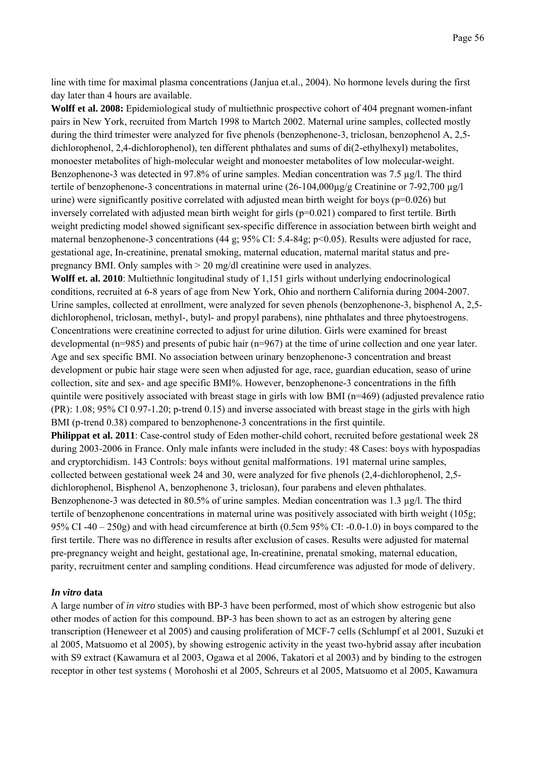line with time for maximal plasma concentrations (Janjua et.al., 2004). No hormone levels during the first day later than 4 hours are available.

**Wolff et al. 2008:** Epidemiological study of multiethnic prospective cohort of 404 pregnant women-infant pairs in New York, recruited from Martch 1998 to Martch 2002. Maternal urine samples, collected mostly during the third trimester were analyzed for five phenols (benzophenone-3, triclosan, benzophenol A, 2,5 dichlorophenol, 2,4-dichlorophenol), ten different phthalates and sums of di(2-ethylhexyl) metabolites, monoester metabolites of high-molecular weight and monoester metabolites of low molecular-weight. Benzophenone-3 was detected in 97.8% of urine samples. Median concentration was 7.5 µg/l. The third tertile of benzophenone-3 concentrations in maternal urine (26-104,000μg/g Creatinine or 7-92,700 μg/l urine) were significantly positive correlated with adjusted mean birth weight for boys ( $p=0.026$ ) but inversely correlated with adjusted mean birth weight for girls  $(p=0.021)$  compared to first tertile. Birth weight predicting model showed significant sex-specific difference in association between birth weight and maternal benzophenone-3 concentrations (44 g; 95% CI: 5.4-84g; p<0.05). Results were adjusted for race, gestational age, In-creatinine, prenatal smoking, maternal education, maternal marital status and prepregnancy BMI. Only samples with > 20 mg/dl creatinine were used in analyzes.

**Wolff et. al. 2010**: Multiethnic longitudinal study of 1,151 girls without underlying endocrinological conditions, recruited at 6-8 years of age from New York, Ohio and northern California during 2004-2007. Urine samples, collected at enrollment, were analyzed for seven phenols (benzophenone-3, bisphenol A, 2,5 dichlorophenol, triclosan, methyl-, butyl- and propyl parabens), nine phthalates and three phytoestrogens. Concentrations were creatinine corrected to adjust for urine dilution. Girls were examined for breast developmental (n=985) and presents of pubic hair (n=967) at the time of urine collection and one year later. Age and sex specific BMI. No association between urinary benzophenone-3 concentration and breast development or pubic hair stage were seen when adjusted for age, race, guardian education, seaso of urine collection, site and sex- and age specific BMI%. However, benzophenone-3 concentrations in the fifth quintile were positively associated with breast stage in girls with low BMI (n=469) (adjusted prevalence ratio (PR): 1.08; 95% CI 0.97-1.20; p-trend 0.15) and inverse associated with breast stage in the girls with high BMI (p-trend 0.38) compared to benzophenone-3 concentrations in the first quintile.

**Philippat et al. 2011**: Case-control study of Eden mother-child cohort, recruited before gestational week 28 during 2003-2006 in France. Only male infants were included in the study: 48 Cases: boys with hypospadias and cryptorchidism. 143 Controls: boys without genital malformations. 191 maternal urine samples, collected between gestational week 24 and 30, were analyzed for five phenols (2,4-dichlorophenol, 2,5 dichlorophenol, Bisphenol A, benzophenone 3, triclosan), four parabens and eleven phthalates. Benzophenone-3 was detected in 80.5% of urine samples. Median concentration was 1.3 µg/l. The third tertile of benzophenone concentrations in maternal urine was positively associated with birth weight (105g; 95% CI -40 – 250g) and with head circumference at birth (0.5cm 95% CI: -0.0-1.0) in boys compared to the first tertile. There was no difference in results after exclusion of cases. Results were adjusted for maternal pre-pregnancy weight and height, gestational age, In-creatinine, prenatal smoking, maternal education, parity, recruitment center and sampling conditions. Head circumference was adjusted for mode of delivery.

### *In vitro* **data**

A large number of *in vitro* studies with BP-3 have been performed, most of which show estrogenic but also other modes of action for this compound. BP-3 has been shown to act as an estrogen by altering gene transcription (Heneweer et al 2005) and causing proliferation of MCF-7 cells (Schlumpf et al 2001, Suzuki et al 2005, Matsuomo et al 2005), by showing estrogenic activity in the yeast two-hybrid assay after incubation with S9 extract (Kawamura et al 2003, Ogawa et al 2006, Takatori et al 2003) and by binding to the estrogen receptor in other test systems ( Morohoshi et al 2005, Schreurs et al 2005, Matsuomo et al 2005, Kawamura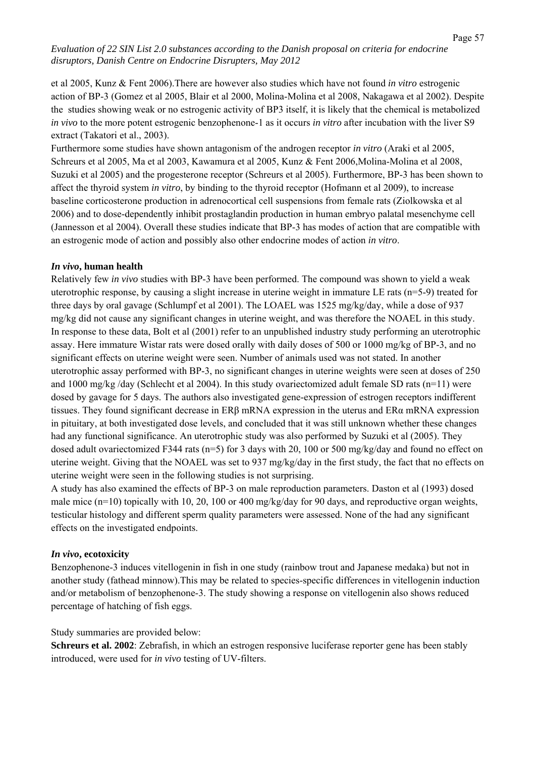et al 2005, Kunz & Fent 2006).There are however also studies which have not found *in vitro* estrogenic action of BP-3 (Gomez et al 2005, Blair et al 2000, Molina-Molina et al 2008, Nakagawa et al 2002). Despite the studies showing weak or no estrogenic activity of BP3 itself, it is likely that the chemical is metabolized *in vivo* to the more potent estrogenic benzophenone-1 as it occurs *in vitro* after incubation with the liver S9 extract (Takatori et al., 2003).

Furthermore some studies have shown antagonism of the androgen receptor *in vitro* (Araki et al 2005, Schreurs et al 2005, Ma et al 2003, Kawamura et al 2005, Kunz & Fent 2006,Molina-Molina et al 2008, Suzuki et al 2005) and the progesterone receptor (Schreurs et al 2005). Furthermore, BP-3 has been shown to affect the thyroid system *in vitro*, by binding to the thyroid receptor (Hofmann et al 2009), to increase baseline corticosterone production in adrenocortical cell suspensions from female rats (Ziolkowska et al 2006) and to dose-dependently inhibit prostaglandin production in human embryo palatal mesenchyme cell (Jannesson et al 2004). Overall these studies indicate that BP-3 has modes of action that are compatible with an estrogenic mode of action and possibly also other endocrine modes of action *in vitro*.

### *In vivo***, human health**

Relatively few *in vivo* studies with BP-3 have been performed. The compound was shown to yield a weak uterotrophic response, by causing a slight increase in uterine weight in immature LE rats (n=5-9) treated for three days by oral gavage (Schlumpf et al 2001). The LOAEL was 1525 mg/kg/day, while a dose of 937 mg/kg did not cause any significant changes in uterine weight, and was therefore the NOAEL in this study. In response to these data, Bolt et al (2001) refer to an unpublished industry study performing an uterotrophic assay. Here immature Wistar rats were dosed orally with daily doses of 500 or 1000 mg/kg of BP-3, and no significant effects on uterine weight were seen. Number of animals used was not stated. In another uterotrophic assay performed with BP-3, no significant changes in uterine weights were seen at doses of 250 and 1000 mg/kg /day (Schlecht et al 2004). In this study ovariectomized adult female SD rats (n=11) were dosed by gavage for 5 days. The authors also investigated gene-expression of estrogen receptors indifferent tissues. They found significant decrease in ERβ mRNA expression in the uterus and ERα mRNA expression in pituitary, at both investigated dose levels, and concluded that it was still unknown whether these changes had any functional significance. An uterotrophic study was also performed by Suzuki et al (2005). They dosed adult ovariectomized F344 rats (n=5) for 3 days with 20, 100 or 500 mg/kg/day and found no effect on uterine weight. Giving that the NOAEL was set to 937 mg/kg/day in the first study, the fact that no effects on uterine weight were seen in the following studies is not surprising.

A study has also examined the effects of BP-3 on male reproduction parameters. Daston et al (1993) dosed male mice ( $n=10$ ) topically with 10, 20, 100 or 400 mg/kg/day for 90 days, and reproductive organ weights, testicular histology and different sperm quality parameters were assessed. None of the had any significant effects on the investigated endpoints.

# *In vivo***, ecotoxicity**

Benzophenone-3 induces vitellogenin in fish in one study (rainbow trout and Japanese medaka) but not in another study (fathead minnow).This may be related to species-specific differences in vitellogenin induction and/or metabolism of benzophenone-3. The study showing a response on vitellogenin also shows reduced percentage of hatching of fish eggs.

# Study summaries are provided below:

**Schreurs et al. 2002**: Zebrafish, in which an estrogen responsive luciferase reporter gene has been stably introduced, were used for *in vivo* testing of UV-filters.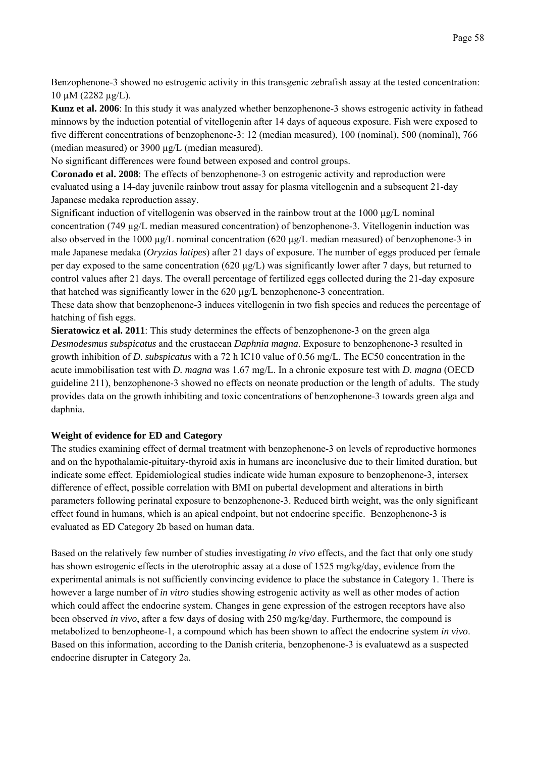Benzophenone-3 showed no estrogenic activity in this transgenic zebrafish assay at the tested concentration: 10 µM (2282 µg/L).

**Kunz et al. 2006**: In this study it was analyzed whether benzophenone-3 shows estrogenic activity in fathead minnows by the induction potential of vitellogenin after 14 days of aqueous exposure. Fish were exposed to five different concentrations of benzophenone-3: 12 (median measured), 100 (nominal), 500 (nominal), 766 (median measured) or 3900 µg/L (median measured).

No significant differences were found between exposed and control groups.

**Coronado et al. 2008**: The effects of benzophenone-3 on estrogenic activity and reproduction were evaluated using a 14-day juvenile rainbow trout assay for plasma vitellogenin and a subsequent 21-day Japanese medaka reproduction assay.

Significant induction of vitellogenin was observed in the rainbow trout at the  $1000 \mu g/L$  nominal concentration (749 µg/L median measured concentration) of benzophenone-3. Vitellogenin induction was also observed in the 1000  $\mu$ g/L nominal concentration (620  $\mu$ g/L median measured) of benzophenone-3 in male Japanese medaka (*Oryzias latipes*) after 21 days of exposure. The number of eggs produced per female per day exposed to the same concentration (620  $\mu$ g/L) was significantly lower after 7 days, but returned to control values after 21 days. The overall percentage of fertilized eggs collected during the 21-day exposure that hatched was significantly lower in the 620 µg/L benzophenone-3 concentration.

These data show that benzophenone-3 induces vitellogenin in two fish species and reduces the percentage of hatching of fish eggs.

**Sieratowicz et al. 2011**: This study determines the effects of benzophenone-3 on the green alga *Desmodesmus subspicatus* and the crustacean *Daphnia magna*. Exposure to benzophenone-3 resulted in growth inhibition of *D. subspicatus* with a 72 h IC10 value of 0.56 mg/L. The EC50 concentration in the acute immobilisation test with *D. magna* was 1.67 mg/L. In a chronic exposure test with *D. magna* (OECD guideline 211), benzophenone-3 showed no effects on neonate production or the length of adults. The study provides data on the growth inhibiting and toxic concentrations of benzophenone-3 towards green alga and daphnia.

# **Weight of evidence for ED and Category**

The studies examining effect of dermal treatment with benzophenone-3 on levels of reproductive hormones and on the hypothalamic-pituitary-thyroid axis in humans are inconclusive due to their limited duration, but indicate some effect. Epidemiological studies indicate wide human exposure to benzophenone-3, intersex difference of effect, possible correlation with BMI on pubertal development and alterations in birth parameters following perinatal exposure to benzophenone-3. Reduced birth weight, was the only significant effect found in humans, which is an apical endpoint, but not endocrine specific. Benzophenone-3 is evaluated as ED Category 2b based on human data.

Based on the relatively few number of studies investigating *in vivo* effects, and the fact that only one study has shown estrogenic effects in the uterotrophic assay at a dose of 1525 mg/kg/day, evidence from the experimental animals is not sufficiently convincing evidence to place the substance in Category 1. There is however a large number of *in vitro* studies showing estrogenic activity as well as other modes of action which could affect the endocrine system. Changes in gene expression of the estrogen receptors have also been observed *in vivo*, after a few days of dosing with 250 mg/kg/day. Furthermore, the compound is metabolized to benzopheone-1, a compound which has been shown to affect the endocrine system *in vivo*. Based on this information, according to the Danish criteria, benzophenone-3 is evaluatewd as a suspected endocrine disrupter in Category 2a.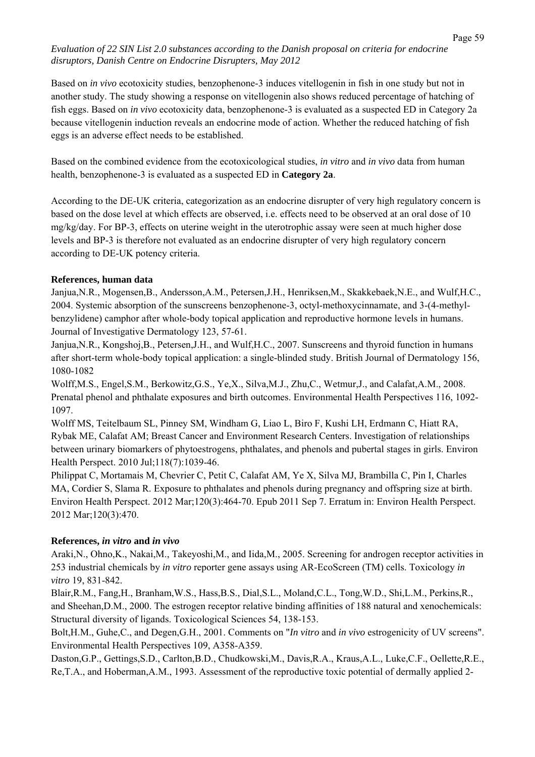Based on *in vivo* ecotoxicity studies, benzophenone-3 induces vitellogenin in fish in one study but not in another study. The study showing a response on vitellogenin also shows reduced percentage of hatching of fish eggs. Based on *in vivo* ecotoxicity data, benzophenone-3 is evaluated as a suspected ED in Category 2a because vitellogenin induction reveals an endocrine mode of action. Whether the reduced hatching of fish eggs is an adverse effect needs to be established.

Based on the combined evidence from the ecotoxicological studies, *in vitro* and *in vivo* data from human health, benzophenone-3 is evaluated as a suspected ED in **Category 2a**.

According to the DE-UK criteria, categorization as an endocrine disrupter of very high regulatory concern is based on the dose level at which effects are observed, i.e. effects need to be observed at an oral dose of 10 mg/kg/day. For BP-3, effects on uterine weight in the uterotrophic assay were seen at much higher dose levels and BP-3 is therefore not evaluated as an endocrine disrupter of very high regulatory concern according to DE-UK potency criteria.

# **References, human data**

Janjua,N.R., Mogensen,B., Andersson,A.M., Petersen,J.H., Henriksen,M., Skakkebaek,N.E., and Wulf,H.C., 2004. Systemic absorption of the sunscreens benzophenone-3, octyl-methoxycinnamate, and 3-(4-methylbenzylidene) camphor after whole-body topical application and reproductive hormone levels in humans. Journal of Investigative Dermatology 123, 57-61.

Janjua,N.R., Kongshoj,B., Petersen,J.H., and Wulf,H.C., 2007. Sunscreens and thyroid function in humans after short-term whole-body topical application: a single-blinded study. British Journal of Dermatology 156, 1080-1082

Wolff,M.S., Engel,S.M., Berkowitz,G.S., Ye,X., Silva,M.J., Zhu,C., Wetmur,J., and Calafat,A.M., 2008. Prenatal phenol and phthalate exposures and birth outcomes. Environmental Health Perspectives 116, 1092- 1097.

Wolff MS, Teitelbaum SL, Pinney SM, Windham G, Liao L, Biro F, Kushi LH, Erdmann C, Hiatt RA, Rybak ME, Calafat AM; Breast Cancer and Environment Research Centers. Investigation of relationships between urinary biomarkers of phytoestrogens, phthalates, and phenols and pubertal stages in girls. Environ Health Perspect. 2010 Jul;118(7):1039-46.

Philippat C, Mortamais M, Chevrier C, Petit C, Calafat AM, Ye X, Silva MJ, Brambilla C, Pin I, Charles MA, Cordier S, Slama R. Exposure to phthalates and phenols during pregnancy and offspring size at birth. Environ Health Perspect. 2012 Mar;120(3):464-70. Epub 2011 Sep 7. Erratum in: Environ Health Perspect. 2012 Mar;120(3):470.

# **References,** *in vitro* **and** *in vivo*

Araki,N., Ohno,K., Nakai,M., Takeyoshi,M., and Iida,M., 2005. Screening for androgen receptor activities in 253 industrial chemicals by *in vitro* reporter gene assays using AR-EcoScreen (TM) cells. Toxicology *in vitro* 19, 831-842.

Blair,R.M., Fang,H., Branham,W.S., Hass,B.S., Dial,S.L., Moland,C.L., Tong,W.D., Shi,L.M., Perkins,R., and Sheehan,D.M., 2000. The estrogen receptor relative binding affinities of 188 natural and xenochemicals: Structural diversity of ligands. Toxicological Sciences 54, 138-153.

Bolt,H.M., Guhe,C., and Degen,G.H., 2001. Comments on "*In vitro* and *in vivo* estrogenicity of UV screens". Environmental Health Perspectives 109, A358-A359.

Daston,G.P., Gettings,S.D., Carlton,B.D., Chudkowski,M., Davis,R.A., Kraus,A.L., Luke,C.F., Oellette,R.E., Re,T.A., and Hoberman,A.M., 1993. Assessment of the reproductive toxic potential of dermally applied 2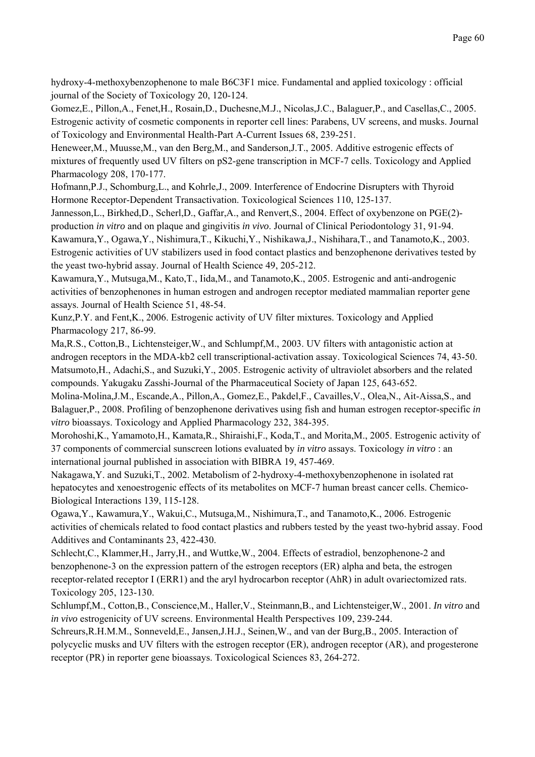hydroxy-4-methoxybenzophenone to male B6C3F1 mice. Fundamental and applied toxicology : official journal of the Society of Toxicology 20, 120-124.

Gomez,E., Pillon,A., Fenet,H., Rosain,D., Duchesne,M.J., Nicolas,J.C., Balaguer,P., and Casellas,C., 2005. Estrogenic activity of cosmetic components in reporter cell lines: Parabens, UV screens, and musks. Journal of Toxicology and Environmental Health-Part A-Current Issues 68, 239-251.

Heneweer,M., Muusse,M., van den Berg,M., and Sanderson,J.T., 2005. Additive estrogenic effects of mixtures of frequently used UV filters on pS2-gene transcription in MCF-7 cells. Toxicology and Applied Pharmacology 208, 170-177.

Hofmann,P.J., Schomburg,L., and Kohrle,J., 2009. Interference of Endocrine Disrupters with Thyroid Hormone Receptor-Dependent Transactivation. Toxicological Sciences 110, 125-137.

Jannesson,L., Birkhed,D., Scherl,D., Gaffar,A., and Renvert,S., 2004. Effect of oxybenzone on PGE(2) production *in vitro* and on plaque and gingivitis *in vivo*. Journal of Clinical Periodontology 31, 91-94. Kawamura,Y., Ogawa,Y., Nishimura,T., Kikuchi,Y., Nishikawa,J., Nishihara,T., and Tanamoto,K., 2003. Estrogenic activities of UV stabilizers used in food contact plastics and benzophenone derivatives tested by

the yeast two-hybrid assay. Journal of Health Science 49, 205-212.

Kawamura,Y., Mutsuga,M., Kato,T., Iida,M., and Tanamoto,K., 2005. Estrogenic and anti-androgenic activities of benzophenones in human estrogen and androgen receptor mediated mammalian reporter gene assays. Journal of Health Science 51, 48-54.

Kunz,P.Y. and Fent,K., 2006. Estrogenic activity of UV filter mixtures. Toxicology and Applied Pharmacology 217, 86-99.

Ma,R.S., Cotton,B., Lichtensteiger,W., and Schlumpf,M., 2003. UV filters with antagonistic action at androgen receptors in the MDA-kb2 cell transcriptional-activation assay. Toxicological Sciences 74, 43-50. Matsumoto,H., Adachi,S., and Suzuki,Y., 2005. Estrogenic activity of ultraviolet absorbers and the related compounds. Yakugaku Zasshi-Journal of the Pharmaceutical Society of Japan 125, 643-652.

Molina-Molina,J.M., Escande,A., Pillon,A., Gomez,E., Pakdel,F., Cavailles,V., Olea,N., Ait-Aissa,S., and Balaguer,P., 2008. Profiling of benzophenone derivatives using fish and human estrogen receptor-specific *in vitro* bioassays. Toxicology and Applied Pharmacology 232, 384-395.

Morohoshi,K., Yamamoto,H., Kamata,R., Shiraishi,F., Koda,T., and Morita,M., 2005. Estrogenic activity of 37 components of commercial sunscreen lotions evaluated by *in vitro* assays. Toxicology *in vitro* : an international journal published in association with BIBRA 19, 457-469.

Nakagawa,Y. and Suzuki,T., 2002. Metabolism of 2-hydroxy-4-methoxybenzophenone in isolated rat hepatocytes and xenoestrogenic effects of its metabolites on MCF-7 human breast cancer cells. Chemico-Biological Interactions 139, 115-128.

Ogawa,Y., Kawamura,Y., Wakui,C., Mutsuga,M., Nishimura,T., and Tanamoto,K., 2006. Estrogenic activities of chemicals related to food contact plastics and rubbers tested by the yeast two-hybrid assay. Food Additives and Contaminants 23, 422-430.

Schlecht,C., Klammer,H., Jarry,H., and Wuttke,W., 2004. Effects of estradiol, benzophenone-2 and benzophenone-3 on the expression pattern of the estrogen receptors (ER) alpha and beta, the estrogen receptor-related receptor I (ERR1) and the aryl hydrocarbon receptor (AhR) in adult ovariectomized rats. Toxicology 205, 123-130.

Schlumpf,M., Cotton,B., Conscience,M., Haller,V., Steinmann,B., and Lichtensteiger,W., 2001. *In vitro* and *in vivo* estrogenicity of UV screens. Environmental Health Perspectives 109, 239-244.

Schreurs,R.H.M.M., Sonneveld,E., Jansen,J.H.J., Seinen,W., and van der Burg,B., 2005. Interaction of polycyclic musks and UV filters with the estrogen receptor (ER), androgen receptor (AR), and progesterone receptor (PR) in reporter gene bioassays. Toxicological Sciences 83, 264-272.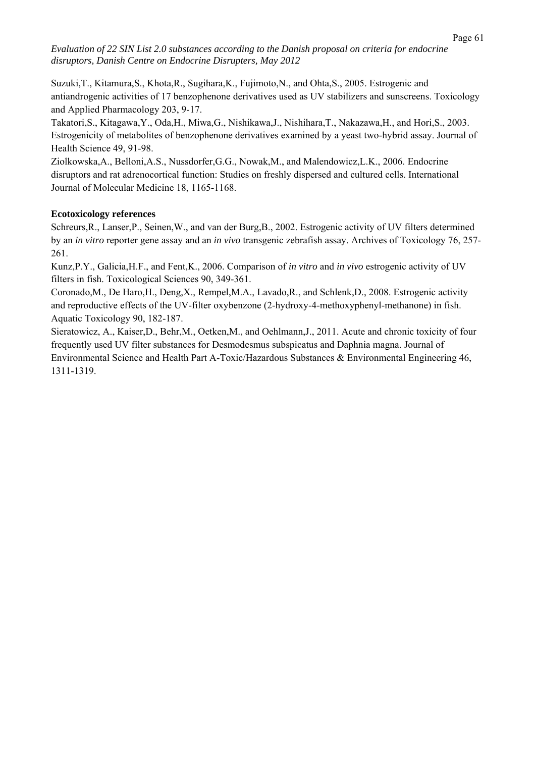Suzuki,T., Kitamura,S., Khota,R., Sugihara,K., Fujimoto,N., and Ohta,S., 2005. Estrogenic and antiandrogenic activities of 17 benzophenone derivatives used as UV stabilizers and sunscreens. Toxicology and Applied Pharmacology 203, 9-17.

Takatori,S., Kitagawa,Y., Oda,H., Miwa,G., Nishikawa,J., Nishihara,T., Nakazawa,H., and Hori,S., 2003. Estrogenicity of metabolites of benzophenone derivatives examined by a yeast two-hybrid assay. Journal of Health Science 49, 91-98.

Ziolkowska,A., Belloni,A.S., Nussdorfer,G.G., Nowak,M., and Malendowicz,L.K., 2006. Endocrine disruptors and rat adrenocortical function: Studies on freshly dispersed and cultured cells. International Journal of Molecular Medicine 18, 1165-1168.

# **Ecotoxicology references**

Schreurs,R., Lanser,P., Seinen,W., and van der Burg,B., 2002. Estrogenic activity of UV filters determined by an *in vitro* reporter gene assay and an *in vivo* transgenic zebrafish assay. Archives of Toxicology 76, 257- 261.

Kunz,P.Y., Galicia,H.F., and Fent,K., 2006. Comparison of *in vitro* and *in vivo* estrogenic activity of UV filters in fish. Toxicological Sciences 90, 349-361.

Coronado,M., De Haro,H., Deng,X., Rempel,M.A., Lavado,R., and Schlenk,D., 2008. Estrogenic activity and reproductive effects of the UV-filter oxybenzone (2-hydroxy-4-methoxyphenyl-methanone) in fish. Aquatic Toxicology 90, 182-187.

Sieratowicz, A., Kaiser,D., Behr,M., Oetken,M., and Oehlmann,J., 2011. Acute and chronic toxicity of four frequently used UV filter substances for Desmodesmus subspicatus and Daphnia magna. Journal of Environmental Science and Health Part A-Toxic/Hazardous Substances & Environmental Engineering 46, 1311-1319.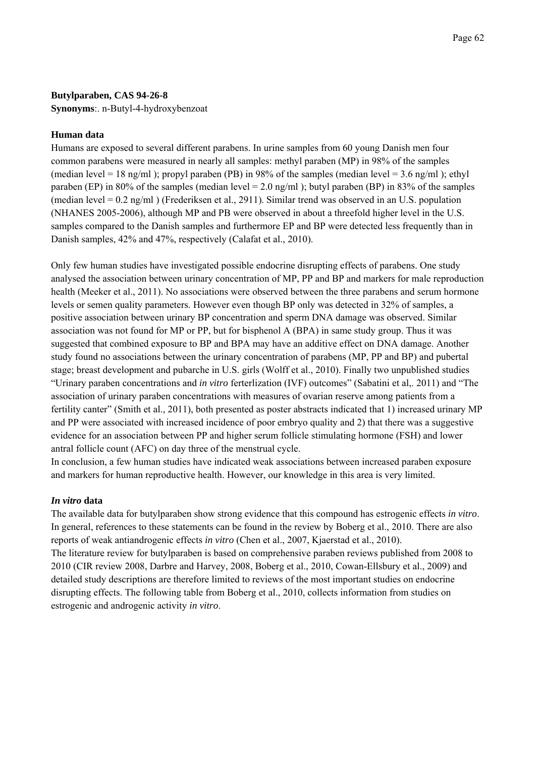### **Butylparaben, CAS 94-26-8**

**Synonyms**:. n-Butyl-4-hydroxybenzoat

### **Human data**

Humans are exposed to several different parabens. In urine samples from 60 young Danish men four common parabens were measured in nearly all samples: methyl paraben (MP) in 98% of the samples (median level = 18 ng/ml); propyl paraben (PB) in 98% of the samples (median level = 3.6 ng/ml); ethyl paraben (EP) in 80% of the samples (median level  $= 2.0$  ng/ml); butyl paraben (BP) in 83% of the samples (median level = 0.2 ng/ml ) (Frederiksen et al., 2911). Similar trend was observed in an U.S. population (NHANES 2005-2006), although MP and PB were observed in about a threefold higher level in the U.S. samples compared to the Danish samples and furthermore EP and BP were detected less frequently than in Danish samples, 42% and 47%, respectively (Calafat et al., 2010).

Only few human studies have investigated possible endocrine disrupting effects of parabens. One study analysed the association between urinary concentration of MP, PP and BP and markers for male reproduction health (Meeker et al., 2011). No associations were observed between the three parabens and serum hormone levels or semen quality parameters. However even though BP only was detected in 32% of samples, a positive association between urinary BP concentration and sperm DNA damage was observed. Similar association was not found for MP or PP, but for bisphenol A (BPA) in same study group. Thus it was suggested that combined exposure to BP and BPA may have an additive effect on DNA damage. Another study found no associations between the urinary concentration of parabens (MP, PP and BP) and pubertal stage; breast development and pubarche in U.S. girls (Wolff et al., 2010). Finally two unpublished studies "Urinary paraben concentrations and *in vitro* ferterlization (IVF) outcomes" (Sabatini et al,. 2011) and "The association of urinary paraben concentrations with measures of ovarian reserve among patients from a fertility canter" (Smith et al., 2011), both presented as poster abstracts indicated that 1) increased urinary MP and PP were associated with increased incidence of poor embryo quality and 2) that there was a suggestive evidence for an association between PP and higher serum follicle stimulating hormone (FSH) and lower antral follicle count (AFC) on day three of the menstrual cycle.

In conclusion, a few human studies have indicated weak associations between increased paraben exposure and markers for human reproductive health. However, our knowledge in this area is very limited.

# *In vitro* **data**

The available data for butylparaben show strong evidence that this compound has estrogenic effects *in vitro*. In general, references to these statements can be found in the review by Boberg et al., 2010. There are also reports of weak antiandrogenic effects *in vitro* (Chen et al., 2007, Kjaerstad et al., 2010). The literature review for butylparaben is based on comprehensive paraben reviews published from 2008 to 2010 (CIR review 2008, Darbre and Harvey, 2008, Boberg et al., 2010, Cowan-Ellsbury et al., 2009) and detailed study descriptions are therefore limited to reviews of the most important studies on endocrine disrupting effects. The following table from Boberg et al., 2010, collects information from studies on estrogenic and androgenic activity *in vitro*.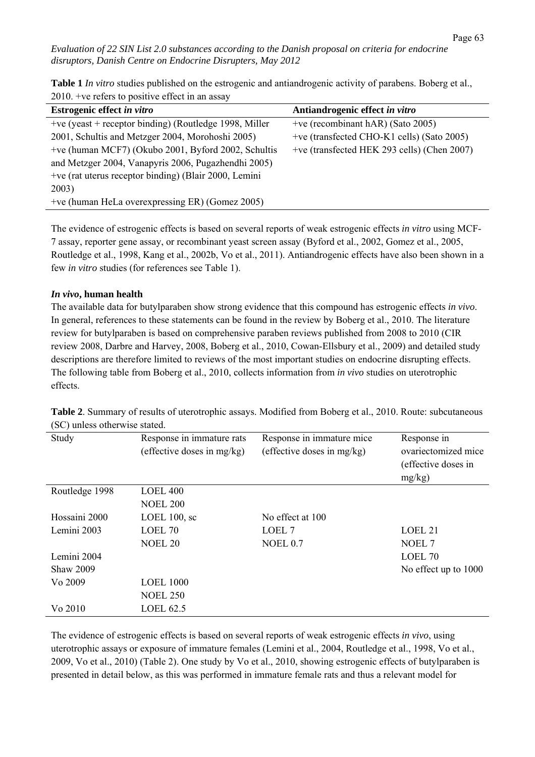Page 63

*Evaluation of 22 SIN List 2.0 substances according to the Danish proposal on criteria for endocrine disruptors, Danish Centre on Endocrine Disrupters, May 2012* 

**Table 1** *In vitro* studies published on the estrogenic and antiandrogenic activity of parabens. Boberg et al., 2010. +ve refers to positive effect in an assay

| Estrogenic effect in vitro                               | Antiandrogenic effect in vitro              |
|----------------------------------------------------------|---------------------------------------------|
| $+ve$ (yeast + receptor binding) (Routledge 1998, Miller | +ve (recombinant hAR) (Sato 2005)           |
| 2001, Schultis and Metzger 2004, Morohoshi 2005)         | +ve (transfected CHO-K1 cells) (Sato 2005)  |
| +ve (human MCF7) (Okubo 2001, Byford 2002, Schultis      | +ve (transfected HEK 293 cells) (Chen 2007) |
| and Metzger 2004, Vanapyris 2006, Pugazhendhi 2005)      |                                             |
| +ve (rat uterus receptor binding) (Blair 2000, Lemini    |                                             |
| 2003)                                                    |                                             |
| +ve (human HeLa overexpressing ER) (Gomez 2005)          |                                             |

The evidence of estrogenic effects is based on several reports of weak estrogenic effects *in vitro* using MCF-7 assay, reporter gene assay, or recombinant yeast screen assay (Byford et al., 2002, Gomez et al., 2005, Routledge et al., 1998, Kang et al., 2002b, Vo et al., 2011). Antiandrogenic effects have also been shown in a few *in vitro* studies (for references see Table 1).

### *In vivo***, human health**

The available data for butylparaben show strong evidence that this compound has estrogenic effects *in vivo*. In general, references to these statements can be found in the review by Boberg et al., 2010. The literature review for butylparaben is based on comprehensive paraben reviews published from 2008 to 2010 (CIR review 2008, Darbre and Harvey, 2008, Boberg et al., 2010, Cowan-Ellsbury et al., 2009) and detailed study descriptions are therefore limited to reviews of the most important studies on endocrine disrupting effects. The following table from Boberg et al., 2010, collects information from *in vivo* studies on uterotrophic effects.

| Study            | Response in immature rats<br>(effective doses in mg/kg) | Response in immature mice<br>(effective doses in mg/kg) | Response in<br>ovariectomized mice<br>(effective doses in |
|------------------|---------------------------------------------------------|---------------------------------------------------------|-----------------------------------------------------------|
|                  |                                                         |                                                         | mg/kg)                                                    |
| Routledge 1998   | <b>LOEL 400</b>                                         |                                                         |                                                           |
|                  | <b>NOEL 200</b>                                         |                                                         |                                                           |
| Hossaini 2000    | LOEL $100$ , sc                                         | No effect at 100                                        |                                                           |
| Lemini 2003      | LOEL <sub>70</sub>                                      | LOEL <sub>7</sub>                                       | LOEL <sub>21</sub>                                        |
|                  | <b>NOEL 20</b>                                          | <b>NOEL 0.7</b>                                         | NOEL 7                                                    |
| Lemini 2004      |                                                         |                                                         | LOEL 70                                                   |
| <b>Shaw 2009</b> |                                                         |                                                         | No effect up to 1000                                      |
| Vo 2009          | <b>LOEL 1000</b>                                        |                                                         |                                                           |
|                  | <b>NOEL 250</b>                                         |                                                         |                                                           |
| Vo 2010          | <b>LOEL 62.5</b>                                        |                                                         |                                                           |

**Table 2**. Summary of results of uterotrophic assays. Modified from Boberg et al., 2010. Route: subcutaneous (SC) unless otherwise stated.

The evidence of estrogenic effects is based on several reports of weak estrogenic effects *in vivo*, using uterotrophic assays or exposure of immature females (Lemini et al., 2004, Routledge et al., 1998, Vo et al., 2009, Vo et al., 2010) (Table 2). One study by Vo et al., 2010, showing estrogenic effects of butylparaben is presented in detail below, as this was performed in immature female rats and thus a relevant model for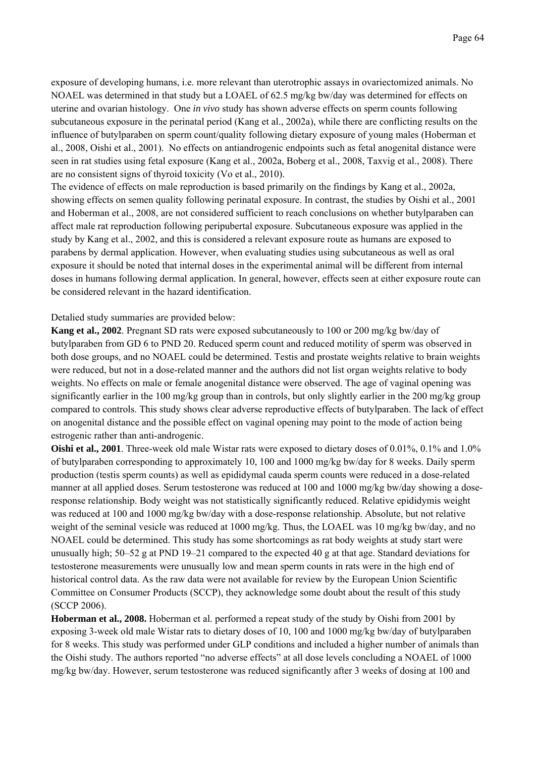exposure of developing humans, i.e. more relevant than uterotrophic assays in ovariectomized animals. No NOAEL was determined in that study but a LOAEL of 62.5 mg/kg bw/day was determined for effects on uterine and ovarian histology. One *in vivo* study has shown adverse effects on sperm counts following subcutaneous exposure in the perinatal period (Kang et al., 2002a), while there are conflicting results on the influence of butylparaben on sperm count/quality following dietary exposure of young males (Hoberman et al., 2008, Oishi et al., 2001). No effects on antiandrogenic endpoints such as fetal anogenital distance were seen in rat studies using fetal exposure (Kang et al., 2002a, Boberg et al., 2008, Taxvig et al., 2008). There are no consistent signs of thyroid toxicity (Vo et al., 2010).

The evidence of effects on male reproduction is based primarily on the findings by Kang et al., 2002a, showing effects on semen quality following perinatal exposure. In contrast, the studies by Oishi et al., 2001 and Hoberman et al., 2008, are not considered sufficient to reach conclusions on whether butylparaben can affect male rat reproduction following peripubertal exposure. Subcutaneous exposure was applied in the study by Kang et al., 2002, and this is considered a relevant exposure route as humans are exposed to parabens by dermal application. However, when evaluating studies using subcutaneous as well as oral exposure it should be noted that internal doses in the experimental animal will be different from internal doses in humans following dermal application. In general, however, effects seen at either exposure route can be considered relevant in the hazard identification.

### Detalied study summaries are provided below:

**Kang et al., 2002**. Pregnant SD rats were exposed subcutaneously to 100 or 200 mg/kg bw/day of butylparaben from GD 6 to PND 20. Reduced sperm count and reduced motility of sperm was observed in both dose groups, and no NOAEL could be determined. Testis and prostate weights relative to brain weights were reduced, but not in a dose-related manner and the authors did not list organ weights relative to body weights. No effects on male or female anogenital distance were observed. The age of vaginal opening was significantly earlier in the 100 mg/kg group than in controls, but only slightly earlier in the 200 mg/kg group compared to controls. This study shows clear adverse reproductive effects of butylparaben. The lack of effect on anogenital distance and the possible effect on vaginal opening may point to the mode of action being estrogenic rather than anti-androgenic.

**Oishi et al., 2001**. Three-week old male Wistar rats were exposed to dietary doses of 0.01%, 0.1% and 1.0% of butylparaben corresponding to approximately 10, 100 and 1000 mg/kg bw/day for 8 weeks. Daily sperm production (testis sperm counts) as well as epididymal cauda sperm counts were reduced in a dose-related manner at all applied doses. Serum testosterone was reduced at 100 and 1000 mg/kg bw/day showing a doseresponse relationship. Body weight was not statistically significantly reduced. Relative epididymis weight was reduced at 100 and 1000 mg/kg bw/day with a dose-response relationship. Absolute, but not relative weight of the seminal vesicle was reduced at 1000 mg/kg. Thus, the LOAEL was 10 mg/kg bw/day, and no NOAEL could be determined. This study has some shortcomings as rat body weights at study start were unusually high; 50–52 g at PND 19–21 compared to the expected 40 g at that age. Standard deviations for testosterone measurements were unusually low and mean sperm counts in rats were in the high end of historical control data. As the raw data were not available for review by the European Union Scientific Committee on Consumer Products (SCCP), they acknowledge some doubt about the result of this study (SCCP 2006).

**Hoberman et al., 2008.** Hoberman et al. performed a repeat study of the study by Oishi from 2001 by exposing 3-week old male Wistar rats to dietary doses of 10, 100 and 1000 mg/kg bw/day of butylparaben for 8 weeks. This study was performed under GLP conditions and included a higher number of animals than the Oishi study. The authors reported "no adverse effects" at all dose levels concluding a NOAEL of 1000 mg/kg bw/day. However, serum testosterone was reduced significantly after 3 weeks of dosing at 100 and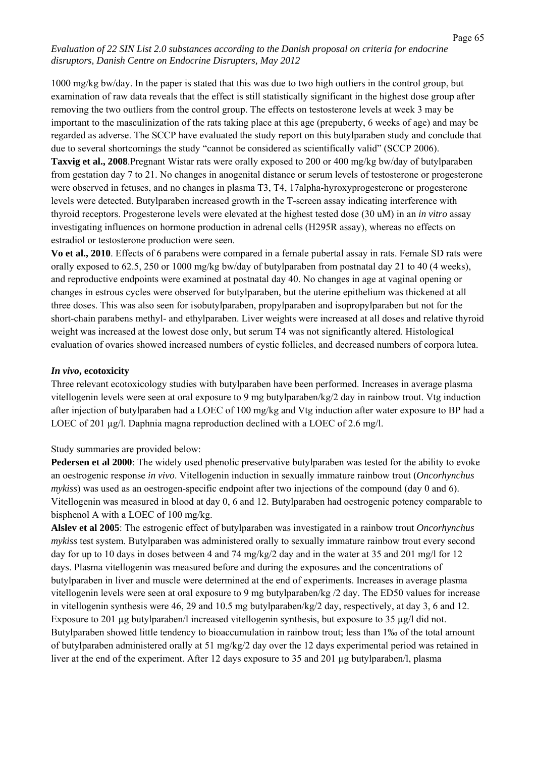1000 mg/kg bw/day. In the paper is stated that this was due to two high outliers in the control group, but examination of raw data reveals that the effect is still statistically significant in the highest dose group after removing the two outliers from the control group. The effects on testosterone levels at week 3 may be important to the masculinization of the rats taking place at this age (prepuberty, 6 weeks of age) and may be regarded as adverse. The SCCP have evaluated the study report on this butylparaben study and conclude that due to several shortcomings the study "cannot be considered as scientifically valid" (SCCP 2006). **Taxvig et al., 2008**.Pregnant Wistar rats were orally exposed to 200 or 400 mg/kg bw/day of butylparaben from gestation day 7 to 21. No changes in anogenital distance or serum levels of testosterone or progesterone were observed in fetuses, and no changes in plasma T3, T4, 17alpha-hyroxyprogesterone or progesterone levels were detected. Butylparaben increased growth in the T-screen assay indicating interference with thyroid receptors. Progesterone levels were elevated at the highest tested dose (30 uM) in an *in vitro* assay investigating influences on hormone production in adrenal cells (H295R assay), whereas no effects on estradiol or testosterone production were seen.

**Vo et al., 2010**. Effects of 6 parabens were compared in a female pubertal assay in rats. Female SD rats were orally exposed to 62.5, 250 or 1000 mg/kg bw/day of butylparaben from postnatal day 21 to 40 (4 weeks), and reproductive endpoints were examined at postnatal day 40. No changes in age at vaginal opening or changes in estrous cycles were observed for butylparaben, but the uterine epithelium was thickened at all three doses. This was also seen for isobutylparaben, propylparaben and isopropylparaben but not for the short-chain parabens methyl- and ethylparaben. Liver weights were increased at all doses and relative thyroid weight was increased at the lowest dose only, but serum T4 was not significantly altered. Histological evaluation of ovaries showed increased numbers of cystic follicles, and decreased numbers of corpora lutea.

### *In vivo***, ecotoxicity**

Three relevant ecotoxicology studies with butylparaben have been performed. Increases in average plasma vitellogenin levels were seen at oral exposure to 9 mg butylparaben/kg/2 day in rainbow trout. Vtg induction after injection of butylparaben had a LOEC of 100 mg/kg and Vtg induction after water exposure to BP had a LOEC of 201 µg/l. Daphnia magna reproduction declined with a LOEC of 2.6 mg/l.

### Study summaries are provided below:

**Pedersen et al 2000**: The widely used phenolic preservative butylparaben was tested for the ability to evoke an oestrogenic response *in vivo*. Vitellogenin induction in sexually immature rainbow trout (*Oncorhynchus mykiss*) was used as an oestrogen-specific endpoint after two injections of the compound (day 0 and 6). Vitellogenin was measured in blood at day 0, 6 and 12. Butylparaben had oestrogenic potency comparable to bisphenol A with a LOEC of 100 mg/kg.

**Alslev et al 2005**: The estrogenic effect of butylparaben was investigated in a rainbow trout *Oncorhynchus mykiss* test system. Butylparaben was administered orally to sexually immature rainbow trout every second day for up to 10 days in doses between 4 and 74 mg/kg/2 day and in the water at 35 and 201 mg/l for 12 days. Plasma vitellogenin was measured before and during the exposures and the concentrations of butylparaben in liver and muscle were determined at the end of experiments. Increases in average plasma vitellogenin levels were seen at oral exposure to 9 mg butylparaben/kg /2 day. The ED50 values for increase in vitellogenin synthesis were 46, 29 and 10.5 mg butylparaben/kg/2 day, respectively, at day 3, 6 and 12. Exposure to 201 µg butylparaben/l increased vitellogenin synthesis, but exposure to 35 µg/l did not. Butylparaben showed little tendency to bioaccumulation in rainbow trout; less than 1‰ of the total amount of butylparaben administered orally at 51 mg/kg/2 day over the 12 days experimental period was retained in liver at the end of the experiment. After 12 days exposure to 35 and 201 µg butylparaben/l, plasma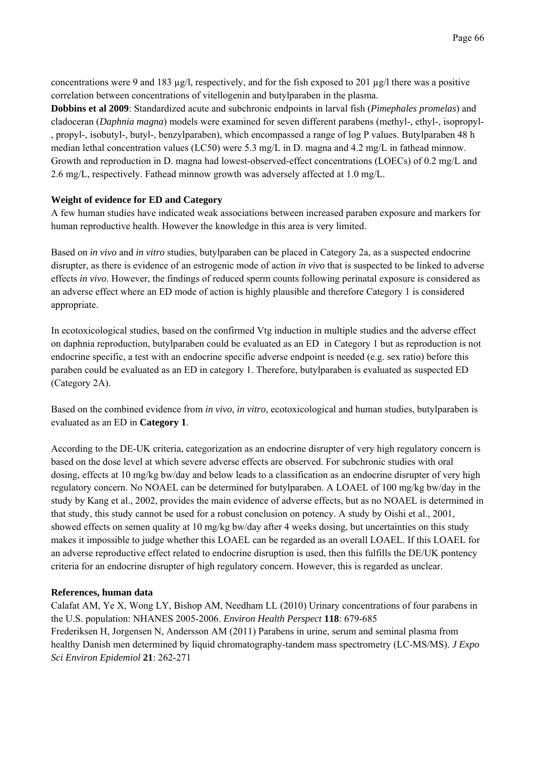concentrations were 9 and 183  $\mu$ g/l, respectively, and for the fish exposed to 201  $\mu$ g/l there was a positive correlation between concentrations of vitellogenin and butylparaben in the plasma.

**Dobbins et al 2009**: Standardized acute and subchronic endpoints in larval fish (*Pimephales promelas*) and cladoceran (*Daphnia magna*) models were examined for seven different parabens (methyl-, ethyl-, isopropyl- , propyl-, isobutyl-, butyl-, benzylparaben), which encompassed a range of log P values. Butylparaben 48 h median lethal concentration values (LC50) were 5.3 mg/L in D. magna and 4.2 mg/L in fathead minnow. Growth and reproduction in D. magna had lowest-observed-effect concentrations (LOECs) of 0.2 mg/L and 2.6 mg/L, respectively. Fathead minnow growth was adversely affected at 1.0 mg/L.

# **Weight of evidence for ED and Category**

A few human studies have indicated weak associations between increased paraben exposure and markers for human reproductive health. However the knowledge in this area is very limited.

Based on *in vivo* and *in vitro* studies, butylparaben can be placed in Category 2a, as a suspected endocrine disrupter, as there is evidence of an estrogenic mode of action *in vivo* that is suspected to be linked to adverse effects *in vivo*. However, the findings of reduced sperm counts following perinatal exposure is considered as an adverse effect where an ED mode of action is highly plausible and therefore Category 1 is considered appropriate.

In ecotoxicological studies, based on the confirmed Vtg induction in multiple studies and the adverse effect on daphnia reproduction, butylparaben could be evaluated as an ED in Category 1 but as reproduction is not endocrine specific, a test with an endocrine specific adverse endpoint is needed (e.g. sex ratio) before this paraben could be evaluated as an ED in category 1. Therefore, butylparaben is evaluated as suspected ED (Category 2A).

Based on the combined evidence from *in vivo*, *in vitro*, ecotoxicological and human studies, butylparaben is evaluated as an ED in **Category 1**.

According to the DE-UK criteria, categorization as an endocrine disrupter of very high regulatory concern is based on the dose level at which severe adverse effects are observed. For subchronic studies with oral dosing, effects at 10 mg/kg bw/day and below leads to a classification as an endocrine disrupter of very high regulatory concern. No NOAEL can be determined for butylparaben. A LOAEL of 100 mg/kg bw/day in the study by Kang et al., 2002, provides the main evidence of adverse effects, but as no NOAEL is determined in that study, this study cannot be used for a robust conclusion on potency. A study by Oishi et al., 2001, showed effects on semen quality at 10 mg/kg bw/day after 4 weeks dosing, but uncertainties on this study makes it impossible to judge whether this LOAEL can be regarded as an overall LOAEL. If this LOAEL for an adverse reproductive effect related to endocrine disruption is used, then this fulfills the DE/UK pontency criteria for an endocrine disrupter of high regulatory concern. However, this is regarded as unclear.

# **References, human data**

Calafat AM, Ye X, Wong LY, Bishop AM, Needham LL (2010) Urinary concentrations of four parabens in the U.S. population: NHANES 2005-2006. *Environ Health Perspect* **118**: 679-685 Frederiksen H, Jorgensen N, Andersson AM (2011) Parabens in urine, serum and seminal plasma from healthy Danish men determined by liquid chromatography-tandem mass spectrometry (LC-MS/MS). *J Expo Sci Environ Epidemiol* **21**: 262-271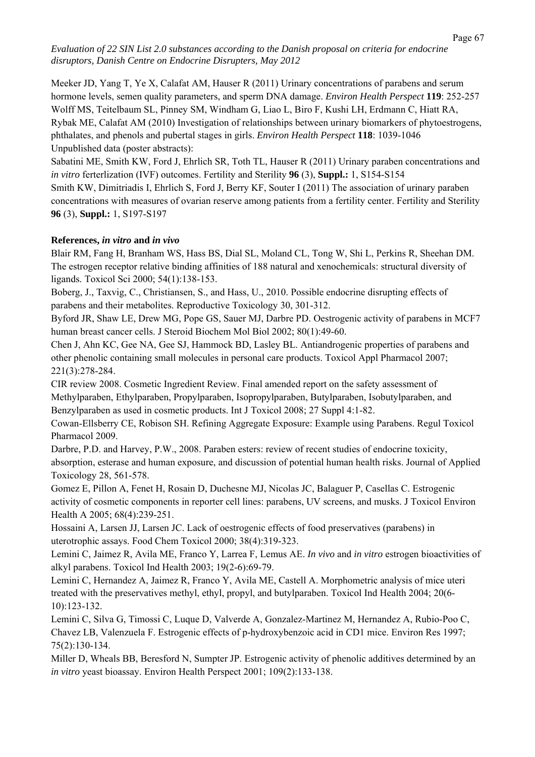Meeker JD, Yang T, Ye X, Calafat AM, Hauser R (2011) Urinary concentrations of parabens and serum hormone levels, semen quality parameters, and sperm DNA damage. *Environ Health Perspect* **119**: 252-257 Wolff MS, Teitelbaum SL, Pinney SM, Windham G, Liao L, Biro F, Kushi LH, Erdmann C, Hiatt RA, Rybak ME, Calafat AM (2010) Investigation of relationships between urinary biomarkers of phytoestrogens, phthalates, and phenols and pubertal stages in girls. *Environ Health Perspect* **118**: 1039-1046 Unpublished data (poster abstracts):

Sabatini ME, Smith KW, Ford J, Ehrlich SR, Toth TL, Hauser R (2011) Urinary paraben concentrations and *in vitro* ferterlization (IVF) outcomes. Fertility and Sterility **96** (3), **Suppl.:** 1, S154-S154 Smith KW, Dimitriadis I, Ehrlich S, Ford J, Berry KF, Souter I (2011) The association of urinary paraben concentrations with measures of ovarian reserve among patients from a fertility center. Fertility and Sterility **96** (3), **Suppl.:** 1, S197-S197

# **References,** *in vitro* **and** *in vivo*

Blair RM, Fang H, Branham WS, Hass BS, Dial SL, Moland CL, Tong W, Shi L, Perkins R, Sheehan DM. The estrogen receptor relative binding affinities of 188 natural and xenochemicals: structural diversity of ligands. Toxicol Sci 2000; 54(1):138-153.

Boberg, J., Taxvig, C., Christiansen, S., and Hass, U., 2010. Possible endocrine disrupting effects of parabens and their metabolites. Reproductive Toxicology 30, 301-312.

Byford JR, Shaw LE, Drew MG, Pope GS, Sauer MJ, Darbre PD. Oestrogenic activity of parabens in MCF7 human breast cancer cells. J Steroid Biochem Mol Biol 2002; 80(1):49-60.

Chen J, Ahn KC, Gee NA, Gee SJ, Hammock BD, Lasley BL. Antiandrogenic properties of parabens and other phenolic containing small molecules in personal care products. Toxicol Appl Pharmacol 2007; 221(3):278-284.

CIR review 2008. Cosmetic Ingredient Review. Final amended report on the safety assessment of Methylparaben, Ethylparaben, Propylparaben, Isopropylparaben, Butylparaben, Isobutylparaben, and Benzylparaben as used in cosmetic products. Int J Toxicol 2008; 27 Suppl 4:1-82.

Cowan-Ellsberry CE, Robison SH. Refining Aggregate Exposure: Example using Parabens. Regul Toxicol Pharmacol 2009.

Darbre, P.D. and Harvey, P.W., 2008. Paraben esters: review of recent studies of endocrine toxicity, absorption, esterase and human exposure, and discussion of potential human health risks. Journal of Applied Toxicology 28, 561-578.

Gomez E, Pillon A, Fenet H, Rosain D, Duchesne MJ, Nicolas JC, Balaguer P, Casellas C. Estrogenic activity of cosmetic components in reporter cell lines: parabens, UV screens, and musks. J Toxicol Environ Health A 2005; 68(4):239-251.

Hossaini A, Larsen JJ, Larsen JC. Lack of oestrogenic effects of food preservatives (parabens) in uterotrophic assays. Food Chem Toxicol 2000; 38(4):319-323.

Lemini C, Jaimez R, Avila ME, Franco Y, Larrea F, Lemus AE. *In vivo* and *in vitro* estrogen bioactivities of alkyl parabens. Toxicol Ind Health 2003; 19(2-6):69-79.

Lemini C, Hernandez A, Jaimez R, Franco Y, Avila ME, Castell A. Morphometric analysis of mice uteri treated with the preservatives methyl, ethyl, propyl, and butylparaben. Toxicol Ind Health 2004; 20(6- 10):123-132.

Lemini C, Silva G, Timossi C, Luque D, Valverde A, Gonzalez-Martinez M, Hernandez A, Rubio-Poo C, Chavez LB, Valenzuela F. Estrogenic effects of p-hydroxybenzoic acid in CD1 mice. Environ Res 1997; 75(2):130-134.

Miller D, Wheals BB, Beresford N, Sumpter JP. Estrogenic activity of phenolic additives determined by an *in vitro* yeast bioassay. Environ Health Perspect 2001; 109(2):133-138.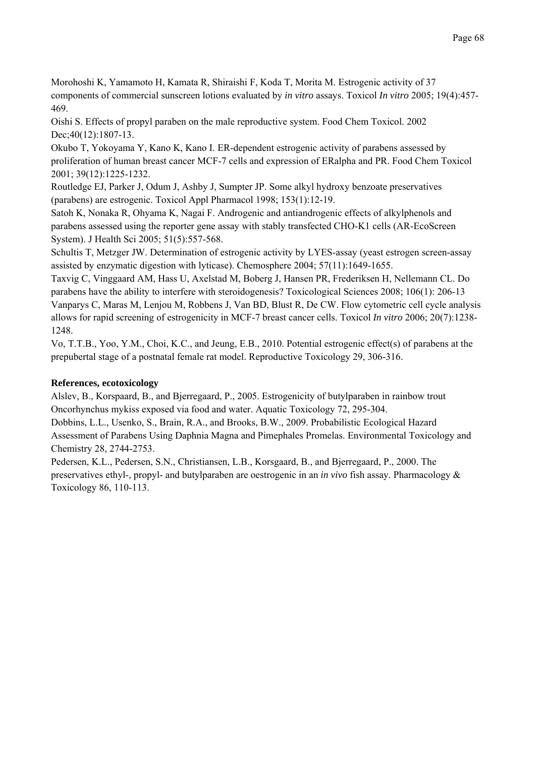Morohoshi K, Yamamoto H, Kamata R, Shiraishi F, Koda T, Morita M. Estrogenic activity of 37 components of commercial sunscreen lotions evaluated by *in vitro* assays. Toxicol *In vitro* 2005; 19(4):457- 469.

Oishi S. Effects of propyl paraben on the male reproductive system. Food Chem Toxicol. 2002 Dec; 40(12): 1807-13.

Okubo T, Yokoyama Y, Kano K, Kano I. ER-dependent estrogenic activity of parabens assessed by proliferation of human breast cancer MCF-7 cells and expression of ERalpha and PR. Food Chem Toxicol 2001; 39(12):1225-1232.

Routledge EJ, Parker J, Odum J, Ashby J, Sumpter JP. Some alkyl hydroxy benzoate preservatives (parabens) are estrogenic. Toxicol Appl Pharmacol 1998; 153(1):12-19.

Satoh K, Nonaka R, Ohyama K, Nagai F. Androgenic and antiandrogenic effects of alkylphenols and parabens assessed using the reporter gene assay with stably transfected CHO-K1 cells (AR-EcoScreen System). J Health Sci 2005; 51(5):557-568.

Schultis T, Metzger JW. Determination of estrogenic activity by LYES-assay (yeast estrogen screen-assay assisted by enzymatic digestion with lyticase). Chemosphere 2004; 57(11):1649-1655.

Taxvig C, Vinggaard AM, Hass U, Axelstad M, Boberg J, Hansen PR, Frederiksen H, Nellemann CL. Do parabens have the ability to interfere with steroidogenesis? Toxicological Sciences 2008; 106(1): 206-13 Vanparys C, Maras M, Lenjou M, Robbens J, Van BD, Blust R, De CW. Flow cytometric cell cycle analysis allows for rapid screening of estrogenicity in MCF-7 breast cancer cells. Toxicol *In vitro* 2006; 20(7):1238- 1248.

Vo, T.T.B., Yoo, Y.M., Choi, K.C., and Jeung, E.B., 2010. Potential estrogenic effect(s) of parabens at the prepubertal stage of a postnatal female rat model. Reproductive Toxicology 29, 306-316.

# **References, ecotoxicology**

Alslev, B., Korspaard, B., and Bjerregaard, P., 2005. Estrogenicity of butylparaben in rainbow trout Oncorhynchus mykiss exposed via food and water. Aquatic Toxicology 72, 295-304.

Dobbins, L.L., Usenko, S., Brain, R.A., and Brooks, B.W., 2009. Probabilistic Ecological Hazard Assessment of Parabens Using Daphnia Magna and Pimephales Promelas. Environmental Toxicology and Chemistry 28, 2744-2753.

Pedersen, K.L., Pedersen, S.N., Christiansen, L.B., Korsgaard, B., and Bjerregaard, P., 2000. The preservatives ethyl-, propyl- and butylparaben are oestrogenic in an *in vivo* fish assay. Pharmacology & Toxicology 86, 110-113.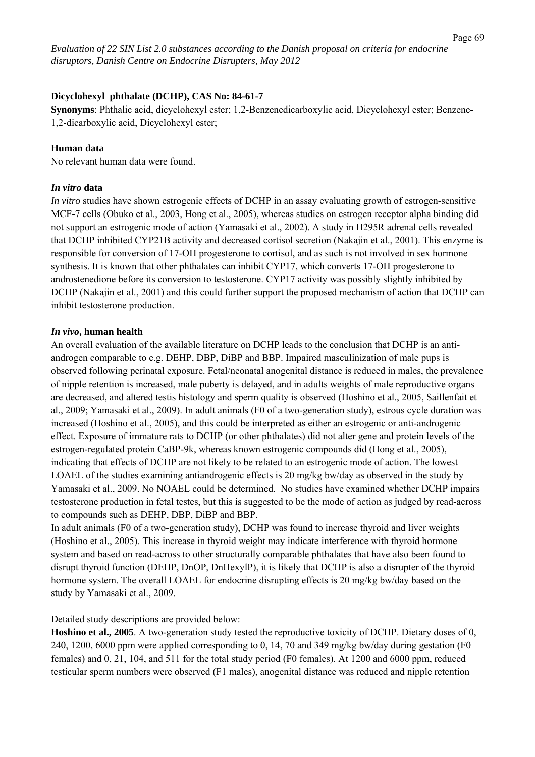## **Dicyclohexyl phthalate (DCHP), CAS No: 84-61-7**

**Synonyms**: Phthalic acid, dicyclohexyl ester; 1,2-Benzenedicarboxylic acid, Dicyclohexyl ester; Benzene-1,2-dicarboxylic acid, Dicyclohexyl ester;

### **Human data**

No relevant human data were found.

### *In vitro* **data**

*In vitro* studies have shown estrogenic effects of DCHP in an assay evaluating growth of estrogen-sensitive MCF-7 cells (Obuko et al., 2003, Hong et al., 2005), whereas studies on estrogen receptor alpha binding did not support an estrogenic mode of action (Yamasaki et al., 2002). A study in H295R adrenal cells revealed that DCHP inhibited CYP21B activity and decreased cortisol secretion (Nakajin et al., 2001). This enzyme is responsible for conversion of 17-OH progesterone to cortisol, and as such is not involved in sex hormone synthesis. It is known that other phthalates can inhibit CYP17, which converts 17-OH progesterone to androstenedione before its conversion to testosterone. CYP17 activity was possibly slightly inhibited by DCHP (Nakajin et al., 2001) and this could further support the proposed mechanism of action that DCHP can inhibit testosterone production.

### *In vivo***, human health**

An overall evaluation of the available literature on DCHP leads to the conclusion that DCHP is an antiandrogen comparable to e.g. DEHP, DBP, DiBP and BBP. Impaired masculinization of male pups is observed following perinatal exposure. Fetal/neonatal anogenital distance is reduced in males, the prevalence of nipple retention is increased, male puberty is delayed, and in adults weights of male reproductive organs are decreased, and altered testis histology and sperm quality is observed (Hoshino et al., 2005, Saillenfait et al., 2009; Yamasaki et al., 2009). In adult animals (F0 of a two-generation study), estrous cycle duration was increased (Hoshino et al., 2005), and this could be interpreted as either an estrogenic or anti-androgenic effect. Exposure of immature rats to DCHP (or other phthalates) did not alter gene and protein levels of the estrogen-regulated protein CaBP-9k, whereas known estrogenic compounds did (Hong et al., 2005), indicating that effects of DCHP are not likely to be related to an estrogenic mode of action. The lowest LOAEL of the studies examining antiandrogenic effects is 20 mg/kg bw/day as observed in the study by Yamasaki et al., 2009. No NOAEL could be determined. No studies have examined whether DCHP impairs testosterone production in fetal testes, but this is suggested to be the mode of action as judged by read-across to compounds such as DEHP, DBP, DiBP and BBP.

In adult animals (F0 of a two-generation study), DCHP was found to increase thyroid and liver weights (Hoshino et al., 2005). This increase in thyroid weight may indicate interference with thyroid hormone system and based on read-across to other structurally comparable phthalates that have also been found to disrupt thyroid function (DEHP, DnOP, DnHexylP), it is likely that DCHP is also a disrupter of the thyroid hormone system. The overall LOAEL for endocrine disrupting effects is 20 mg/kg bw/day based on the study by Yamasaki et al., 2009.

# Detailed study descriptions are provided below:

**Hoshino et al., 2005**. A two-generation study tested the reproductive toxicity of DCHP. Dietary doses of 0, 240, 1200, 6000 ppm were applied corresponding to 0, 14, 70 and 349 mg/kg bw/day during gestation (F0 females) and 0, 21, 104, and 511 for the total study period (F0 females). At 1200 and 6000 ppm, reduced testicular sperm numbers were observed (F1 males), anogenital distance was reduced and nipple retention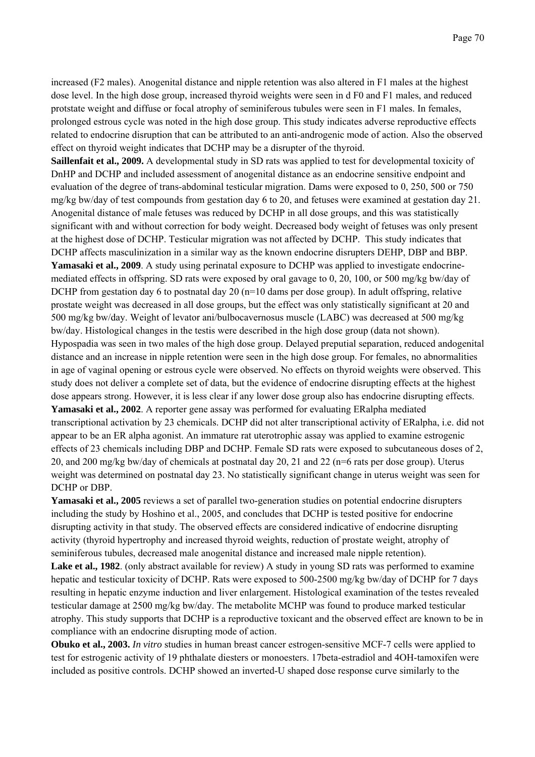increased (F2 males). Anogenital distance and nipple retention was also altered in F1 males at the highest dose level. In the high dose group, increased thyroid weights were seen in d F0 and F1 males, and reduced protstate weight and diffuse or focal atrophy of seminiferous tubules were seen in F1 males. In females, prolonged estrous cycle was noted in the high dose group. This study indicates adverse reproductive effects related to endocrine disruption that can be attributed to an anti-androgenic mode of action. Also the observed effect on thyroid weight indicates that DCHP may be a disrupter of the thyroid.

**Saillenfait et al., 2009.** A developmental study in SD rats was applied to test for developmental toxicity of DnHP and DCHP and included assessment of anogenital distance as an endocrine sensitive endpoint and evaluation of the degree of trans-abdominal testicular migration. Dams were exposed to 0, 250, 500 or 750 mg/kg bw/day of test compounds from gestation day 6 to 20, and fetuses were examined at gestation day 21. Anogenital distance of male fetuses was reduced by DCHP in all dose groups, and this was statistically significant with and without correction for body weight. Decreased body weight of fetuses was only present at the highest dose of DCHP. Testicular migration was not affected by DCHP. This study indicates that

DCHP affects masculinization in a similar way as the known endocrine disrupters DEHP, DBP and BBP. **Yamasaki et al., 2009**. A study using perinatal exposure to DCHP was applied to investigate endocrinemediated effects in offspring. SD rats were exposed by oral gavage to 0, 20, 100, or 500 mg/kg bw/day of DCHP from gestation day 6 to postnatal day 20 (n=10 dams per dose group). In adult offspring, relative prostate weight was decreased in all dose groups, but the effect was only statistically significant at 20 and 500 mg/kg bw/day. Weight of levator ani/bulbocavernosus muscle (LABC) was decreased at 500 mg/kg bw/day. Histological changes in the testis were described in the high dose group (data not shown). Hypospadia was seen in two males of the high dose group. Delayed preputial separation, reduced andogenital distance and an increase in nipple retention were seen in the high dose group. For females, no abnormalities in age of vaginal opening or estrous cycle were observed. No effects on thyroid weights were observed. This study does not deliver a complete set of data, but the evidence of endocrine disrupting effects at the highest dose appears strong. However, it is less clear if any lower dose group also has endocrine disrupting effects. **Yamasaki et al., 2002**. A reporter gene assay was performed for evaluating ERalpha mediated transcriptional activation by 23 chemicals. DCHP did not alter transcriptional activity of ERalpha, i.e. did not appear to be an ER alpha agonist. An immature rat uterotrophic assay was applied to examine estrogenic effects of 23 chemicals including DBP and DCHP. Female SD rats were exposed to subcutaneous doses of 2, 20, and 200 mg/kg bw/day of chemicals at postnatal day 20, 21 and 22 (n=6 rats per dose group). Uterus weight was determined on postnatal day 23. No statistically significant change in uterus weight was seen for DCHP or DBP.

**Yamasaki et al., 2005** reviews a set of parallel two-generation studies on potential endocrine disrupters including the study by Hoshino et al., 2005, and concludes that DCHP is tested positive for endocrine disrupting activity in that study. The observed effects are considered indicative of endocrine disrupting activity (thyroid hypertrophy and increased thyroid weights, reduction of prostate weight, atrophy of seminiferous tubules, decreased male anogenital distance and increased male nipple retention).

**Lake et al., 1982**. (only abstract available for review) A study in young SD rats was performed to examine hepatic and testicular toxicity of DCHP. Rats were exposed to 500-2500 mg/kg bw/day of DCHP for 7 days resulting in hepatic enzyme induction and liver enlargement. Histological examination of the testes revealed testicular damage at 2500 mg/kg bw/day. The metabolite MCHP was found to produce marked testicular atrophy. This study supports that DCHP is a reproductive toxicant and the observed effect are known to be in compliance with an endocrine disrupting mode of action.

**Obuko et al., 2003.** *In vitro* studies in human breast cancer estrogen-sensitive MCF-7 cells were applied to test for estrogenic activity of 19 phthalate diesters or monoesters. 17beta-estradiol and 4OH-tamoxifen were included as positive controls. DCHP showed an inverted-U shaped dose response curve similarly to the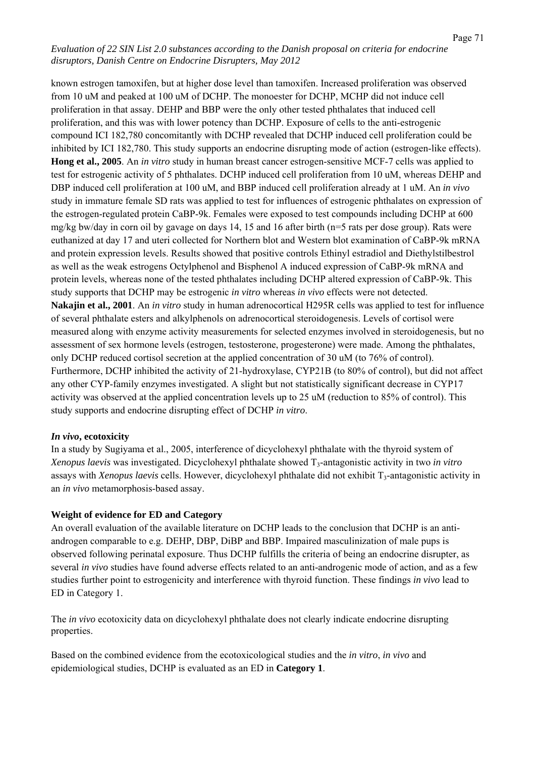known estrogen tamoxifen, but at higher dose level than tamoxifen. Increased proliferation was observed from 10 uM and peaked at 100 uM of DCHP. The monoester for DCHP, MCHP did not induce cell proliferation in that assay. DEHP and BBP were the only other tested phthalates that induced cell proliferation, and this was with lower potency than DCHP. Exposure of cells to the anti-estrogenic compound ICI 182,780 concomitantly with DCHP revealed that DCHP induced cell proliferation could be inhibited by ICI 182,780. This study supports an endocrine disrupting mode of action (estrogen-like effects). **Hong et al., 2005**. An *in vitro* study in human breast cancer estrogen-sensitive MCF-7 cells was applied to test for estrogenic activity of 5 phthalates. DCHP induced cell proliferation from 10 uM, whereas DEHP and DBP induced cell proliferation at 100 uM, and BBP induced cell proliferation already at 1 uM. An *in vivo* study in immature female SD rats was applied to test for influences of estrogenic phthalates on expression of the estrogen-regulated protein CaBP-9k. Females were exposed to test compounds including DCHP at 600 mg/kg bw/day in corn oil by gavage on days 14, 15 and 16 after birth (n=5 rats per dose group). Rats were euthanized at day 17 and uteri collected for Northern blot and Western blot examination of CaBP-9k mRNA and protein expression levels. Results showed that positive controls Ethinyl estradiol and Diethylstilbestrol as well as the weak estrogens Octylphenol and Bisphenol A induced expression of CaBP-9k mRNA and protein levels, whereas none of the tested phthalates including DCHP altered expression of CaBP-9k. This study supports that DCHP may be estrogenic *in vitro* whereas *in vivo* effects were not detected. **Nakajin et al., 2001**. An *in vitro* study in human adrenocortical H295R cells was applied to test for influence of several phthalate esters and alkylphenols on adrenocortical steroidogenesis. Levels of cortisol were measured along with enzyme activity measurements for selected enzymes involved in steroidogenesis, but no assessment of sex hormone levels (estrogen, testosterone, progesterone) were made. Among the phthalates, only DCHP reduced cortisol secretion at the applied concentration of 30 uM (to 76% of control). Furthermore, DCHP inhibited the activity of 21-hydroxylase, CYP21B (to 80% of control), but did not affect any other CYP-family enzymes investigated. A slight but not statistically significant decrease in CYP17 activity was observed at the applied concentration levels up to 25 uM (reduction to 85% of control). This study supports and endocrine disrupting effect of DCHP *in vitro*.

# *In vivo***, ecotoxicity**

In a study by Sugiyama et al., 2005, interference of dicyclohexyl phthalate with the thyroid system of *Xenopus laevis* was investigated. Dicyclohexyl phthalate showed  $T_3$ -antagonistic activity in two *in vitro* assays with *Xenopus laevis* cells. However, dicyclohexyl phthalate did not exhibit T<sub>3</sub>-antagonistic activity in an *in vivo* metamorphosis-based assay.

# **Weight of evidence for ED and Category**

An overall evaluation of the available literature on DCHP leads to the conclusion that DCHP is an antiandrogen comparable to e.g. DEHP, DBP, DiBP and BBP. Impaired masculinization of male pups is observed following perinatal exposure. Thus DCHP fulfills the criteria of being an endocrine disrupter, as several *in vivo* studies have found adverse effects related to an anti-androgenic mode of action, and as a few studies further point to estrogenicity and interference with thyroid function. These findings *in vivo* lead to ED in Category 1.

The *in vivo* ecotoxicity data on dicyclohexyl phthalate does not clearly indicate endocrine disrupting properties.

Based on the combined evidence from the ecotoxicological studies and the *in vitro*, *in vivo* and epidemiological studies, DCHP is evaluated as an ED in **Category 1**.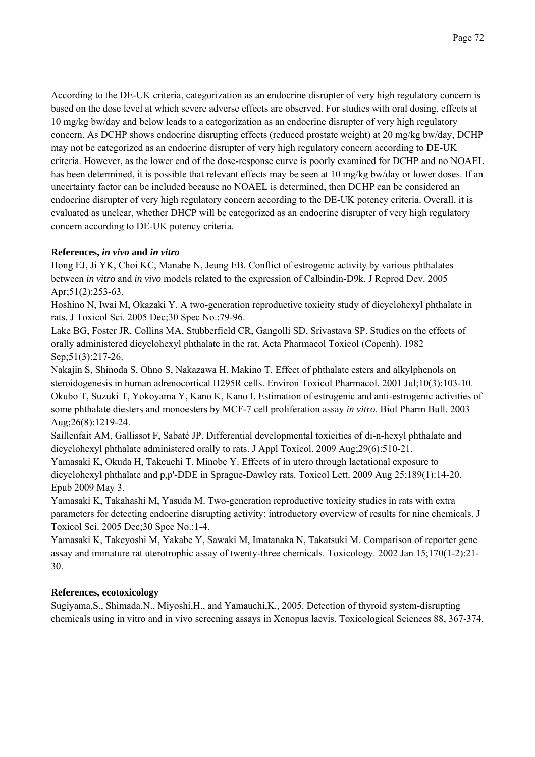According to the DE-UK criteria, categorization as an endocrine disrupter of very high regulatory concern is based on the dose level at which severe adverse effects are observed. For studies with oral dosing, effects at 10 mg/kg bw/day and below leads to a categorization as an endocrine disrupter of very high regulatory concern. As DCHP shows endocrine disrupting effects (reduced prostate weight) at 20 mg/kg bw/day, DCHP may not be categorized as an endocrine disrupter of very high regulatory concern according to DE-UK criteria. However, as the lower end of the dose-response curve is poorly examined for DCHP and no NOAEL has been determined, it is possible that relevant effects may be seen at 10 mg/kg bw/day or lower doses. If an uncertainty factor can be included because no NOAEL is determined, then DCHP can be considered an endocrine disrupter of very high regulatory concern according to the DE-UK potency criteria. Overall, it is evaluated as unclear, whether DHCP will be categorized as an endocrine disrupter of very high regulatory concern according to DE-UK potency criteria.

# **References,** *in vivo* **and** *in vitro*

Hong EJ, Ji YK, Choi KC, Manabe N, Jeung EB. Conflict of estrogenic activity by various phthalates between *in vitro* and *in vivo* models related to the expression of Calbindin-D9k. J Reprod Dev. 2005 Apr; 51(2): 253-63.

Hoshino N, Iwai M, Okazaki Y. A two-generation reproductive toxicity study of dicyclohexyl phthalate in rats. J Toxicol Sci. 2005 Dec;30 Spec No.:79-96.

Lake BG, Foster JR, Collins MA, Stubberfield CR, Gangolli SD, Srivastava SP. Studies on the effects of orally administered dicyclohexyl phthalate in the rat. Acta Pharmacol Toxicol (Copenh). 1982 Sep; 51(3): 217-26.

Nakajin S, Shinoda S, Ohno S, Nakazawa H, Makino T. Effect of phthalate esters and alkylphenols on steroidogenesis in human adrenocortical H295R cells. Environ Toxicol Pharmacol. 2001 Jul;10(3):103-10. Okubo T, Suzuki T, Yokoyama Y, Kano K, Kano I. Estimation of estrogenic and anti-estrogenic activities of some phthalate diesters and monoesters by MCF-7 cell proliferation assay *in vitro*. Biol Pharm Bull. 2003 Aug;26(8):1219-24.

Saillenfait AM, Gallissot F, Sabaté JP. Differential developmental toxicities of di-n-hexyl phthalate and dicyclohexyl phthalate administered orally to rats. J Appl Toxicol. 2009 Aug;29(6):510-21.

Yamasaki K, Okuda H, Takeuchi T, Minobe Y. Effects of in utero through lactational exposure to dicyclohexyl phthalate and p,p'-DDE in Sprague-Dawley rats. Toxicol Lett. 2009 Aug 25;189(1):14-20. Epub 2009 May 3.

Yamasaki K, Takahashi M, Yasuda M. Two-generation reproductive toxicity studies in rats with extra parameters for detecting endocrine disrupting activity: introductory overview of results for nine chemicals. J Toxicol Sci. 2005 Dec;30 Spec No.:1-4.

Yamasaki K, Takeyoshi M, Yakabe Y, Sawaki M, Imatanaka N, Takatsuki M. Comparison of reporter gene assay and immature rat uterotrophic assay of twenty-three chemicals. Toxicology. 2002 Jan 15;170(1-2):21- 30.

# **References, ecotoxicology**

Sugiyama,S., Shimada,N., Miyoshi,H., and Yamauchi,K., 2005. Detection of thyroid system-disrupting chemicals using in vitro and in vivo screening assays in Xenopus laevis. Toxicological Sciences 88, 367-374.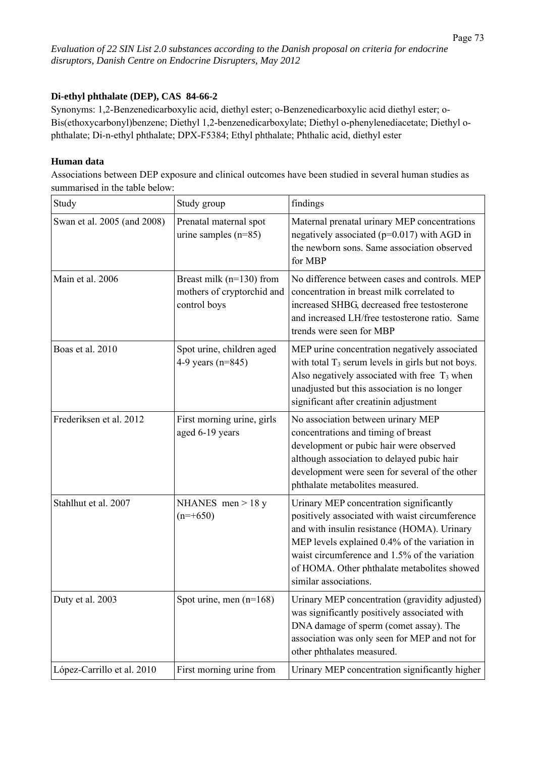# **Di-ethyl phthalate (DEP), CAS 84-66-2**

Synonyms: 1,2-Benzenedicarboxylic acid, diethyl ester; o-Benzenedicarboxylic acid diethyl ester; o-Bis(ethoxycarbonyl)benzene; Diethyl 1,2-benzenedicarboxylate; Diethyl o-phenylenediacetate; Diethyl ophthalate; Di-n-ethyl phthalate; DPX-F5384; Ethyl phthalate; Phthalic acid, diethyl ester

## **Human data**

Associations between DEP exposure and clinical outcomes have been studied in several human studies as summarised in the table below:

| Study                       | Study group                                                                | findings                                                                                                                                                                                                                                                                                                           |
|-----------------------------|----------------------------------------------------------------------------|--------------------------------------------------------------------------------------------------------------------------------------------------------------------------------------------------------------------------------------------------------------------------------------------------------------------|
| Swan et al. 2005 (and 2008) | Prenatal maternal spot<br>urine samples $(n=85)$                           | Maternal prenatal urinary MEP concentrations<br>negatively associated (p=0.017) with AGD in<br>the newborn sons. Same association observed<br>for MBP                                                                                                                                                              |
| Main et al. 2006            | Breast milk ( $n=130$ ) from<br>mothers of cryptorchid and<br>control boys | No difference between cases and controls. MEP<br>concentration in breast milk correlated to<br>increased SHBG, decreased free testosterone<br>and increased LH/free testosterone ratio. Same<br>trends were seen for MBP                                                                                           |
| Boas et al. 2010            | Spot urine, children aged<br>4-9 years $(n=845)$                           | MEP urine concentration negatively associated<br>with total $T_3$ serum levels in girls but not boys.<br>Also negatively associated with free $T_3$ when<br>unadjusted but this association is no longer<br>significant after creatinin adjustment                                                                 |
| Frederiksen et al. 2012     | First morning urine, girls<br>aged 6-19 years                              | No association between urinary MEP<br>concentrations and timing of breast<br>development or pubic hair were observed<br>although association to delayed pubic hair<br>development were seen for several of the other<br>phthalate metabolites measured.                                                            |
| Stahlhut et al. 2007        | NHANES men $> 18$ y<br>$(n=+650)$                                          | Urinary MEP concentration significantly<br>positively associated with waist circumference<br>and with insulin resistance (HOMA). Urinary<br>MEP levels explained 0.4% of the variation in<br>waist circumference and 1.5% of the variation<br>of HOMA. Other phthalate metabolites showed<br>similar associations. |
| Duty et al. 2003            | Spot urine, men (n=168)                                                    | Urinary MEP concentration (gravidity adjusted)<br>was significantly positively associated with<br>DNA damage of sperm (comet assay). The<br>association was only seen for MEP and not for<br>other phthalates measured.                                                                                            |
| López-Carrillo et al. 2010  | First morning urine from                                                   | Urinary MEP concentration significantly higher                                                                                                                                                                                                                                                                     |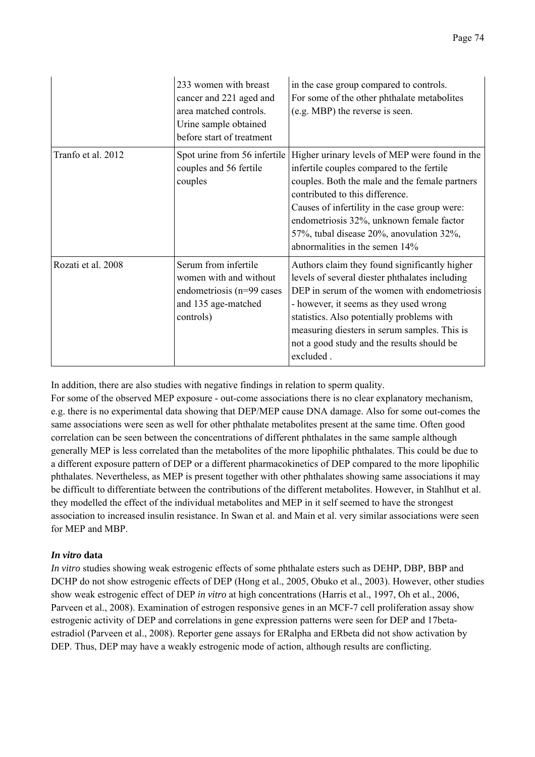|                    | 233 women with breast<br>cancer and 221 aged and<br>area matched controls.<br>Urine sample obtained<br>before start of treatment | in the case group compared to controls.<br>For some of the other phthalate metabolites<br>(e.g. MBP) the reverse is seen.                                                                                                                                                                                                                                   |
|--------------------|----------------------------------------------------------------------------------------------------------------------------------|-------------------------------------------------------------------------------------------------------------------------------------------------------------------------------------------------------------------------------------------------------------------------------------------------------------------------------------------------------------|
| Tranfo et al. 2012 | Spot urine from 56 infertile<br>couples and 56 fertile<br>couples                                                                | Higher urinary levels of MEP were found in the<br>infertile couples compared to the fertile<br>couples. Both the male and the female partners<br>contributed to this difference.<br>Causes of infertility in the case group were:<br>endometriosis 32%, unknown female factor<br>57%, tubal disease 20%, anovulation 32%,<br>abnormalities in the semen 14% |
| Rozati et al. 2008 | Serum from infertile<br>women with and without<br>endometriosis (n=99 cases<br>and 135 age-matched<br>controls)                  | Authors claim they found significantly higher<br>levels of several diester phthalates including<br>DEP in serum of the women with endometriosis<br>- however, it seems as they used wrong<br>statistics. Also potentially problems with<br>measuring diesters in serum samples. This is<br>not a good study and the results should be<br>excluded.          |

In addition, there are also studies with negative findings in relation to sperm quality.

For some of the observed MEP exposure - out-come associations there is no clear explanatory mechanism, e.g. there is no experimental data showing that DEP/MEP cause DNA damage. Also for some out-comes the same associations were seen as well for other phthalate metabolites present at the same time. Often good correlation can be seen between the concentrations of different phthalates in the same sample although generally MEP is less correlated than the metabolites of the more lipophilic phthalates. This could be due to a different exposure pattern of DEP or a different pharmacokinetics of DEP compared to the more lipophilic phthalates. Nevertheless, as MEP is present together with other phthalates showing same associations it may be difficult to differentiate between the contributions of the different metabolites. However, in Stahlhut et al. they modelled the effect of the individual metabolites and MEP in it self seemed to have the strongest association to increased insulin resistance. In Swan et al. and Main et al. very similar associations were seen for MEP and MBP.

# *In vitro* **data**

*In vitro* studies showing weak estrogenic effects of some phthalate esters such as DEHP, DBP, BBP and DCHP do not show estrogenic effects of DEP (Hong et al., 2005, Obuko et al., 2003). However, other studies show weak estrogenic effect of DEP *in vitro* at high concentrations (Harris et al., 1997, Oh et al., 2006, Parveen et al., 2008). Examination of estrogen responsive genes in an MCF-7 cell proliferation assay show estrogenic activity of DEP and correlations in gene expression patterns were seen for DEP and 17betaestradiol (Parveen et al., 2008). Reporter gene assays for ERalpha and ERbeta did not show activation by DEP. Thus, DEP may have a weakly estrogenic mode of action, although results are conflicting.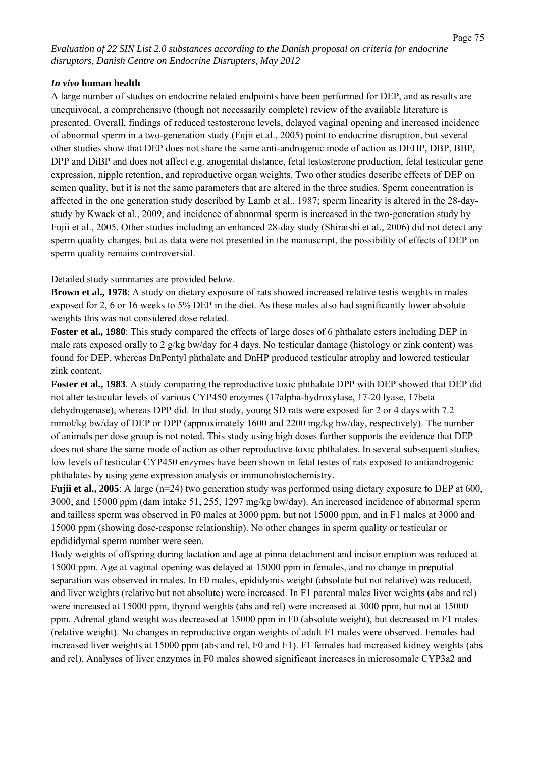### *In vivo* **human health**

A large number of studies on endocrine related endpoints have been performed for DEP, and as results are unequivocal, a comprehensive (though not necessarily complete) review of the available literature is presented. Overall, findings of reduced testosterone levels, delayed vaginal opening and increased incidence of abnormal sperm in a two-generation study (Fujii et al., 2005) point to endocrine disruption, but several other studies show that DEP does not share the same anti-androgenic mode of action as DEHP, DBP, BBP, DPP and DiBP and does not affect e.g. anogenital distance, fetal testosterone production, fetal testicular gene expression, nipple retention, and reproductive organ weights. Two other studies describe effects of DEP on semen quality, but it is not the same parameters that are altered in the three studies. Sperm concentration is affected in the one generation study described by Lamb et al., 1987; sperm linearity is altered in the 28-daystudy by Kwack et al., 2009, and incidence of abnormal sperm is increased in the two-generation study by Fujii et al., 2005. Other studies including an enhanced 28-day study (Shiraishi et al., 2006) did not detect any sperm quality changes, but as data were not presented in the manuscript, the possibility of effects of DEP on sperm quality remains controversial.

Detailed study summaries are provided below.

**Brown et al., 1978**: A study on dietary exposure of rats showed increased relative testis weights in males exposed for 2, 6 or 16 weeks to 5% DEP in the diet. As these males also had significantly lower absolute weights this was not considered dose related.

**Foster et al., 1980**: This study compared the effects of large doses of 6 phthalate esters including DEP in male rats exposed orally to 2 g/kg bw/day for 4 days. No testicular damage (histology or zink content) was found for DEP, whereas DnPentyl phthalate and DnHP produced testicular atrophy and lowered testicular zink content.

**Foster et al., 1983**. A study comparing the reproductive toxic phthalate DPP with DEP showed that DEP did not alter testicular levels of various CYP450 enzymes (17alpha-hydroxylase, 17-20 lyase, 17beta dehydrogenase), whereas DPP did. In that study, young SD rats were exposed for 2 or 4 days with 7.2 mmol/kg bw/day of DEP or DPP (approximately 1600 and 2200 mg/kg bw/day, respectively). The number of animals per dose group is not noted. This study using high doses further supports the evidence that DEP does not share the same mode of action as other reproductive toxic phthalates. In several subsequent studies, low levels of testicular CYP450 enzymes have been shown in fetal testes of rats exposed to antiandrogenic phthalates by using gene expression analysis or immunohistochemistry.

**Fujii et al., 2005**: A large (n=24) two generation study was performed using dietary exposure to DEP at 600, 3000, and 15000 ppm (dam intake 51, 255, 1297 mg/kg bw/day). An increased incidence of abnormal sperm and tailless sperm was observed in F0 males at 3000 ppm, but not 15000 ppm, and in F1 males at 3000 and 15000 ppm (showing dose-response relationship). No other changes in sperm quality or testicular or epdididymal sperm number were seen.

Body weights of offspring during lactation and age at pinna detachment and incisor eruption was reduced at 15000 ppm. Age at vaginal opening was delayed at 15000 ppm in females, and no change in preputial separation was observed in males. In F0 males, epididymis weight (absolute but not relative) was reduced, and liver weights (relative but not absolute) were increased. In F1 parental males liver weights (abs and rel) were increased at 15000 ppm, thyroid weights (abs and rel) were increased at 3000 ppm, but not at 15000 ppm. Adrenal gland weight was decreased at 15000 ppm in F0 (absolute weight), but decreased in F1 males (relative weight). No changes in reproductive organ weights of adult F1 males were observed. Females had increased liver weights at 15000 ppm (abs and rel, F0 and F1). F1 females had increased kidney weights (abs and rel). Analyses of liver enzymes in F0 males showed significant increases in microsomale CYP3a2 and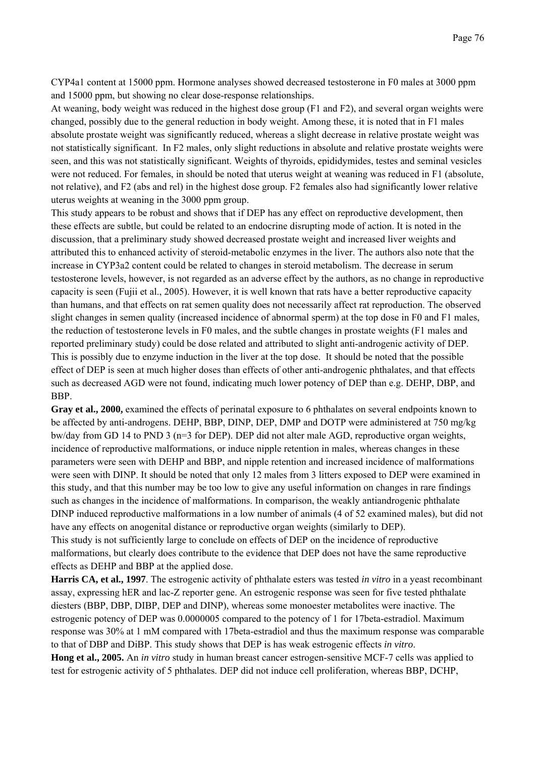CYP4a1 content at 15000 ppm. Hormone analyses showed decreased testosterone in F0 males at 3000 ppm and 15000 ppm, but showing no clear dose-response relationships.

At weaning, body weight was reduced in the highest dose group (F1 and F2), and several organ weights were changed, possibly due to the general reduction in body weight. Among these, it is noted that in F1 males absolute prostate weight was significantly reduced, whereas a slight decrease in relative prostate weight was not statistically significant. In F2 males, only slight reductions in absolute and relative prostate weights were seen, and this was not statistically significant. Weights of thyroids, epididymides, testes and seminal vesicles were not reduced. For females, in should be noted that uterus weight at weaning was reduced in F1 (absolute, not relative), and F2 (abs and rel) in the highest dose group. F2 females also had significantly lower relative uterus weights at weaning in the 3000 ppm group.

This study appears to be robust and shows that if DEP has any effect on reproductive development, then these effects are subtle, but could be related to an endocrine disrupting mode of action. It is noted in the discussion, that a preliminary study showed decreased prostate weight and increased liver weights and attributed this to enhanced activity of steroid-metabolic enzymes in the liver. The authors also note that the increase in CYP3a2 content could be related to changes in steroid metabolism. The decrease in serum testosterone levels, however, is not regarded as an adverse effect by the authors, as no change in reproductive capacity is seen (Fujii et al., 2005). However, it is well known that rats have a better reproductive capacity than humans, and that effects on rat semen quality does not necessarily affect rat reproduction. The observed slight changes in semen quality (increased incidence of abnormal sperm) at the top dose in F0 and F1 males, the reduction of testosterone levels in F0 males, and the subtle changes in prostate weights (F1 males and reported preliminary study) could be dose related and attributed to slight anti-androgenic activity of DEP. This is possibly due to enzyme induction in the liver at the top dose. It should be noted that the possible effect of DEP is seen at much higher doses than effects of other anti-androgenic phthalates, and that effects such as decreased AGD were not found, indicating much lower potency of DEP than e.g. DEHP, DBP, and BBP.

**Gray et al., 2000,** examined the effects of perinatal exposure to 6 phthalates on several endpoints known to be affected by anti-androgens. DEHP, BBP, DINP, DEP, DMP and DOTP were administered at 750 mg/kg bw/day from GD 14 to PND 3 (n=3 for DEP). DEP did not alter male AGD, reproductive organ weights, incidence of reproductive malformations, or induce nipple retention in males, whereas changes in these parameters were seen with DEHP and BBP, and nipple retention and increased incidence of malformations were seen with DINP. It should be noted that only 12 males from 3 litters exposed to DEP were examined in this study, and that this number may be too low to give any useful information on changes in rare findings such as changes in the incidence of malformations. In comparison, the weakly antiandrogenic phthalate DINP induced reproductive malformations in a low number of animals (4 of 52 examined males), but did not have any effects on anogenital distance or reproductive organ weights (similarly to DEP). This study is not sufficiently large to conclude on effects of DEP on the incidence of reproductive

malformations, but clearly does contribute to the evidence that DEP does not have the same reproductive effects as DEHP and BBP at the applied dose.

**Harris CA, et al., 1997**. The estrogenic activity of phthalate esters was tested *in vitro* in a yeast recombinant assay, expressing hER and lac-Z reporter gene. An estrogenic response was seen for five tested phthalate diesters (BBP, DBP, DIBP, DEP and DINP), whereas some monoester metabolites were inactive. The estrogenic potency of DEP was 0.0000005 compared to the potency of 1 for 17beta-estradiol. Maximum response was 30% at 1 mM compared with 17beta-estradiol and thus the maximum response was comparable to that of DBP and DiBP. This study shows that DEP is has weak estrogenic effects *in vitro*.

**Hong et al., 2005.** An *in vitro* study in human breast cancer estrogen-sensitive MCF-7 cells was applied to test for estrogenic activity of 5 phthalates. DEP did not induce cell proliferation, whereas BBP, DCHP,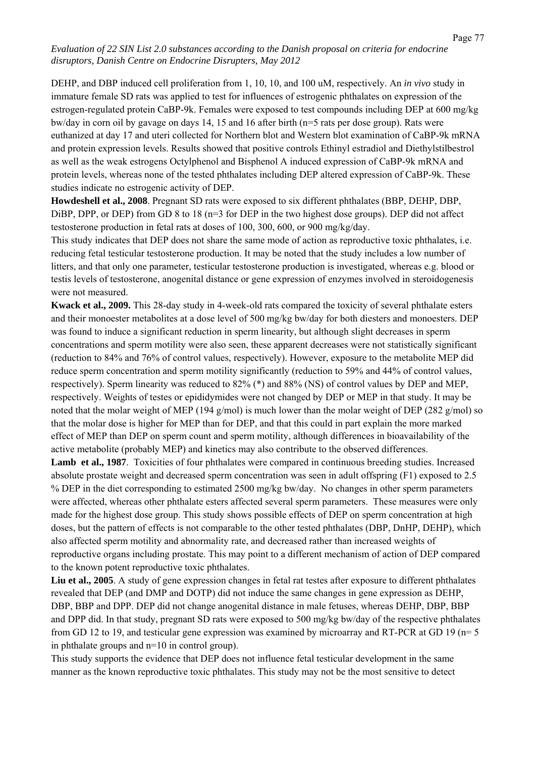DEHP, and DBP induced cell proliferation from 1, 10, 10, and 100 uM, respectively. An *in vivo* study in immature female SD rats was applied to test for influences of estrogenic phthalates on expression of the estrogen-regulated protein CaBP-9k. Females were exposed to test compounds including DEP at 600 mg/kg bw/day in corn oil by gavage on days 14, 15 and 16 after birth (n=5 rats per dose group). Rats were euthanized at day 17 and uteri collected for Northern blot and Western blot examination of CaBP-9k mRNA and protein expression levels. Results showed that positive controls Ethinyl estradiol and Diethylstilbestrol as well as the weak estrogens Octylphenol and Bisphenol A induced expression of CaBP-9k mRNA and protein levels, whereas none of the tested phthalates including DEP altered expression of CaBP-9k. These studies indicate no estrogenic activity of DEP.

**Howdeshell et al., 2008**. Pregnant SD rats were exposed to six different phthalates (BBP, DEHP, DBP, DiBP, DPP, or DEP) from GD 8 to 18 ( $n=3$  for DEP in the two highest dose groups). DEP did not affect testosterone production in fetal rats at doses of 100, 300, 600, or 900 mg/kg/day.

This study indicates that DEP does not share the same mode of action as reproductive toxic phthalates, i.e. reducing fetal testicular testosterone production. It may be noted that the study includes a low number of litters, and that only one parameter, testicular testosterone production is investigated, whereas e.g. blood or testis levels of testosterone, anogenital distance or gene expression of enzymes involved in steroidogenesis were not measured.

**Kwack et al., 2009.** This 28-day study in 4-week-old rats compared the toxicity of several phthalate esters and their monoester metabolites at a dose level of 500 mg/kg bw/day for both diesters and monoesters. DEP was found to induce a significant reduction in sperm linearity, but although slight decreases in sperm concentrations and sperm motility were also seen, these apparent decreases were not statistically significant (reduction to 84% and 76% of control values, respectively). However, exposure to the metabolite MEP did reduce sperm concentration and sperm motility significantly (reduction to 59% and 44% of control values, respectively). Sperm linearity was reduced to 82% (\*) and 88% (NS) of control values by DEP and MEP, respectively. Weights of testes or epididymides were not changed by DEP or MEP in that study. It may be noted that the molar weight of MEP (194 g/mol) is much lower than the molar weight of DEP (282 g/mol) so that the molar dose is higher for MEP than for DEP, and that this could in part explain the more marked effect of MEP than DEP on sperm count and sperm motility, although differences in bioavailability of the active metabolite (probably MEP) and kinetics may also contribute to the observed differences.

**Lamb et al., 1987**. Toxicities of four phthalates were compared in continuous breeding studies. Increased absolute prostate weight and decreased sperm concentration was seen in adult offspring (F1) exposed to 2.5 % DEP in the diet corresponding to estimated 2500 mg/kg bw/day. No changes in other sperm parameters were affected, whereas other phthalate esters affected several sperm parameters. These measures were only made for the highest dose group. This study shows possible effects of DEP on sperm concentration at high doses, but the pattern of effects is not comparable to the other tested phthalates (DBP, DnHP, DEHP), which also affected sperm motility and abnormality rate, and decreased rather than increased weights of reproductive organs including prostate. This may point to a different mechanism of action of DEP compared to the known potent reproductive toxic phthalates.

Liu et al., 2005. A study of gene expression changes in fetal rat testes after exposure to different phthalates revealed that DEP (and DMP and DOTP) did not induce the same changes in gene expression as DEHP, DBP, BBP and DPP. DEP did not change anogenital distance in male fetuses, whereas DEHP, DBP, BBP and DPP did. In that study, pregnant SD rats were exposed to 500 mg/kg bw/day of the respective phthalates from GD 12 to 19, and testicular gene expression was examined by microarray and RT-PCR at GD 19 (n= 5 in phthalate groups and n=10 in control group).

This study supports the evidence that DEP does not influence fetal testicular development in the same manner as the known reproductive toxic phthalates. This study may not be the most sensitive to detect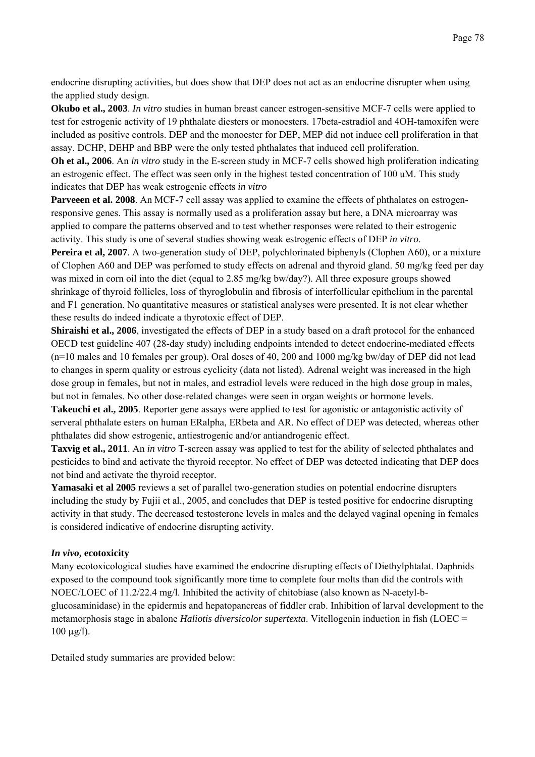endocrine disrupting activities, but does show that DEP does not act as an endocrine disrupter when using the applied study design.

**Okubo et al., 2003**. *In vitro* studies in human breast cancer estrogen-sensitive MCF-7 cells were applied to test for estrogenic activity of 19 phthalate diesters or monoesters. 17beta-estradiol and 4OH-tamoxifen were included as positive controls. DEP and the monoester for DEP, MEP did not induce cell proliferation in that assay. DCHP, DEHP and BBP were the only tested phthalates that induced cell proliferation.

**Oh et al., 2006**. An *in vitro* study in the E-screen study in MCF-7 cells showed high proliferation indicating an estrogenic effect. The effect was seen only in the highest tested concentration of 100 uM. This study indicates that DEP has weak estrogenic effects *in vitro*

**Parvee en et al. 2008**. An MCF-7 cell assay was applied to examine the effects of phthalates on estrogenresponsive genes. This assay is normally used as a proliferation assay but here, a DNA microarray was applied to compare the patterns observed and to test whether responses were related to their estrogenic activity. This study is one of several studies showing weak estrogenic effects of DEP *in vitro*.

**Pereira et al, 2007**. A two-generation study of DEP, polychlorinated biphenyls (Clophen A60), or a mixture of Clophen A60 and DEP was perfomed to study effects on adrenal and thyroid gland. 50 mg/kg feed per day was mixed in corn oil into the diet (equal to 2.85 mg/kg bw/day?). All three exposure groups showed shrinkage of thyroid follicles, loss of thyroglobulin and fibrosis of interfollicular epithelium in the parental and F1 generation. No quantitative measures or statistical analyses were presented. It is not clear whether these results do indeed indicate a thyrotoxic effect of DEP.

**Shiraishi et al., 2006**, investigated the effects of DEP in a study based on a draft protocol for the enhanced OECD test guideline 407 (28-day study) including endpoints intended to detect endocrine-mediated effects (n=10 males and 10 females per group). Oral doses of 40, 200 and 1000 mg/kg bw/day of DEP did not lead to changes in sperm quality or estrous cyclicity (data not listed). Adrenal weight was increased in the high dose group in females, but not in males, and estradiol levels were reduced in the high dose group in males, but not in females. No other dose-related changes were seen in organ weights or hormone levels.

**Takeuchi et al., 2005**. Reporter gene assays were applied to test for agonistic or antagonistic activity of serveral phthalate esters on human ERalpha, ERbeta and AR. No effect of DEP was detected, whereas other phthalates did show estrogenic, antiestrogenic and/or antiandrogenic effect.

**Taxvig et al., 2011**. An *in vitro* T-screen assay was applied to test for the ability of selected phthalates and pesticides to bind and activate the thyroid receptor. No effect of DEP was detected indicating that DEP does not bind and activate the thyroid receptor.

**Yamasaki et al 2005** reviews a set of parallel two-generation studies on potential endocrine disrupters including the study by Fujii et al., 2005, and concludes that DEP is tested positive for endocrine disrupting activity in that study. The decreased testosterone levels in males and the delayed vaginal opening in females is considered indicative of endocrine disrupting activity.

# *In vivo***, ecotoxicity**

Many ecotoxicological studies have examined the endocrine disrupting effects of Diethylphtalat. Daphnids exposed to the compound took significantly more time to complete four molts than did the controls with NOEC/LOEC of 11.2/22.4 mg/l. Inhibited the activity of chitobiase (also known as N-acetyl-bglucosaminidase) in the epidermis and hepatopancreas of fiddler crab. Inhibition of larval development to the metamorphosis stage in abalone *Haliotis diversicolor supertexta*. Vitellogenin induction in fish (LOEC =  $100 \mu g/l$ ).

Detailed study summaries are provided below: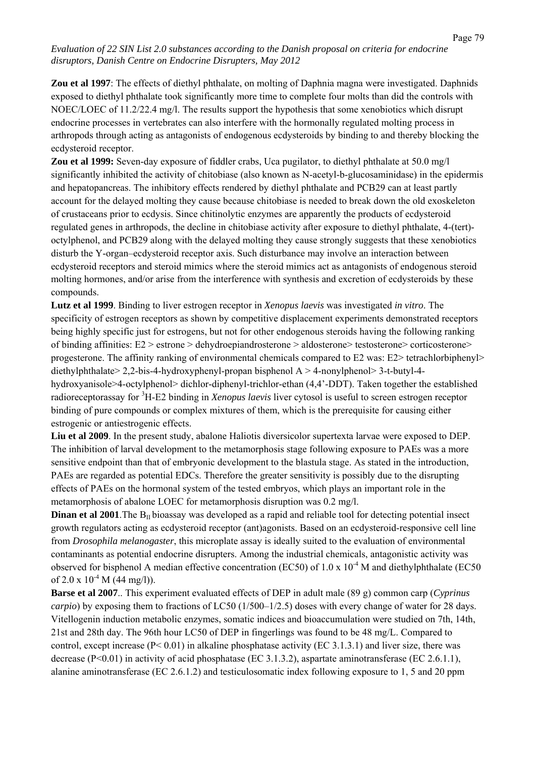**Zou et al 1997**: The effects of diethyl phthalate, on molting of Daphnia magna were investigated. Daphnids exposed to diethyl phthalate took significantly more time to complete four molts than did the controls with NOEC/LOEC of 11.2/22.4 mg/l. The results support the hypothesis that some xenobiotics which disrupt endocrine processes in vertebrates can also interfere with the hormonally regulated molting process in arthropods through acting as antagonists of endogenous ecdysteroids by binding to and thereby blocking the ecdysteroid receptor.

**Zou et al 1999:** Seven-day exposure of fiddler crabs, Uca pugilator, to diethyl phthalate at 50.0 mg/l significantly inhibited the activity of chitobiase (also known as N-acetyl-b-glucosaminidase) in the epidermis and hepatopancreas. The inhibitory effects rendered by diethyl phthalate and PCB29 can at least partly account for the delayed molting they cause because chitobiase is needed to break down the old exoskeleton of crustaceans prior to ecdysis. Since chitinolytic enzymes are apparently the products of ecdysteroid regulated genes in arthropods, the decline in chitobiase activity after exposure to diethyl phthalate, 4-(tert) octylphenol, and PCB29 along with the delayed molting they cause strongly suggests that these xenobiotics disturb the Y-organ–ecdysteroid receptor axis. Such disturbance may involve an interaction between ecdysteroid receptors and steroid mimics where the steroid mimics act as antagonists of endogenous steroid molting hormones, and/or arise from the interference with synthesis and excretion of ecdysteroids by these compounds.

**Lutz et al 1999**. Binding to liver estrogen receptor in *Xenopus laevis* was investigated *in vitro*. The specificity of estrogen receptors as shown by competitive displacement experiments demonstrated receptors being highly specific just for estrogens, but not for other endogenous steroids having the following ranking of binding affinities: E2 > estrone > dehydroepiandrosterone > aldosterone> testosterone> corticosterone> progesterone. The affinity ranking of environmental chemicals compared to E2 was: E2> tetrachlorbiphenyl> diethylphthalate> 2,2-bis-4-hydroxyphenyl-propan bisphenol A > 4-nonylphenol> 3-t-butyl-4 hydroxyanisole>4-octylphenol> dichlor-diphenyl-trichlor-ethan (4,4'-DDT). Taken together the established radioreceptorassay for <sup>3</sup>H-E2 binding in *Xenopus laevis* liver cytosol is useful to screen estrogen receptor binding of pure compounds or complex mixtures of them, which is the prerequisite for causing either estrogenic or antiestrogenic effects.

**Liu et al 2009**. In the present study, abalone Haliotis diversicolor supertexta larvae were exposed to DEP. The inhibition of larval development to the metamorphosis stage following exposure to PAEs was a more sensitive endpoint than that of embryonic development to the blastula stage. As stated in the introduction, PAEs are regarded as potential EDCs. Therefore the greater sensitivity is possibly due to the disrupting effects of PAEs on the hormonal system of the tested embryos, which plays an important role in the metamorphosis of abalone LOEC for metamorphosis disruption was 0.2 mg/l.

**Dinan et al 2001**. The  $B<sub>II</sub>$  bioassay was developed as a rapid and reliable tool for detecting potential insect growth regulators acting as ecdysteroid receptor (ant)agonists. Based on an ecdysteroid-responsive cell line from *Drosophila melanogaster*, this microplate assay is ideally suited to the evaluation of environmental contaminants as potential endocrine disrupters. Among the industrial chemicals, antagonistic activity was observed for bisphenol A median effective concentration (EC50) of 1.0 x  $10^{-4}$  M and diethylphthalate (EC50 of  $2.0 \times 10^{-4}$  M (44 mg/l)).

**Barse et al 2007**.. This experiment evaluated effects of DEP in adult male (89 g) common carp (*Cyprinus carpio*) by exposing them to fractions of LC50 (1/500–1/2.5) doses with every change of water for 28 days. Vitellogenin induction metabolic enzymes, somatic indices and bioaccumulation were studied on 7th, 14th, 21st and 28th day. The 96th hour LC50 of DEP in fingerlings was found to be 48 mg/L. Compared to control, except increase  $(P< 0.01)$  in alkaline phosphatase activity (EC 3.1.3.1) and liver size, there was decrease (P<0.01) in activity of acid phosphatase (EC 3.1.3.2), aspartate aminotransferase (EC 2.6.1.1), alanine aminotransferase (EC 2.6.1.2) and testiculosomatic index following exposure to 1, 5 and 20 ppm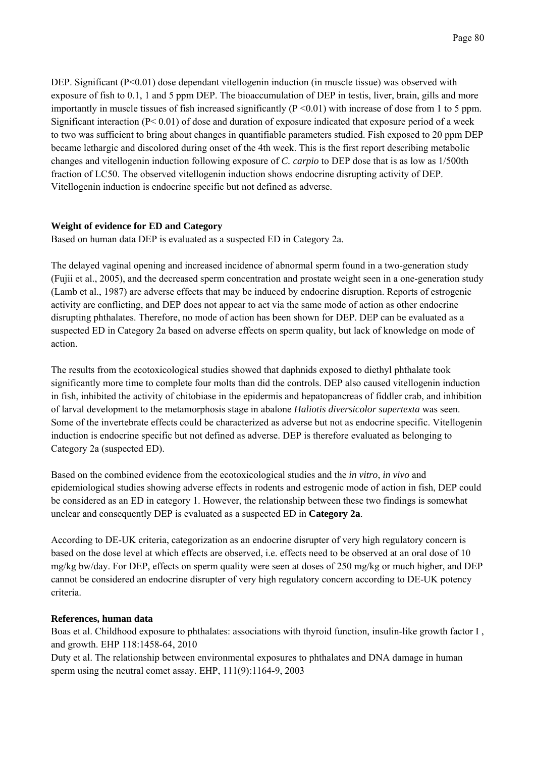DEP. Significant  $(P<0.01)$  dose dependant vitellogenin induction (in muscle tissue) was observed with exposure of fish to 0.1, 1 and 5 ppm DEP. The bioaccumulation of DEP in testis, liver, brain, gills and more importantly in muscle tissues of fish increased significantly  $(P \le 0.01)$  with increase of dose from 1 to 5 ppm. Significant interaction (P< 0.01) of dose and duration of exposure indicated that exposure period of a week to two was sufficient to bring about changes in quantifiable parameters studied. Fish exposed to 20 ppm DEP became lethargic and discolored during onset of the 4th week. This is the first report describing metabolic changes and vitellogenin induction following exposure of *C. carpio* to DEP dose that is as low as 1/500th fraction of LC50. The observed vitellogenin induction shows endocrine disrupting activity of DEP. Vitellogenin induction is endocrine specific but not defined as adverse.

### **Weight of evidence for ED and Category**

Based on human data DEP is evaluated as a suspected ED in Category 2a.

The delayed vaginal opening and increased incidence of abnormal sperm found in a two-generation study (Fujii et al., 2005), and the decreased sperm concentration and prostate weight seen in a one-generation study (Lamb et al., 1987) are adverse effects that may be induced by endocrine disruption. Reports of estrogenic activity are conflicting, and DEP does not appear to act via the same mode of action as other endocrine disrupting phthalates. Therefore, no mode of action has been shown for DEP. DEP can be evaluated as a suspected ED in Category 2a based on adverse effects on sperm quality, but lack of knowledge on mode of action.

The results from the ecotoxicological studies showed that daphnids exposed to diethyl phthalate took significantly more time to complete four molts than did the controls. DEP also caused vitellogenin induction in fish, inhibited the activity of chitobiase in the epidermis and hepatopancreas of fiddler crab, and inhibition of larval development to the metamorphosis stage in abalone *Haliotis diversicolor supertexta* was seen. Some of the invertebrate effects could be characterized as adverse but not as endocrine specific. Vitellogenin induction is endocrine specific but not defined as adverse. DEP is therefore evaluated as belonging to Category 2a (suspected ED).

Based on the combined evidence from the ecotoxicological studies and the *in vitro*, *in vivo* and epidemiological studies showing adverse effects in rodents and estrogenic mode of action in fish, DEP could be considered as an ED in category 1. However, the relationship between these two findings is somewhat unclear and consequently DEP is evaluated as a suspected ED in **Category 2a**.

According to DE-UK criteria, categorization as an endocrine disrupter of very high regulatory concern is based on the dose level at which effects are observed, i.e. effects need to be observed at an oral dose of 10 mg/kg bw/day. For DEP, effects on sperm quality were seen at doses of 250 mg/kg or much higher, and DEP cannot be considered an endocrine disrupter of very high regulatory concern according to DE-UK potency criteria.

#### **References, human data**

Boas et al. Childhood exposure to phthalates: associations with thyroid function, insulin-like growth factor I , and growth. EHP 118:1458-64, 2010

Duty et al. The relationship between environmental exposures to phthalates and DNA damage in human sperm using the neutral comet assay. EHP, 111(9):1164-9, 2003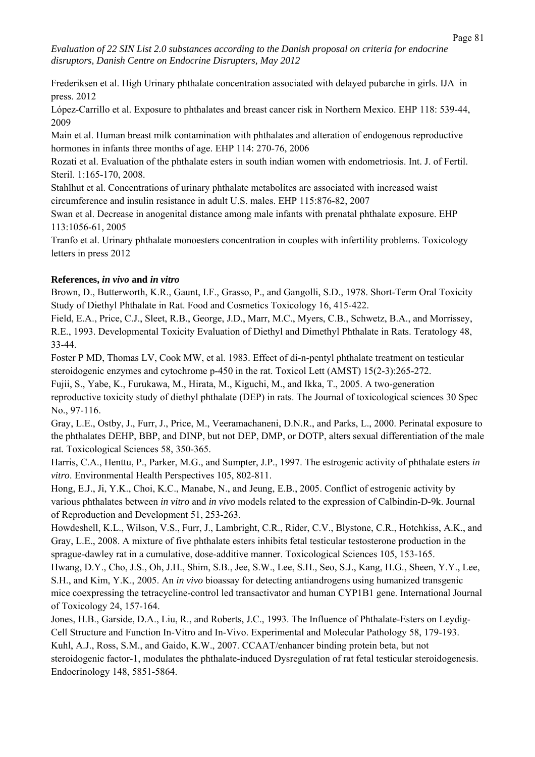Frederiksen et al. High Urinary phthalate concentration associated with delayed pubarche in girls. IJA in press. 2012

López-Carrillo et al. Exposure to phthalates and breast cancer risk in Northern Mexico. EHP 118: 539-44, 2009

Main et al. Human breast milk contamination with phthalates and alteration of endogenous reproductive hormones in infants three months of age. EHP 114: 270-76, 2006

Rozati et al. Evaluation of the phthalate esters in south indian women with endometriosis. Int. J. of Fertil. Steril. 1:165-170, 2008.

Stahlhut et al. Concentrations of urinary phthalate metabolites are associated with increased waist circumference and insulin resistance in adult U.S. males. EHP 115:876-82, 2007

Swan et al. Decrease in anogenital distance among male infants with prenatal phthalate exposure. EHP 113:1056-61, 2005

Tranfo et al. Urinary phthalate monoesters concentration in couples with infertility problems. Toxicology letters in press 2012

# **References,** *in vivo* **and** *in vitro*

Brown, D., Butterworth, K.R., Gaunt, I.F., Grasso, P., and Gangolli, S.D., 1978. Short-Term Oral Toxicity Study of Diethyl Phthalate in Rat. Food and Cosmetics Toxicology 16, 415-422.

Field, E.A., Price, C.J., Sleet, R.B., George, J.D., Marr, M.C., Myers, C.B., Schwetz, B.A., and Morrissey, R.E., 1993. Developmental Toxicity Evaluation of Diethyl and Dimethyl Phthalate in Rats. Teratology 48, 33-44.

Foster P MD, Thomas LV, Cook MW, et al. 1983. Effect of di-n-pentyl phthalate treatment on testicular steroidogenic enzymes and cytochrome p-450 in the rat. Toxicol Lett (AMST) 15(2-3):265-272.

Fujii, S., Yabe, K., Furukawa, M., Hirata, M., Kiguchi, M., and Ikka, T., 2005. A two-generation reproductive toxicity study of diethyl phthalate (DEP) in rats. The Journal of toxicological sciences 30 Spec No., 97-116.

Gray, L.E., Ostby, J., Furr, J., Price, M., Veeramachaneni, D.N.R., and Parks, L., 2000. Perinatal exposure to the phthalates DEHP, BBP, and DINP, but not DEP, DMP, or DOTP, alters sexual differentiation of the male rat. Toxicological Sciences 58, 350-365.

Harris, C.A., Henttu, P., Parker, M.G., and Sumpter, J.P., 1997. The estrogenic activity of phthalate esters *in vitro*. Environmental Health Perspectives 105, 802-811.

Hong, E.J., Ji, Y.K., Choi, K.C., Manabe, N., and Jeung, E.B., 2005. Conflict of estrogenic activity by various phthalates between *in vitro* and *in vivo* models related to the expression of Calbindin-D-9k. Journal of Reproduction and Development 51, 253-263.

Howdeshell, K.L., Wilson, V.S., Furr, J., Lambright, C.R., Rider, C.V., Blystone, C.R., Hotchkiss, A.K., and Gray, L.E., 2008. A mixture of five phthalate esters inhibits fetal testicular testosterone production in the sprague-dawley rat in a cumulative, dose-additive manner. Toxicological Sciences 105, 153-165.

Hwang, D.Y., Cho, J.S., Oh, J.H., Shim, S.B., Jee, S.W., Lee, S.H., Seo, S.J., Kang, H.G., Sheen, Y.Y., Lee, S.H., and Kim, Y.K., 2005. An *in vivo* bioassay for detecting antiandrogens using humanized transgenic mice coexpressing the tetracycline-control led transactivator and human CYP1B1 gene. International Journal of Toxicology 24, 157-164.

Jones, H.B., Garside, D.A., Liu, R., and Roberts, J.C., 1993. The Influence of Phthalate-Esters on Leydig-Cell Structure and Function In-Vitro and In-Vivo. Experimental and Molecular Pathology 58, 179-193. Kuhl, A.J., Ross, S.M., and Gaido, K.W., 2007. CCAAT/enhancer binding protein beta, but not steroidogenic factor-1, modulates the phthalate-induced Dysregulation of rat fetal testicular steroidogenesis. Endocrinology 148, 5851-5864.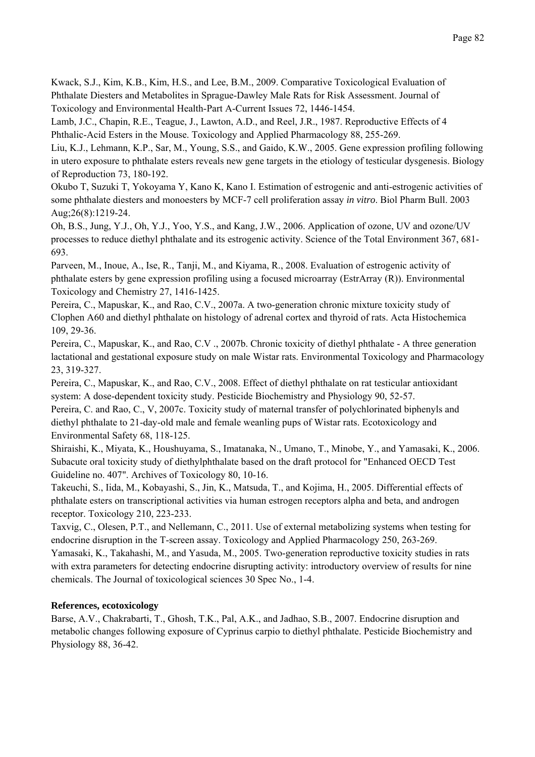Kwack, S.J., Kim, K.B., Kim, H.S., and Lee, B.M., 2009. Comparative Toxicological Evaluation of Phthalate Diesters and Metabolites in Sprague-Dawley Male Rats for Risk Assessment. Journal of Toxicology and Environmental Health-Part A-Current Issues 72, 1446-1454.

Lamb, J.C., Chapin, R.E., Teague, J., Lawton, A.D., and Reel, J.R., 1987. Reproductive Effects of 4 Phthalic-Acid Esters in the Mouse. Toxicology and Applied Pharmacology 88, 255-269.

Liu, K.J., Lehmann, K.P., Sar, M., Young, S.S., and Gaido, K.W., 2005. Gene expression profiling following in utero exposure to phthalate esters reveals new gene targets in the etiology of testicular dysgenesis. Biology of Reproduction 73, 180-192.

Okubo T, Suzuki T, Yokoyama Y, Kano K, Kano I. Estimation of estrogenic and anti-estrogenic activities of some phthalate diesters and monoesters by MCF-7 cell proliferation assay *in vitro*. Biol Pharm Bull. 2003 Aug;26(8):1219-24.

Oh, B.S., Jung, Y.J., Oh, Y.J., Yoo, Y.S., and Kang, J.W., 2006. Application of ozone, UV and ozone/UV processes to reduce diethyl phthalate and its estrogenic activity. Science of the Total Environment 367, 681- 693.

Parveen, M., Inoue, A., Ise, R., Tanji, M., and Kiyama, R., 2008. Evaluation of estrogenic activity of phthalate esters by gene expression profiling using a focused microarray (EstrArray (R)). Environmental Toxicology and Chemistry 27, 1416-1425.

Pereira, C., Mapuskar, K., and Rao, C.V., 2007a. A two-generation chronic mixture toxicity study of Clophen A60 and diethyl phthalate on histology of adrenal cortex and thyroid of rats. Acta Histochemica 109, 29-36.

Pereira, C., Mapuskar, K., and Rao, C.V ., 2007b. Chronic toxicity of diethyl phthalate - A three generation lactational and gestational exposure study on male Wistar rats. Environmental Toxicology and Pharmacology 23, 319-327.

Pereira, C., Mapuskar, K., and Rao, C.V., 2008. Effect of diethyl phthalate on rat testicular antioxidant system: A dose-dependent toxicity study. Pesticide Biochemistry and Physiology 90, 52-57.

Pereira, C. and Rao, C., V, 2007c. Toxicity study of maternal transfer of polychlorinated biphenyls and diethyl phthalate to 21-day-old male and female weanling pups of Wistar rats. Ecotoxicology and Environmental Safety 68, 118-125.

Shiraishi, K., Miyata, K., Houshuyama, S., Imatanaka, N., Umano, T., Minobe, Y., and Yamasaki, K., 2006. Subacute oral toxicity study of diethylphthalate based on the draft protocol for "Enhanced OECD Test Guideline no. 407". Archives of Toxicology 80, 10-16.

Takeuchi, S., Iida, M., Kobayashi, S., Jin, K., Matsuda, T., and Kojima, H., 2005. Differential effects of phthalate esters on transcriptional activities via human estrogen receptors alpha and beta, and androgen receptor. Toxicology 210, 223-233.

Taxvig, C., Olesen, P.T., and Nellemann, C., 2011. Use of external metabolizing systems when testing for endocrine disruption in the T-screen assay. Toxicology and Applied Pharmacology 250, 263-269. Yamasaki, K., Takahashi, M., and Yasuda, M., 2005. Two-generation reproductive toxicity studies in rats with extra parameters for detecting endocrine disrupting activity: introductory overview of results for nine

chemicals. The Journal of toxicological sciences 30 Spec No., 1-4.

# **References, ecotoxicology**

Barse, A.V., Chakrabarti, T., Ghosh, T.K., Pal, A.K., and Jadhao, S.B., 2007. Endocrine disruption and metabolic changes following exposure of Cyprinus carpio to diethyl phthalate. Pesticide Biochemistry and Physiology 88, 36-42.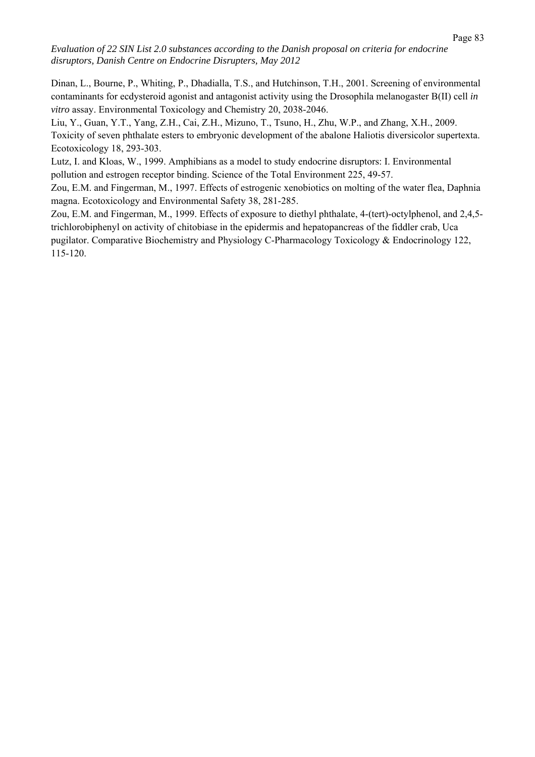Dinan, L., Bourne, P., Whiting, P., Dhadialla, T.S., and Hutchinson, T.H., 2001. Screening of environmental contaminants for ecdysteroid agonist and antagonist activity using the Drosophila melanogaster B(II) cell *in vitro* assay. Environmental Toxicology and Chemistry 20, 2038-2046.

Liu, Y., Guan, Y.T., Yang, Z.H., Cai, Z.H., Mizuno, T., Tsuno, H., Zhu, W.P., and Zhang, X.H., 2009. Toxicity of seven phthalate esters to embryonic development of the abalone Haliotis diversicolor supertexta. Ecotoxicology 18, 293-303.

Lutz, I. and Kloas, W., 1999. Amphibians as a model to study endocrine disruptors: I. Environmental pollution and estrogen receptor binding. Science of the Total Environment 225, 49-57.

Zou, E.M. and Fingerman, M., 1997. Effects of estrogenic xenobiotics on molting of the water flea, Daphnia magna. Ecotoxicology and Environmental Safety 38, 281-285.

Zou, E.M. and Fingerman, M., 1999. Effects of exposure to diethyl phthalate, 4-(tert)-octylphenol, and 2,4,5 trichlorobiphenyl on activity of chitobiase in the epidermis and hepatopancreas of the fiddler crab, Uca pugilator. Comparative Biochemistry and Physiology C-Pharmacology Toxicology & Endocrinology 122, 115-120.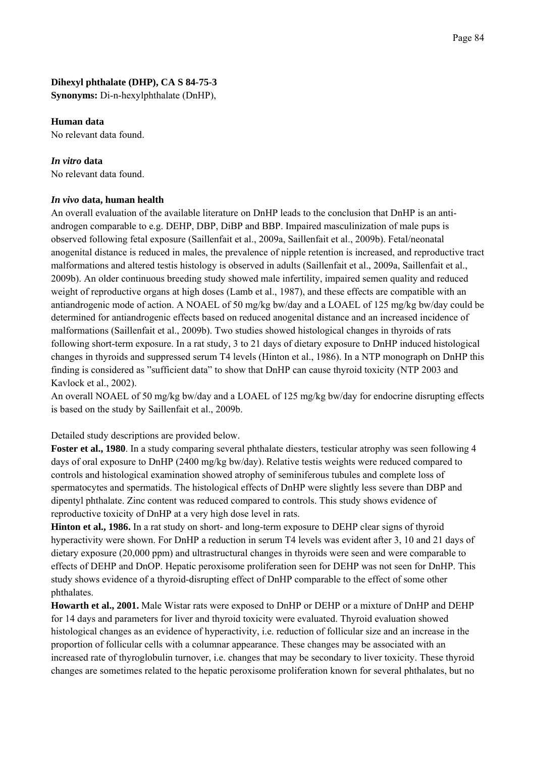### **Dihexyl phthalate (DHP), CA S 84-75-3**

**Synonyms:** Di-n-hexylphthalate (DnHP),

#### **Human data**

No relevant data found.

#### *In vitro* **data**

No relevant data found.

#### *In vivo* **data, human health**

An overall evaluation of the available literature on DnHP leads to the conclusion that DnHP is an antiandrogen comparable to e.g. DEHP, DBP, DiBP and BBP. Impaired masculinization of male pups is observed following fetal exposure (Saillenfait et al., 2009a, Saillenfait et al., 2009b). Fetal/neonatal anogenital distance is reduced in males, the prevalence of nipple retention is increased, and reproductive tract malformations and altered testis histology is observed in adults (Saillenfait et al., 2009a, Saillenfait et al., 2009b). An older continuous breeding study showed male infertility, impaired semen quality and reduced weight of reproductive organs at high doses (Lamb et al., 1987), and these effects are compatible with an antiandrogenic mode of action. A NOAEL of 50 mg/kg bw/day and a LOAEL of 125 mg/kg bw/day could be determined for antiandrogenic effects based on reduced anogenital distance and an increased incidence of malformations (Saillenfait et al., 2009b). Two studies showed histological changes in thyroids of rats following short-term exposure. In a rat study, 3 to 21 days of dietary exposure to DnHP induced histological changes in thyroids and suppressed serum T4 levels (Hinton et al., 1986). In a NTP monograph on DnHP this finding is considered as "sufficient data" to show that DnHP can cause thyroid toxicity (NTP 2003 and Kavlock et al., 2002).

An overall NOAEL of 50 mg/kg bw/day and a LOAEL of 125 mg/kg bw/day for endocrine disrupting effects is based on the study by Saillenfait et al., 2009b.

Detailed study descriptions are provided below.

**Foster et al., 1980**. In a study comparing several phthalate diesters, testicular atrophy was seen following 4 days of oral exposure to DnHP (2400 mg/kg bw/day). Relative testis weights were reduced compared to controls and histological examination showed atrophy of seminiferous tubules and complete loss of spermatocytes and spermatids. The histological effects of DnHP were slightly less severe than DBP and dipentyl phthalate. Zinc content was reduced compared to controls. This study shows evidence of reproductive toxicity of DnHP at a very high dose level in rats.

**Hinton et al., 1986.** In a rat study on short- and long-term exposure to DEHP clear signs of thyroid hyperactivity were shown. For DnHP a reduction in serum T4 levels was evident after 3, 10 and 21 days of dietary exposure (20,000 ppm) and ultrastructural changes in thyroids were seen and were comparable to effects of DEHP and DnOP. Hepatic peroxisome proliferation seen for DEHP was not seen for DnHP. This study shows evidence of a thyroid-disrupting effect of DnHP comparable to the effect of some other phthalates.

**Howarth et al., 2001.** Male Wistar rats were exposed to DnHP or DEHP or a mixture of DnHP and DEHP for 14 days and parameters for liver and thyroid toxicity were evaluated. Thyroid evaluation showed histological changes as an evidence of hyperactivity, i.e. reduction of follicular size and an increase in the proportion of follicular cells with a columnar appearance. These changes may be associated with an increased rate of thyroglobulin turnover, i.e. changes that may be secondary to liver toxicity. These thyroid changes are sometimes related to the hepatic peroxisome proliferation known for several phthalates, but no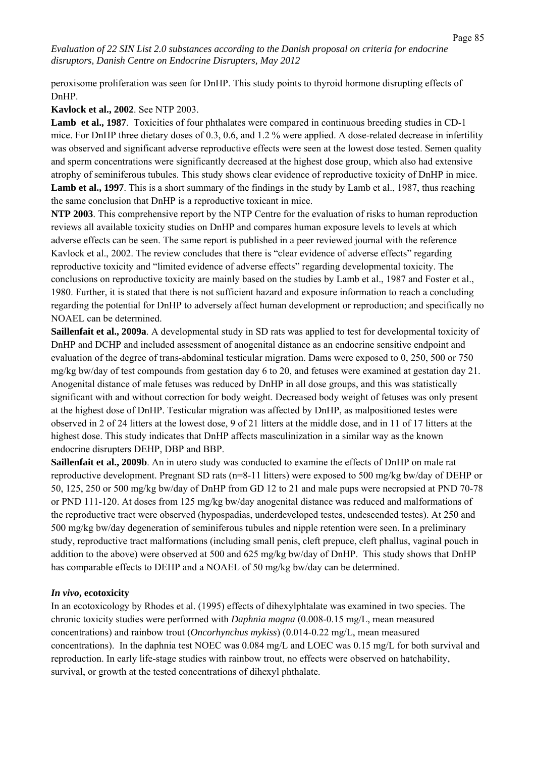peroxisome proliferation was seen for DnHP. This study points to thyroid hormone disrupting effects of DnHP.

**Kavlock et al., 2002**. See NTP 2003.

**Lamb et al., 1987**. Toxicities of four phthalates were compared in continuous breeding studies in CD-1 mice. For DnHP three dietary doses of 0.3, 0.6, and 1.2 % were applied. A dose-related decrease in infertility was observed and significant adverse reproductive effects were seen at the lowest dose tested. Semen quality and sperm concentrations were significantly decreased at the highest dose group, which also had extensive atrophy of seminiferous tubules. This study shows clear evidence of reproductive toxicity of DnHP in mice. **Lamb et al., 1997**. This is a short summary of the findings in the study by Lamb et al., 1987, thus reaching the same conclusion that DnHP is a reproductive toxicant in mice.

**NTP 2003**. This comprehensive report by the NTP Centre for the evaluation of risks to human reproduction reviews all available toxicity studies on DnHP and compares human exposure levels to levels at which adverse effects can be seen. The same report is published in a peer reviewed journal with the reference Kavlock et al., 2002. The review concludes that there is "clear evidence of adverse effects" regarding reproductive toxicity and "limited evidence of adverse effects" regarding developmental toxicity. The conclusions on reproductive toxicity are mainly based on the studies by Lamb et al., 1987 and Foster et al., 1980. Further, it is stated that there is not sufficient hazard and exposure information to reach a concluding regarding the potential for DnHP to adversely affect human development or reproduction; and specifically no NOAEL can be determined.

**Saillenfait et al., 2009a**. A developmental study in SD rats was applied to test for developmental toxicity of DnHP and DCHP and included assessment of anogenital distance as an endocrine sensitive endpoint and evaluation of the degree of trans-abdominal testicular migration. Dams were exposed to 0, 250, 500 or 750 mg/kg bw/day of test compounds from gestation day 6 to 20, and fetuses were examined at gestation day 21. Anogenital distance of male fetuses was reduced by DnHP in all dose groups, and this was statistically significant with and without correction for body weight. Decreased body weight of fetuses was only present at the highest dose of DnHP. Testicular migration was affected by DnHP, as malpositioned testes were observed in 2 of 24 litters at the lowest dose, 9 of 21 litters at the middle dose, and in 11 of 17 litters at the highest dose. This study indicates that DnHP affects masculinization in a similar way as the known endocrine disrupters DEHP, DBP and BBP.

**Saillenfait et al., 2009b**. An in utero study was conducted to examine the effects of DnHP on male rat reproductive development. Pregnant SD rats (n=8-11 litters) were exposed to 500 mg/kg bw/day of DEHP or 50, 125, 250 or 500 mg/kg bw/day of DnHP from GD 12 to 21 and male pups were necropsied at PND 70-78 or PND 111-120. At doses from 125 mg/kg bw/day anogenital distance was reduced and malformations of the reproductive tract were observed (hypospadias, underdeveloped testes, undescended testes). At 250 and 500 mg/kg bw/day degeneration of seminiferous tubules and nipple retention were seen. In a preliminary study, reproductive tract malformations (including small penis, cleft prepuce, cleft phallus, vaginal pouch in addition to the above) were observed at 500 and 625 mg/kg bw/day of DnHP. This study shows that DnHP has comparable effects to DEHP and a NOAEL of 50 mg/kg bw/day can be determined.

#### *In vivo***, ecotoxicity**

In an ecotoxicology by Rhodes et al. (1995) effects of dihexylphtalate was examined in two species. The chronic toxicity studies were performed with *Daphnia magna* (0.008-0.15 mg/L, mean measured concentrations) and rainbow trout (*Oncorhynchus mykiss*) (0.014-0.22 mg/L, mean measured concentrations). In the daphnia test NOEC was 0.084 mg/L and LOEC was 0.15 mg/L for both survival and reproduction. In early life-stage studies with rainbow trout, no effects were observed on hatchability, survival, or growth at the tested concentrations of dihexyl phthalate.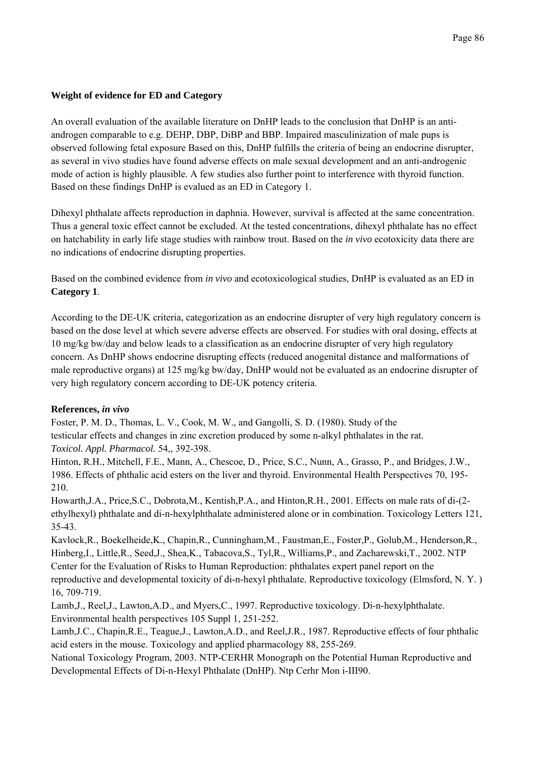# **Weight of evidence for ED and Category**

An overall evaluation of the available literature on DnHP leads to the conclusion that DnHP is an antiandrogen comparable to e.g. DEHP, DBP, DiBP and BBP. Impaired masculinization of male pups is observed following fetal exposure Based on this, DnHP fulfills the criteria of being an endocrine disrupter, as several in vivo studies have found adverse effects on male sexual development and an anti-androgenic mode of action is highly plausible. A few studies also further point to interference with thyroid function. Based on these findings DnHP is evalued as an ED in Category 1.

Dihexyl phthalate affects reproduction in daphnia. However, survival is affected at the same concentration. Thus a general toxic effect cannot be excluded. At the tested concentrations, dihexyl phthalate has no effect on hatchability in early life stage studies with rainbow trout. Based on the *in vivo* ecotoxicity data there are no indications of endocrine disrupting properties.

Based on the combined evidence from *in vivo* and ecotoxicological studies, DnHP is evaluated as an ED in **Category 1**.

According to the DE-UK criteria, categorization as an endocrine disrupter of very high regulatory concern is based on the dose level at which severe adverse effects are observed. For studies with oral dosing, effects at 10 mg/kg bw/day and below leads to a classification as an endocrine disrupter of very high regulatory concern. As DnHP shows endocrine disrupting effects (reduced anogenital distance and malformations of male reproductive organs) at 125 mg/kg bw/day, DnHP would not be evaluated as an endocrine disrupter of very high regulatory concern according to DE-UK potency criteria.

# **References,** *in vivo*

Foster, P. M. D., Thomas, L. V., Cook, M. W., and Gangolli, S. D. (1980). Study of the testicular effects and changes in zinc excretion produced by some n-alkyl phthalates in the rat. *Toxicol. Appl. Pharmacol.* 54,, 392-398.

Hinton, R.H., Mitchell, F.E., Mann, A., Chescoe, D., Price, S.C., Nunn, A., Grasso, P., and Bridges, J.W., 1986. Effects of phthalic acid esters on the liver and thyroid. Environmental Health Perspectives 70, 195- 210.

Howarth,J.A., Price,S.C., Dobrota,M., Kentish,P.A., and Hinton,R.H., 2001. Effects on male rats of di-(2 ethylhexyl) phthalate and di-n-hexylphthalate administered alone or in combination. Toxicology Letters 121, 35-43.

Kavlock,R., Boekelheide,K., Chapin,R., Cunningham,M., Faustman,E., Foster,P., Golub,M., Henderson,R., Hinberg,I., Little,R., Seed,J., Shea,K., Tabacova,S., Tyl,R., Williams,P., and Zacharewski,T., 2002. NTP Center for the Evaluation of Risks to Human Reproduction: phthalates expert panel report on the reproductive and developmental toxicity of di-n-hexyl phthalate. Reproductive toxicology (Elmsford, N. Y. ) 16, 709-719.

Lamb,J., Reel,J., Lawton,A.D., and Myers,C., 1997. Reproductive toxicology. Di-n-hexylphthalate. Environmental health perspectives 105 Suppl 1, 251-252.

Lamb,J.C., Chapin,R.E., Teague,J., Lawton,A.D., and Reel,J.R., 1987. Reproductive effects of four phthalic acid esters in the mouse. Toxicology and applied pharmacology 88, 255-269.

National Toxicology Program, 2003. NTP-CERHR Monograph on the Potential Human Reproductive and Developmental Effects of Di-n-Hexyl Phthalate (DnHP). Ntp Cerhr Mon i-III90.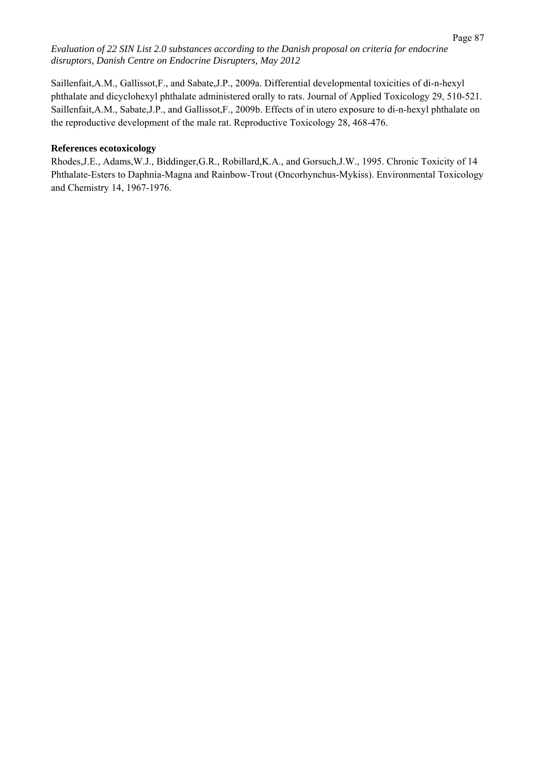Saillenfait,A.M., Gallissot,F., and Sabate,J.P., 2009a. Differential developmental toxicities of di-n-hexyl phthalate and dicyclohexyl phthalate administered orally to rats. Journal of Applied Toxicology 29, 510-521. Saillenfait,A.M., Sabate,J.P., and Gallissot,F., 2009b. Effects of in utero exposure to di-n-hexyl phthalate on the reproductive development of the male rat. Reproductive Toxicology 28, 468-476.

### **References ecotoxicology**

Rhodes,J.E., Adams,W.J., Biddinger,G.R., Robillard,K.A., and Gorsuch,J.W., 1995. Chronic Toxicity of 14 Phthalate-Esters to Daphnia-Magna and Rainbow-Trout (Oncorhynchus-Mykiss). Environmental Toxicology and Chemistry 14, 1967-1976.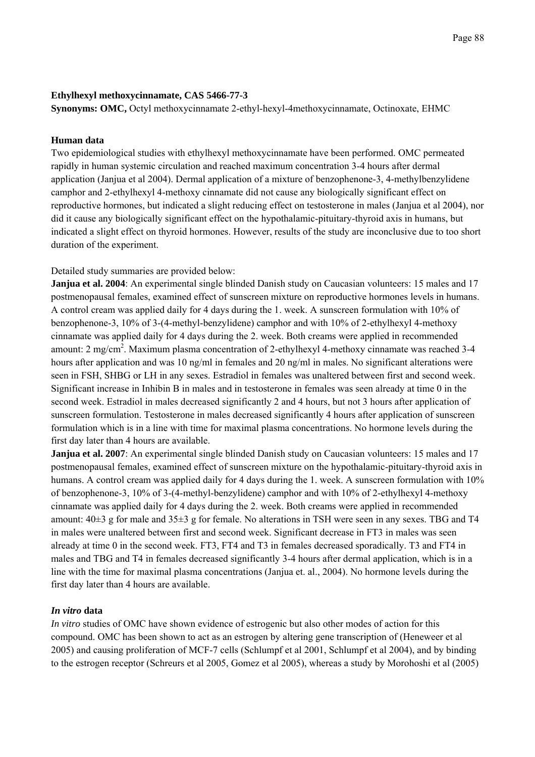### **Ethylhexyl methoxycinnamate, CAS 5466-77-3**

**Synonyms: OMC,** Octyl methoxycinnamate 2-ethyl-hexyl-4methoxycinnamate, Octinoxate, EHMC

### **Human data**

Two epidemiological studies with ethylhexyl methoxycinnamate have been performed. OMC permeated rapidly in human systemic circulation and reached maximum concentration 3-4 hours after dermal application (Janjua et al 2004). Dermal application of a mixture of benzophenone-3, 4-methylbenzylidene camphor and 2-ethylhexyl 4-methoxy cinnamate did not cause any biologically significant effect on reproductive hormones, but indicated a slight reducing effect on testosterone in males (Janjua et al 2004), nor did it cause any biologically significant effect on the hypothalamic-pituitary-thyroid axis in humans, but indicated a slight effect on thyroid hormones. However, results of the study are inconclusive due to too short duration of the experiment.

Detailed study summaries are provided below:

**Janjua et al. 2004**: An experimental single blinded Danish study on Caucasian volunteers: 15 males and 17 postmenopausal females, examined effect of sunscreen mixture on reproductive hormones levels in humans. A control cream was applied daily for 4 days during the 1. week. A sunscreen formulation with 10% of benzophenone-3, 10% of 3-(4-methyl-benzylidene) camphor and with 10% of 2-ethylhexyl 4-methoxy cinnamate was applied daily for 4 days during the 2. week. Both creams were applied in recommended amount: 2 mg/cm<sup>2</sup>. Maximum plasma concentration of 2-ethylhexyl 4-methoxy cinnamate was reached 3-4 hours after application and was 10 ng/ml in females and 20 ng/ml in males. No significant alterations were seen in FSH, SHBG or LH in any sexes. Estradiol in females was unaltered between first and second week. Significant increase in Inhibin B in males and in testosterone in females was seen already at time 0 in the second week. Estradiol in males decreased significantly 2 and 4 hours, but not 3 hours after application of sunscreen formulation. Testosterone in males decreased significantly 4 hours after application of sunscreen formulation which is in a line with time for maximal plasma concentrations. No hormone levels during the first day later than 4 hours are available.

**Janjua et al. 2007**: An experimental single blinded Danish study on Caucasian volunteers: 15 males and 17 postmenopausal females, examined effect of sunscreen mixture on the hypothalamic-pituitary-thyroid axis in humans. A control cream was applied daily for 4 days during the 1. week. A sunscreen formulation with 10% of benzophenone-3, 10% of 3-(4-methyl-benzylidene) camphor and with 10% of 2-ethylhexyl 4-methoxy cinnamate was applied daily for 4 days during the 2. week. Both creams were applied in recommended amount:  $40\pm3$  g for male and  $35\pm3$  g for female. No alterations in TSH were seen in any sexes. TBG and T4 in males were unaltered between first and second week. Significant decrease in FT3 in males was seen already at time 0 in the second week. FT3, FT4 and T3 in females decreased sporadically. T3 and FT4 in males and TBG and T4 in females decreased significantly 3-4 hours after dermal application, which is in a line with the time for maximal plasma concentrations (Janjua et. al., 2004). No hormone levels during the first day later than 4 hours are available.

#### *In vitro* **data**

*In vitro* studies of OMC have shown evidence of estrogenic but also other modes of action for this compound. OMC has been shown to act as an estrogen by altering gene transcription of (Heneweer et al 2005) and causing proliferation of MCF-7 cells (Schlumpf et al 2001, Schlumpf et al 2004), and by binding to the estrogen receptor (Schreurs et al 2005, Gomez et al 2005), whereas a study by Morohoshi et al (2005)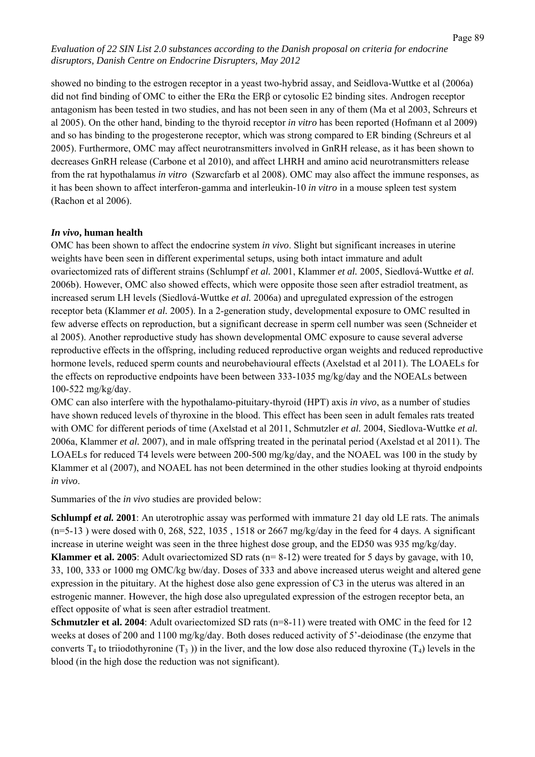showed no binding to the estrogen receptor in a yeast two-hybrid assay, and Seidlova-Wuttke et al (2006a) did not find binding of OMC to either the ERα the ERβ or cytosolic E2 binding sites. Androgen receptor antagonism has been tested in two studies, and has not been seen in any of them (Ma et al 2003, Schreurs et al 2005). On the other hand, binding to the thyroid receptor *in vitro* has been reported (Hofmann et al 2009) and so has binding to the progesterone receptor, which was strong compared to ER binding (Schreurs et al 2005). Furthermore, OMC may affect neurotransmitters involved in GnRH release, as it has been shown to decreases GnRH release (Carbone et al 2010), and affect LHRH and amino acid neurotransmitters release from the rat hypothalamus *in vitro* (Szwarcfarb et al 2008). OMC may also affect the immune responses, as it has been shown to affect interferon-gamma and interleukin-10 *in vitro* in a mouse spleen test system (Rachon et al 2006).

# *In vivo***, human health**

OMC has been shown to affect the endocrine system *in vivo*. Slight but significant increases in uterine weights have been seen in different experimental setups, using both intact immature and adult ovariectomized rats of different strains (Schlumpf *et al.* 2001, Klammer *et al.* 2005, Siedlová-Wuttke *et al.* 2006b). However, OMC also showed effects, which were opposite those seen after estradiol treatment, as increased serum LH levels (Siedlová-Wuttke *et al.* 2006a) and upregulated expression of the estrogen receptor beta (Klammer *et al.* 2005). In a 2-generation study, developmental exposure to OMC resulted in few adverse effects on reproduction, but a significant decrease in sperm cell number was seen (Schneider et al 2005). Another reproductive study has shown developmental OMC exposure to cause several adverse reproductive effects in the offspring, including reduced reproductive organ weights and reduced reproductive hormone levels, reduced sperm counts and neurobehavioural effects (Axelstad et al 2011). The LOAELs for the effects on reproductive endpoints have been between 333-1035 mg/kg/day and the NOEALs between 100-522 mg/kg/day.

OMC can also interfere with the hypothalamo-pituitary-thyroid (HPT) axis *in vivo*, as a number of studies have shown reduced levels of thyroxine in the blood. This effect has been seen in adult females rats treated with OMC for different periods of time (Axelstad et al 2011, Schmutzler *et al.* 2004, Siedlova-Wuttke *et al.* 2006a, Klammer *et al.* 2007), and in male offspring treated in the perinatal period (Axelstad et al 2011). The LOAELs for reduced T4 levels were between 200-500 mg/kg/day, and the NOAEL was 100 in the study by Klammer et al (2007), and NOAEL has not been determined in the other studies looking at thyroid endpoints *in vivo*.

Summaries of the *in vivo* studies are provided below:

**Schlumpf** *et al.* **2001**: An uterotrophic assay was performed with immature 21 day old LE rats. The animals  $(n=5-13)$  were dosed with 0, 268, 522, 1035, 1518 or 2667 mg/kg/day in the feed for 4 days. A significant increase in uterine weight was seen in the three highest dose group, and the ED50 was 935 mg/kg/day. **Klammer et al. 2005**: Adult ovariectomized SD rats (n= 8-12) were treated for 5 days by gavage, with 10, 33, 100, 333 or 1000 mg OMC/kg bw/day. Doses of 333 and above increased uterus weight and altered gene expression in the pituitary. At the highest dose also gene expression of C3 in the uterus was altered in an estrogenic manner. However, the high dose also upregulated expression of the estrogen receptor beta, an effect opposite of what is seen after estradiol treatment.

**Schmutzler et al. 2004**: Adult ovariectomized SD rats (n=8-11) were treated with OMC in the feed for 12 weeks at doses of 200 and 1100 mg/kg/day. Both doses reduced activity of 5'-deiodinase (the enzyme that converts  $T_4$  to triiodothyronine  $(T_3)$ ) in the liver, and the low dose also reduced thyroxine  $(T_4)$  levels in the blood (in the high dose the reduction was not significant).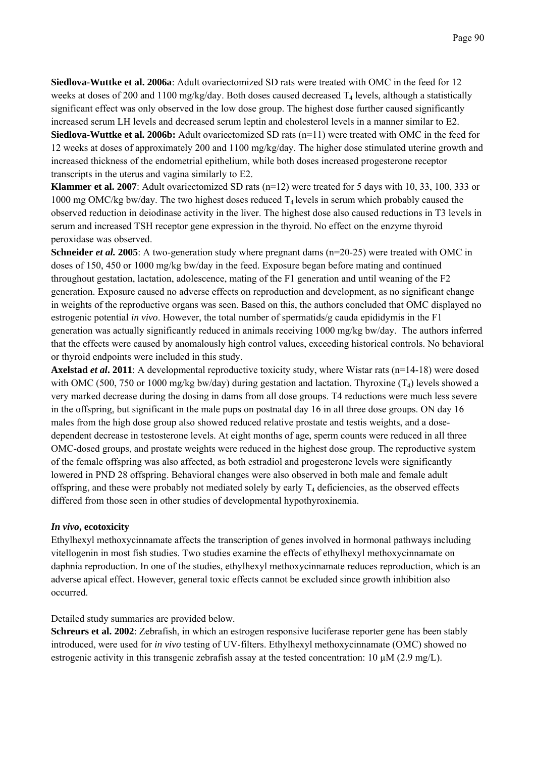**Siedlova-Wuttke et al. 2006a**: Adult ovariectomized SD rats were treated with OMC in the feed for 12 weeks at doses of 200 and 1100 mg/kg/day. Both doses caused decreased  $T_4$  levels, although a statistically significant effect was only observed in the low dose group. The highest dose further caused significantly increased serum LH levels and decreased serum leptin and cholesterol levels in a manner similar to E2.

**Siedlova-Wuttke et al. 2006b:** Adult ovariectomized SD rats (n=11) were treated with OMC in the feed for 12 weeks at doses of approximately 200 and 1100 mg/kg/day. The higher dose stimulated uterine growth and increased thickness of the endometrial epithelium, while both doses increased progesterone receptor transcripts in the uterus and vagina similarly to E2.

**Klammer et al. 2007**: Adult ovariectomized SD rats (n=12) were treated for 5 days with 10, 33, 100, 333 or 1000 mg OMC/kg bw/day. The two highest doses reduced  $T_4$  levels in serum which probably caused the observed reduction in deiodinase activity in the liver. The highest dose also caused reductions in T3 levels in serum and increased TSH receptor gene expression in the thyroid. No effect on the enzyme thyroid peroxidase was observed.

**Schneider** *et al.* 2005: A two-generation study where pregnant dams (n=20-25) were treated with OMC in doses of 150, 450 or 1000 mg/kg bw/day in the feed. Exposure began before mating and continued throughout gestation, lactation, adolescence, mating of the F1 generation and until weaning of the F2 generation. Exposure caused no adverse effects on reproduction and development, as no significant change in weights of the reproductive organs was seen. Based on this, the authors concluded that OMC displayed no estrogenic potential *in vivo*. However, the total number of spermatids/g cauda epididymis in the F1 generation was actually significantly reduced in animals receiving 1000 mg/kg bw/day. The authors inferred that the effects were caused by anomalously high control values, exceeding historical controls. No behavioral or thyroid endpoints were included in this study.

**Axelstad** *et al***. 2011**: A developmental reproductive toxicity study, where Wistar rats (n=14-18) were dosed with OMC (500, 750 or 1000 mg/kg bw/day) during gestation and lactation. Thyroxine  $(T_4)$  levels showed a very marked decrease during the dosing in dams from all dose groups. T4 reductions were much less severe in the offspring, but significant in the male pups on postnatal day 16 in all three dose groups. ON day 16 males from the high dose group also showed reduced relative prostate and testis weights, and a dosedependent decrease in testosterone levels. At eight months of age, sperm counts were reduced in all three OMC-dosed groups, and prostate weights were reduced in the highest dose group. The reproductive system of the female offspring was also affected, as both estradiol and progesterone levels were significantly lowered in PND 28 offspring. Behavioral changes were also observed in both male and female adult offspring, and these were probably not mediated solely by early  $T_4$  deficiencies, as the observed effects differed from those seen in other studies of developmental hypothyroxinemia.

#### *In vivo***, ecotoxicity**

Ethylhexyl methoxycinnamate affects the transcription of genes involved in hormonal pathways including vitellogenin in most fish studies. Two studies examine the effects of ethylhexyl methoxycinnamate on daphnia reproduction. In one of the studies, ethylhexyl methoxycinnamate reduces reproduction, which is an adverse apical effect. However, general toxic effects cannot be excluded since growth inhibition also occurred.

#### Detailed study summaries are provided below.

**Schreurs et al. 2002**: Zebrafish, in which an estrogen responsive luciferase reporter gene has been stably introduced, were used for *in vivo* testing of UV-filters. Ethylhexyl methoxycinnamate (OMC) showed no estrogenic activity in this transgenic zebrafish assay at the tested concentration:  $10 \mu M (2.9 \text{ mg/L})$ .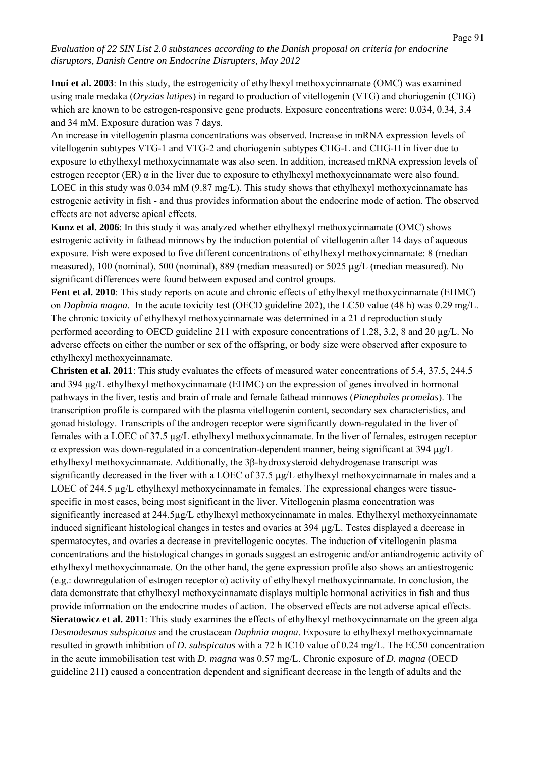**Inui et al. 2003**: In this study, the estrogenicity of ethylhexyl methoxycinnamate (OMC) was examined using male medaka (*Oryzias latipes*) in regard to production of vitellogenin (VTG) and choriogenin (CHG) which are known to be estrogen-responsive gene products. Exposure concentrations were: 0.034, 0.34, 3.4 and 34 mM. Exposure duration was 7 days.

An increase in vitellogenin plasma concentrations was observed. Increase in mRNA expression levels of vitellogenin subtypes VTG-1 and VTG-2 and choriogenin subtypes CHG-L and CHG-H in liver due to exposure to ethylhexyl methoxycinnamate was also seen. In addition, increased mRNA expression levels of estrogen receptor (ER)  $\alpha$  in the liver due to exposure to ethylhexyl methoxycinnamate were also found. LOEC in this study was 0.034 mM (9.87 mg/L). This study shows that ethylhexyl methoxycinnamate has estrogenic activity in fish - and thus provides information about the endocrine mode of action. The observed effects are not adverse apical effects.

**Kunz et al. 2006**: In this study it was analyzed whether ethylhexyl methoxycinnamate (OMC) shows estrogenic activity in fathead minnows by the induction potential of vitellogenin after 14 days of aqueous exposure. Fish were exposed to five different concentrations of ethylhexyl methoxycinnamate: 8 (median measured), 100 (nominal), 500 (nominal), 889 (median measured) or 5025 µg/L (median measured). No significant differences were found between exposed and control groups.

**Fent et al. 2010**: This study reports on acute and chronic effects of ethylhexyl methoxycinnamate (EHMC) on *Daphnia magna*. In the acute toxicity test (OECD guideline 202), the LC50 value (48 h) was 0.29 mg/L. The chronic toxicity of ethylhexyl methoxycinnamate was determined in a 21 d reproduction study performed according to OECD guideline 211 with exposure concentrations of 1.28, 3.2, 8 and 20 µg/L. No adverse effects on either the number or sex of the offspring, or body size were observed after exposure to ethylhexyl methoxycinnamate.

**Christen et al. 2011**: This study evaluates the effects of measured water concentrations of 5.4, 37.5, 244.5 and 394 µg/L ethylhexyl methoxycinnamate (EHMC) on the expression of genes involved in hormonal pathways in the liver, testis and brain of male and female fathead minnows (*Pimephales promelas*). The transcription profile is compared with the plasma vitellogenin content, secondary sex characteristics, and gonad histology. Transcripts of the androgen receptor were significantly down-regulated in the liver of females with a LOEC of 37.5 µg/L ethylhexyl methoxycinnamate. In the liver of females, estrogen receptor  $\alpha$  expression was down-regulated in a concentration-dependent manner, being significant at 394  $\mu$ g/L ethylhexyl methoxycinnamate. Additionally, the 3β-hydroxysteroid dehydrogenase transcript was significantly decreased in the liver with a LOEC of 37.5 µg/L ethylhexyl methoxycinnamate in males and a LOEC of 244.5  $\mu$ g/L ethylhexyl methoxycinnamate in females. The expressional changes were tissuespecific in most cases, being most significant in the liver. Vitellogenin plasma concentration was significantly increased at 244.5µg/L ethylhexyl methoxycinnamate in males. Ethylhexyl methoxycinnamate induced significant histological changes in testes and ovaries at 394 µg/L. Testes displayed a decrease in spermatocytes, and ovaries a decrease in previtellogenic oocytes. The induction of vitellogenin plasma concentrations and the histological changes in gonads suggest an estrogenic and/or antiandrogenic activity of ethylhexyl methoxycinnamate. On the other hand, the gene expression profile also shows an antiestrogenic (e.g.: downregulation of estrogen receptor  $\alpha$ ) activity of ethylhexyl methoxycinnamate. In conclusion, the data demonstrate that ethylhexyl methoxycinnamate displays multiple hormonal activities in fish and thus provide information on the endocrine modes of action. The observed effects are not adverse apical effects. **Sieratowicz et al. 2011**: This study examines the effects of ethylhexyl methoxycinnamate on the green alga *Desmodesmus subspicatus* and the crustacean *Daphnia magna*. Exposure to ethylhexyl methoxycinnamate resulted in growth inhibition of *D. subspicatus* with a 72 h IC10 value of 0.24 mg/L. The EC50 concentration in the acute immobilisation test with *D. magna* was 0.57 mg/L. Chronic exposure of *D. magna* (OECD guideline 211) caused a concentration dependent and significant decrease in the length of adults and the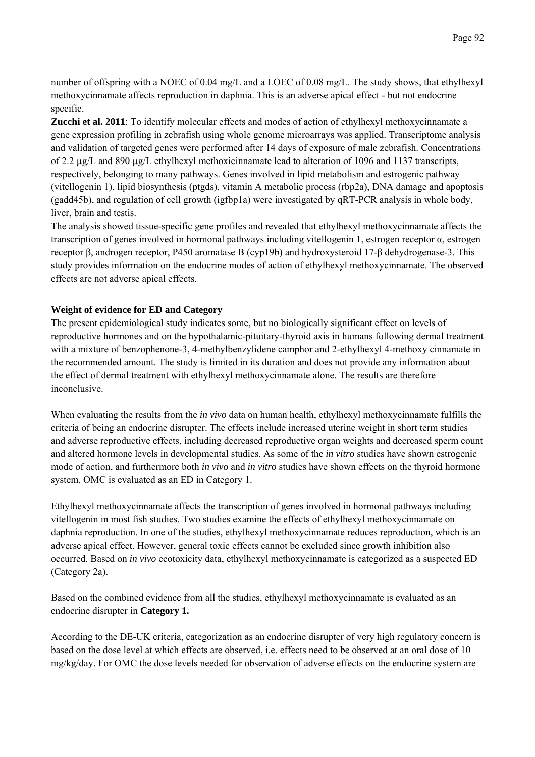number of offspring with a NOEC of 0.04 mg/L and a LOEC of 0.08 mg/L. The study shows, that ethylhexyl methoxycinnamate affects reproduction in daphnia. This is an adverse apical effect - but not endocrine specific.

**Zucchi et al. 2011**: To identify molecular effects and modes of action of ethylhexyl methoxycinnamate a gene expression profiling in zebrafish using whole genome microarrays was applied. Transcriptome analysis and validation of targeted genes were performed after 14 days of exposure of male zebrafish. Concentrations of 2.2 µg/L and 890 µg/L ethylhexyl methoxicinnamate lead to alteration of 1096 and 1137 transcripts, respectively, belonging to many pathways. Genes involved in lipid metabolism and estrogenic pathway (vitellogenin 1), lipid biosynthesis (ptgds), vitamin A metabolic process (rbp2a), DNA damage and apoptosis (gadd45b), and regulation of cell growth (igfbp1a) were investigated by qRT-PCR analysis in whole body, liver, brain and testis.

The analysis showed tissue-specific gene profiles and revealed that ethylhexyl methoxycinnamate affects the transcription of genes involved in hormonal pathways including vitellogenin 1, estrogen receptor α, estrogen receptor β, androgen receptor, P450 aromatase B (cyp19b) and hydroxysteroid 17-β dehydrogenase-3. This study provides information on the endocrine modes of action of ethylhexyl methoxycinnamate. The observed effects are not adverse apical effects.

# **Weight of evidence for ED and Category**

The present epidemiological study indicates some, but no biologically significant effect on levels of reproductive hormones and on the hypothalamic-pituitary-thyroid axis in humans following dermal treatment with a mixture of benzophenone-3, 4-methylbenzylidene camphor and 2-ethylhexyl 4-methoxy cinnamate in the recommended amount. The study is limited in its duration and does not provide any information about the effect of dermal treatment with ethylhexyl methoxycinnamate alone. The results are therefore inconclusive.

When evaluating the results from the *in vivo* data on human health, ethylhexyl methoxycinnamate fulfills the criteria of being an endocrine disrupter. The effects include increased uterine weight in short term studies and adverse reproductive effects, including decreased reproductive organ weights and decreased sperm count and altered hormone levels in developmental studies. As some of the *in vitro* studies have shown estrogenic mode of action, and furthermore both *in vivo* and *in vitro* studies have shown effects on the thyroid hormone system, OMC is evaluated as an ED in Category 1.

Ethylhexyl methoxycinnamate affects the transcription of genes involved in hormonal pathways including vitellogenin in most fish studies. Two studies examine the effects of ethylhexyl methoxycinnamate on daphnia reproduction. In one of the studies, ethylhexyl methoxycinnamate reduces reproduction, which is an adverse apical effect. However, general toxic effects cannot be excluded since growth inhibition also occurred. Based on *in vivo* ecotoxicity data, ethylhexyl methoxycinnamate is categorized as a suspected ED (Category 2a).

Based on the combined evidence from all the studies, ethylhexyl methoxycinnamate is evaluated as an endocrine disrupter in **Category 1.**

According to the DE-UK criteria, categorization as an endocrine disrupter of very high regulatory concern is based on the dose level at which effects are observed, i.e. effects need to be observed at an oral dose of 10 mg/kg/day. For OMC the dose levels needed for observation of adverse effects on the endocrine system are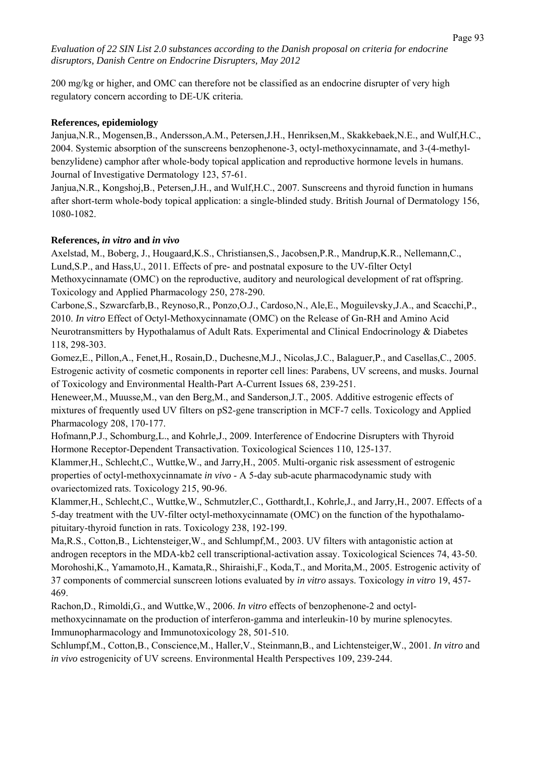200 mg/kg or higher, and OMC can therefore not be classified as an endocrine disrupter of very high regulatory concern according to DE-UK criteria.

# **References, epidemiology**

Janjua,N.R., Mogensen,B., Andersson,A.M., Petersen,J.H., Henriksen,M., Skakkebaek,N.E., and Wulf,H.C., 2004. Systemic absorption of the sunscreens benzophenone-3, octyl-methoxycinnamate, and 3-(4-methylbenzylidene) camphor after whole-body topical application and reproductive hormone levels in humans. Journal of Investigative Dermatology 123, 57-61.

Janjua,N.R., Kongshoj,B., Petersen,J.H., and Wulf,H.C., 2007. Sunscreens and thyroid function in humans after short-term whole-body topical application: a single-blinded study. British Journal of Dermatology 156, 1080-1082.

### **References,** *in vitro* **and** *in vivo*

Axelstad, M., Boberg, J., Hougaard,K.S., Christiansen,S., Jacobsen,P.R., Mandrup,K.R., Nellemann,C., Lund,S.P., and Hass,U., 2011. Effects of pre- and postnatal exposure to the UV-filter Octyl Methoxycinnamate (OMC) on the reproductive, auditory and neurological development of rat offspring. Toxicology and Applied Pharmacology 250, 278-290.

Carbone,S., Szwarcfarb,B., Reynoso,R., Ponzo,O.J., Cardoso,N., Ale,E., Moguilevsky,J.A., and Scacchi,P., 2010. *In vitro* Effect of Octyl-Methoxycinnamate (OMC) on the Release of Gn-RH and Amino Acid Neurotransmitters by Hypothalamus of Adult Rats. Experimental and Clinical Endocrinology & Diabetes 118, 298-303.

Gomez,E., Pillon,A., Fenet,H., Rosain,D., Duchesne,M.J., Nicolas,J.C., Balaguer,P., and Casellas,C., 2005. Estrogenic activity of cosmetic components in reporter cell lines: Parabens, UV screens, and musks. Journal of Toxicology and Environmental Health-Part A-Current Issues 68, 239-251.

Heneweer,M., Muusse,M., van den Berg,M., and Sanderson,J.T., 2005. Additive estrogenic effects of mixtures of frequently used UV filters on pS2-gene transcription in MCF-7 cells. Toxicology and Applied Pharmacology 208, 170-177.

Hofmann,P.J., Schomburg,L., and Kohrle,J., 2009. Interference of Endocrine Disrupters with Thyroid Hormone Receptor-Dependent Transactivation. Toxicological Sciences 110, 125-137.

Klammer,H., Schlecht,C., Wuttke,W., and Jarry,H., 2005. Multi-organic risk assessment of estrogenic properties of octyl-methoxycinnamate *in vivo* - A 5-day sub-acute pharmacodynamic study with ovariectomized rats. Toxicology 215, 90-96.

Klammer,H., Schlecht,C., Wuttke,W., Schmutzler,C., Gotthardt,I., Kohrle,J., and Jarry,H., 2007. Effects of a 5-day treatment with the UV-filter octyl-methoxycinnamate (OMC) on the function of the hypothalamopituitary-thyroid function in rats. Toxicology 238, 192-199.

Ma,R.S., Cotton,B., Lichtensteiger,W., and Schlumpf,M., 2003. UV filters with antagonistic action at androgen receptors in the MDA-kb2 cell transcriptional-activation assay. Toxicological Sciences 74, 43-50. Morohoshi,K., Yamamoto,H., Kamata,R., Shiraishi,F., Koda,T., and Morita,M., 2005. Estrogenic activity of 37 components of commercial sunscreen lotions evaluated by *in vitro* assays. Toxicology *in vitro* 19, 457- 469.

Rachon,D., Rimoldi,G., and Wuttke,W., 2006. *In vitro* effects of benzophenone-2 and octylmethoxycinnamate on the production of interferon-gamma and interleukin-10 by murine splenocytes. Immunopharmacology and Immunotoxicology 28, 501-510.

Schlumpf,M., Cotton,B., Conscience,M., Haller,V., Steinmann,B., and Lichtensteiger,W., 2001. *In vitro* and *in vivo* estrogenicity of UV screens. Environmental Health Perspectives 109, 239-244.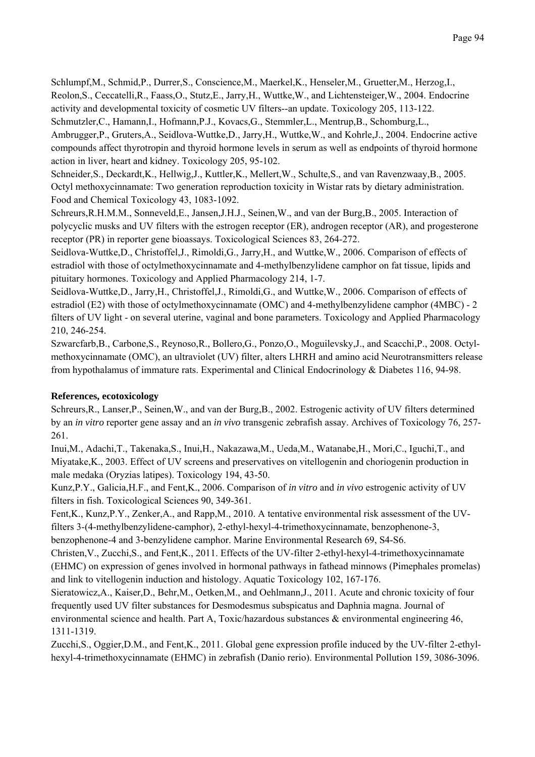Schlumpf,M., Schmid,P., Durrer,S., Conscience,M., Maerkel,K., Henseler,M., Gruetter,M., Herzog,I., Reolon,S., Ceccatelli,R., Faass,O., Stutz,E., Jarry,H., Wuttke,W., and Lichtensteiger,W., 2004. Endocrine activity and developmental toxicity of cosmetic UV filters--an update. Toxicology 205, 113-122. Schmutzler,C., Hamann,I., Hofmann,P.J., Kovacs,G., Stemmler,L., Mentrup,B., Schomburg,L.,

Ambrugger,P., Gruters,A., Seidlova-Wuttke,D., Jarry,H., Wuttke,W., and Kohrle,J., 2004. Endocrine active compounds affect thyrotropin and thyroid hormone levels in serum as well as endpoints of thyroid hormone action in liver, heart and kidney. Toxicology 205, 95-102.

Schneider,S., Deckardt,K., Hellwig,J., Kuttler,K., Mellert,W., Schulte,S., and van Ravenzwaay,B., 2005. Octyl methoxycinnamate: Two generation reproduction toxicity in Wistar rats by dietary administration. Food and Chemical Toxicology 43, 1083-1092.

Schreurs,R.H.M.M., Sonneveld,E., Jansen,J.H.J., Seinen,W., and van der Burg,B., 2005. Interaction of polycyclic musks and UV filters with the estrogen receptor (ER), androgen receptor (AR), and progesterone receptor (PR) in reporter gene bioassays. Toxicological Sciences 83, 264-272.

Seidlova-Wuttke,D., Christoffel,J., Rimoldi,G., Jarry,H., and Wuttke,W., 2006. Comparison of effects of estradiol with those of octylmethoxycinnamate and 4-methylbenzylidene camphor on fat tissue, lipids and pituitary hormones. Toxicology and Applied Pharmacology 214, 1-7.

Seidlova-Wuttke,D., Jarry,H., Christoffel,J., Rimoldi,G., and Wuttke,W., 2006. Comparison of effects of estradiol (E2) with those of octylmethoxycinnamate (OMC) and 4-methylbenzylidene camphor (4MBC) - 2 filters of UV light - on several uterine, vaginal and bone parameters. Toxicology and Applied Pharmacology 210, 246-254.

Szwarcfarb,B., Carbone,S., Reynoso,R., Bollero,G., Ponzo,O., Moguilevsky,J., and Scacchi,P., 2008. Octylmethoxycinnamate (OMC), an ultraviolet (UV) filter, alters LHRH and amino acid Neurotransmitters release from hypothalamus of immature rats. Experimental and Clinical Endocrinology & Diabetes 116, 94-98.

# **References, ecotoxicology**

Schreurs,R., Lanser,P., Seinen,W., and van der Burg,B., 2002. Estrogenic activity of UV filters determined by an *in vitro* reporter gene assay and an *in vivo* transgenic zebrafish assay. Archives of Toxicology 76, 257- 261.

Inui,M., Adachi,T., Takenaka,S., Inui,H., Nakazawa,M., Ueda,M., Watanabe,H., Mori,C., Iguchi,T., and Miyatake,K., 2003. Effect of UV screens and preservatives on vitellogenin and choriogenin production in male medaka (Oryzias latipes). Toxicology 194, 43-50.

Kunz,P.Y., Galicia,H.F., and Fent,K., 2006. Comparison of *in vitro* and *in vivo* estrogenic activity of UV filters in fish. Toxicological Sciences 90, 349-361.

Fent,K., Kunz,P.Y., Zenker,A., and Rapp,M., 2010. A tentative environmental risk assessment of the UVfilters 3-(4-methylbenzylidene-camphor), 2-ethyl-hexyl-4-trimethoxycinnamate, benzophenone-3, benzophenone-4 and 3-benzylidene camphor. Marine Environmental Research 69, S4-S6.

Christen,V., Zucchi,S., and Fent,K., 2011. Effects of the UV-filter 2-ethyl-hexyl-4-trimethoxycinnamate (EHMC) on expression of genes involved in hormonal pathways in fathead minnows (Pimephales promelas) and link to vitellogenin induction and histology. Aquatic Toxicology 102, 167-176.

Sieratowicz,A., Kaiser,D., Behr,M., Oetken,M., and Oehlmann,J., 2011. Acute and chronic toxicity of four frequently used UV filter substances for Desmodesmus subspicatus and Daphnia magna. Journal of environmental science and health. Part A, Toxic/hazardous substances  $\&$  environmental engineering 46, 1311-1319.

Zucchi,S., Oggier,D.M., and Fent,K., 2011. Global gene expression profile induced by the UV-filter 2-ethylhexyl-4-trimethoxycinnamate (EHMC) in zebrafish (Danio rerio). Environmental Pollution 159, 3086-3096.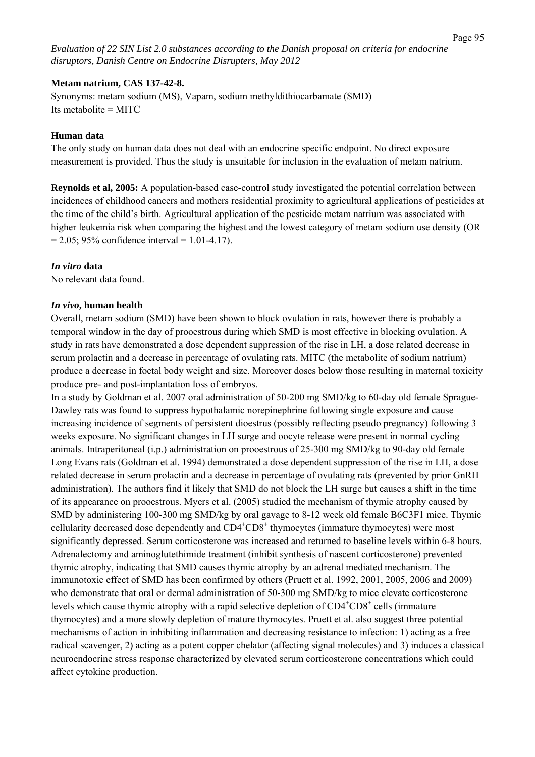#### **Metam natrium, CAS 137-42-8.**

Synonyms: metam sodium (MS), Vapam, sodium methyldithiocarbamate (SMD) Its metabolite = MITC

#### **Human data**

The only study on human data does not deal with an endocrine specific endpoint. No direct exposure measurement is provided. Thus the study is unsuitable for inclusion in the evaluation of metam natrium.

**Reynolds et al, 2005:** A population-based case-control study investigated the potential correlation between incidences of childhood cancers and mothers residential proximity to agricultural applications of pesticides at the time of the child's birth. Agricultural application of the pesticide metam natrium was associated with higher leukemia risk when comparing the highest and the lowest category of metam sodium use density (OR  $= 2.05$ ; 95% confidence interval  $= 1.01 - 4.17$ ).

# *In vitro* **data**

No relevant data found.

### *In vivo***, human health**

Overall, metam sodium (SMD) have been shown to block ovulation in rats, however there is probably a temporal window in the day of prooestrous during which SMD is most effective in blocking ovulation. A study in rats have demonstrated a dose dependent suppression of the rise in LH, a dose related decrease in serum prolactin and a decrease in percentage of ovulating rats. MITC (the metabolite of sodium natrium) produce a decrease in foetal body weight and size. Moreover doses below those resulting in maternal toxicity produce pre- and post-implantation loss of embryos.

In a study by Goldman et al. 2007 oral administration of 50-200 mg SMD/kg to 60-day old female Sprague-Dawley rats was found to suppress hypothalamic norepinephrine following single exposure and cause increasing incidence of segments of persistent dioestrus (possibly reflecting pseudo pregnancy) following 3 weeks exposure. No significant changes in LH surge and oocyte release were present in normal cycling animals. Intraperitoneal (i.p.) administration on prooestrous of 25-300 mg SMD/kg to 90-day old female Long Evans rats (Goldman et al. 1994) demonstrated a dose dependent suppression of the rise in LH, a dose related decrease in serum prolactin and a decrease in percentage of ovulating rats (prevented by prior GnRH administration). The authors find it likely that SMD do not block the LH surge but causes a shift in the time of its appearance on prooestrous. Myers et al. (2005) studied the mechanism of thymic atrophy caused by SMD by administering 100-300 mg SMD/kg by oral gavage to 8-12 week old female B6C3F1 mice. Thymic cellularity decreased dose dependently and CD4<sup>+</sup>CD8<sup>+</sup> thymocytes (immature thymocytes) were most significantly depressed. Serum corticosterone was increased and returned to baseline levels within 6-8 hours. Adrenalectomy and aminoglutethimide treatment (inhibit synthesis of nascent corticosterone) prevented thymic atrophy, indicating that SMD causes thymic atrophy by an adrenal mediated mechanism. The immunotoxic effect of SMD has been confirmed by others (Pruett et al. 1992, 2001, 2005, 2006 and 2009) who demonstrate that oral or dermal administration of 50-300 mg SMD/kg to mice elevate corticosterone levels which cause thymic atrophy with a rapid selective depletion of  $CD4^+CD8^+$  cells (immature thymocytes) and a more slowly depletion of mature thymocytes. Pruett et al. also suggest three potential mechanisms of action in inhibiting inflammation and decreasing resistance to infection: 1) acting as a free radical scavenger, 2) acting as a potent copper chelator (affecting signal molecules) and 3) induces a classical neuroendocrine stress response characterized by elevated serum corticosterone concentrations which could affect cytokine production.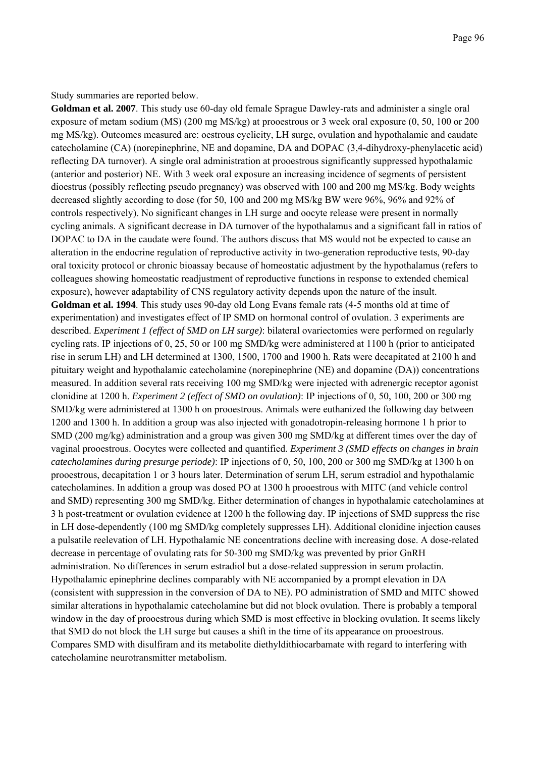Study summaries are reported below.

**Goldman et al. 2007**. This study use 60-day old female Sprague Dawley-rats and administer a single oral exposure of metam sodium (MS) (200 mg MS/kg) at prooestrous or 3 week oral exposure (0, 50, 100 or 200 mg MS/kg). Outcomes measured are: oestrous cyclicity, LH surge, ovulation and hypothalamic and caudate catecholamine (CA) (norepinephrine, NE and dopamine, DA and DOPAC (3,4-dihydroxy-phenylacetic acid) reflecting DA turnover). A single oral administration at prooestrous significantly suppressed hypothalamic (anterior and posterior) NE. With 3 week oral exposure an increasing incidence of segments of persistent dioestrus (possibly reflecting pseudo pregnancy) was observed with 100 and 200 mg MS/kg. Body weights decreased slightly according to dose (for 50, 100 and 200 mg MS/kg BW were 96%, 96% and 92% of controls respectively). No significant changes in LH surge and oocyte release were present in normally cycling animals. A significant decrease in DA turnover of the hypothalamus and a significant fall in ratios of DOPAC to DA in the caudate were found. The authors discuss that MS would not be expected to cause an alteration in the endocrine regulation of reproductive activity in two-generation reproductive tests, 90-day oral toxicity protocol or chronic bioassay because of homeostatic adjustment by the hypothalamus (refers to colleagues showing homeostatic readjustment of reproductive functions in response to extended chemical exposure), however adaptability of CNS regulatory activity depends upon the nature of the insult. **Goldman et al. 1994**. This study uses 90-day old Long Evans female rats (4-5 months old at time of experimentation) and investigates effect of IP SMD on hormonal control of ovulation. 3 experiments are described. *Experiment 1 (effect of SMD on LH surge)*: bilateral ovariectomies were performed on regularly cycling rats. IP injections of 0, 25, 50 or 100 mg SMD/kg were administered at 1100 h (prior to anticipated rise in serum LH) and LH determined at 1300, 1500, 1700 and 1900 h. Rats were decapitated at 2100 h and pituitary weight and hypothalamic catecholamine (norepinephrine (NE) and dopamine (DA)) concentrations measured. In addition several rats receiving 100 mg SMD/kg were injected with adrenergic receptor agonist clonidine at 1200 h. *Experiment 2 (effect of SMD on ovulation)*: IP injections of 0, 50, 100, 200 or 300 mg SMD/kg were administered at 1300 h on prooestrous. Animals were euthanized the following day between 1200 and 1300 h. In addition a group was also injected with gonadotropin-releasing hormone 1 h prior to SMD (200 mg/kg) administration and a group was given 300 mg SMD/kg at different times over the day of vaginal prooestrous. Oocytes were collected and quantified. *Experiment 3 (SMD effects on changes in brain catecholamines during presurge periode)*: IP injections of 0, 50, 100, 200 or 300 mg SMD/kg at 1300 h on prooestrous, decapitation 1 or 3 hours later. Determination of serum LH, serum estradiol and hypothalamic catecholamines. In addition a group was dosed PO at 1300 h prooestrous with MITC (and vehicle control and SMD) representing 300 mg SMD/kg. Either determination of changes in hypothalamic catecholamines at 3 h post-treatment or ovulation evidence at 1200 h the following day. IP injections of SMD suppress the rise in LH dose-dependently (100 mg SMD/kg completely suppresses LH). Additional clonidine injection causes a pulsatile reelevation of LH. Hypothalamic NE concentrations decline with increasing dose. A dose-related decrease in percentage of ovulating rats for 50-300 mg SMD/kg was prevented by prior GnRH administration. No differences in serum estradiol but a dose-related suppression in serum prolactin. Hypothalamic epinephrine declines comparably with NE accompanied by a prompt elevation in DA (consistent with suppression in the conversion of DA to NE). PO administration of SMD and MITC showed similar alterations in hypothalamic catecholamine but did not block ovulation. There is probably a temporal window in the day of procestrous during which SMD is most effective in blocking ovulation. It seems likely that SMD do not block the LH surge but causes a shift in the time of its appearance on prooestrous. Compares SMD with disulfiram and its metabolite diethyldithiocarbamate with regard to interfering with catecholamine neurotransmitter metabolism.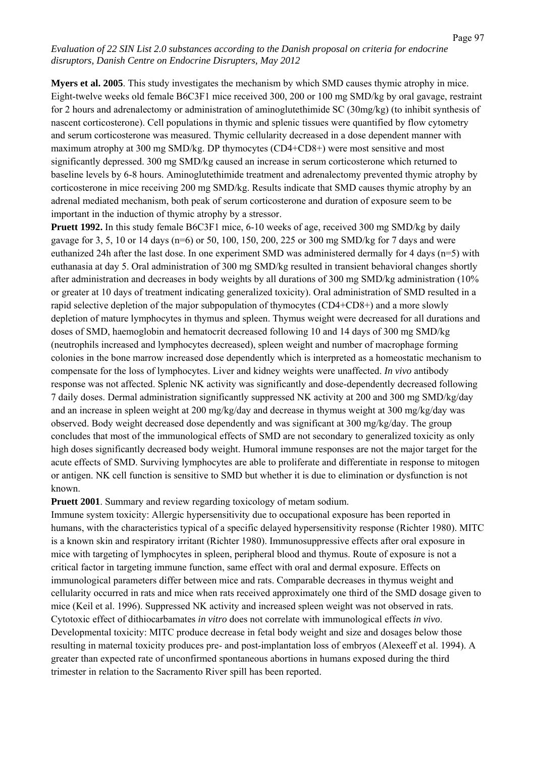**Myers et al. 2005**. This study investigates the mechanism by which SMD causes thymic atrophy in mice. Eight-twelve weeks old female B6C3F1 mice received 300, 200 or 100 mg SMD/kg by oral gavage, restraint for 2 hours and adrenalectomy or administration of aminoglutethimide SC (30mg/kg) (to inhibit synthesis of nascent corticosterone). Cell populations in thymic and splenic tissues were quantified by flow cytometry and serum corticosterone was measured. Thymic cellularity decreased in a dose dependent manner with maximum atrophy at 300 mg SMD/kg. DP thymocytes (CD4+CD8+) were most sensitive and most significantly depressed. 300 mg SMD/kg caused an increase in serum corticosterone which returned to baseline levels by 6-8 hours. Aminoglutethimide treatment and adrenalectomy prevented thymic atrophy by corticosterone in mice receiving 200 mg SMD/kg. Results indicate that SMD causes thymic atrophy by an adrenal mediated mechanism, both peak of serum corticosterone and duration of exposure seem to be important in the induction of thymic atrophy by a stressor.

**Pruett 1992.** In this study female B6C3F1 mice, 6-10 weeks of age, received 300 mg SMD/kg by daily gavage for 3, 5, 10 or 14 days (n=6) or 50, 100, 150, 200, 225 or 300 mg SMD/kg for 7 days and were euthanized 24h after the last dose. In one experiment SMD was administered dermally for 4 days (n=5) with euthanasia at day 5. Oral administration of 300 mg SMD/kg resulted in transient behavioral changes shortly after administration and decreases in body weights by all durations of 300 mg SMD/kg administration (10% or greater at 10 days of treatment indicating generalized toxicity). Oral administration of SMD resulted in a rapid selective depletion of the major subpopulation of thymocytes (CD4+CD8+) and a more slowly depletion of mature lymphocytes in thymus and spleen. Thymus weight were decreased for all durations and doses of SMD, haemoglobin and hematocrit decreased following 10 and 14 days of 300 mg SMD/kg (neutrophils increased and lymphocytes decreased), spleen weight and number of macrophage forming colonies in the bone marrow increased dose dependently which is interpreted as a homeostatic mechanism to compensate for the loss of lymphocytes. Liver and kidney weights were unaffected. *In vivo* antibody response was not affected. Splenic NK activity was significantly and dose-dependently decreased following 7 daily doses. Dermal administration significantly suppressed NK activity at 200 and 300 mg SMD/kg/day and an increase in spleen weight at 200 mg/kg/day and decrease in thymus weight at 300 mg/kg/day was observed. Body weight decreased dose dependently and was significant at 300 mg/kg/day. The group concludes that most of the immunological effects of SMD are not secondary to generalized toxicity as only high doses significantly decreased body weight. Humoral immune responses are not the major target for the acute effects of SMD. Surviving lymphocytes are able to proliferate and differentiate in response to mitogen or antigen. NK cell function is sensitive to SMD but whether it is due to elimination or dysfunction is not known.

**Pruett 2001**. Summary and review regarding toxicology of metam sodium.

Immune system toxicity: Allergic hypersensitivity due to occupational exposure has been reported in humans, with the characteristics typical of a specific delayed hypersensitivity response (Richter 1980). MITC is a known skin and respiratory irritant (Richter 1980). Immunosuppressive effects after oral exposure in mice with targeting of lymphocytes in spleen, peripheral blood and thymus. Route of exposure is not a critical factor in targeting immune function, same effect with oral and dermal exposure. Effects on immunological parameters differ between mice and rats. Comparable decreases in thymus weight and cellularity occurred in rats and mice when rats received approximately one third of the SMD dosage given to mice (Keil et al. 1996). Suppressed NK activity and increased spleen weight was not observed in rats. Cytotoxic effect of dithiocarbamates *in vitro* does not correlate with immunological effects *in vivo*. Developmental toxicity: MITC produce decrease in fetal body weight and size and dosages below those resulting in maternal toxicity produces pre- and post-implantation loss of embryos (Alexeeff et al. 1994). A greater than expected rate of unconfirmed spontaneous abortions in humans exposed during the third trimester in relation to the Sacramento River spill has been reported.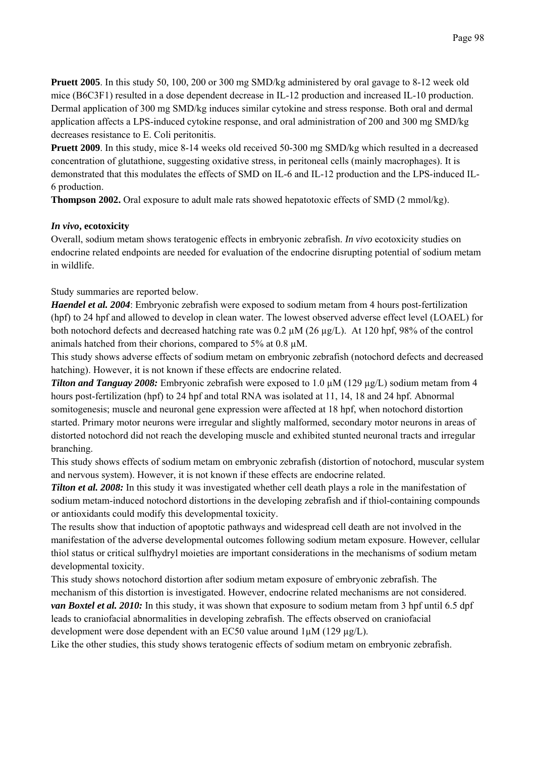**Pruett 2005**. In this study 50, 100, 200 or 300 mg SMD/kg administered by oral gavage to 8-12 week old mice (B6C3F1) resulted in a dose dependent decrease in IL-12 production and increased IL-10 production. Dermal application of 300 mg SMD/kg induces similar cytokine and stress response. Both oral and dermal application affects a LPS-induced cytokine response, and oral administration of 200 and 300 mg SMD/kg decreases resistance to E. Coli peritonitis.

**Pruett 2009**. In this study, mice 8-14 weeks old received 50-300 mg SMD/kg which resulted in a decreased concentration of glutathione, suggesting oxidative stress, in peritoneal cells (mainly macrophages). It is demonstrated that this modulates the effects of SMD on IL-6 and IL-12 production and the LPS-induced IL-6 production.

**Thompson 2002.** Oral exposure to adult male rats showed hepatotoxic effects of SMD (2 mmol/kg).

# *In vivo***, ecotoxicity**

Overall, sodium metam shows teratogenic effects in embryonic zebrafish. *In vivo* ecotoxicity studies on endocrine related endpoints are needed for evaluation of the endocrine disrupting potential of sodium metam in wildlife.

# Study summaries are reported below.

*Haendel et al. 2004*: Embryonic zebrafish were exposed to sodium metam from 4 hours post-fertilization (hpf) to 24 hpf and allowed to develop in clean water. The lowest observed adverse effect level (LOAEL) for both notochord defects and decreased hatching rate was 0.2 µM (26 µg/L). At 120 hpf, 98% of the control animals hatched from their chorions, compared to 5% at 0.8 µM.

This study shows adverse effects of sodium metam on embryonic zebrafish (notochord defects and decreased hatching). However, it is not known if these effects are endocrine related.

*Tilton and Tanguay 2008:* Embryonic zebrafish were exposed to 1.0 µM (129 µg/L) sodium metam from 4 hours post-fertilization (hpf) to 24 hpf and total RNA was isolated at 11, 14, 18 and 24 hpf. Abnormal somitogenesis; muscle and neuronal gene expression were affected at 18 hpf, when notochord distortion started. Primary motor neurons were irregular and slightly malformed, secondary motor neurons in areas of distorted notochord did not reach the developing muscle and exhibited stunted neuronal tracts and irregular branching.

This study shows effects of sodium metam on embryonic zebrafish (distortion of notochord, muscular system and nervous system). However, it is not known if these effects are endocrine related.

*Tilton et al. 2008:* In this study it was investigated whether cell death plays a role in the manifestation of sodium metam-induced notochord distortions in the developing zebrafish and if thiol-containing compounds or antioxidants could modify this developmental toxicity.

The results show that induction of apoptotic pathways and widespread cell death are not involved in the manifestation of the adverse developmental outcomes following sodium metam exposure. However, cellular thiol status or critical sulfhydryl moieties are important considerations in the mechanisms of sodium metam developmental toxicity.

This study shows notochord distortion after sodium metam exposure of embryonic zebrafish. The mechanism of this distortion is investigated. However, endocrine related mechanisms are not considered. *van Boxtel et al. 2010:* In this study, it was shown that exposure to sodium metam from 3 hpf until 6.5 dpf leads to craniofacial abnormalities in developing zebrafish. The effects observed on craniofacial development were dose dependent with an EC50 value around  $1 \mu$ M (129  $\mu$ g/L).

Like the other studies, this study shows teratogenic effects of sodium metam on embryonic zebrafish.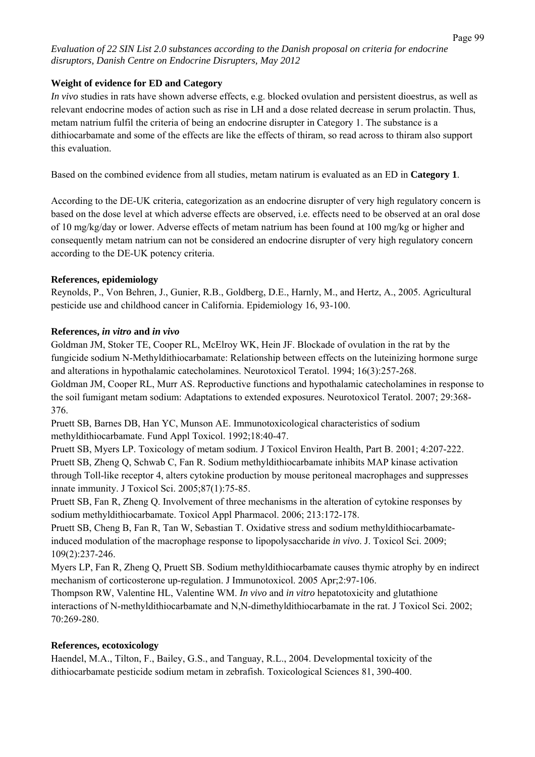# **Weight of evidence for ED and Category**

*In vivo* studies in rats have shown adverse effects, e.g. blocked ovulation and persistent dioestrus, as well as relevant endocrine modes of action such as rise in LH and a dose related decrease in serum prolactin. Thus, metam natrium fulfil the criteria of being an endocrine disrupter in Category 1. The substance is a dithiocarbamate and some of the effects are like the effects of thiram, so read across to thiram also support this evaluation.

Based on the combined evidence from all studies, metam natirum is evaluated as an ED in **Category 1**.

According to the DE-UK criteria, categorization as an endocrine disrupter of very high regulatory concern is based on the dose level at which adverse effects are observed, i.e. effects need to be observed at an oral dose of 10 mg/kg/day or lower. Adverse effects of metam natrium has been found at 100 mg/kg or higher and consequently metam natrium can not be considered an endocrine disrupter of very high regulatory concern according to the DE-UK potency criteria.

# **References, epidemiology**

Reynolds, P., Von Behren, J., Gunier, R.B., Goldberg, D.E., Harnly, M., and Hertz, A., 2005. Agricultural pesticide use and childhood cancer in California. Epidemiology 16, 93-100.

# **References,** *in vitro* **and** *in vivo*

Goldman JM, Stoker TE, Cooper RL, McElroy WK, Hein JF. Blockade of ovulation in the rat by the fungicide sodium N-Methyldithiocarbamate: Relationship between effects on the luteinizing hormone surge and alterations in hypothalamic catecholamines. Neurotoxicol Teratol. 1994; 16(3):257-268. Goldman JM, Cooper RL, Murr AS. Reproductive functions and hypothalamic catecholamines in response to

the soil fumigant metam sodium: Adaptations to extended exposures. Neurotoxicol Teratol. 2007; 29:368- 376.

Pruett SB, Barnes DB, Han YC, Munson AE. Immunotoxicological characteristics of sodium methyldithiocarbamate. Fund Appl Toxicol. 1992;18:40-47.

Pruett SB, Myers LP. Toxicology of metam sodium. J Toxicol Environ Health, Part B. 2001; 4:207-222. Pruett SB, Zheng Q, Schwab C, Fan R. Sodium methyldithiocarbamate inhibits MAP kinase activation through Toll-like receptor 4, alters cytokine production by mouse peritoneal macrophages and suppresses innate immunity. J Toxicol Sci. 2005;87(1):75-85.

Pruett SB, Fan R, Zheng Q. Involvement of three mechanisms in the alteration of cytokine responses by sodium methyldithiocarbamate. Toxicol Appl Pharmacol. 2006; 213:172-178.

Pruett SB, Cheng B, Fan R, Tan W, Sebastian T. Oxidative stress and sodium methyldithiocarbamateinduced modulation of the macrophage response to lipopolysaccharide *in vivo*. J. Toxicol Sci. 2009; 109(2):237-246.

Myers LP, Fan R, Zheng Q, Pruett SB. Sodium methyldithiocarbamate causes thymic atrophy by en indirect mechanism of corticosterone up-regulation. J Immunotoxicol. 2005 Apr;2:97-106.

Thompson RW, Valentine HL, Valentine WM. *In vivo* and *in vitro* hepatotoxicity and glutathione interactions of N-methyldithiocarbamate and N,N-dimethyldithiocarbamate in the rat. J Toxicol Sci. 2002; 70:269-280.

# **References, ecotoxicology**

Haendel, M.A., Tilton, F., Bailey, G.S., and Tanguay, R.L., 2004. Developmental toxicity of the dithiocarbamate pesticide sodium metam in zebrafish. Toxicological Sciences 81, 390-400.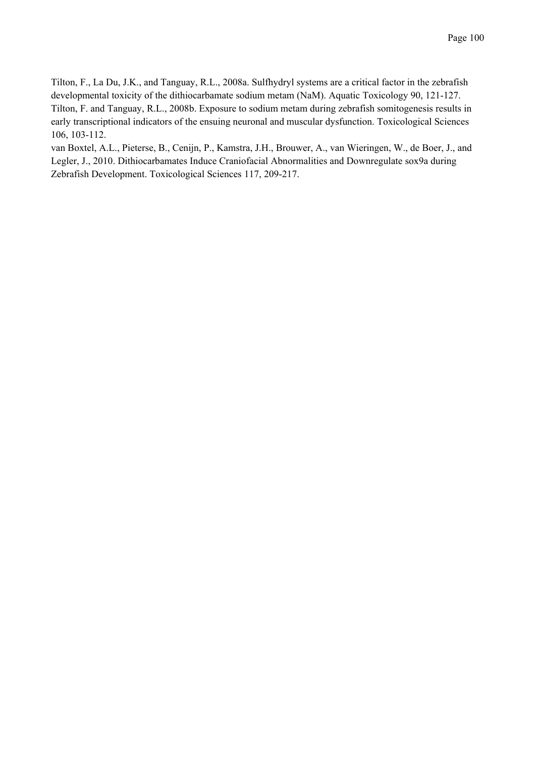Tilton, F., La Du, J.K., and Tanguay, R.L., 2008a. Sulfhydryl systems are a critical factor in the zebrafish developmental toxicity of the dithiocarbamate sodium metam (NaM). Aquatic Toxicology 90, 121-127. Tilton, F. and Tanguay, R.L., 2008b. Exposure to sodium metam during zebrafish somitogenesis results in early transcriptional indicators of the ensuing neuronal and muscular dysfunction. Toxicological Sciences 106, 103-112.

van Boxtel, A.L., Pieterse, B., Cenijn, P., Kamstra, J.H., Brouwer, A., van Wieringen, W., de Boer, J., and Legler, J., 2010. Dithiocarbamates Induce Craniofacial Abnormalities and Downregulate sox9a during Zebrafish Development. Toxicological Sciences 117, 209-217.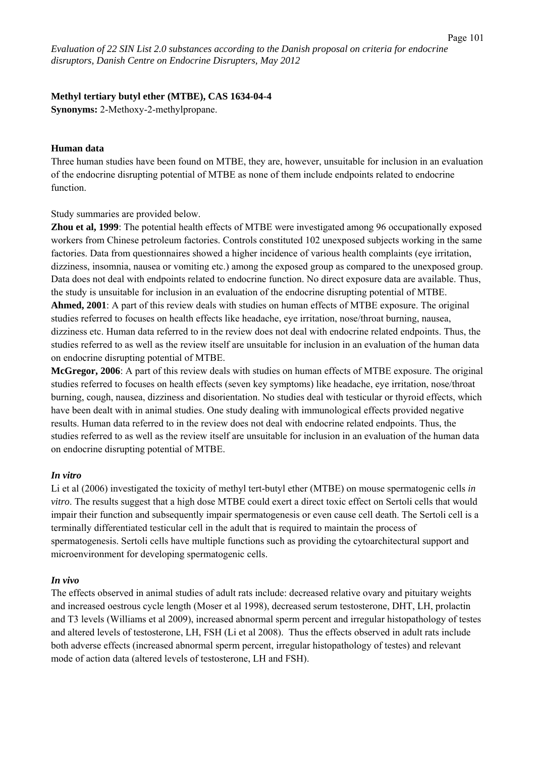### **Methyl tertiary butyl ether (MTBE), CAS 1634-04-4**

**Synonyms:** 2-Methoxy-2-methylpropane.

#### **Human data**

Three human studies have been found on MTBE, they are, however, unsuitable for inclusion in an evaluation of the endocrine disrupting potential of MTBE as none of them include endpoints related to endocrine function.

Study summaries are provided below.

**Zhou et al, 1999**: The potential health effects of MTBE were investigated among 96 occupationally exposed workers from Chinese petroleum factories. Controls constituted 102 unexposed subjects working in the same factories. Data from questionnaires showed a higher incidence of various health complaints (eye irritation, dizziness, insomnia, nausea or vomiting etc.) among the exposed group as compared to the unexposed group. Data does not deal with endpoints related to endocrine function. No direct exposure data are available. Thus, the study is unsuitable for inclusion in an evaluation of the endocrine disrupting potential of MTBE. **Ahmed, 2001**: A part of this review deals with studies on human effects of MTBE exposure. The original studies referred to focuses on health effects like headache, eye irritation, nose/throat burning, nausea, dizziness etc. Human data referred to in the review does not deal with endocrine related endpoints. Thus, the studies referred to as well as the review itself are unsuitable for inclusion in an evaluation of the human data

on endocrine disrupting potential of MTBE.

**McGregor, 2006**: A part of this review deals with studies on human effects of MTBE exposure. The original studies referred to focuses on health effects (seven key symptoms) like headache, eye irritation, nose/throat burning, cough, nausea, dizziness and disorientation. No studies deal with testicular or thyroid effects, which have been dealt with in animal studies. One study dealing with immunological effects provided negative results. Human data referred to in the review does not deal with endocrine related endpoints. Thus, the studies referred to as well as the review itself are unsuitable for inclusion in an evaluation of the human data on endocrine disrupting potential of MTBE.

# *In vitro*

Li et al (2006) investigated the toxicity of methyl tert-butyl ether (MTBE) on mouse spermatogenic cells *in vitro*. The results suggest that a high dose MTBE could exert a direct toxic effect on Sertoli cells that would impair their function and subsequently impair spermatogenesis or even cause cell death. The Sertoli cell is a terminally differentiated testicular cell in the adult that is required to maintain the process of spermatogenesis. Sertoli cells have multiple functions such as providing the cytoarchitectural support and microenvironment for developing spermatogenic cells.

# *In vivo*

The effects observed in animal studies of adult rats include: decreased relative ovary and pituitary weights and increased oestrous cycle length (Moser et al 1998), decreased serum testosterone, DHT, LH, prolactin and T3 levels (Williams et al 2009), increased abnormal sperm percent and irregular histopathology of testes and altered levels of testosterone, LH, FSH (Li et al 2008). Thus the effects observed in adult rats include both adverse effects (increased abnormal sperm percent, irregular histopathology of testes) and relevant mode of action data (altered levels of testosterone, LH and FSH).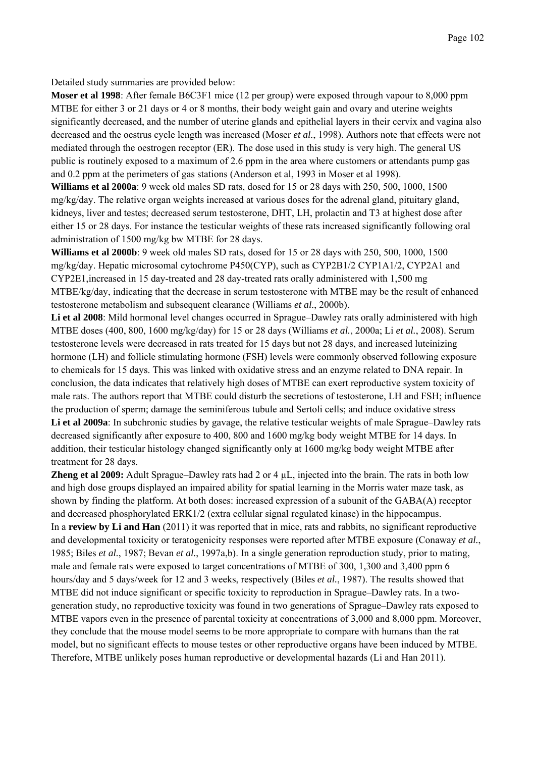Detailed study summaries are provided below:

**Moser et al 1998**: After female B6C3F1 mice (12 per group) were exposed through vapour to 8,000 ppm MTBE for either 3 or 21 days or 4 or 8 months, their body weight gain and ovary and uterine weights significantly decreased, and the number of uterine glands and epithelial layers in their cervix and vagina also decreased and the oestrus cycle length was increased (Moser *et al.*, 1998). Authors note that effects were not mediated through the oestrogen receptor (ER). The dose used in this study is very high. The general US public is routinely exposed to a maximum of 2.6 ppm in the area where customers or attendants pump gas and 0.2 ppm at the perimeters of gas stations (Anderson et al, 1993 in Moser et al 1998).

**Williams et al 2000a**: 9 week old males SD rats, dosed for 15 or 28 days with 250, 500, 1000, 1500 mg/kg/day. The relative organ weights increased at various doses for the adrenal gland, pituitary gland, kidneys, liver and testes; decreased serum testosterone, DHT, LH, prolactin and T3 at highest dose after either 15 or 28 days. For instance the testicular weights of these rats increased significantly following oral administration of 1500 mg/kg bw MTBE for 28 days.

**Williams et al 2000b**: 9 week old males SD rats, dosed for 15 or 28 days with 250, 500, 1000, 1500 mg/kg/day. Hepatic microsomal cytochrome P450(CYP), such as CYP2B1/2 CYP1A1/2, CYP2A1 and CYP2E1,increased in 15 day-treated and 28 day-treated rats orally administered with 1,500 mg MTBE/kg/day, indicating that the decrease in serum testosterone with MTBE may be the result of enhanced testosterone metabolism and subsequent clearance (Williams *et al.*, 2000b).

Li et al 2008: Mild hormonal level changes occurred in Sprague–Dawley rats orally administered with high MTBE doses (400, 800, 1600 mg/kg/day) for 15 or 28 days (Williams *et al.*, 2000a; Li *et al.*, 2008). Serum testosterone levels were decreased in rats treated for 15 days but not 28 days, and increased luteinizing hormone (LH) and follicle stimulating hormone (FSH) levels were commonly observed following exposure to chemicals for 15 days. This was linked with oxidative stress and an enzyme related to DNA repair. In conclusion, the data indicates that relatively high doses of MTBE can exert reproductive system toxicity of male rats. The authors report that MTBE could disturb the secretions of testosterone, LH and FSH; influence the production of sperm; damage the seminiferous tubule and Sertoli cells; and induce oxidative stress **Li et al 2009a**: In subchronic studies by gavage, the relative testicular weights of male Sprague–Dawley rats decreased significantly after exposure to 400, 800 and 1600 mg/kg body weight MTBE for 14 days. In addition, their testicular histology changed significantly only at 1600 mg/kg body weight MTBE after treatment for 28 days.

**Zheng et al 2009:** Adult Sprague–Dawley rats had 2 or 4  $\mu$ L, injected into the brain. The rats in both low and high dose groups displayed an impaired ability for spatial learning in the Morris water maze task, as shown by finding the platform. At both doses: increased expression of a subunit of the GABA(A) receptor and decreased phosphorylated ERK1/2 (extra cellular signal regulated kinase) in the hippocampus. In a **review by Li and Han** (2011) it was reported that in mice, rats and rabbits, no significant reproductive and developmental toxicity or teratogenicity responses were reported after MTBE exposure (Conaway *et al.*, 1985; Biles *et al.*, 1987; Bevan *et al.*, 1997a,b). In a single generation reproduction study, prior to mating, male and female rats were exposed to target concentrations of MTBE of 300, 1,300 and 3,400 ppm 6 hours/day and 5 days/week for 12 and 3 weeks, respectively (Biles *et al.*, 1987). The results showed that MTBE did not induce significant or specific toxicity to reproduction in Sprague–Dawley rats. In a twogeneration study, no reproductive toxicity was found in two generations of Sprague–Dawley rats exposed to MTBE vapors even in the presence of parental toxicity at concentrations of 3,000 and 8,000 ppm. Moreover, they conclude that the mouse model seems to be more appropriate to compare with humans than the rat model, but no significant effects to mouse testes or other reproductive organs have been induced by MTBE. Therefore, MTBE unlikely poses human reproductive or developmental hazards (Li and Han 2011).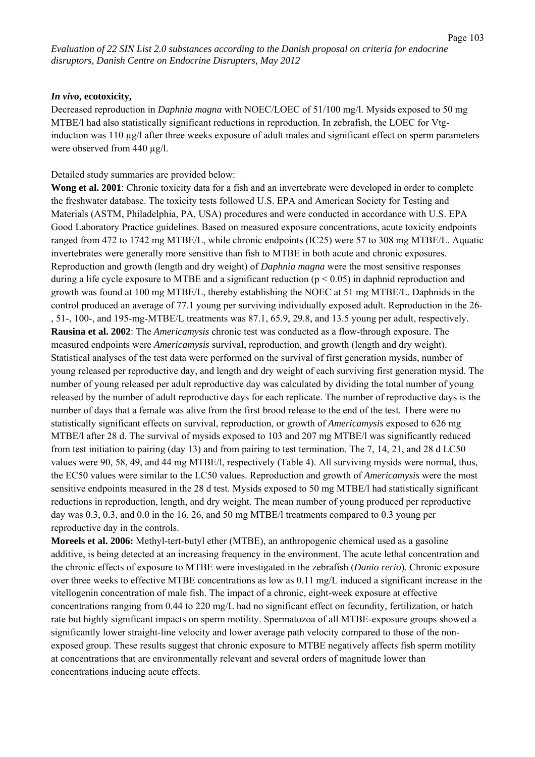#### *In vivo***, ecotoxicity,**

Decreased reproduction in *Daphnia magna* with NOEC/LOEC of 51/100 mg/l. Mysids exposed to 50 mg MTBE/l had also statistically significant reductions in reproduction. In zebrafish, the LOEC for Vtginduction was 110 µg/l after three weeks exposure of adult males and significant effect on sperm parameters were observed from 440 µg/l.

#### Detailed study summaries are provided below:

**Wong et al. 2001**: Chronic toxicity data for a fish and an invertebrate were developed in order to complete the freshwater database. The toxicity tests followed U.S. EPA and American Society for Testing and Materials (ASTM, Philadelphia, PA, USA) procedures and were conducted in accordance with U.S. EPA Good Laboratory Practice guidelines. Based on measured exposure concentrations, acute toxicity endpoints ranged from 472 to 1742 mg MTBE/L, while chronic endpoints (IC25) were 57 to 308 mg MTBE/L. Aquatic invertebrates were generally more sensitive than fish to MTBE in both acute and chronic exposures. Reproduction and growth (length and dry weight) of *Daphnia magna* were the most sensitive responses during a life cycle exposure to MTBE and a significant reduction ( $p < 0.05$ ) in daphnid reproduction and growth was found at 100 mg MTBE/L, thereby establishing the NOEC at 51 mg MTBE/L. Daphnids in the control produced an average of 77.1 young per surviving individually exposed adult. Reproduction in the 26- , 51-, 100-, and 195-mg-MTBE/L treatments was 87.1, 65.9, 29.8, and 13.5 young per adult, respectively. **Rausina et al. 2002**: The *Americamysis* chronic test was conducted as a flow-through exposure. The measured endpoints were *Americamysis* survival, reproduction, and growth (length and dry weight). Statistical analyses of the test data were performed on the survival of first generation mysids, number of young released per reproductive day, and length and dry weight of each surviving first generation mysid. The number of young released per adult reproductive day was calculated by dividing the total number of young released by the number of adult reproductive days for each replicate. The number of reproductive days is the number of days that a female was alive from the first brood release to the end of the test. There were no statistically significant effects on survival, reproduction, or growth of *Americamysis* exposed to 626 mg MTBE/l after 28 d. The survival of mysids exposed to 103 and 207 mg MTBE/l was significantly reduced from test initiation to pairing (day 13) and from pairing to test termination. The 7, 14, 21, and 28 d LC50 values were 90, 58, 49, and 44 mg MTBE/l, respectively (Table 4). All surviving mysids were normal, thus, the EC50 values were similar to the LC50 values. Reproduction and growth of *Americamysis* were the most sensitive endpoints measured in the 28 d test. Mysids exposed to 50 mg MTBE/l had statistically significant reductions in reproduction, length, and dry weight. The mean number of young produced per reproductive day was 0.3, 0.3, and 0.0 in the 16, 26, and 50 mg MTBE/l treatments compared to 0.3 young per reproductive day in the controls.

**Moreels et al. 2006:** Methyl-tert-butyl ether (MTBE), an anthropogenic chemical used as a gasoline additive, is being detected at an increasing frequency in the environment. The acute lethal concentration and the chronic effects of exposure to MTBE were investigated in the zebrafish (*Danio rerio*). Chronic exposure over three weeks to effective MTBE concentrations as low as 0.11 mg/L induced a significant increase in the vitellogenin concentration of male fish. The impact of a chronic, eight-week exposure at effective concentrations ranging from 0.44 to 220 mg/L had no significant effect on fecundity, fertilization, or hatch rate but highly significant impacts on sperm motility. Spermatozoa of all MTBE-exposure groups showed a significantly lower straight-line velocity and lower average path velocity compared to those of the nonexposed group. These results suggest that chronic exposure to MTBE negatively affects fish sperm motility at concentrations that are environmentally relevant and several orders of magnitude lower than concentrations inducing acute effects.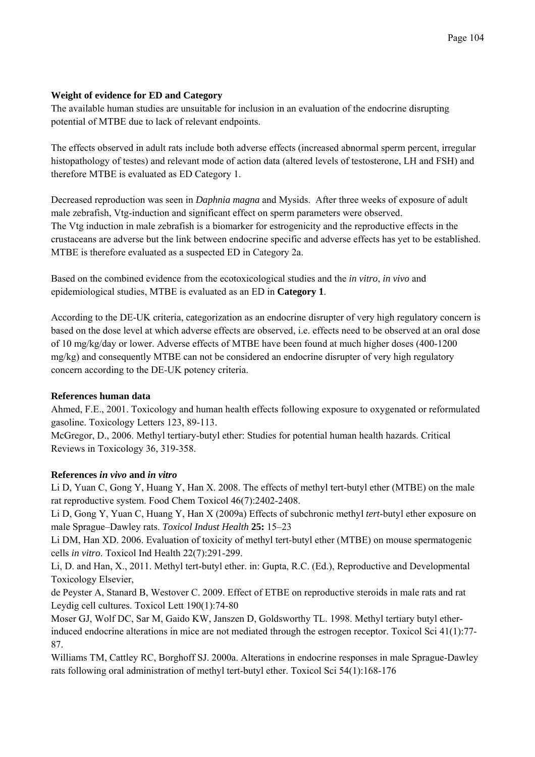# **Weight of evidence for ED and Category**

The available human studies are unsuitable for inclusion in an evaluation of the endocrine disrupting potential of MTBE due to lack of relevant endpoints.

The effects observed in adult rats include both adverse effects (increased abnormal sperm percent, irregular histopathology of testes) and relevant mode of action data (altered levels of testosterone, LH and FSH) and therefore MTBE is evaluated as ED Category 1.

Decreased reproduction was seen in *Daphnia magna* and Mysids. After three weeks of exposure of adult male zebrafish, Vtg-induction and significant effect on sperm parameters were observed. The Vtg induction in male zebrafish is a biomarker for estrogenicity and the reproductive effects in the crustaceans are adverse but the link between endocrine specific and adverse effects has yet to be established. MTBE is therefore evaluated as a suspected ED in Category 2a.

Based on the combined evidence from the ecotoxicological studies and the *in vitro*, *in vivo* and epidemiological studies, MTBE is evaluated as an ED in **Category 1**.

According to the DE-UK criteria, categorization as an endocrine disrupter of very high regulatory concern is based on the dose level at which adverse effects are observed, i.e. effects need to be observed at an oral dose of 10 mg/kg/day or lower. Adverse effects of MTBE have been found at much higher doses (400-1200 mg/kg) and consequently MTBE can not be considered an endocrine disrupter of very high regulatory concern according to the DE-UK potency criteria.

# **References human data**

Ahmed, F.E., 2001. Toxicology and human health effects following exposure to oxygenated or reformulated gasoline. Toxicology Letters 123, 89-113.

McGregor, D., 2006. Methyl tertiary-butyl ether: Studies for potential human health hazards. Critical Reviews in Toxicology 36, 319-358.

# **References** *in vivo* **and** *in vitro*

Li D, Yuan C, Gong Y, Huang Y, Han X. 2008. The effects of methyl tert-butyl ether (MTBE) on the male rat reproductive system. Food Chem Toxicol 46(7):2402-2408.

Li D, Gong Y, Yuan C, Huang Y, Han X (2009a) Effects of subchronic methyl *tert*-butyl ether exposure on male Sprague–Dawley rats. *Toxicol Indust Health* **25:** 15–23

Li DM, Han XD. 2006. Evaluation of toxicity of methyl tert-butyl ether (MTBE) on mouse spermatogenic cells *in vitro*. Toxicol Ind Health 22(7):291-299.

Li, D. and Han, X., 2011. Methyl tert-butyl ether. in: Gupta, R.C. (Ed.), Reproductive and Developmental Toxicology Elsevier,

de Peyster A, Stanard B, Westover C. 2009. Effect of ETBE on reproductive steroids in male rats and rat Leydig cell cultures. Toxicol Lett 190(1):74-80

Moser GJ, Wolf DC, Sar M, Gaido KW, Janszen D, Goldsworthy TL. 1998. Methyl tertiary butyl etherinduced endocrine alterations in mice are not mediated through the estrogen receptor. Toxicol Sci 41(1):77- 87.

Williams TM, Cattley RC, Borghoff SJ. 2000a. Alterations in endocrine responses in male Sprague-Dawley rats following oral administration of methyl tert-butyl ether. Toxicol Sci 54(1):168-176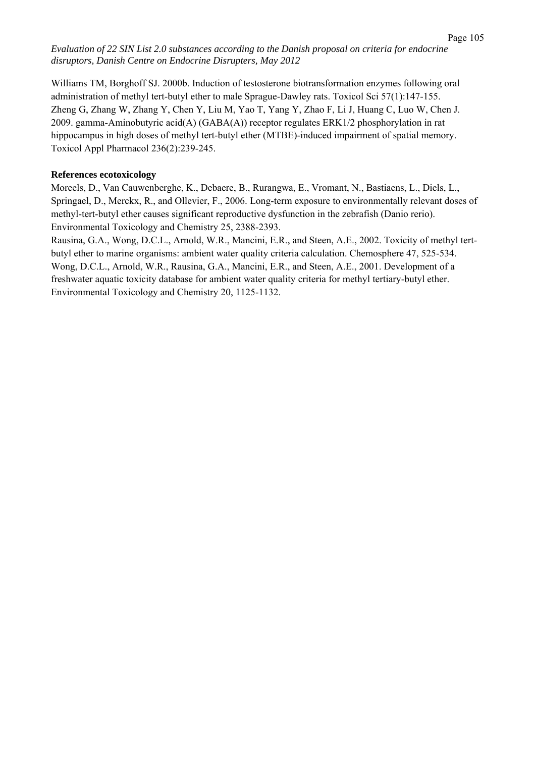Williams TM, Borghoff SJ. 2000b. Induction of testosterone biotransformation enzymes following oral

administration of methyl tert-butyl ether to male Sprague-Dawley rats. Toxicol Sci 57(1):147-155. Zheng G, Zhang W, Zhang Y, Chen Y, Liu M, Yao T, Yang Y, Zhao F, Li J, Huang C, Luo W, Chen J. 2009. gamma-Aminobutyric acid(A) (GABA(A)) receptor regulates ERK1/2 phosphorylation in rat hippocampus in high doses of methyl tert-butyl ether (MTBE)-induced impairment of spatial memory. Toxicol Appl Pharmacol 236(2):239-245.

# **References ecotoxicology**

Moreels, D., Van Cauwenberghe, K., Debaere, B., Rurangwa, E., Vromant, N., Bastiaens, L., Diels, L., Springael, D., Merckx, R., and Ollevier, F., 2006. Long-term exposure to environmentally relevant doses of methyl-tert-butyl ether causes significant reproductive dysfunction in the zebrafish (Danio rerio). Environmental Toxicology and Chemistry 25, 2388-2393.

Rausina, G.A., Wong, D.C.L., Arnold, W.R., Mancini, E.R., and Steen, A.E., 2002. Toxicity of methyl tertbutyl ether to marine organisms: ambient water quality criteria calculation. Chemosphere 47, 525-534. Wong, D.C.L., Arnold, W.R., Rausina, G.A., Mancini, E.R., and Steen, A.E., 2001. Development of a freshwater aquatic toxicity database for ambient water quality criteria for methyl tertiary-butyl ether. Environmental Toxicology and Chemistry 20, 1125-1132.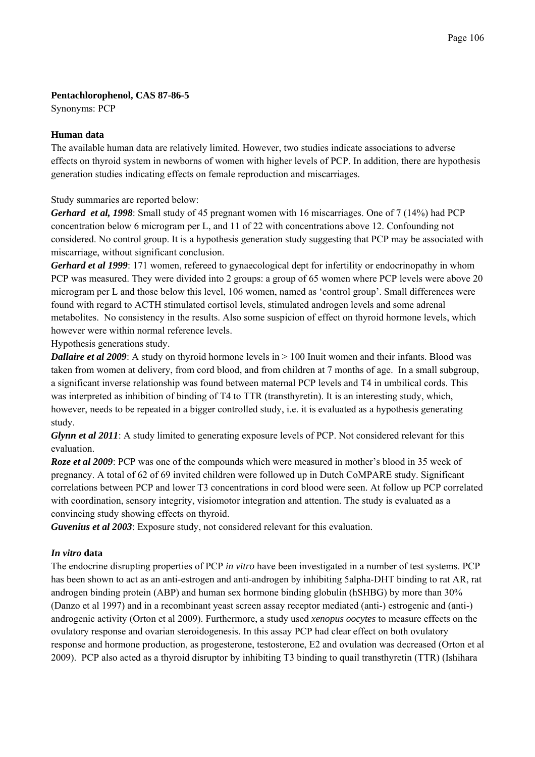## **Pentachlorophenol, CAS 87-86-5**

Synonyms: PCP

## **Human data**

The available human data are relatively limited. However, two studies indicate associations to adverse effects on thyroid system in newborns of women with higher levels of PCP. In addition, there are hypothesis generation studies indicating effects on female reproduction and miscarriages.

Study summaries are reported below:

*Gerhard et al, 1998*: Small study of 45 pregnant women with 16 miscarriages. One of 7 (14%) had PCP concentration below 6 microgram per L, and 11 of 22 with concentrations above 12. Confounding not considered. No control group. It is a hypothesis generation study suggesting that PCP may be associated with miscarriage, without significant conclusion.

*Gerhard et al 1999*: 171 women, refereed to gynaecological dept for infertility or endocrinopathy in whom PCP was measured. They were divided into 2 groups: a group of 65 women where PCP levels were above 20 microgram per L and those below this level, 106 women, named as 'control group'. Small differences were found with regard to ACTH stimulated cortisol levels, stimulated androgen levels and some adrenal metabolites. No consistency in the results. Also some suspicion of effect on thyroid hormone levels, which however were within normal reference levels.

Hypothesis generations study.

*Dallaire et al 2009*: A study on thyroid hormone levels in  $> 100$  Inuit women and their infants. Blood was taken from women at delivery, from cord blood, and from children at 7 months of age. In a small subgroup, a significant inverse relationship was found between maternal PCP levels and T4 in umbilical cords. This was interpreted as inhibition of binding of T4 to TTR (transthyretin). It is an interesting study, which, however, needs to be repeated in a bigger controlled study, i.e. it is evaluated as a hypothesis generating study.

*Glynn et al 2011*: A study limited to generating exposure levels of PCP. Not considered relevant for this evaluation.

*Roze et al 2009*: PCP was one of the compounds which were measured in mother's blood in 35 week of pregnancy. A total of 62 of 69 invited children were followed up in Dutch CoMPARE study. Significant correlations between PCP and lower T3 concentrations in cord blood were seen. At follow up PCP correlated with coordination, sensory integrity, visiomotor integration and attention. The study is evaluated as a convincing study showing effects on thyroid.

*Guvenius et al 2003*: Exposure study, not considered relevant for this evaluation.

# *In vitro* **data**

The endocrine disrupting properties of PCP *in vitro* have been investigated in a number of test systems. PCP has been shown to act as an anti-estrogen and anti-androgen by inhibiting 5alpha-DHT binding to rat AR, rat androgen binding protein (ABP) and human sex hormone binding globulin (hSHBG) by more than 30% (Danzo et al 1997) and in a recombinant yeast screen assay receptor mediated (anti-) estrogenic and (anti-) androgenic activity (Orton et al 2009). Furthermore, a study used *xenopus oocytes* to measure effects on the ovulatory response and ovarian steroidogenesis. In this assay PCP had clear effect on both ovulatory response and hormone production, as progesterone, testosterone, E2 and ovulation was decreased (Orton et al 2009). PCP also acted as a thyroid disruptor by inhibiting T3 binding to quail transthyretin (TTR) (Ishihara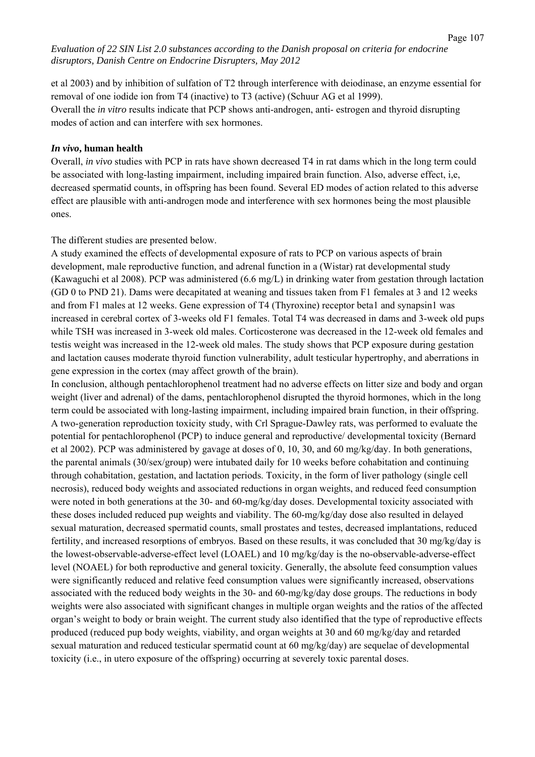et al 2003) and by inhibition of sulfation of T2 through interference with deiodinase, an enzyme essential for removal of one iodide ion from T4 (inactive) to T3 (active) (Schuur AG et al 1999). Overall the *in vitro* results indicate that PCP shows anti-androgen, anti- estrogen and thyroid disrupting modes of action and can interfere with sex hormones.

#### *In vivo***, human health**

Overall, *in vivo* studies with PCP in rats have shown decreased T4 in rat dams which in the long term could be associated with long-lasting impairment, including impaired brain function. Also, adverse effect, i,e, decreased spermatid counts, in offspring has been found. Several ED modes of action related to this adverse effect are plausible with anti-androgen mode and interference with sex hormones being the most plausible ones.

The different studies are presented below.

A study examined the effects of developmental exposure of rats to PCP on various aspects of brain development, male reproductive function, and adrenal function in a (Wistar) rat developmental study (Kawaguchi et al 2008). PCP was administered (6.6 mg/L) in drinking water from gestation through lactation (GD 0 to PND 21). Dams were decapitated at weaning and tissues taken from F1 females at 3 and 12 weeks and from F1 males at 12 weeks. Gene expression of T4 (Thyroxine) receptor beta1 and synapsin1 was increased in cerebral cortex of 3-weeks old F1 females. Total T4 was decreased in dams and 3-week old pups while TSH was increased in 3-week old males. Corticosterone was decreased in the 12-week old females and testis weight was increased in the 12-week old males. The study shows that PCP exposure during gestation and lactation causes moderate thyroid function vulnerability, adult testicular hypertrophy, and aberrations in gene expression in the cortex (may affect growth of the brain).

In conclusion, although pentachlorophenol treatment had no adverse effects on litter size and body and organ weight (liver and adrenal) of the dams, pentachlorophenol disrupted the thyroid hormones, which in the long term could be associated with long-lasting impairment, including impaired brain function, in their offspring. A two-generation reproduction toxicity study, with Crl Sprague-Dawley rats, was performed to evaluate the potential for pentachlorophenol (PCP) to induce general and reproductive/ developmental toxicity (Bernard et al 2002). PCP was administered by gavage at doses of 0, 10, 30, and 60 mg/kg/day. In both generations, the parental animals (30/sex/group) were intubated daily for 10 weeks before cohabitation and continuing through cohabitation, gestation, and lactation periods. Toxicity, in the form of liver pathology (single cell necrosis), reduced body weights and associated reductions in organ weights, and reduced feed consumption were noted in both generations at the 30- and 60-mg/kg/day doses. Developmental toxicity associated with these doses included reduced pup weights and viability. The 60-mg/kg/day dose also resulted in delayed sexual maturation, decreased spermatid counts, small prostates and testes, decreased implantations, reduced fertility, and increased resorptions of embryos. Based on these results, it was concluded that 30 mg/kg/day is the lowest-observable-adverse-effect level (LOAEL) and 10 mg/kg/day is the no-observable-adverse-effect level (NOAEL) for both reproductive and general toxicity. Generally, the absolute feed consumption values were significantly reduced and relative feed consumption values were significantly increased, observations associated with the reduced body weights in the 30- and 60-mg/kg/day dose groups. The reductions in body weights were also associated with significant changes in multiple organ weights and the ratios of the affected organ's weight to body or brain weight. The current study also identified that the type of reproductive effects produced (reduced pup body weights, viability, and organ weights at 30 and 60 mg/kg/day and retarded sexual maturation and reduced testicular spermatid count at 60 mg/kg/day) are sequelae of developmental toxicity (i.e., in utero exposure of the offspring) occurring at severely toxic parental doses.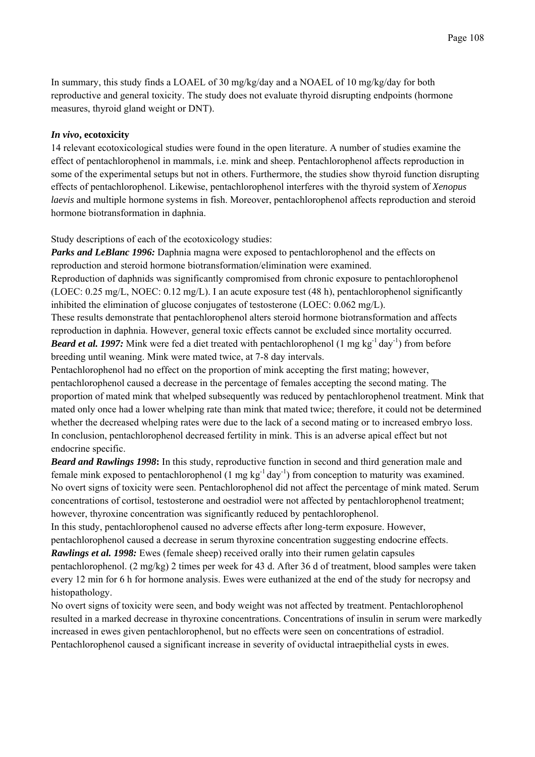In summary, this study finds a LOAEL of 30 mg/kg/day and a NOAEL of 10 mg/kg/day for both reproductive and general toxicity. The study does not evaluate thyroid disrupting endpoints (hormone measures, thyroid gland weight or DNT).

### *In vivo***, ecotoxicity**

14 relevant ecotoxicological studies were found in the open literature. A number of studies examine the effect of pentachlorophenol in mammals, i.e. mink and sheep. Pentachlorophenol affects reproduction in some of the experimental setups but not in others. Furthermore, the studies show thyroid function disrupting effects of pentachlorophenol. Likewise, pentachlorophenol interferes with the thyroid system of *Xenopus laevis* and multiple hormone systems in fish. Moreover, pentachlorophenol affects reproduction and steroid hormone biotransformation in daphnia.

Study descriptions of each of the ecotoxicology studies:

*Parks and LeBlanc 1996:* Daphnia magna were exposed to pentachlorophenol and the effects on reproduction and steroid hormone biotransformation/elimination were examined. Reproduction of daphnids was significantly compromised from chronic exposure to pentachlorophenol (LOEC: 0.25 mg/L, NOEC: 0.12 mg/L). I an acute exposure test (48 h), pentachlorophenol significantly inhibited the elimination of glucose conjugates of testosterone (LOEC: 0.062 mg/L).

These results demonstrate that pentachlorophenol alters steroid hormone biotransformation and affects reproduction in daphnia. However, general toxic effects cannot be excluded since mortality occurred. *Beard et al. 1997:* Mink were fed a diet treated with pentachlorophenol (1 mg kg<sup>-1</sup> day<sup>-1</sup>) from before breeding until weaning. Mink were mated twice, at 7-8 day intervals.

Pentachlorophenol had no effect on the proportion of mink accepting the first mating; however, pentachlorophenol caused a decrease in the percentage of females accepting the second mating. The proportion of mated mink that whelped subsequently was reduced by pentachlorophenol treatment. Mink that mated only once had a lower whelping rate than mink that mated twice; therefore, it could not be determined whether the decreased whelping rates were due to the lack of a second mating or to increased embryo loss. In conclusion, pentachlorophenol decreased fertility in mink. This is an adverse apical effect but not endocrine specific.

*Beard and Rawlings 1998*: In this study, reproductive function in second and third generation male and female mink exposed to pentachlorophenol  $(1 \text{ mg kg}^{-1} \text{day}^{-1})$  from conception to maturity was examined. No overt signs of toxicity were seen. Pentachlorophenol did not affect the percentage of mink mated. Serum concentrations of cortisol, testosterone and oestradiol were not affected by pentachlorophenol treatment; however, thyroxine concentration was significantly reduced by pentachlorophenol.

In this study, pentachlorophenol caused no adverse effects after long-term exposure. However, pentachlorophenol caused a decrease in serum thyroxine concentration suggesting endocrine effects. *Rawlings et al. 1998:* Ewes (female sheep) received orally into their rumen gelatin capsules

pentachlorophenol. (2 mg/kg) 2 times per week for 43 d. After 36 d of treatment, blood samples were taken every 12 min for 6 h for hormone analysis. Ewes were euthanized at the end of the study for necropsy and histopathology.

No overt signs of toxicity were seen, and body weight was not affected by treatment. Pentachlorophenol resulted in a marked decrease in thyroxine concentrations. Concentrations of insulin in serum were markedly increased in ewes given pentachlorophenol, but no effects were seen on concentrations of estradiol. Pentachlorophenol caused a significant increase in severity of oviductal intraepithelial cysts in ewes.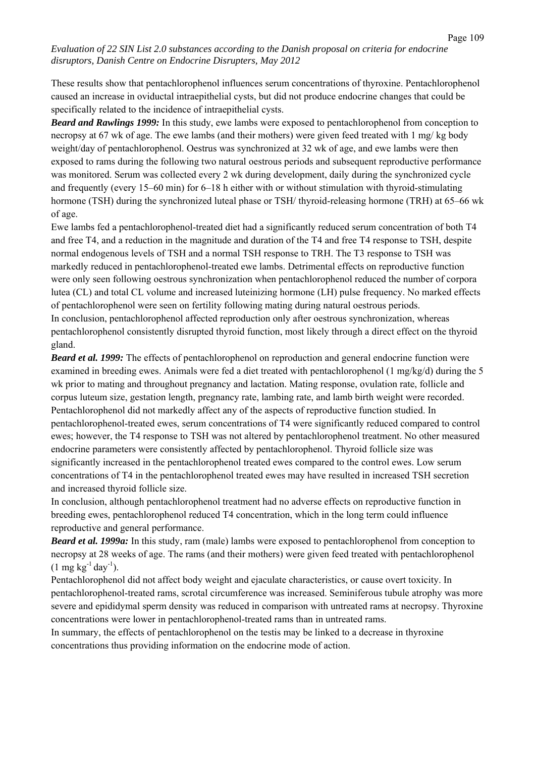These results show that pentachlorophenol influences serum concentrations of thyroxine. Pentachlorophenol caused an increase in oviductal intraepithelial cysts, but did not produce endocrine changes that could be specifically related to the incidence of intraepithelial cysts.

*Beard and Rawlings 1999:* In this study, ewe lambs were exposed to pentachlorophenol from conception to necropsy at 67 wk of age. The ewe lambs (and their mothers) were given feed treated with 1 mg/ kg body weight/day of pentachlorophenol. Oestrus was synchronized at 32 wk of age, and ewe lambs were then exposed to rams during the following two natural oestrous periods and subsequent reproductive performance was monitored. Serum was collected every 2 wk during development, daily during the synchronized cycle and frequently (every 15–60 min) for 6–18 h either with or without stimulation with thyroid-stimulating hormone (TSH) during the synchronized luteal phase or TSH/ thyroid-releasing hormone (TRH) at 65–66 wk of age.

Ewe lambs fed a pentachlorophenol-treated diet had a significantly reduced serum concentration of both T4 and free T4, and a reduction in the magnitude and duration of the T4 and free T4 response to TSH, despite normal endogenous levels of TSH and a normal TSH response to TRH. The T3 response to TSH was markedly reduced in pentachlorophenol-treated ewe lambs. Detrimental effects on reproductive function were only seen following oestrous synchronization when pentachlorophenol reduced the number of corpora lutea (CL) and total CL volume and increased luteinizing hormone (LH) pulse frequency. No marked effects of pentachlorophenol were seen on fertility following mating during natural oestrous periods. In conclusion, pentachlorophenol affected reproduction only after oestrous synchronization, whereas pentachlorophenol consistently disrupted thyroid function, most likely through a direct effect on the thyroid gland.

*Beard et al. 1999:* The effects of pentachlorophenol on reproduction and general endocrine function were examined in breeding ewes. Animals were fed a diet treated with pentachlorophenol (1 mg/kg/d) during the 5 wk prior to mating and throughout pregnancy and lactation. Mating response, ovulation rate, follicle and corpus luteum size, gestation length, pregnancy rate, lambing rate, and lamb birth weight were recorded. Pentachlorophenol did not markedly affect any of the aspects of reproductive function studied. In pentachlorophenol-treated ewes, serum concentrations of T4 were significantly reduced compared to control ewes; however, the T4 response to TSH was not altered by pentachlorophenol treatment. No other measured endocrine parameters were consistently affected by pentachlorophenol. Thyroid follicle size was significantly increased in the pentachlorophenol treated ewes compared to the control ewes. Low serum concentrations of T4 in the pentachlorophenol treated ewes may have resulted in increased TSH secretion and increased thyroid follicle size.

In conclusion, although pentachlorophenol treatment had no adverse effects on reproductive function in breeding ewes, pentachlorophenol reduced T4 concentration, which in the long term could influence reproductive and general performance.

*Beard et al. 1999a:* In this study, ram (male) lambs were exposed to pentachlorophenol from conception to necropsy at 28 weeks of age. The rams (and their mothers) were given feed treated with pentachlorophenol  $(1 \text{ mg kg}^{-1} \text{day}^{-1})$ .

Pentachlorophenol did not affect body weight and ejaculate characteristics, or cause overt toxicity. In pentachlorophenol-treated rams, scrotal circumference was increased. Seminiferous tubule atrophy was more severe and epididymal sperm density was reduced in comparison with untreated rams at necropsy. Thyroxine concentrations were lower in pentachlorophenol-treated rams than in untreated rams.

In summary, the effects of pentachlorophenol on the testis may be linked to a decrease in thyroxine concentrations thus providing information on the endocrine mode of action.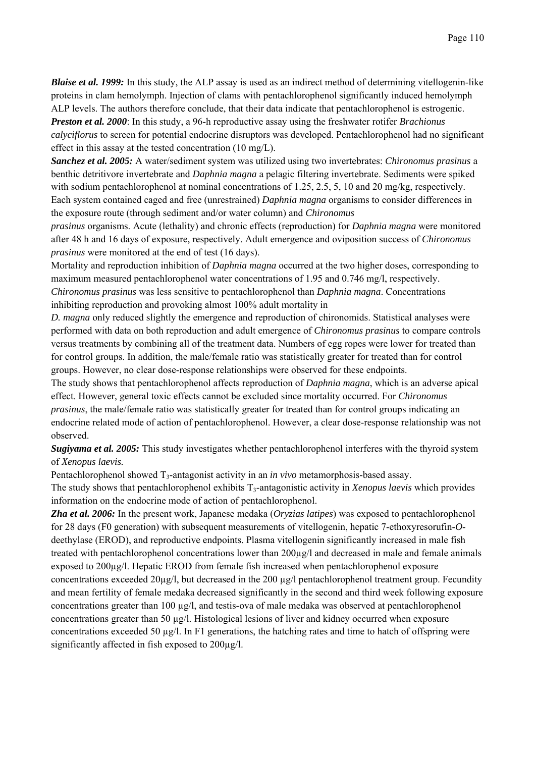*Blaise et al. 1999:* In this study, the ALP assay is used as an indirect method of determining vitellogenin-like proteins in clam hemolymph. Injection of clams with pentachlorophenol significantly induced hemolymph ALP levels. The authors therefore conclude, that their data indicate that pentachlorophenol is estrogenic.

*Preston et al. 2000*: In this study, a 96-h reproductive assay using the freshwater rotifer *Brachionus calyciflorus* to screen for potential endocrine disruptors was developed. Pentachlorophenol had no significant effect in this assay at the tested concentration (10 mg/L).

*Sanchez et al. 2005:* A water/sediment system was utilized using two invertebrates: *Chironomus prasinus* a benthic detritivore invertebrate and *Daphnia magna* a pelagic filtering invertebrate. Sediments were spiked with sodium pentachlorophenol at nominal concentrations of 1.25, 2.5, 5, 10 and 20 mg/kg, respectively. Each system contained caged and free (unrestrained) *Daphnia magna* organisms to consider differences in the exposure route (through sediment and/or water column) and *Chironomus* 

*prasinus* organisms. Acute (lethality) and chronic effects (reproduction) for *Daphnia magna* were monitored after 48 h and 16 days of exposure, respectively. Adult emergence and oviposition success of *Chironomus prasinus* were monitored at the end of test (16 days).

Mortality and reproduction inhibition of *Daphnia magna* occurred at the two higher doses, corresponding to maximum measured pentachlorophenol water concentrations of 1.95 and 0.746 mg/l, respectively. *Chironomus prasinus* was less sensitive to pentachlorophenol than *Daphnia magna*. Concentrations inhibiting reproduction and provoking almost 100% adult mortality in

*D. magna* only reduced slightly the emergence and reproduction of chironomids. Statistical analyses were performed with data on both reproduction and adult emergence of *Chironomus prasinus* to compare controls versus treatments by combining all of the treatment data. Numbers of egg ropes were lower for treated than for control groups. In addition, the male/female ratio was statistically greater for treated than for control groups. However, no clear dose-response relationships were observed for these endpoints.

The study shows that pentachlorophenol affects reproduction of *Daphnia magna*, which is an adverse apical effect. However, general toxic effects cannot be excluded since mortality occurred. For *Chironomus prasinus*, the male/female ratio was statistically greater for treated than for control groups indicating an endocrine related mode of action of pentachlorophenol. However, a clear dose-response relationship was not observed.

*Sugiyama et al. 2005:* This study investigates whether pentachlorophenol interferes with the thyroid system of *Xenopus laevis.* 

Pentachlorophenol showed T3-antagonist activity in an *in vivo* metamorphosis-based assay.

The study shows that pentachlorophenol exhibits T<sub>3</sub>-antagonistic activity in *Xenopus laevis* which provides information on the endocrine mode of action of pentachlorophenol.

*Zha et al. 2006:* In the present work, Japanese medaka (*Oryzias latipes*) was exposed to pentachlorophenol for 28 days (F0 generation) with subsequent measurements of vitellogenin, hepatic 7-ethoxyresorufin-*O*deethylase (EROD), and reproductive endpoints. Plasma vitellogenin significantly increased in male fish treated with pentachlorophenol concentrations lower than 200µg/l and decreased in male and female animals exposed to 200µg/l. Hepatic EROD from female fish increased when pentachlorophenol exposure concentrations exceeded 20µg/l, but decreased in the 200 µg/l pentachlorophenol treatment group. Fecundity and mean fertility of female medaka decreased significantly in the second and third week following exposure concentrations greater than 100 µg/l, and testis-ova of male medaka was observed at pentachlorophenol concentrations greater than 50 µg/l. Histological lesions of liver and kidney occurred when exposure concentrations exceeded 50  $\mu$ g/l. In F1 generations, the hatching rates and time to hatch of offspring were significantly affected in fish exposed to  $200\mu$ g/l.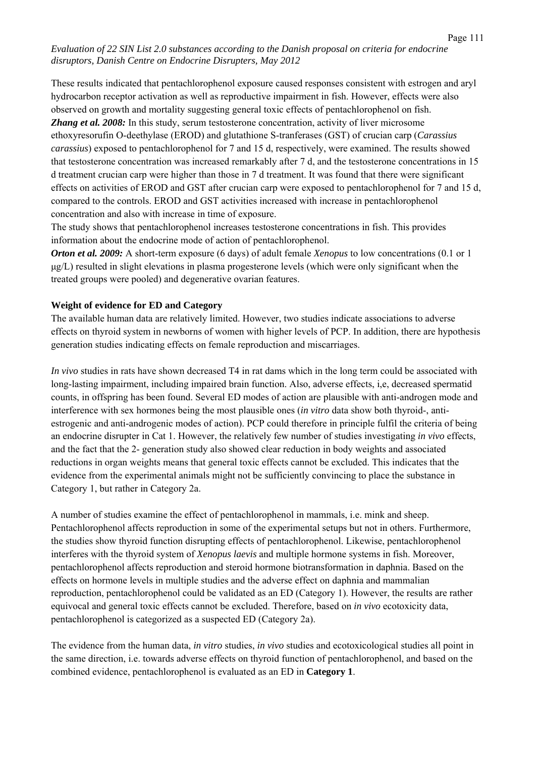These results indicated that pentachlorophenol exposure caused responses consistent with estrogen and aryl hydrocarbon receptor activation as well as reproductive impairment in fish. However, effects were also observed on growth and mortality suggesting general toxic effects of pentachlorophenol on fish. *Zhang et al. 2008:* In this study, serum testosterone concentration, activity of liver microsome ethoxyresorufin O-deethylase (EROD) and glutathione S-tranferases (GST) of crucian carp (*Carassius carassius*) exposed to pentachlorophenol for 7 and 15 d, respectively, were examined. The results showed that testosterone concentration was increased remarkably after 7 d, and the testosterone concentrations in 15 d treatment crucian carp were higher than those in 7 d treatment. It was found that there were significant effects on activities of EROD and GST after crucian carp were exposed to pentachlorophenol for 7 and 15 d, compared to the controls. EROD and GST activities increased with increase in pentachlorophenol concentration and also with increase in time of exposure.

The study shows that pentachlorophenol increases testosterone concentrations in fish. This provides information about the endocrine mode of action of pentachlorophenol.

*Orton et al. 2009:* A short-term exposure (6 days) of adult female *Xenopus* to low concentrations (0.1 or 1 μg/L) resulted in slight elevations in plasma progesterone levels (which were only significant when the treated groups were pooled) and degenerative ovarian features.

#### **Weight of evidence for ED and Category**

The available human data are relatively limited. However, two studies indicate associations to adverse effects on thyroid system in newborns of women with higher levels of PCP. In addition, there are hypothesis generation studies indicating effects on female reproduction and miscarriages.

*In vivo* studies in rats have shown decreased T4 in rat dams which in the long term could be associated with long-lasting impairment, including impaired brain function. Also, adverse effects, i,e, decreased spermatid counts, in offspring has been found. Several ED modes of action are plausible with anti-androgen mode and interference with sex hormones being the most plausible ones (*in vitro* data show both thyroid-, antiestrogenic and anti-androgenic modes of action). PCP could therefore in principle fulfil the criteria of being an endocrine disrupter in Cat 1. However, the relatively few number of studies investigating *in vivo* effects, and the fact that the 2- generation study also showed clear reduction in body weights and associated reductions in organ weights means that general toxic effects cannot be excluded. This indicates that the evidence from the experimental animals might not be sufficiently convincing to place the substance in Category 1, but rather in Category 2a.

A number of studies examine the effect of pentachlorophenol in mammals, i.e. mink and sheep. Pentachlorophenol affects reproduction in some of the experimental setups but not in others. Furthermore, the studies show thyroid function disrupting effects of pentachlorophenol. Likewise, pentachlorophenol interferes with the thyroid system of *Xenopus laevis* and multiple hormone systems in fish. Moreover, pentachlorophenol affects reproduction and steroid hormone biotransformation in daphnia. Based on the effects on hormone levels in multiple studies and the adverse effect on daphnia and mammalian reproduction, pentachlorophenol could be validated as an ED (Category 1). However, the results are rather equivocal and general toxic effects cannot be excluded. Therefore, based on *in vivo* ecotoxicity data, pentachlorophenol is categorized as a suspected ED (Category 2a).

The evidence from the human data, *in vitro* studies, *in vivo* studies and ecotoxicological studies all point in the same direction, i.e. towards adverse effects on thyroid function of pentachlorophenol, and based on the combined evidence, pentachlorophenol is evaluated as an ED in **Category 1**.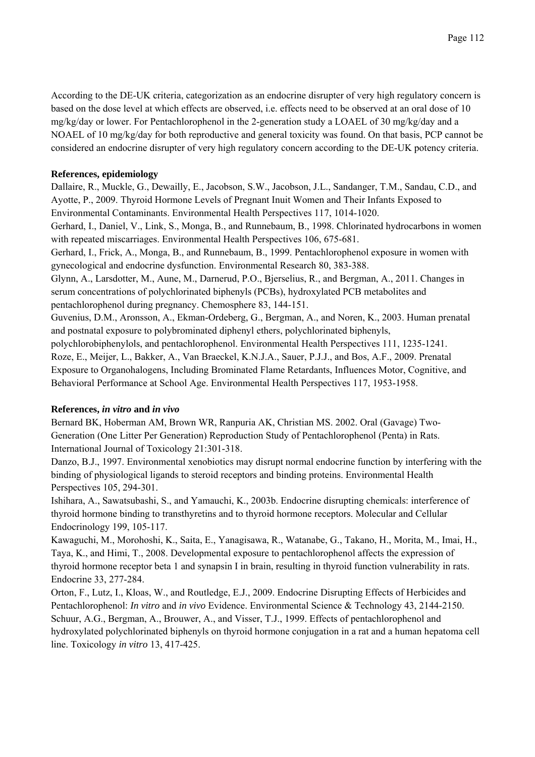According to the DE-UK criteria, categorization as an endocrine disrupter of very high regulatory concern is based on the dose level at which effects are observed, i.e. effects need to be observed at an oral dose of 10 mg/kg/day or lower. For Pentachlorophenol in the 2-generation study a LOAEL of 30 mg/kg/day and a NOAEL of 10 mg/kg/day for both reproductive and general toxicity was found. On that basis, PCP cannot be considered an endocrine disrupter of very high regulatory concern according to the DE-UK potency criteria.

# **References, epidemiology**

Dallaire, R., Muckle, G., Dewailly, E., Jacobson, S.W., Jacobson, J.L., Sandanger, T.M., Sandau, C.D., and Ayotte, P., 2009. Thyroid Hormone Levels of Pregnant Inuit Women and Their Infants Exposed to Environmental Contaminants. Environmental Health Perspectives 117, 1014-1020. Gerhard, I., Daniel, V., Link, S., Monga, B., and Runnebaum, B., 1998. Chlorinated hydrocarbons in women with repeated miscarriages. Environmental Health Perspectives 106, 675-681. Gerhard, I., Frick, A., Monga, B., and Runnebaum, B., 1999. Pentachlorophenol exposure in women with gynecological and endocrine dysfunction. Environmental Research 80, 383-388. Glynn, A., Larsdotter, M., Aune, M., Darnerud, P.O., Bjerselius, R., and Bergman, A., 2011. Changes in serum concentrations of polychlorinated biphenyls (PCBs), hydroxylated PCB metabolites and pentachlorophenol during pregnancy. Chemosphere 83, 144-151. Guvenius, D.M., Aronsson, A., Ekman-Ordeberg, G., Bergman, A., and Noren, K., 2003. Human prenatal and postnatal exposure to polybrominated diphenyl ethers, polychlorinated biphenyls, polychlorobiphenylols, and pentachlorophenol. Environmental Health Perspectives 111, 1235-1241.

Roze, E., Meijer, L., Bakker, A., Van Braeckel, K.N.J.A., Sauer, P.J.J., and Bos, A.F., 2009. Prenatal Exposure to Organohalogens, Including Brominated Flame Retardants, Influences Motor, Cognitive, and Behavioral Performance at School Age. Environmental Health Perspectives 117, 1953-1958.

# **References,** *in vitro* **and** *in vivo*

Bernard BK, Hoberman AM, Brown WR, Ranpuria AK, Christian MS. 2002. Oral (Gavage) Two-Generation (One Litter Per Generation) Reproduction Study of Pentachlorophenol (Penta) in Rats. International Journal of Toxicology 21:301-318.

Danzo, B.J., 1997. Environmental xenobiotics may disrupt normal endocrine function by interfering with the binding of physiological ligands to steroid receptors and binding proteins. Environmental Health Perspectives 105, 294-301.

Ishihara, A., Sawatsubashi, S., and Yamauchi, K., 2003b. Endocrine disrupting chemicals: interference of thyroid hormone binding to transthyretins and to thyroid hormone receptors. Molecular and Cellular Endocrinology 199, 105-117.

Kawaguchi, M., Morohoshi, K., Saita, E., Yanagisawa, R., Watanabe, G., Takano, H., Morita, M., Imai, H., Taya, K., and Himi, T., 2008. Developmental exposure to pentachlorophenol affects the expression of thyroid hormone receptor beta 1 and synapsin I in brain, resulting in thyroid function vulnerability in rats. Endocrine 33, 277-284.

Orton, F., Lutz, I., Kloas, W., and Routledge, E.J., 2009. Endocrine Disrupting Effects of Herbicides and Pentachlorophenol: *In vitro* and *in vivo* Evidence. Environmental Science & Technology 43, 2144-2150. Schuur, A.G., Bergman, A., Brouwer, A., and Visser, T.J., 1999. Effects of pentachlorophenol and hydroxylated polychlorinated biphenyls on thyroid hormone conjugation in a rat and a human hepatoma cell line. Toxicology *in vitro* 13, 417-425.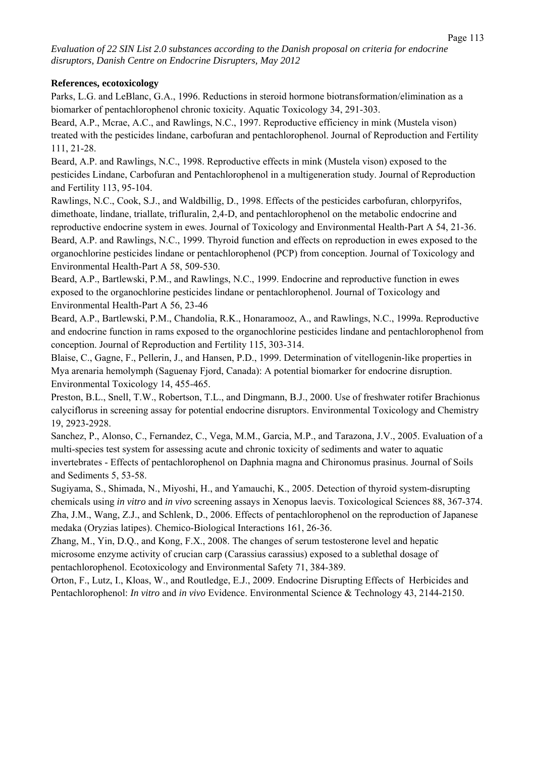#### **References, ecotoxicology**

Parks, L.G. and LeBlanc, G.A., 1996. Reductions in steroid hormone biotransformation/elimination as a biomarker of pentachlorophenol chronic toxicity. Aquatic Toxicology 34, 291-303.

Beard, A.P., Mcrae, A.C., and Rawlings, N.C., 1997. Reproductive efficiency in mink (Mustela vison) treated with the pesticides lindane, carbofuran and pentachlorophenol. Journal of Reproduction and Fertility 111, 21-28.

Beard, A.P. and Rawlings, N.C., 1998. Reproductive effects in mink (Mustela vison) exposed to the pesticides Lindane, Carbofuran and Pentachlorophenol in a multigeneration study. Journal of Reproduction and Fertility 113, 95-104.

Rawlings, N.C., Cook, S.J., and Waldbillig, D., 1998. Effects of the pesticides carbofuran, chlorpyrifos, dimethoate, lindane, triallate, trifluralin, 2,4-D, and pentachlorophenol on the metabolic endocrine and reproductive endocrine system in ewes. Journal of Toxicology and Environmental Health-Part A 54, 21-36. Beard, A.P. and Rawlings, N.C., 1999. Thyroid function and effects on reproduction in ewes exposed to the organochlorine pesticides lindane or pentachlorophenol (PCP) from conception. Journal of Toxicology and Environmental Health-Part A 58, 509-530.

Beard, A.P., Bartlewski, P.M., and Rawlings, N.C., 1999. Endocrine and reproductive function in ewes exposed to the organochlorine pesticides lindane or pentachlorophenol. Journal of Toxicology and Environmental Health-Part A 56, 23-46

Beard, A.P., Bartlewski, P.M., Chandolia, R.K., Honaramooz, A., and Rawlings, N.C., 1999a. Reproductive and endocrine function in rams exposed to the organochlorine pesticides lindane and pentachlorophenol from conception. Journal of Reproduction and Fertility 115, 303-314.

Blaise, C., Gagne, F., Pellerin, J., and Hansen, P.D., 1999. Determination of vitellogenin-like properties in Mya arenaria hemolymph (Saguenay Fjord, Canada): A potential biomarker for endocrine disruption. Environmental Toxicology 14, 455-465.

Preston, B.L., Snell, T.W., Robertson, T.L., and Dingmann, B.J., 2000. Use of freshwater rotifer Brachionus calyciflorus in screening assay for potential endocrine disruptors. Environmental Toxicology and Chemistry 19, 2923-2928.

Sanchez, P., Alonso, C., Fernandez, C., Vega, M.M., Garcia, M.P., and Tarazona, J.V., 2005. Evaluation of a multi-species test system for assessing acute and chronic toxicity of sediments and water to aquatic invertebrates - Effects of pentachlorophenol on Daphnia magna and Chironomus prasinus. Journal of Soils and Sediments 5, 53-58.

Sugiyama, S., Shimada, N., Miyoshi, H., and Yamauchi, K., 2005. Detection of thyroid system-disrupting chemicals using *in vitro* and *in vivo* screening assays in Xenopus laevis. Toxicological Sciences 88, 367-374. Zha, J.M., Wang, Z.J., and Schlenk, D., 2006. Effects of pentachlorophenol on the reproduction of Japanese medaka (Oryzias latipes). Chemico-Biological Interactions 161, 26-36.

Zhang, M., Yin, D.Q., and Kong, F.X., 2008. The changes of serum testosterone level and hepatic microsome enzyme activity of crucian carp (Carassius carassius) exposed to a sublethal dosage of pentachlorophenol. Ecotoxicology and Environmental Safety 71, 384-389.

Orton, F., Lutz, I., Kloas, W., and Routledge, E.J., 2009. Endocrine Disrupting Effects of Herbicides and Pentachlorophenol: *In vitro* and *in vivo* Evidence. Environmental Science & Technology 43, 2144-2150.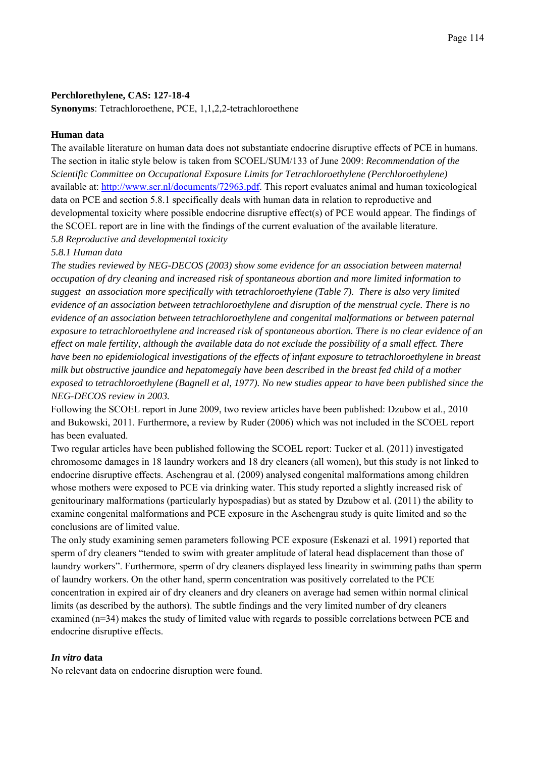#### **Perchlorethylene, CAS: 127-18-4**

**Synonyms**: Tetrachloroethene, PCE, 1,1,2,2-tetrachloroethene

#### **Human data**

The available literature on human data does not substantiate endocrine disruptive effects of PCE in humans. The section in italic style below is taken from SCOEL/SUM/133 of June 2009: *Recommendation of the Scientific Committee on Occupational Exposure Limits for Tetrachloroethylene (Perchloroethylene)* available at: http://www.ser.nl/documents/72963.pdf. This report evaluates animal and human toxicological data on PCE and section 5.8.1 specifically deals with human data in relation to reproductive and developmental toxicity where possible endocrine disruptive effect(s) of PCE would appear. The findings of the SCOEL report are in line with the findings of the current evaluation of the available literature.

*5.8 Reproductive and developmental toxicity* 

#### *5.8.1 Human data*

*The studies reviewed by NEG-DECOS (2003) show some evidence for an association between maternal occupation of dry cleaning and increased risk of spontaneous abortion and more limited information to suggest an association more specifically with tetrachloroethylene (Table 7). There is also very limited evidence of an association between tetrachloroethylene and disruption of the menstrual cycle. There is no evidence of an association between tetrachloroethylene and congenital malformations or between paternal exposure to tetrachloroethylene and increased risk of spontaneous abortion. There is no clear evidence of an effect on male fertility, although the available data do not exclude the possibility of a small effect. There have been no epidemiological investigations of the effects of infant exposure to tetrachloroethylene in breast milk but obstructive jaundice and hepatomegaly have been described in the breast fed child of a mother exposed to tetrachloroethylene (Bagnell et al, 1977). No new studies appear to have been published since the NEG-DECOS review in 2003.*

Following the SCOEL report in June 2009, two review articles have been published: Dzubow et al., 2010 and Bukowski, 2011. Furthermore, a review by Ruder (2006) which was not included in the SCOEL report has been evaluated.

Two regular articles have been published following the SCOEL report: Tucker et al. (2011) investigated chromosome damages in 18 laundry workers and 18 dry cleaners (all women), but this study is not linked to endocrine disruptive effects. Aschengrau et al. (2009) analysed congenital malformations among children whose mothers were exposed to PCE via drinking water. This study reported a slightly increased risk of genitourinary malformations (particularly hypospadias) but as stated by Dzubow et al. (2011) the ability to examine congenital malformations and PCE exposure in the Aschengrau study is quite limited and so the conclusions are of limited value.

The only study examining semen parameters following PCE exposure (Eskenazi et al. 1991) reported that sperm of dry cleaners "tended to swim with greater amplitude of lateral head displacement than those of laundry workers". Furthermore, sperm of dry cleaners displayed less linearity in swimming paths than sperm of laundry workers. On the other hand, sperm concentration was positively correlated to the PCE concentration in expired air of dry cleaners and dry cleaners on average had semen within normal clinical limits (as described by the authors). The subtle findings and the very limited number of dry cleaners examined (n=34) makes the study of limited value with regards to possible correlations between PCE and endocrine disruptive effects.

#### *In vitro* **data**

No relevant data on endocrine disruption were found.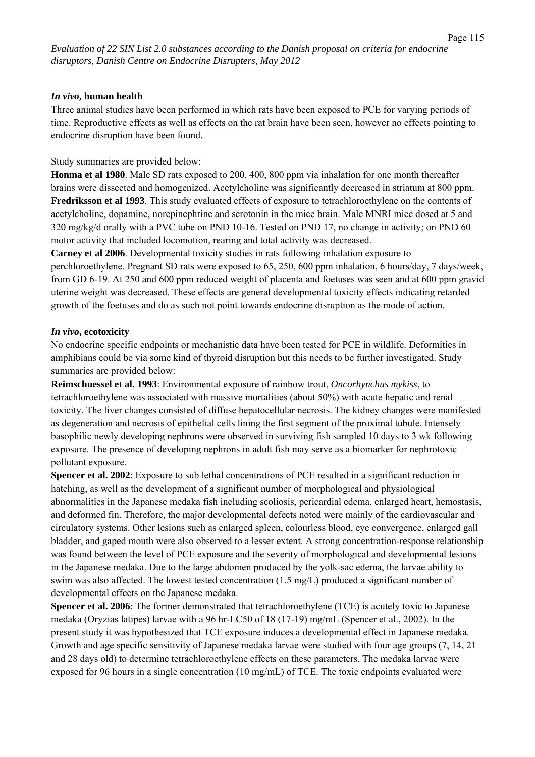#### *In vivo***, human health**

Three animal studies have been performed in which rats have been exposed to PCE for varying periods of time. Reproductive effects as well as effects on the rat brain have been seen, however no effects pointing to endocrine disruption have been found.

#### Study summaries are provided below:

**Honma et al 1980**. Male SD rats exposed to 200, 400, 800 ppm via inhalation for one month thereafter brains were dissected and homogenized. Acetylcholine was significantly decreased in striatum at 800 ppm. **Fredriksson et al 1993**. This study evaluated effects of exposure to tetrachloroethylene on the contents of acetylcholine, dopamine, norepinephrine and serotonin in the mice brain. Male MNRI mice dosed at 5 and 320 mg/kg/d orally with a PVC tube on PND 10-16. Tested on PND 17, no change in activity; on PND 60 motor activity that included locomotion, rearing and total activity was decreased.

**Carney et al 2006**. Developmental toxicity studies in rats following inhalation exposure to perchloroethylene. Pregnant SD rats were exposed to 65, 250, 600 ppm inhalation, 6 hours/day, 7 days/week, from GD 6-19. At 250 and 600 ppm reduced weight of placenta and foetuses was seen and at 600 ppm gravid uterine weight was decreased. These effects are general developmental toxicity effects indicating retarded growth of the foetuses and do as such not point towards endocrine disruption as the mode of action.

#### *In vivo***, ecotoxicity**

No endocrine specific endpoints or mechanistic data have been tested for PCE in wildlife. Deformities in amphibians could be via some kind of thyroid disruption but this needs to be further investigated. Study summaries are provided below:

**Reimschuessel et al. 1993**: Environmental exposure of rainbow trout, *Oncorhynchus mykiss*, to tetrachloroethylene was associated with massive mortalities (about 50%) with acute hepatic and renal toxicity. The liver changes consisted of diffuse hepatocellular necrosis. The kidney changes were manifested as degeneration and necrosis of epithelial cells lining the first segment of the proximal tubule. Intensely basophilic newly developing nephrons were observed in surviving fish sampled 10 days to 3 wk following exposure. The presence of developing nephrons in adult fish may serve as a biomarker for nephrotoxic pollutant exposure.

**Spencer et al. 2002**: Exposure to sub lethal concentrations of PCE resulted in a significant reduction in hatching, as well as the development of a significant number of morphological and physiological abnormalities in the Japanese medaka fish including scoliosis, pericardial edema, enlarged heart, hemostasis, and deformed fin. Therefore, the major developmental defects noted were mainly of the cardiovascular and circulatory systems. Other lesions such as enlarged spleen, colourless blood, eye convergence, enlarged gall bladder, and gaped mouth were also observed to a lesser extent. A strong concentration-response relationship was found between the level of PCE exposure and the severity of morphological and developmental lesions in the Japanese medaka. Due to the large abdomen produced by the yolk-sac edema, the larvae ability to swim was also affected. The lowest tested concentration (1.5 mg/L) produced a significant number of developmental effects on the Japanese medaka.

**Spencer et al. 2006**: The former demonstrated that tetrachloroethylene (TCE) is acutely toxic to Japanese medaka (Oryzias latipes) larvae with a 96 hr-LC50 of 18 (17-19) mg/mL (Spencer et al., 2002). In the present study it was hypothesized that TCE exposure induces a developmental effect in Japanese medaka. Growth and age specific sensitivity of Japanese medaka larvae were studied with four age groups (7, 14, 21 and 28 days old) to determine tetrachloroethylene effects on these parameters. The medaka larvae were exposed for 96 hours in a single concentration (10 mg/mL) of TCE. The toxic endpoints evaluated were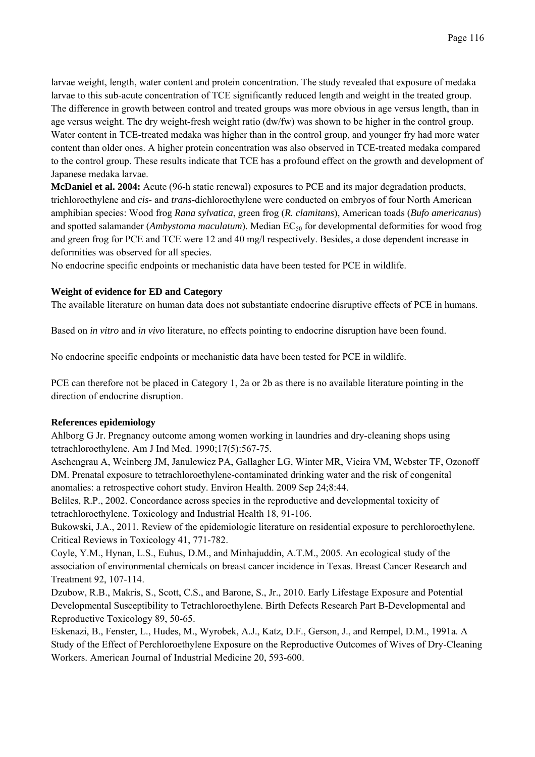larvae weight, length, water content and protein concentration. The study revealed that exposure of medaka larvae to this sub-acute concentration of TCE significantly reduced length and weight in the treated group. The difference in growth between control and treated groups was more obvious in age versus length, than in age versus weight. The dry weight-fresh weight ratio (dw/fw) was shown to be higher in the control group. Water content in TCE-treated medaka was higher than in the control group, and younger fry had more water content than older ones. A higher protein concentration was also observed in TCE-treated medaka compared to the control group. These results indicate that TCE has a profound effect on the growth and development of Japanese medaka larvae.

**McDaniel et al. 2004:** Acute (96-h static renewal) exposures to PCE and its major degradation products, trichloroethylene and *cis*- and *trans*-dichloroethylene were conducted on embryos of four North American amphibian species: Wood frog *Rana sylvatica*, green frog (*R. clamitans*), American toads (*Bufo americanus*) and spotted salamander (*Ambystoma maculatum*). Median EC<sub>50</sub> for developmental deformities for wood frog and green frog for PCE and TCE were 12 and 40 mg/l respectively. Besides, a dose dependent increase in deformities was observed for all species.

No endocrine specific endpoints or mechanistic data have been tested for PCE in wildlife.

# **Weight of evidence for ED and Category**

The available literature on human data does not substantiate endocrine disruptive effects of PCE in humans.

Based on *in vitro* and *in vivo* literature, no effects pointing to endocrine disruption have been found.

No endocrine specific endpoints or mechanistic data have been tested for PCE in wildlife.

PCE can therefore not be placed in Category 1, 2a or 2b as there is no available literature pointing in the direction of endocrine disruption.

## **References epidemiology**

Ahlborg G Jr. Pregnancy outcome among women working in laundries and dry-cleaning shops using tetrachloroethylene. Am J Ind Med. 1990;17(5):567-75.

Aschengrau A, Weinberg JM, Janulewicz PA, Gallagher LG, Winter MR, Vieira VM, Webster TF, Ozonoff DM. Prenatal exposure to tetrachloroethylene-contaminated drinking water and the risk of congenital anomalies: a retrospective cohort study. Environ Health. 2009 Sep 24;8:44.

Beliles, R.P., 2002. Concordance across species in the reproductive and developmental toxicity of tetrachloroethylene. Toxicology and Industrial Health 18, 91-106.

Bukowski, J.A., 2011. Review of the epidemiologic literature on residential exposure to perchloroethylene. Critical Reviews in Toxicology 41, 771-782.

Coyle, Y.M., Hynan, L.S., Euhus, D.M., and Minhajuddin, A.T.M., 2005. An ecological study of the association of environmental chemicals on breast cancer incidence in Texas. Breast Cancer Research and Treatment 92, 107-114.

Dzubow, R.B., Makris, S., Scott, C.S., and Barone, S., Jr., 2010. Early Lifestage Exposure and Potential Developmental Susceptibility to Tetrachloroethylene. Birth Defects Research Part B-Developmental and Reproductive Toxicology 89, 50-65.

Eskenazi, B., Fenster, L., Hudes, M., Wyrobek, A.J., Katz, D.F., Gerson, J., and Rempel, D.M., 1991a. A Study of the Effect of Perchloroethylene Exposure on the Reproductive Outcomes of Wives of Dry-Cleaning Workers. American Journal of Industrial Medicine 20, 593-600.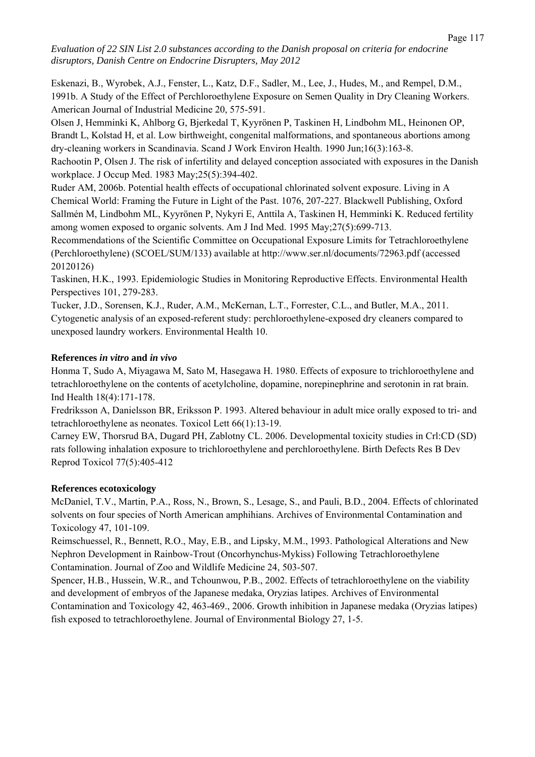Eskenazi, B., Wyrobek, A.J., Fenster, L., Katz, D.F., Sadler, M., Lee, J., Hudes, M., and Rempel, D.M., 1991b. A Study of the Effect of Perchloroethylene Exposure on Semen Quality in Dry Cleaning Workers. American Journal of Industrial Medicine 20, 575-591.

Olsen J, Hemminki K, Ahlborg G, Bjerkedal T, Kyyrönen P, Taskinen H, Lindbohm ML, Heinonen OP, Brandt L, Kolstad H, et al. Low birthweight, congenital malformations, and spontaneous abortions among dry-cleaning workers in Scandinavia. Scand J Work Environ Health. 1990 Jun;16(3):163-8.

Rachootin P, Olsen J. The risk of infertility and delayed conception associated with exposures in the Danish workplace. J Occup Med. 1983 May;25(5):394-402.

Ruder AM, 2006b. Potential health effects of occupational chlorinated solvent exposure. Living in A Chemical World: Framing the Future in Light of the Past. 1076, 207-227. Blackwell Publishing, Oxford Sallmén M, Lindbohm ML, Kyyrönen P, Nykyri E, Anttila A, Taskinen H, Hemminki K. Reduced fertility among women exposed to organic solvents. Am J Ind Med. 1995 May;27(5):699-713.

Recommendations of the Scientific Committee on Occupational Exposure Limits for Tetrachloroethylene (Perchloroethylene) (SCOEL/SUM/133) available at http://www.ser.nl/documents/72963.pdf (accessed 20120126)

Taskinen, H.K., 1993. Epidemiologic Studies in Monitoring Reproductive Effects. Environmental Health Perspectives 101, 279-283.

Tucker, J.D., Sorensen, K.J., Ruder, A.M., McKernan, L.T., Forrester, C.L., and Butler, M.A., 2011. Cytogenetic analysis of an exposed-referent study: perchloroethylene-exposed dry cleaners compared to unexposed laundry workers. Environmental Health 10.

## **References** *in vitro* **and** *in vivo*

Honma T, Sudo A, Miyagawa M, Sato M, Hasegawa H. 1980. Effects of exposure to trichloroethylene and tetrachloroethylene on the contents of acetylcholine, dopamine, norepinephrine and serotonin in rat brain. Ind Health 18(4):171-178.

Fredriksson A, Danielsson BR, Eriksson P. 1993. Altered behaviour in adult mice orally exposed to tri- and tetrachloroethylene as neonates. Toxicol Lett 66(1):13-19.

Carney EW, Thorsrud BA, Dugard PH, Zablotny CL. 2006. Developmental toxicity studies in Crl:CD (SD) rats following inhalation exposure to trichloroethylene and perchloroethylene. Birth Defects Res B Dev Reprod Toxicol 77(5):405-412

## **References ecotoxicology**

McDaniel, T.V., Martin, P.A., Ross, N., Brown, S., Lesage, S., and Pauli, B.D., 2004. Effects of chlorinated solvents on four species of North American amphihians. Archives of Environmental Contamination and Toxicology 47, 101-109.

Reimschuessel, R., Bennett, R.O., May, E.B., and Lipsky, M.M., 1993. Pathological Alterations and New Nephron Development in Rainbow-Trout (Oncorhynchus-Mykiss) Following Tetrachloroethylene Contamination. Journal of Zoo and Wildlife Medicine 24, 503-507.

Spencer, H.B., Hussein, W.R., and Tchounwou, P.B., 2002. Effects of tetrachloroethylene on the viability and development of embryos of the Japanese medaka, Oryzias latipes. Archives of Environmental Contamination and Toxicology 42, 463-469., 2006. Growth inhibition in Japanese medaka (Oryzias latipes) fish exposed to tetrachloroethylene. Journal of Environmental Biology 27, 1-5.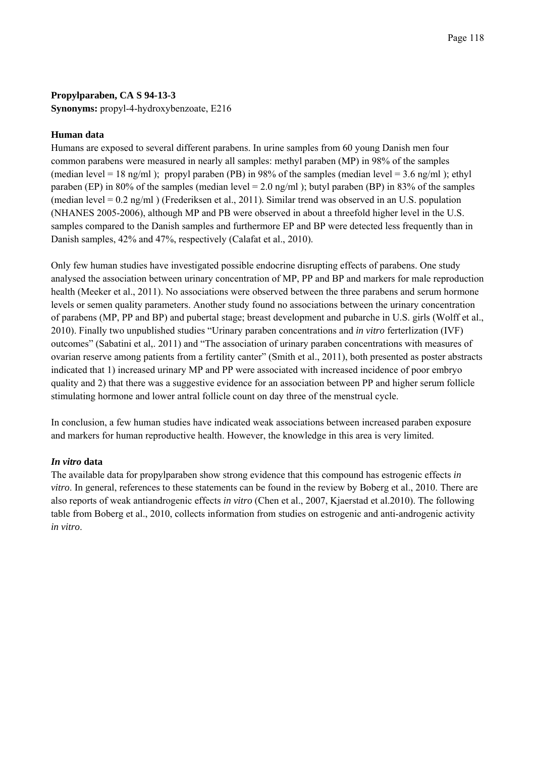## **Propylparaben, CA S 94-13-3**

**Synonyms:** propyl-4-hydroxybenzoate, E216

## **Human data**

Humans are exposed to several different parabens. In urine samples from 60 young Danish men four common parabens were measured in nearly all samples: methyl paraben (MP) in 98% of the samples (median level = 18 ng/ml); propyl paraben (PB) in 98% of the samples (median level = 3.6 ng/ml); ethyl paraben (EP) in 80% of the samples (median level =  $2.0$  ng/ml); butyl paraben (BP) in 83% of the samples (median level = 0.2 ng/ml ) (Frederiksen et al., 2011). Similar trend was observed in an U.S. population (NHANES 2005-2006), although MP and PB were observed in about a threefold higher level in the U.S. samples compared to the Danish samples and furthermore EP and BP were detected less frequently than in Danish samples, 42% and 47%, respectively (Calafat et al., 2010).

Only few human studies have investigated possible endocrine disrupting effects of parabens. One study analysed the association between urinary concentration of MP, PP and BP and markers for male reproduction health (Meeker et al., 2011). No associations were observed between the three parabens and serum hormone levels or semen quality parameters. Another study found no associations between the urinary concentration of parabens (MP, PP and BP) and pubertal stage; breast development and pubarche in U.S. girls (Wolff et al., 2010). Finally two unpublished studies "Urinary paraben concentrations and *in vitro* ferterlization (IVF) outcomes" (Sabatini et al,. 2011) and "The association of urinary paraben concentrations with measures of ovarian reserve among patients from a fertility canter" (Smith et al., 2011), both presented as poster abstracts indicated that 1) increased urinary MP and PP were associated with increased incidence of poor embryo quality and 2) that there was a suggestive evidence for an association between PP and higher serum follicle stimulating hormone and lower antral follicle count on day three of the menstrual cycle.

In conclusion, a few human studies have indicated weak associations between increased paraben exposure and markers for human reproductive health. However, the knowledge in this area is very limited.

## *In vitro* **data**

The available data for propylparaben show strong evidence that this compound has estrogenic effects *in vitro*. In general, references to these statements can be found in the review by Boberg et al., 2010. There are also reports of weak antiandrogenic effects *in vitro* (Chen et al., 2007, Kjaerstad et al.2010). The following table from Boberg et al., 2010, collects information from studies on estrogenic and anti-androgenic activity *in vitro*.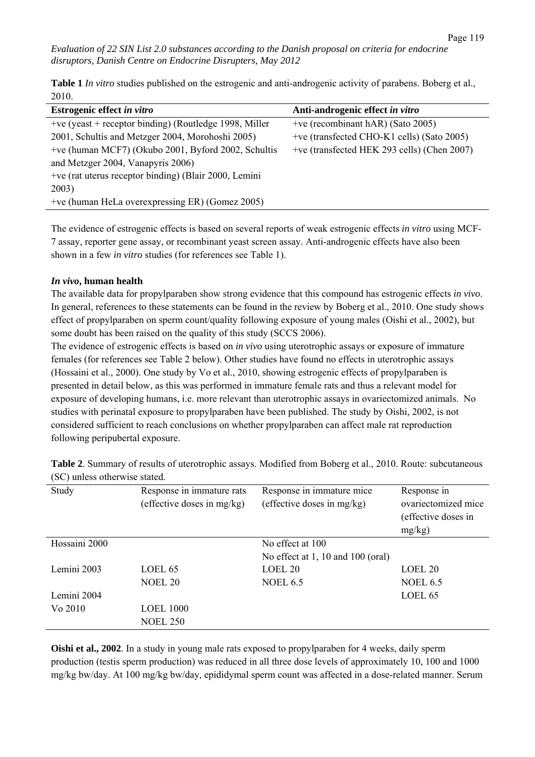**Table 1** *In vitro* studies published on the estrogenic and anti-androgenic activity of parabens. Boberg et al., 2010.

| Estrogenic effect in vitro                               | Anti-androgenic effect in vitro             |  |
|----------------------------------------------------------|---------------------------------------------|--|
| $+ve$ (yeast + receptor binding) (Routledge 1998, Miller | +ve (recombinant hAR) (Sato 2005)           |  |
| 2001, Schultis and Metzger 2004, Morohoshi 2005)         | +ve (transfected CHO-K1 cells) (Sato 2005)  |  |
| +ve (human MCF7) (Okubo 2001, Byford 2002, Schultis      | +ve (transfected HEK 293 cells) (Chen 2007) |  |
| and Metzger 2004, Vanapyris 2006)                        |                                             |  |
| +ve (rat uterus receptor binding) (Blair 2000, Lemini    |                                             |  |
| 2003)                                                    |                                             |  |
| +ve (human HeLa overexpressing ER) (Gomez 2005)          |                                             |  |
|                                                          |                                             |  |

The evidence of estrogenic effects is based on several reports of weak estrogenic effects *in vitro* using MCF-7 assay, reporter gene assay, or recombinant yeast screen assay. Anti-androgenic effects have also been shown in a few *in vitro* studies (for references see Table 1).

#### *In vivo***, human health**

The available data for propylparaben show strong evidence that this compound has estrogenic effects *in vivo*. In general, references to these statements can be found in the review by Boberg et al., 2010. One study shows effect of propylparaben on sperm count/quality following exposure of young males (Oishi et al., 2002), but some doubt has been raised on the quality of this study (SCCS 2006).

The evidence of estrogenic effects is based on *in vivo* using uterotrophic assays or exposure of immature females (for references see Table 2 below). Other studies have found no effects in uterotrophic assays (Hossaini et al., 2000). One study by Vo et al., 2010, showing estrogenic effects of propylparaben is presented in detail below, as this was performed in immature female rats and thus a relevant model for exposure of developing humans, i.e. more relevant than uterotrophic assays in ovariectomized animals. No studies with perinatal exposure to propylparaben have been published. The study by Oishi, 2002, is not considered sufficient to reach conclusions on whether propylparaben can affect male rat reproduction following peripubertal exposure.

| Study         | Response in immature rats<br>(effective doses in mg/kg) | Response in immature mice<br>(effective doses in mg/kg) | Response in<br>ovariectomized mice<br>(effective doses in<br>mg/kg) |
|---------------|---------------------------------------------------------|---------------------------------------------------------|---------------------------------------------------------------------|
| Hossaini 2000 |                                                         | No effect at 100                                        |                                                                     |
|               |                                                         | No effect at $1, 10$ and $100$ (oral)                   |                                                                     |
| Lemini 2003   | LOEL <sub>65</sub>                                      | LOEL <sub>20</sub>                                      | LOEL 20                                                             |
|               | <b>NOEL 20</b>                                          | <b>NOEL 6.5</b>                                         | <b>NOEL 6.5</b>                                                     |
| Lemini 2004   |                                                         |                                                         | LOEL 65                                                             |
| Vo 2010       | <b>LOEL 1000</b>                                        |                                                         |                                                                     |
|               | <b>NOEL 250</b>                                         |                                                         |                                                                     |

**Table 2**. Summary of results of uterotrophic assays. Modified from Boberg et al., 2010. Route: subcutaneous (SC) unless otherwise stated.

**Oishi et al., 2002**. In a study in young male rats exposed to propylparaben for 4 weeks, daily sperm production (testis sperm production) was reduced in all three dose levels of approximately 10, 100 and 1000 mg/kg bw/day. At 100 mg/kg bw/day, epididymal sperm count was affected in a dose-related manner. Serum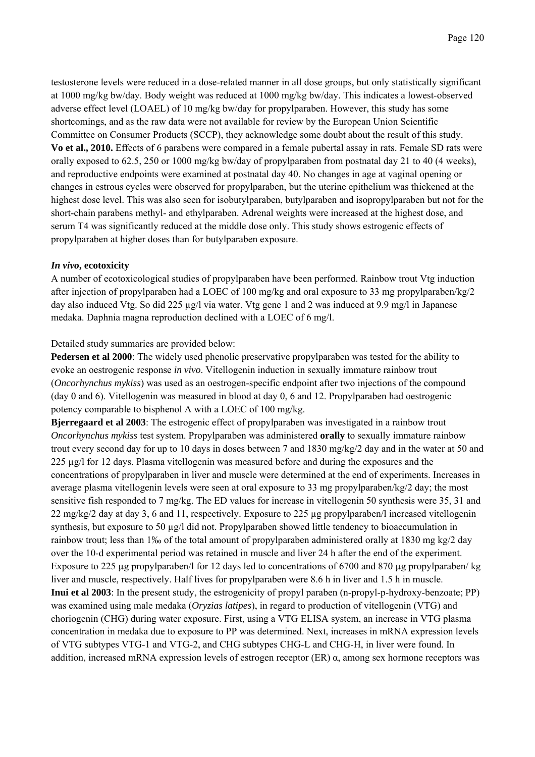testosterone levels were reduced in a dose-related manner in all dose groups, but only statistically significant at 1000 mg/kg bw/day. Body weight was reduced at 1000 mg/kg bw/day. This indicates a lowest-observed adverse effect level (LOAEL) of 10 mg/kg bw/day for propylparaben. However, this study has some shortcomings, and as the raw data were not available for review by the European Union Scientific Committee on Consumer Products (SCCP), they acknowledge some doubt about the result of this study. **Vo et al., 2010.** Effects of 6 parabens were compared in a female pubertal assay in rats. Female SD rats were orally exposed to 62.5, 250 or 1000 mg/kg bw/day of propylparaben from postnatal day 21 to 40 (4 weeks), and reproductive endpoints were examined at postnatal day 40. No changes in age at vaginal opening or changes in estrous cycles were observed for propylparaben, but the uterine epithelium was thickened at the highest dose level. This was also seen for isobutylparaben, butylparaben and isopropylparaben but not for the short-chain parabens methyl- and ethylparaben. Adrenal weights were increased at the highest dose, and serum T4 was significantly reduced at the middle dose only. This study shows estrogenic effects of propylparaben at higher doses than for butylparaben exposure.

#### *In vivo***, ecotoxicity**

A number of ecotoxicological studies of propylparaben have been performed. Rainbow trout Vtg induction after injection of propylparaben had a LOEC of 100 mg/kg and oral exposure to 33 mg propylparaben/kg/2 day also induced Vtg. So did 225 µg/l via water. Vtg gene 1 and 2 was induced at 9.9 mg/l in Japanese medaka. Daphnia magna reproduction declined with a LOEC of 6 mg/l.

#### Detailed study summaries are provided below:

**Pedersen et al 2000**: The widely used phenolic preservative propylparaben was tested for the ability to evoke an oestrogenic response *in vivo*. Vitellogenin induction in sexually immature rainbow trout (*Oncorhynchus mykiss*) was used as an oestrogen-specific endpoint after two injections of the compound (day 0 and 6). Vitellogenin was measured in blood at day 0, 6 and 12. Propylparaben had oestrogenic potency comparable to bisphenol A with a LOEC of 100 mg/kg.

**Bjerregaard et al 2003**: The estrogenic effect of propylparaben was investigated in a rainbow trout *Oncorhynchus mykiss* test system. Propylparaben was administered **orally** to sexually immature rainbow trout every second day for up to 10 days in doses between 7 and 1830 mg/kg/2 day and in the water at 50 and 225 µg/l for 12 days. Plasma vitellogenin was measured before and during the exposures and the concentrations of propylparaben in liver and muscle were determined at the end of experiments. Increases in average plasma vitellogenin levels were seen at oral exposure to 33 mg propylparaben/kg/2 day; the most sensitive fish responded to 7 mg/kg. The ED values for increase in vitellogenin 50 synthesis were 35, 31 and  $22 \text{ mg/kg}/2$  day at day 3, 6 and 11, respectively. Exposure to  $225 \mu$ g propylparaben/l increased vitellogenin synthesis, but exposure to 50 µg/l did not. Propylparaben showed little tendency to bioaccumulation in rainbow trout; less than 1‰ of the total amount of propylparaben administered orally at 1830 mg kg/2 day over the 10-d experimental period was retained in muscle and liver 24 h after the end of the experiment. Exposure to 225 µg propylparaben/l for 12 days led to concentrations of 6700 and 870 µg propylparaben/ kg liver and muscle, respectively. Half lives for propylparaben were 8.6 h in liver and 1.5 h in muscle. **Inui et al 2003**: In the present study, the estrogenicity of propyl paraben (n-propyl-p-hydroxy-benzoate; PP) was examined using male medaka (*Oryzias latipes*), in regard to production of vitellogenin (VTG) and choriogenin (CHG) during water exposure. First, using a VTG ELISA system, an increase in VTG plasma concentration in medaka due to exposure to PP was determined. Next, increases in mRNA expression levels of VTG subtypes VTG-1 and VTG-2, and CHG subtypes CHG-L and CHG-H, in liver were found. In addition, increased mRNA expression levels of estrogen receptor  $(ER)$   $\alpha$ , among sex hormone receptors was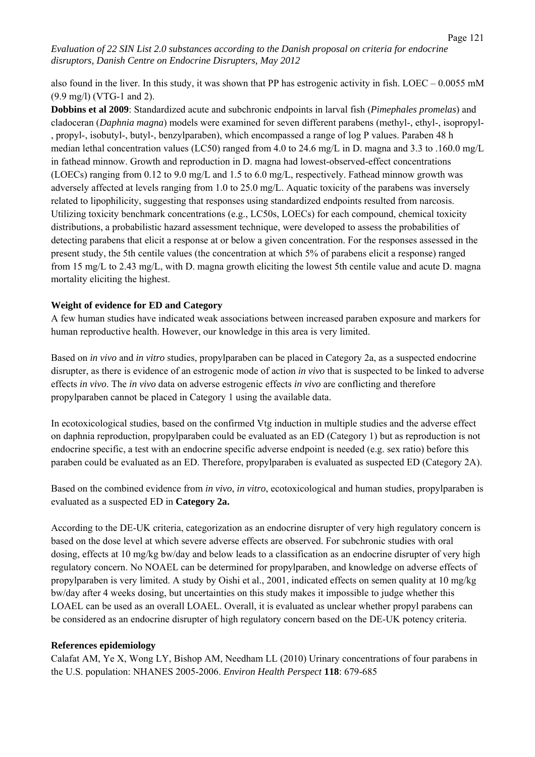also found in the liver. In this study, it was shown that PP has estrogenic activity in fish. LOEC – 0.0055 mM (9.9 mg/l) (VTG-1 and 2).

**Dobbins et al 2009**: Standardized acute and subchronic endpoints in larval fish (*Pimephales promelas*) and cladoceran (*Daphnia magna*) models were examined for seven different parabens (methyl-, ethyl-, isopropyl- , propyl-, isobutyl-, butyl-, benzylparaben), which encompassed a range of log P values. Paraben 48 h median lethal concentration values (LC50) ranged from 4.0 to 24.6 mg/L in D. magna and 3.3 to .160.0 mg/L in fathead minnow. Growth and reproduction in D. magna had lowest-observed-effect concentrations (LOECs) ranging from 0.12 to 9.0 mg/L and 1.5 to 6.0 mg/L, respectively. Fathead minnow growth was adversely affected at levels ranging from 1.0 to 25.0 mg/L. Aquatic toxicity of the parabens was inversely related to lipophilicity, suggesting that responses using standardized endpoints resulted from narcosis. Utilizing toxicity benchmark concentrations (e.g., LC50s, LOECs) for each compound, chemical toxicity distributions, a probabilistic hazard assessment technique, were developed to assess the probabilities of detecting parabens that elicit a response at or below a given concentration. For the responses assessed in the present study, the 5th centile values (the concentration at which 5% of parabens elicit a response) ranged from 15 mg/L to 2.43 mg/L, with D. magna growth eliciting the lowest 5th centile value and acute D. magna mortality eliciting the highest.

#### **Weight of evidence for ED and Category**

A few human studies have indicated weak associations between increased paraben exposure and markers for human reproductive health. However, our knowledge in this area is very limited.

Based on *in vivo* and *in vitro* studies, propylparaben can be placed in Category 2a, as a suspected endocrine disrupter, as there is evidence of an estrogenic mode of action *in vivo* that is suspected to be linked to adverse effects *in vivo*. The *in vivo* data on adverse estrogenic effects *in vivo* are conflicting and therefore propylparaben cannot be placed in Category 1 using the available data.

In ecotoxicological studies, based on the confirmed Vtg induction in multiple studies and the adverse effect on daphnia reproduction, propylparaben could be evaluated as an ED (Category 1) but as reproduction is not endocrine specific, a test with an endocrine specific adverse endpoint is needed (e.g. sex ratio) before this paraben could be evaluated as an ED. Therefore, propylparaben is evaluated as suspected ED (Category 2A).

Based on the combined evidence from *in vivo*, *in vitro*, ecotoxicological and human studies, propylparaben is evaluated as a suspected ED in **Category 2a.**

According to the DE-UK criteria, categorization as an endocrine disrupter of very high regulatory concern is based on the dose level at which severe adverse effects are observed. For subchronic studies with oral dosing, effects at 10 mg/kg bw/day and below leads to a classification as an endocrine disrupter of very high regulatory concern. No NOAEL can be determined for propylparaben, and knowledge on adverse effects of propylparaben is very limited. A study by Oishi et al., 2001, indicated effects on semen quality at 10 mg/kg bw/day after 4 weeks dosing, but uncertainties on this study makes it impossible to judge whether this LOAEL can be used as an overall LOAEL. Overall, it is evaluated as unclear whether propyl parabens can be considered as an endocrine disrupter of high regulatory concern based on the DE-UK potency criteria.

#### **References epidemiology**

Calafat AM, Ye X, Wong LY, Bishop AM, Needham LL (2010) Urinary concentrations of four parabens in the U.S. population: NHANES 2005-2006. *Environ Health Perspect* **118**: 679-685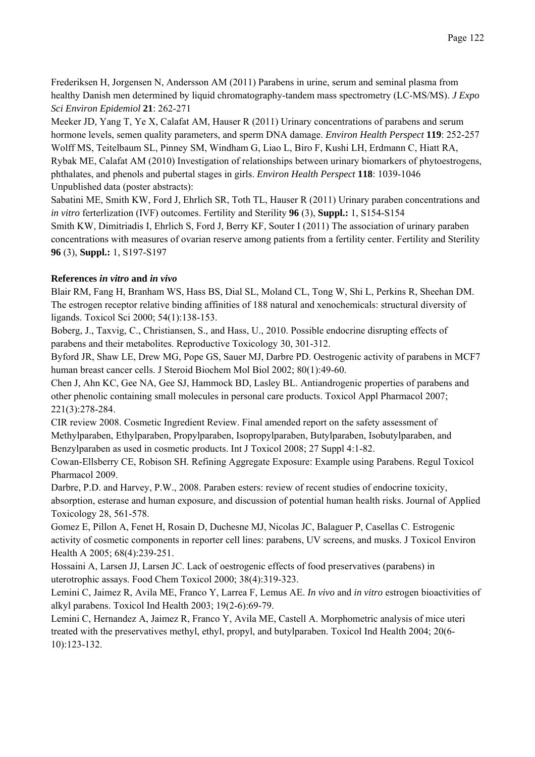Frederiksen H, Jorgensen N, Andersson AM (2011) Parabens in urine, serum and seminal plasma from healthy Danish men determined by liquid chromatography-tandem mass spectrometry (LC-MS/MS). *J Expo Sci Environ Epidemiol* **21**: 262-271

Meeker JD, Yang T, Ye X, Calafat AM, Hauser R (2011) Urinary concentrations of parabens and serum hormone levels, semen quality parameters, and sperm DNA damage. *Environ Health Perspect* **119**: 252-257 Wolff MS, Teitelbaum SL, Pinney SM, Windham G, Liao L, Biro F, Kushi LH, Erdmann C, Hiatt RA, Rybak ME, Calafat AM (2010) Investigation of relationships between urinary biomarkers of phytoestrogens, phthalates, and phenols and pubertal stages in girls. *Environ Health Perspect* **118**: 1039-1046 Unpublished data (poster abstracts):

Sabatini ME, Smith KW, Ford J, Ehrlich SR, Toth TL, Hauser R (2011) Urinary paraben concentrations and *in vitro* ferterlization (IVF) outcomes. Fertility and Sterility **96** (3), **Suppl.:** 1, S154-S154

Smith KW, Dimitriadis I, Ehrlich S, Ford J, Berry KF, Souter I (2011) The association of urinary paraben concentrations with measures of ovarian reserve among patients from a fertility center. Fertility and Sterility **96** (3), **Suppl.:** 1, S197-S197

# **References** *in vitro* **and** *in vivo*

Blair RM, Fang H, Branham WS, Hass BS, Dial SL, Moland CL, Tong W, Shi L, Perkins R, Sheehan DM. The estrogen receptor relative binding affinities of 188 natural and xenochemicals: structural diversity of ligands. Toxicol Sci 2000; 54(1):138-153.

Boberg, J., Taxvig, C., Christiansen, S., and Hass, U., 2010. Possible endocrine disrupting effects of parabens and their metabolites. Reproductive Toxicology 30, 301-312.

Byford JR, Shaw LE, Drew MG, Pope GS, Sauer MJ, Darbre PD. Oestrogenic activity of parabens in MCF7 human breast cancer cells. J Steroid Biochem Mol Biol 2002; 80(1):49-60.

Chen J, Ahn KC, Gee NA, Gee SJ, Hammock BD, Lasley BL. Antiandrogenic properties of parabens and other phenolic containing small molecules in personal care products. Toxicol Appl Pharmacol 2007; 221(3):278-284.

CIR review 2008. Cosmetic Ingredient Review. Final amended report on the safety assessment of Methylparaben, Ethylparaben, Propylparaben, Isopropylparaben, Butylparaben, Isobutylparaben, and Benzylparaben as used in cosmetic products. Int J Toxicol 2008; 27 Suppl 4:1-82.

Cowan-Ellsberry CE, Robison SH. Refining Aggregate Exposure: Example using Parabens. Regul Toxicol Pharmacol 2009.

Darbre, P.D. and Harvey, P.W., 2008. Paraben esters: review of recent studies of endocrine toxicity, absorption, esterase and human exposure, and discussion of potential human health risks. Journal of Applied Toxicology 28, 561-578.

Gomez E, Pillon A, Fenet H, Rosain D, Duchesne MJ, Nicolas JC, Balaguer P, Casellas C. Estrogenic activity of cosmetic components in reporter cell lines: parabens, UV screens, and musks. J Toxicol Environ Health A 2005; 68(4):239-251.

Hossaini A, Larsen JJ, Larsen JC. Lack of oestrogenic effects of food preservatives (parabens) in uterotrophic assays. Food Chem Toxicol 2000; 38(4):319-323.

Lemini C, Jaimez R, Avila ME, Franco Y, Larrea F, Lemus AE. *In vivo* and *in vitro* estrogen bioactivities of alkyl parabens. Toxicol Ind Health 2003; 19(2-6):69-79.

Lemini C, Hernandez A, Jaimez R, Franco Y, Avila ME, Castell A. Morphometric analysis of mice uteri treated with the preservatives methyl, ethyl, propyl, and butylparaben. Toxicol Ind Health 2004; 20(6- 10):123-132.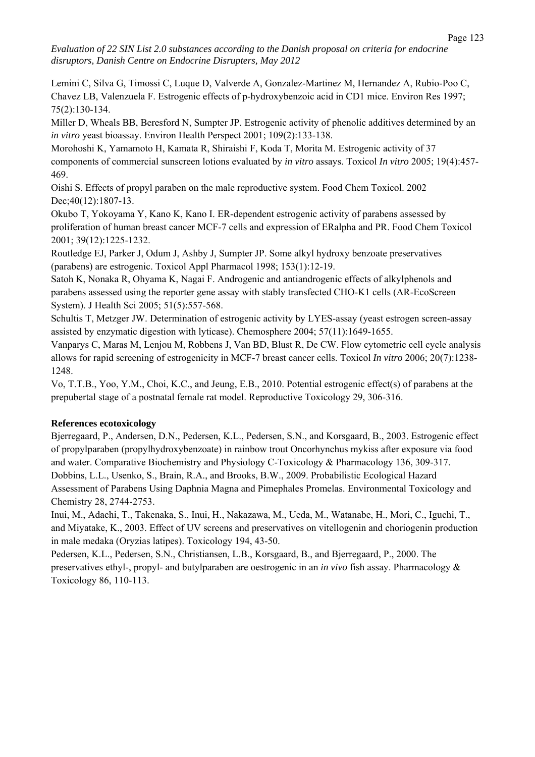Lemini C, Silva G, Timossi C, Luque D, Valverde A, Gonzalez-Martinez M, Hernandez A, Rubio-Poo C, Chavez LB, Valenzuela F. Estrogenic effects of p-hydroxybenzoic acid in CD1 mice. Environ Res 1997; 75(2):130-134.

Miller D, Wheals BB, Beresford N, Sumpter JP. Estrogenic activity of phenolic additives determined by an *in vitro* yeast bioassay. Environ Health Perspect 2001; 109(2):133-138.

Morohoshi K, Yamamoto H, Kamata R, Shiraishi F, Koda T, Morita M. Estrogenic activity of 37 components of commercial sunscreen lotions evaluated by *in vitro* assays. Toxicol *In vitro* 2005; 19(4):457- 469.

Oishi S. Effects of propyl paraben on the male reproductive system. Food Chem Toxicol. 2002 Dec; 40(12): 1807-13.

Okubo T, Yokoyama Y, Kano K, Kano I. ER-dependent estrogenic activity of parabens assessed by proliferation of human breast cancer MCF-7 cells and expression of ERalpha and PR. Food Chem Toxicol 2001; 39(12):1225-1232.

Routledge EJ, Parker J, Odum J, Ashby J, Sumpter JP. Some alkyl hydroxy benzoate preservatives (parabens) are estrogenic. Toxicol Appl Pharmacol 1998; 153(1):12-19.

Satoh K, Nonaka R, Ohyama K, Nagai F. Androgenic and antiandrogenic effects of alkylphenols and parabens assessed using the reporter gene assay with stably transfected CHO-K1 cells (AR-EcoScreen System). J Health Sci 2005; 51(5):557-568.

Schultis T, Metzger JW. Determination of estrogenic activity by LYES-assay (yeast estrogen screen-assay assisted by enzymatic digestion with lyticase). Chemosphere 2004; 57(11):1649-1655.

Vanparys C, Maras M, Lenjou M, Robbens J, Van BD, Blust R, De CW. Flow cytometric cell cycle analysis allows for rapid screening of estrogenicity in MCF-7 breast cancer cells. Toxicol *In vitro* 2006; 20(7):1238- 1248.

Vo, T.T.B., Yoo, Y.M., Choi, K.C., and Jeung, E.B., 2010. Potential estrogenic effect(s) of parabens at the prepubertal stage of a postnatal female rat model. Reproductive Toxicology 29, 306-316.

## **References ecotoxicology**

Bjerregaard, P., Andersen, D.N., Pedersen, K.L., Pedersen, S.N., and Korsgaard, B., 2003. Estrogenic effect of propylparaben (propylhydroxybenzoate) in rainbow trout Oncorhynchus mykiss after exposure via food and water. Comparative Biochemistry and Physiology C-Toxicology & Pharmacology 136, 309-317. Dobbins, L.L., Usenko, S., Brain, R.A., and Brooks, B.W., 2009. Probabilistic Ecological Hazard Assessment of Parabens Using Daphnia Magna and Pimephales Promelas. Environmental Toxicology and Chemistry 28, 2744-2753.

Inui, M., Adachi, T., Takenaka, S., Inui, H., Nakazawa, M., Ueda, M., Watanabe, H., Mori, C., Iguchi, T., and Miyatake, K., 2003. Effect of UV screens and preservatives on vitellogenin and choriogenin production in male medaka (Oryzias latipes). Toxicology 194, 43-50.

Pedersen, K.L., Pedersen, S.N., Christiansen, L.B., Korsgaard, B., and Bjerregaard, P., 2000. The preservatives ethyl-, propyl- and butylparaben are oestrogenic in an *in vivo* fish assay. Pharmacology & Toxicology 86, 110-113.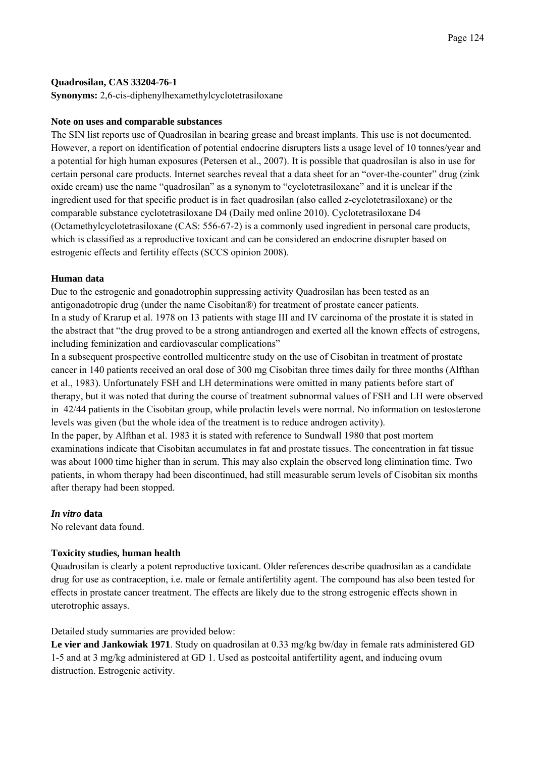#### **Quadrosilan, CAS 33204-76-1**

**Synonyms:** 2,6-cis-diphenylhexamethylcyclotetrasiloxane

#### **Note on uses and comparable substances**

The SIN list reports use of Quadrosilan in bearing grease and breast implants. This use is not documented. However, a report on identification of potential endocrine disrupters lists a usage level of 10 tonnes/year and a potential for high human exposures (Petersen et al., 2007). It is possible that quadrosilan is also in use for certain personal care products. Internet searches reveal that a data sheet for an "over-the-counter" drug (zink oxide cream) use the name "quadrosilan" as a synonym to "cyclotetrasiloxane" and it is unclear if the ingredient used for that specific product is in fact quadrosilan (also called z-cyclotetrasiloxane) or the comparable substance cyclotetrasiloxane D4 (Daily med online 2010). Cyclotetrasiloxane D4 (Octamethylcyclotetrasiloxane (CAS: 556-67-2) is a commonly used ingredient in personal care products, which is classified as a reproductive toxicant and can be considered an endocrine disrupter based on estrogenic effects and fertility effects (SCCS opinion 2008).

#### **Human data**

Due to the estrogenic and gonadotrophin suppressing activity Quadrosilan has been tested as an antigonadotropic drug (under the name Cisobitan®) for treatment of prostate cancer patients. In a study of Krarup et al. 1978 on 13 patients with stage III and IV carcinoma of the prostate it is stated in the abstract that "the drug proved to be a strong antiandrogen and exerted all the known effects of estrogens, including feminization and cardiovascular complications"

In a subsequent prospective controlled multicentre study on the use of Cisobitan in treatment of prostate cancer in 140 patients received an oral dose of 300 mg Cisobitan three times daily for three months (Alfthan et al., 1983). Unfortunately FSH and LH determinations were omitted in many patients before start of therapy, but it was noted that during the course of treatment subnormal values of FSH and LH were observed in 42/44 patients in the Cisobitan group, while prolactin levels were normal. No information on testosterone levels was given (but the whole idea of the treatment is to reduce androgen activity).

In the paper, by Alfthan et al. 1983 it is stated with reference to Sundwall 1980 that post mortem examinations indicate that Cisobitan accumulates in fat and prostate tissues. The concentration in fat tissue was about 1000 time higher than in serum. This may also explain the observed long elimination time. Two patients, in whom therapy had been discontinued, had still measurable serum levels of Cisobitan six months after therapy had been stopped.

## *In vitro* **data**

No relevant data found.

## **Toxicity studies, human health**

Quadrosilan is clearly a potent reproductive toxicant. Older references describe quadrosilan as a candidate drug for use as contraception, i.e. male or female antifertility agent. The compound has also been tested for effects in prostate cancer treatment. The effects are likely due to the strong estrogenic effects shown in uterotrophic assays.

## Detailed study summaries are provided below:

**Le vier and Jankowiak 1971**. Study on quadrosilan at 0.33 mg/kg bw/day in female rats administered GD 1-5 and at 3 mg/kg administered at GD 1. Used as postcoital antifertility agent, and inducing ovum distruction. Estrogenic activity.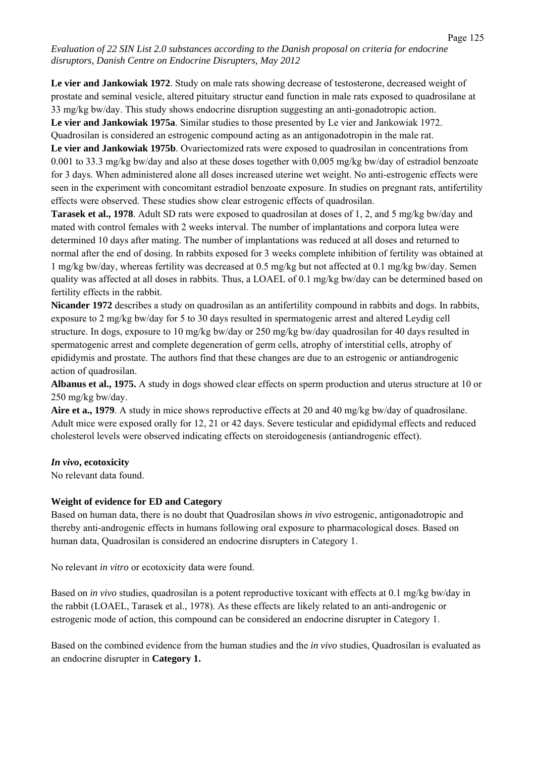**Le vier and Jankowiak 1972**. Study on male rats showing decrease of testosterone, decreased weight of prostate and seminal vesicle, altered pituitary structur eand function in male rats exposed to quadrosilane at 33 mg/kg bw/day. This study shows endocrine disruption suggesting an anti-gonadotropic action. **Le vier and Jankowiak 1975a**. Similar studies to those presented by Le vier and Jankowiak 1972.

Quadrosilan is considered an estrogenic compound acting as an antigonadotropin in the male rat.

**Le vier and Jankowiak 1975b**. Ovariectomized rats were exposed to quadrosilan in concentrations from 0.001 to 33.3 mg/kg bw/day and also at these doses together with 0,005 mg/kg bw/day of estradiol benzoate for 3 days. When administered alone all doses increased uterine wet weight. No anti-estrogenic effects were seen in the experiment with concomitant estradiol benzoate exposure. In studies on pregnant rats, antifertility effects were observed. These studies show clear estrogenic effects of quadrosilan.

**Tarasek et al., 1978**. Adult SD rats were exposed to quadrosilan at doses of 1, 2, and 5 mg/kg bw/day and mated with control females with 2 weeks interval. The number of implantations and corpora lutea were determined 10 days after mating. The number of implantations was reduced at all doses and returned to normal after the end of dosing. In rabbits exposed for 3 weeks complete inhibition of fertility was obtained at 1 mg/kg bw/day, whereas fertility was decreased at 0.5 mg/kg but not affected at 0.1 mg/kg bw/day. Semen quality was affected at all doses in rabbits. Thus, a LOAEL of 0.1 mg/kg bw/day can be determined based on fertility effects in the rabbit.

**Nicander 1972** describes a study on quadrosilan as an antifertility compound in rabbits and dogs. In rabbits, exposure to 2 mg/kg bw/day for 5 to 30 days resulted in spermatogenic arrest and altered Leydig cell structure. In dogs, exposure to 10 mg/kg bw/day or 250 mg/kg bw/day quadrosilan for 40 days resulted in spermatogenic arrest and complete degeneration of germ cells, atrophy of interstitial cells, atrophy of epididymis and prostate. The authors find that these changes are due to an estrogenic or antiandrogenic action of quadrosilan.

**Albanus et al., 1975.** A study in dogs showed clear effects on sperm production and uterus structure at 10 or 250 mg/kg bw/day.

**Aire et a., 1979**. A study in mice shows reproductive effects at 20 and 40 mg/kg bw/day of quadrosilane. Adult mice were exposed orally for 12, 21 or 42 days. Severe testicular and epididymal effects and reduced cholesterol levels were observed indicating effects on steroidogenesis (antiandrogenic effect).

#### *In vivo***, ecotoxicity**

No relevant data found.

## **Weight of evidence for ED and Category**

Based on human data, there is no doubt that Quadrosilan shows *in vivo* estrogenic, antigonadotropic and thereby anti-androgenic effects in humans following oral exposure to pharmacological doses. Based on human data, Quadrosilan is considered an endocrine disrupters in Category 1.

No relevant *in vitro* or ecotoxicity data were found.

Based on *in vivo* studies, quadrosilan is a potent reproductive toxicant with effects at 0.1 mg/kg bw/day in the rabbit (LOAEL, Tarasek et al., 1978). As these effects are likely related to an anti-androgenic or estrogenic mode of action, this compound can be considered an endocrine disrupter in Category 1.

Based on the combined evidence from the human studies and the *in vivo* studies, Quadrosilan is evaluated as an endocrine disrupter in **Category 1.**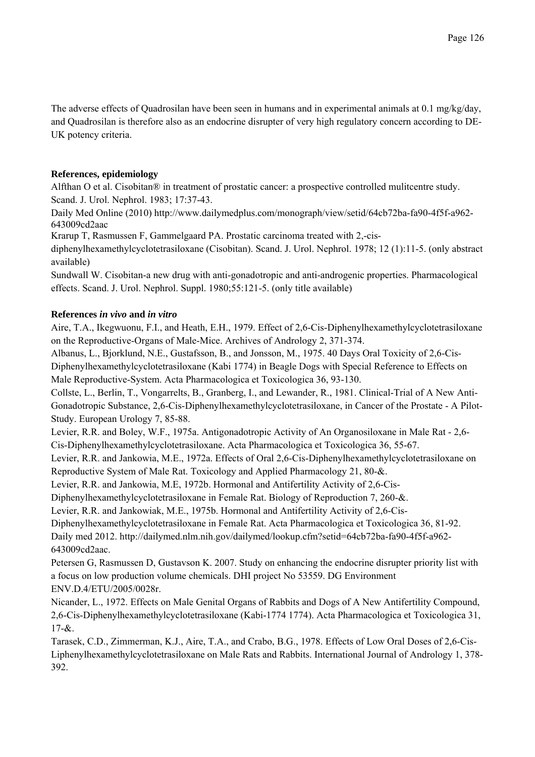The adverse effects of Quadrosilan have been seen in humans and in experimental animals at 0.1 mg/kg/day, and Quadrosilan is therefore also as an endocrine disrupter of very high regulatory concern according to DE-UK potency criteria.

# **References, epidemiology**

Alfthan O et al. Cisobitan® in treatment of prostatic cancer: a prospective controlled mulitcentre study. Scand. J. Urol. Nephrol. 1983; 17:37-43.

Daily Med Online (2010) http://www.dailymedplus.com/monograph/view/setid/64cb72ba-fa90-4f5f-a962- 643009cd2aac

Krarup T, Rasmussen F, Gammelgaard PA. Prostatic carcinoma treated with 2,-cis-

diphenylhexamethylcyclotetrasiloxane (Cisobitan). Scand. J. Urol. Nephrol. 1978; 12 (1):11-5. (only abstract available)

Sundwall W. Cisobitan-a new drug with anti-gonadotropic and anti-androgenic properties. Pharmacological effects. Scand. J. Urol. Nephrol. Suppl. 1980;55:121-5. (only title available)

# **References** *in vivo* **and** *in vitro*

Aire, T.A., Ikegwuonu, F.I., and Heath, E.H., 1979. Effect of 2,6-Cis-Diphenylhexamethylcyclotetrasiloxane on the Reproductive-Organs of Male-Mice. Archives of Andrology 2, 371-374.

Albanus, L., Bjorklund, N.E., Gustafsson, B., and Jonsson, M., 1975. 40 Days Oral Toxicity of 2,6-Cis-Diphenylhexamethylcyclotetrasiloxane (Kabi 1774) in Beagle Dogs with Special Reference to Effects on Male Reproductive-System. Acta Pharmacologica et Toxicologica 36, 93-130.

Collste, L., Berlin, T., Vongarrelts, B., Granberg, I., and Lewander, R., 1981. Clinical-Trial of A New Anti-Gonadotropic Substance, 2,6-Cis-Diphenylhexamethylcyclotetrasiloxane, in Cancer of the Prostate - A Pilot-Study. European Urology 7, 85-88.

Levier, R.R. and Boley, W.F., 1975a. Antigonadotropic Activity of An Organosiloxane in Male Rat - 2,6- Cis-Diphenylhexamethylcyclotetrasiloxane. Acta Pharmacologica et Toxicologica 36, 55-67.

Levier, R.R. and Jankowia, M.E., 1972a. Effects of Oral 2,6-Cis-Diphenylhexamethylcyclotetrasiloxane on Reproductive System of Male Rat. Toxicology and Applied Pharmacology 21, 80-&.

Levier, R.R. and Jankowia, M.E, 1972b. Hormonal and Antifertility Activity of 2,6-Cis-

Diphenylhexamethylcyclotetrasiloxane in Female Rat. Biology of Reproduction 7, 260-&.

Levier, R.R. and Jankowiak, M.E., 1975b. Hormonal and Antifertility Activity of 2,6-Cis-

Diphenylhexamethylcyclotetrasiloxane in Female Rat. Acta Pharmacologica et Toxicologica 36, 81-92. Daily med 2012. http://dailymed.nlm.nih.gov/dailymed/lookup.cfm?setid=64cb72ba-fa90-4f5f-a962- 643009cd2aac.

Petersen G, Rasmussen D, Gustavson K. 2007. Study on enhancing the endocrine disrupter priority list with a focus on low production volume chemicals. DHI project No 53559. DG Environment ENV.D.4/ETU/2005/0028r.

Nicander, L., 1972. Effects on Male Genital Organs of Rabbits and Dogs of A New Antifertility Compound, 2,6-Cis-Diphenylhexamethylcyclotetrasiloxane (Kabi-1774 1774). Acta Pharmacologica et Toxicologica 31,  $17 - 8$ .

Tarasek, C.D., Zimmerman, K.J., Aire, T.A., and Crabo, B.G., 1978. Effects of Low Oral Doses of 2,6-Cis-Liphenylhexamethylcyclotetrasiloxane on Male Rats and Rabbits. International Journal of Andrology 1, 378- 392.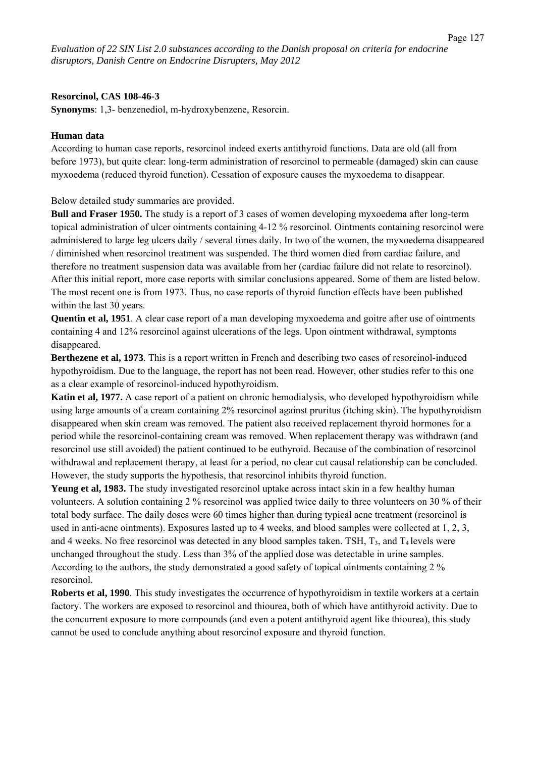#### **Resorcinol, CAS 108-46-3**

**Synonyms**: 1,3- benzenediol, m-hydroxybenzene, Resorcin.

#### **Human data**

According to human case reports, resorcinol indeed exerts antithyroid functions. Data are old (all from before 1973), but quite clear: long-term administration of resorcinol to permeable (damaged) skin can cause myxoedema (reduced thyroid function). Cessation of exposure causes the myxoedema to disappear.

Below detailed study summaries are provided.

**Bull and Fraser 1950.** The study is a report of 3 cases of women developing myxoedema after long-term topical administration of ulcer ointments containing 4-12 % resorcinol. Ointments containing resorcinol were administered to large leg ulcers daily / several times daily. In two of the women, the myxoedema disappeared / diminished when resorcinol treatment was suspended. The third women died from cardiac failure, and therefore no treatment suspension data was available from her (cardiac failure did not relate to resorcinol). After this initial report, more case reports with similar conclusions appeared. Some of them are listed below. The most recent one is from 1973. Thus, no case reports of thyroid function effects have been published within the last 30 years.

**Quentin et al, 1951**. A clear case report of a man developing myxoedema and goitre after use of ointments containing 4 and 12% resorcinol against ulcerations of the legs. Upon ointment withdrawal, symptoms disappeared.

**Berthezene et al, 1973**. This is a report written in French and describing two cases of resorcinol-induced hypothyroidism. Due to the language, the report has not been read. However, other studies refer to this one as a clear example of resorcinol-induced hypothyroidism.

**Katin et al, 1977.** A case report of a patient on chronic hemodialysis, who developed hypothyroidism while using large amounts of a cream containing 2% resorcinol against pruritus (itching skin). The hypothyroidism disappeared when skin cream was removed. The patient also received replacement thyroid hormones for a period while the resorcinol-containing cream was removed. When replacement therapy was withdrawn (and resorcinol use still avoided) the patient continued to be euthyroid. Because of the combination of resorcinol withdrawal and replacement therapy, at least for a period, no clear cut causal relationship can be concluded. However, the study supports the hypothesis, that resorcinol inhibits thyroid function.

**Yeung et al, 1983.** The study investigated resorcinol uptake across intact skin in a few healthy human volunteers. A solution containing 2 % resorcinol was applied twice daily to three volunteers on 30 % of their total body surface. The daily doses were 60 times higher than during typical acne treatment (resorcinol is used in anti-acne ointments). Exposures lasted up to 4 weeks, and blood samples were collected at 1, 2, 3, and 4 weeks. No free resorcinol was detected in any blood samples taken. TSH,  $T_3$ , and  $T_4$  levels were unchanged throughout the study. Less than 3% of the applied dose was detectable in urine samples. According to the authors, the study demonstrated a good safety of topical ointments containing 2 % resorcinol.

**Roberts et al, 1990**. This study investigates the occurrence of hypothyroidism in textile workers at a certain factory. The workers are exposed to resorcinol and thiourea, both of which have antithyroid activity. Due to the concurrent exposure to more compounds (and even a potent antithyroid agent like thiourea), this study cannot be used to conclude anything about resorcinol exposure and thyroid function.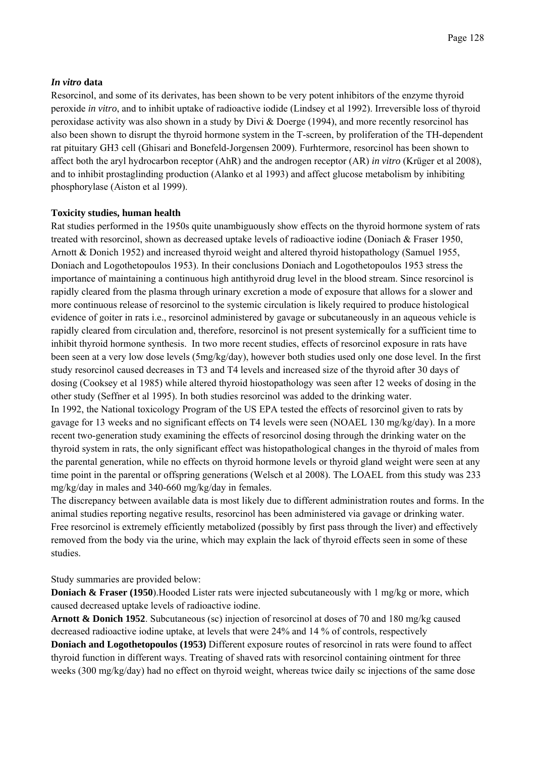#### *In vitro* **data**

Resorcinol, and some of its derivates, has been shown to be very potent inhibitors of the enzyme thyroid peroxide *in vitro*, and to inhibit uptake of radioactive iodide (Lindsey et al 1992). Irreversible loss of thyroid peroxidase activity was also shown in a study by Divi & Doerge (1994), and more recently resorcinol has also been shown to disrupt the thyroid hormone system in the T-screen, by proliferation of the TH-dependent rat pituitary GH3 cell (Ghisari and Bonefeld-Jorgensen 2009). Furhtermore, resorcinol has been shown to affect both the aryl hydrocarbon receptor (AhR) and the androgen receptor (AR) *in vitro* (Krüger et al 2008), and to inhibit prostaglinding production (Alanko et al 1993) and affect glucose metabolism by inhibiting phosphorylase (Aiston et al 1999).

#### **Toxicity studies, human health**

Rat studies performed in the 1950s quite unambiguously show effects on the thyroid hormone system of rats treated with resorcinol, shown as decreased uptake levels of radioactive iodine (Doniach & Fraser 1950, Arnott & Donich 1952) and increased thyroid weight and altered thyroid histopathology (Samuel 1955, Doniach and Logothetopoulos 1953). In their conclusions Doniach and Logothetopoulos 1953 stress the importance of maintaining a continuous high antithyroid drug level in the blood stream. Since resorcinol is rapidly cleared from the plasma through urinary excretion a mode of exposure that allows for a slower and more continuous release of resorcinol to the systemic circulation is likely required to produce histological evidence of goiter in rats i.e., resorcinol administered by gavage or subcutaneously in an aqueous vehicle is rapidly cleared from circulation and, therefore, resorcinol is not present systemically for a sufficient time to inhibit thyroid hormone synthesis. In two more recent studies, effects of resorcinol exposure in rats have been seen at a very low dose levels (5mg/kg/day), however both studies used only one dose level. In the first study resorcinol caused decreases in T3 and T4 levels and increased size of the thyroid after 30 days of dosing (Cooksey et al 1985) while altered thyroid hiostopathology was seen after 12 weeks of dosing in the other study (Seffner et al 1995). In both studies resorcinol was added to the drinking water. In 1992, the National toxicology Program of the US EPA tested the effects of resorcinol given to rats by gavage for 13 weeks and no significant effects on T4 levels were seen (NOAEL 130 mg/kg/day). In a more recent two-generation study examining the effects of resorcinol dosing through the drinking water on the thyroid system in rats, the only significant effect was histopathological changes in the thyroid of males from the parental generation, while no effects on thyroid hormone levels or thyroid gland weight were seen at any time point in the parental or offspring generations (Welsch et al 2008). The LOAEL from this study was 233 mg/kg/day in males and 340-660 mg/kg/day in females.

The discrepancy between available data is most likely due to different administration routes and forms. In the animal studies reporting negative results, resorcinol has been administered via gavage or drinking water. Free resorcinol is extremely efficiently metabolized (possibly by first pass through the liver) and effectively removed from the body via the urine, which may explain the lack of thyroid effects seen in some of these studies.

Study summaries are provided below:

**Doniach & Fraser (1950**).Hooded Lister rats were injected subcutaneously with 1 mg/kg or more, which caused decreased uptake levels of radioactive iodine.

**Arnott & Donich 1952**. Subcutaneous (sc) injection of resorcinol at doses of 70 and 180 mg/kg caused decreased radioactive iodine uptake, at levels that were 24% and 14 % of controls, respectively **Doniach and Logothetopoulos (1953)** Different exposure routes of resorcinol in rats were found to affect thyroid function in different ways. Treating of shaved rats with resorcinol containing ointment for three weeks (300 mg/kg/day) had no effect on thyroid weight, whereas twice daily sc injections of the same dose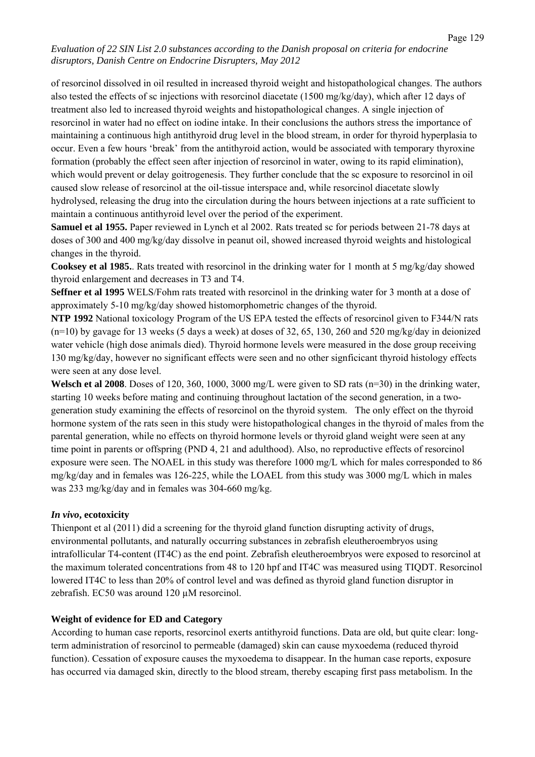of resorcinol dissolved in oil resulted in increased thyroid weight and histopathological changes. The authors also tested the effects of sc injections with resorcinol diacetate (1500 mg/kg/day), which after 12 days of treatment also led to increased thyroid weights and histopathological changes. A single injection of resorcinol in water had no effect on iodine intake. In their conclusions the authors stress the importance of maintaining a continuous high antithyroid drug level in the blood stream, in order for thyroid hyperplasia to occur. Even a few hours 'break' from the antithyroid action, would be associated with temporary thyroxine formation (probably the effect seen after injection of resorcinol in water, owing to its rapid elimination), which would prevent or delay goitrogenesis. They further conclude that the sc exposure to resorcinol in oil caused slow release of resorcinol at the oil-tissue interspace and, while resorcinol diacetate slowly hydrolysed, releasing the drug into the circulation during the hours between injections at a rate sufficient to maintain a continuous antithyroid level over the period of the experiment.

**Samuel et al 1955.** Paper reviewed in Lynch et al 2002. Rats treated sc for periods between 21-78 days at doses of 300 and 400 mg/kg/day dissolve in peanut oil, showed increased thyroid weights and histological changes in the thyroid.

**Cooksey et al 1985.**. Rats treated with resorcinol in the drinking water for 1 month at 5 mg/kg/day showed thyroid enlargement and decreases in T3 and T4.

**Seffner et al 1995** WELS/Fohm rats treated with resorcinol in the drinking water for 3 month at a dose of approximately 5-10 mg/kg/day showed histomorphometric changes of the thyroid.

**NTP 1992** National toxicology Program of the US EPA tested the effects of resorcinol given to F344/N rats  $(n=10)$  by gavage for 13 weeks (5 days a week) at doses of 32, 65, 130, 260 and 520 mg/kg/day in deionized water vehicle (high dose animals died). Thyroid hormone levels were measured in the dose group receiving 130 mg/kg/day, however no significant effects were seen and no other signficicant thyroid histology effects were seen at any dose level.

**Welsch et al 2008**. Doses of 120, 360, 1000, 3000 mg/L were given to SD rats (n=30) in the drinking water, starting 10 weeks before mating and continuing throughout lactation of the second generation, in a twogeneration study examining the effects of resorcinol on the thyroid system. The only effect on the thyroid hormone system of the rats seen in this study were histopathological changes in the thyroid of males from the parental generation, while no effects on thyroid hormone levels or thyroid gland weight were seen at any time point in parents or offspring (PND 4, 21 and adulthood). Also, no reproductive effects of resorcinol exposure were seen. The NOAEL in this study was therefore 1000 mg/L which for males corresponded to 86 mg/kg/day and in females was 126-225, while the LOAEL from this study was 3000 mg/L which in males was 233 mg/kg/day and in females was 304-660 mg/kg.

## *In vivo***, ecotoxicity**

Thienpont et al (2011) did a screening for the thyroid gland function disrupting activity of drugs, environmental pollutants, and naturally occurring substances in zebrafish eleutheroembryos using intrafollicular T4-content (IT4C) as the end point. Zebrafish eleutheroembryos were exposed to resorcinol at the maximum tolerated concentrations from 48 to 120 hpf and IT4C was measured using TIQDT. Resorcinol lowered IT4C to less than 20% of control level and was defined as thyroid gland function disruptor in zebrafish. EC50 was around 120  $\mu$ M resorcinol.

#### **Weight of evidence for ED and Category**

According to human case reports, resorcinol exerts antithyroid functions. Data are old, but quite clear: longterm administration of resorcinol to permeable (damaged) skin can cause myxoedema (reduced thyroid function). Cessation of exposure causes the myxoedema to disappear. In the human case reports, exposure has occurred via damaged skin, directly to the blood stream, thereby escaping first pass metabolism. In the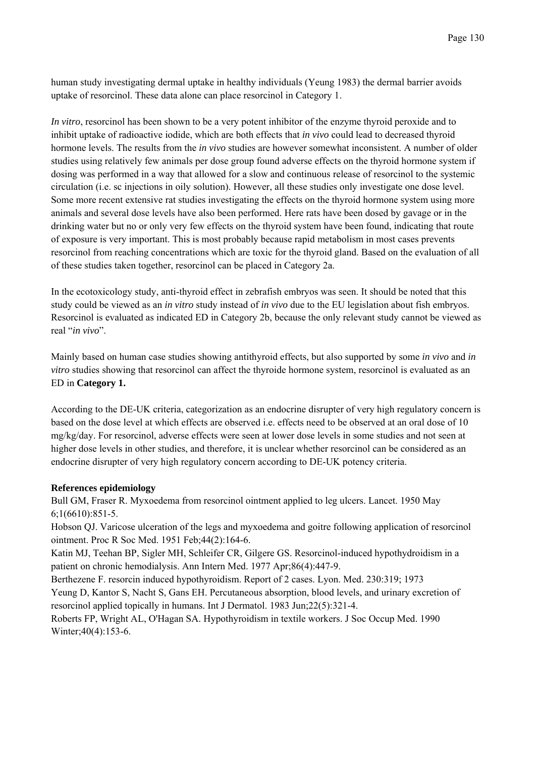human study investigating dermal uptake in healthy individuals (Yeung 1983) the dermal barrier avoids uptake of resorcinol. These data alone can place resorcinol in Category 1.

*In vitro*, resorcinol has been shown to be a very potent inhibitor of the enzyme thyroid peroxide and to inhibit uptake of radioactive iodide, which are both effects that *in vivo* could lead to decreased thyroid hormone levels. The results from the *in vivo* studies are however somewhat inconsistent. A number of older studies using relatively few animals per dose group found adverse effects on the thyroid hormone system if dosing was performed in a way that allowed for a slow and continuous release of resorcinol to the systemic circulation (i.e. sc injections in oily solution). However, all these studies only investigate one dose level. Some more recent extensive rat studies investigating the effects on the thyroid hormone system using more animals and several dose levels have also been performed. Here rats have been dosed by gavage or in the drinking water but no or only very few effects on the thyroid system have been found, indicating that route of exposure is very important. This is most probably because rapid metabolism in most cases prevents resorcinol from reaching concentrations which are toxic for the thyroid gland. Based on the evaluation of all of these studies taken together, resorcinol can be placed in Category 2a.

In the ecotoxicology study, anti-thyroid effect in zebrafish embryos was seen. It should be noted that this study could be viewed as an *in vitro* study instead of *in vivo* due to the EU legislation about fish embryos. Resorcinol is evaluated as indicated ED in Category 2b, because the only relevant study cannot be viewed as real "*in vivo*".

Mainly based on human case studies showing antithyroid effects, but also supported by some *in vivo* and *in vitro* studies showing that resorcinol can affect the thyroide hormone system, resorcinol is evaluated as an ED in **Category 1.** 

According to the DE-UK criteria, categorization as an endocrine disrupter of very high regulatory concern is based on the dose level at which effects are observed i.e. effects need to be observed at an oral dose of 10 mg/kg/day. For resorcinol, adverse effects were seen at lower dose levels in some studies and not seen at higher dose levels in other studies, and therefore, it is unclear whether resorcinol can be considered as an endocrine disrupter of very high regulatory concern according to DE-UK potency criteria.

## **References epidemiology**

Bull GM, Fraser R. Myxoedema from resorcinol ointment applied to leg ulcers. Lancet. 1950 May 6;1(6610):851-5.

Hobson QJ. Varicose ulceration of the legs and myxoedema and goitre following application of resorcinol ointment. Proc R Soc Med. 1951 Feb;44(2):164-6.

Katin MJ, Teehan BP, Sigler MH, Schleifer CR, Gilgere GS. Resorcinol-induced hypothydroidism in a patient on chronic hemodialysis. Ann Intern Med. 1977 Apr;86(4):447-9.

Berthezene F. resorcin induced hypothyroidism. Report of 2 cases. Lyon. Med. 230:319; 1973 Yeung D, Kantor S, Nacht S, Gans EH. Percutaneous absorption, blood levels, and urinary excretion of resorcinol applied topically in humans. Int J Dermatol. 1983 Jun;22(5):321-4.

Roberts FP, Wright AL, O'Hagan SA. Hypothyroidism in textile workers. J Soc Occup Med. 1990 Winter; 40(4): 153-6.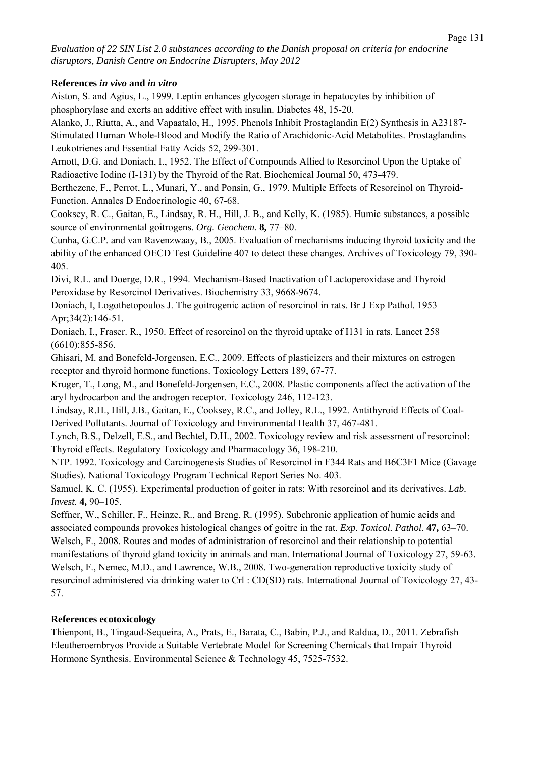## **References** *in vivo* **and** *in vitro*

Aiston, S. and Agius, L., 1999. Leptin enhances glycogen storage in hepatocytes by inhibition of phosphorylase and exerts an additive effect with insulin. Diabetes 48, 15-20.

Alanko, J., Riutta, A., and Vapaatalo, H., 1995. Phenols Inhibit Prostaglandin E(2) Synthesis in A23187- Stimulated Human Whole-Blood and Modify the Ratio of Arachidonic-Acid Metabolites. Prostaglandins Leukotrienes and Essential Fatty Acids 52, 299-301.

Arnott, D.G. and Doniach, I., 1952. The Effect of Compounds Allied to Resorcinol Upon the Uptake of Radioactive Iodine (I-131) by the Thyroid of the Rat. Biochemical Journal 50, 473-479.

Berthezene, F., Perrot, L., Munari, Y., and Ponsin, G., 1979. Multiple Effects of Resorcinol on Thyroid-Function. Annales D Endocrinologie 40, 67-68.

Cooksey, R. C., Gaitan, E., Lindsay, R. H., Hill, J. B., and Kelly, K. (1985). Humic substances, a possible source of environmental goitrogens. *Org. Geochem.* **8,** 77–80.

Cunha, G.C.P. and van Ravenzwaay, B., 2005. Evaluation of mechanisms inducing thyroid toxicity and the ability of the enhanced OECD Test Guideline 407 to detect these changes. Archives of Toxicology 79, 390- 405.

Divi, R.L. and Doerge, D.R., 1994. Mechanism-Based Inactivation of Lactoperoxidase and Thyroid Peroxidase by Resorcinol Derivatives. Biochemistry 33, 9668-9674.

Doniach, I, Logothetopoulos J. The goitrogenic action of resorcinol in rats. Br J Exp Pathol. 1953 Apr; 34(2): 146-51.

Doniach, I., Fraser. R., 1950. Effect of resorcinol on the thyroid uptake of I131 in rats. Lancet 258 (6610):855-856.

Ghisari, M. and Bonefeld-Jorgensen, E.C., 2009. Effects of plasticizers and their mixtures on estrogen receptor and thyroid hormone functions. Toxicology Letters 189, 67-77.

Kruger, T., Long, M., and Bonefeld-Jorgensen, E.C., 2008. Plastic components affect the activation of the aryl hydrocarbon and the androgen receptor. Toxicology 246, 112-123.

Lindsay, R.H., Hill, J.B., Gaitan, E., Cooksey, R.C., and Jolley, R.L., 1992. Antithyroid Effects of Coal-Derived Pollutants. Journal of Toxicology and Environmental Health 37, 467-481.

Lynch, B.S., Delzell, E.S., and Bechtel, D.H., 2002. Toxicology review and risk assessment of resorcinol: Thyroid effects. Regulatory Toxicology and Pharmacology 36, 198-210.

NTP. 1992. Toxicology and Carcinogenesis Studies of Resorcinol in F344 Rats and B6C3F1 Mice (Gavage Studies). National Toxicology Program Technical Report Series No. 403.

Samuel, K. C. (1955). Experimental production of goiter in rats: With resorcinol and its derivatives. *Lab. Invest.* **4,** 90–105.

Seffner, W., Schiller, F., Heinze, R., and Breng, R. (1995). Subchronic application of humic acids and associated compounds provokes histological changes of goitre in the rat. *Exp. Toxicol. Pathol.* **47,** 63–70. Welsch, F., 2008. Routes and modes of administration of resorcinol and their relationship to potential manifestations of thyroid gland toxicity in animals and man. International Journal of Toxicology 27, 59-63. Welsch, F., Nemec, M.D., and Lawrence, W.B., 2008. Two-generation reproductive toxicity study of resorcinol administered via drinking water to Crl : CD(SD) rats. International Journal of Toxicology 27, 43- 57.

## **References ecotoxicology**

Thienpont, B., Tingaud-Sequeira, A., Prats, E., Barata, C., Babin, P.J., and Raldua, D., 2011. Zebrafish Eleutheroembryos Provide a Suitable Vertebrate Model for Screening Chemicals that Impair Thyroid Hormone Synthesis. Environmental Science & Technology 45, 7525-7532.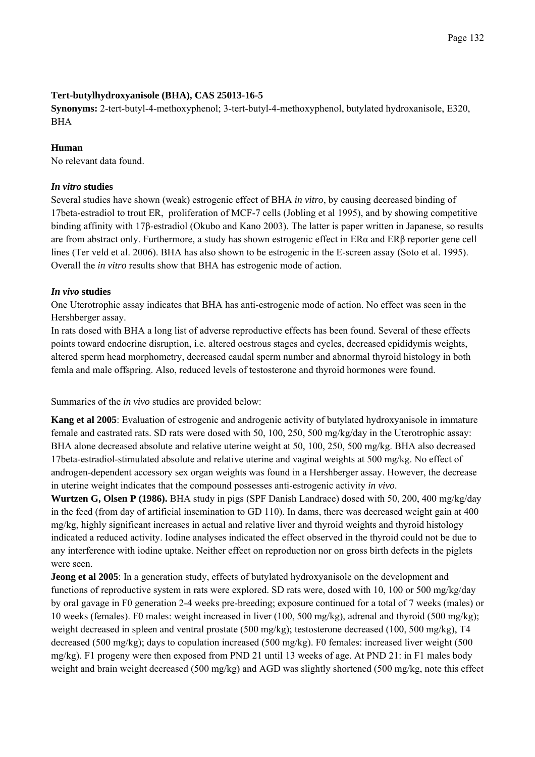# **Tert-butylhydroxyanisole (BHA), CAS 25013-16-5**

**Synonyms:** 2-tert-butyl-4-methoxyphenol; 3-tert-butyl-4-methoxyphenol, butylated hydroxanisole, E320, BHA

## **Human**

No relevant data found.

# *In vitro* **studies**

Several studies have shown (weak) estrogenic effect of BHA *in vitro*, by causing decreased binding of 17beta-estradiol to trout ER, proliferation of MCF-7 cells (Jobling et al 1995), and by showing competitive binding affinity with 17β-estradiol (Okubo and Kano 2003). The latter is paper written in Japanese, so results are from abstract only. Furthermore, a study has shown estrogenic effect in ERα and ERβ reporter gene cell lines (Ter veld et al. 2006). BHA has also shown to be estrogenic in the E-screen assay (Soto et al. 1995). Overall the *in vitro* results show that BHA has estrogenic mode of action.

# *In vivo* **studies**

One Uterotrophic assay indicates that BHA has anti-estrogenic mode of action. No effect was seen in the Hershberger assay.

In rats dosed with BHA a long list of adverse reproductive effects has been found. Several of these effects points toward endocrine disruption, i.e. altered oestrous stages and cycles, decreased epididymis weights, altered sperm head morphometry, decreased caudal sperm number and abnormal thyroid histology in both femla and male offspring. Also, reduced levels of testosterone and thyroid hormones were found.

Summaries of the *in vivo* studies are provided below:

**Kang et al 2005**: Evaluation of estrogenic and androgenic activity of butylated hydroxyanisole in immature female and castrated rats. SD rats were dosed with 50, 100, 250, 500 mg/kg/day in the Uterotrophic assay: BHA alone decreased absolute and relative uterine weight at 50, 100, 250, 500 mg/kg. BHA also decreased 17beta-estradiol-stimulated absolute and relative uterine and vaginal weights at 500 mg/kg. No effect of androgen-dependent accessory sex organ weights was found in a Hershberger assay. However, the decrease in uterine weight indicates that the compound possesses anti-estrogenic activity *in vivo*.

**Wurtzen G, Olsen P (1986).** BHA study in pigs (SPF Danish Landrace) dosed with 50, 200, 400 mg/kg/day in the feed (from day of artificial insemination to GD 110). In dams, there was decreased weight gain at 400 mg/kg, highly significant increases in actual and relative liver and thyroid weights and thyroid histology indicated a reduced activity. Iodine analyses indicated the effect observed in the thyroid could not be due to any interference with iodine uptake. Neither effect on reproduction nor on gross birth defects in the piglets were seen.

**Jeong et al 2005**: In a generation study, effects of butylated hydroxyanisole on the development and functions of reproductive system in rats were explored. SD rats were, dosed with 10, 100 or 500 mg/kg/day by oral gavage in F0 generation 2-4 weeks pre-breeding; exposure continued for a total of 7 weeks (males) or 10 weeks (females). F0 males: weight increased in liver (100, 500 mg/kg), adrenal and thyroid (500 mg/kg); weight decreased in spleen and ventral prostate (500 mg/kg); testosterone decreased (100, 500 mg/kg), T4 decreased (500 mg/kg); days to copulation increased (500 mg/kg). F0 females: increased liver weight (500 mg/kg). F1 progeny were then exposed from PND 21 until 13 weeks of age. At PND 21: in F1 males body weight and brain weight decreased (500 mg/kg) and AGD was slightly shortened (500 mg/kg, note this effect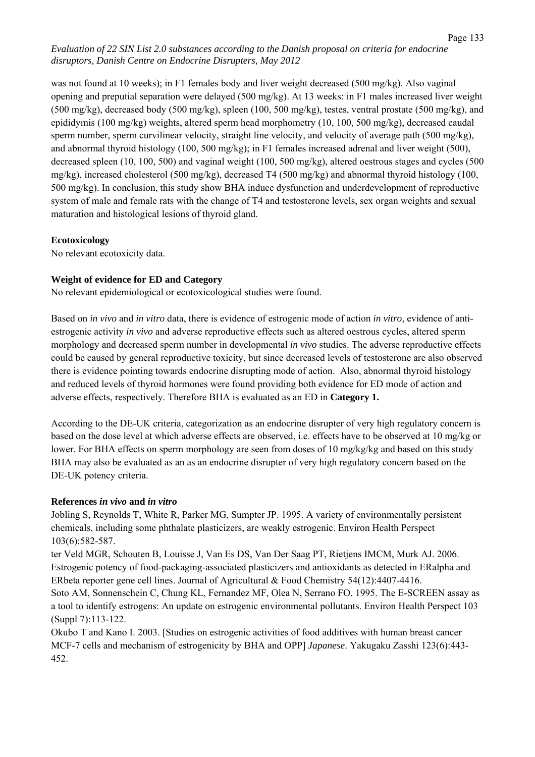was not found at 10 weeks); in F1 females body and liver weight decreased (500 mg/kg). Also vaginal opening and preputial separation were delayed (500 mg/kg). At 13 weeks: in F1 males increased liver weight  $(500 \text{ mg/kg})$ , decreased body  $(500 \text{ mg/kg})$ , spleen  $(100, 500 \text{ mg/kg})$ , testes, ventral prostate  $(500 \text{ mg/kg})$ , and epididymis (100 mg/kg) weights, altered sperm head morphometry (10, 100, 500 mg/kg), decreased caudal sperm number, sperm curvilinear velocity, straight line velocity, and velocity of average path (500 mg/kg), and abnormal thyroid histology (100, 500 mg/kg); in F1 females increased adrenal and liver weight (500), decreased spleen (10, 100, 500) and vaginal weight (100, 500 mg/kg), altered oestrous stages and cycles (500 mg/kg), increased cholesterol (500 mg/kg), decreased T4 (500 mg/kg) and abnormal thyroid histology (100, 500 mg/kg). In conclusion, this study show BHA induce dysfunction and underdevelopment of reproductive system of male and female rats with the change of T4 and testosterone levels, sex organ weights and sexual maturation and histological lesions of thyroid gland.

## **Ecotoxicology**

No relevant ecotoxicity data.

# **Weight of evidence for ED and Category**

No relevant epidemiological or ecotoxicological studies were found.

Based on *in vivo* and *in vitro* data, there is evidence of estrogenic mode of action *in vitro*, evidence of antiestrogenic activity *in vivo* and adverse reproductive effects such as altered oestrous cycles, altered sperm morphology and decreased sperm number in developmental *in vivo* studies. The adverse reproductive effects could be caused by general reproductive toxicity, but since decreased levels of testosterone are also observed there is evidence pointing towards endocrine disrupting mode of action. Also, abnormal thyroid histology and reduced levels of thyroid hormones were found providing both evidence for ED mode of action and adverse effects, respectively. Therefore BHA is evaluated as an ED in **Category 1.**

According to the DE-UK criteria, categorization as an endocrine disrupter of very high regulatory concern is based on the dose level at which adverse effects are observed, i.e. effects have to be observed at 10 mg/kg or lower. For BHA effects on sperm morphology are seen from doses of 10 mg/kg/kg and based on this study BHA may also be evaluated as an as an endocrine disrupter of very high regulatory concern based on the DE-UK potency criteria.

# **References** *in vivo* **and** *in vitro*

Jobling S, Reynolds T, White R, Parker MG, Sumpter JP. 1995. A variety of environmentally persistent chemicals, including some phthalate plasticizers, are weakly estrogenic. Environ Health Perspect 103(6):582-587.

ter Veld MGR, Schouten B, Louisse J, Van Es DS, Van Der Saag PT, Rietjens IMCM, Murk AJ. 2006. Estrogenic potency of food-packaging-associated plasticizers and antioxidants as detected in ERalpha and ERbeta reporter gene cell lines. Journal of Agricultural & Food Chemistry 54(12):4407-4416.

Soto AM, Sonnenschein C, Chung KL, Fernandez MF, Olea N, Serrano FO. 1995. The E-SCREEN assay as a tool to identify estrogens: An update on estrogenic environmental pollutants. Environ Health Perspect 103 (Suppl 7):113-122.

Okubo T and Kano I. 2003. [Studies on estrogenic activities of food additives with human breast cancer MCF-7 cells and mechanism of estrogenicity by BHA and OPP] *Japanese*. Yakugaku Zasshi 123(6):443- 452.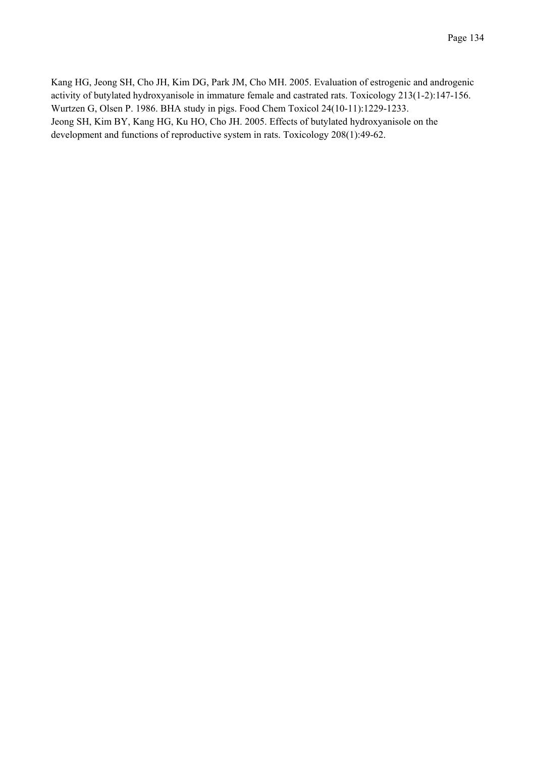Kang HG, Jeong SH, Cho JH, Kim DG, Park JM, Cho MH. 2005. Evaluation of estrogenic and androgenic activity of butylated hydroxyanisole in immature female and castrated rats. Toxicology 213(1-2):147-156. Wurtzen G, Olsen P. 1986. BHA study in pigs. Food Chem Toxicol 24(10-11):1229-1233. Jeong SH, Kim BY, Kang HG, Ku HO, Cho JH. 2005. Effects of butylated hydroxyanisole on the development and functions of reproductive system in rats. Toxicology 208(1):49-62.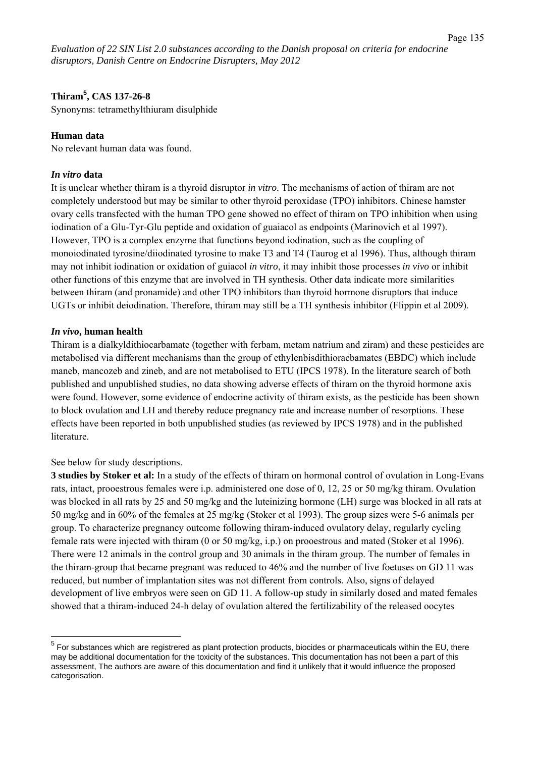# **Thiram<sup>5</sup> , CAS 137-26-8**

Synonyms: tetramethylthiuram disulphide

## **Human data**

No relevant human data was found.

#### *In vitro* **data**

It is unclear whether thiram is a thyroid disruptor *in vitro*. The mechanisms of action of thiram are not completely understood but may be similar to other thyroid peroxidase (TPO) inhibitors. Chinese hamster ovary cells transfected with the human TPO gene showed no effect of thiram on TPO inhibition when using iodination of a Glu-Tyr-Glu peptide and oxidation of guaiacol as endpoints (Marinovich et al 1997). However, TPO is a complex enzyme that functions beyond iodination, such as the coupling of monoiodinated tyrosine/diiodinated tyrosine to make T3 and T4 (Taurog et al 1996). Thus, although thiram may not inhibit iodination or oxidation of guiacol *in vitro*, it may inhibit those processes *in vivo* or inhibit other functions of this enzyme that are involved in TH synthesis. Other data indicate more similarities between thiram (and pronamide) and other TPO inhibitors than thyroid hormone disruptors that induce UGTs or inhibit deiodination. Therefore, thiram may still be a TH synthesis inhibitor (Flippin et al 2009).

#### *In vivo***, human health**

Thiram is a dialkyldithiocarbamate (together with ferbam, metam natrium and ziram) and these pesticides are metabolised via different mechanisms than the group of ethylenbisdithioracbamates (EBDC) which include maneb, mancozeb and zineb, and are not metabolised to ETU (IPCS 1978). In the literature search of both published and unpublished studies, no data showing adverse effects of thiram on the thyroid hormone axis were found. However, some evidence of endocrine activity of thiram exists, as the pesticide has been shown to block ovulation and LH and thereby reduce pregnancy rate and increase number of resorptions. These effects have been reported in both unpublished studies (as reviewed by IPCS 1978) and in the published literature.

## See below for study descriptions.

**3 studies by Stoker et al:** In a study of the effects of thiram on hormonal control of ovulation in Long-Evans rats, intact, prooestrous females were i.p. administered one dose of 0, 12, 25 or 50 mg/kg thiram. Ovulation was blocked in all rats by 25 and 50 mg/kg and the luteinizing hormone (LH) surge was blocked in all rats at 50 mg/kg and in 60% of the females at 25 mg/kg (Stoker et al 1993). The group sizes were 5-6 animals per group. To characterize pregnancy outcome following thiram-induced ovulatory delay, regularly cycling female rats were injected with thiram (0 or 50 mg/kg, i.p.) on prooestrous and mated (Stoker et al 1996). There were 12 animals in the control group and 30 animals in the thiram group. The number of females in the thiram-group that became pregnant was reduced to 46% and the number of live foetuses on GD 11 was reduced, but number of implantation sites was not different from controls. Also, signs of delayed development of live embryos were seen on GD 11. A follow-up study in similarly dosed and mated females showed that a thiram-induced 24-h delay of ovulation altered the fertilizability of the released oocytes

 $^5$  For substances which are registrered as plant protection products, biocides or pharmaceuticals within the EU, there may be additional documentation for the toxicity of the substances. This documentation has not been a part of this assessment, The authors are aware of this documentation and find it unlikely that it would influence the proposed categorisation.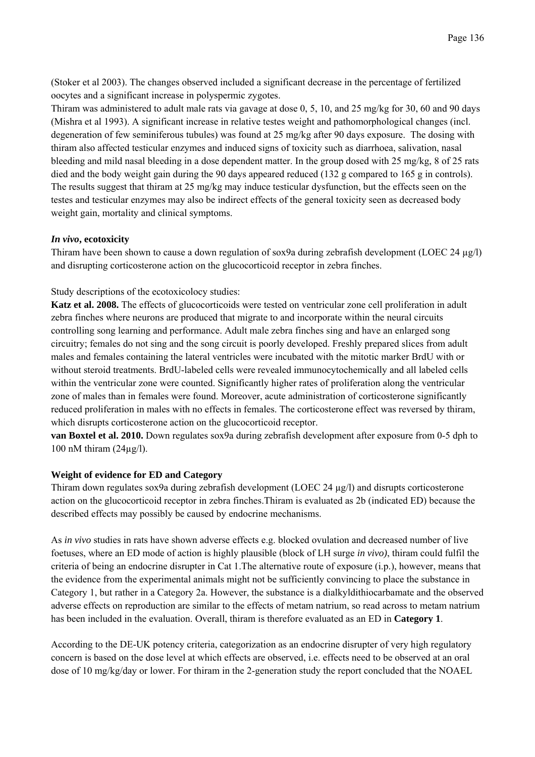(Stoker et al 2003). The changes observed included a significant decrease in the percentage of fertilized oocytes and a significant increase in polyspermic zygotes.

Thiram was administered to adult male rats via gavage at dose 0, 5, 10, and 25 mg/kg for 30, 60 and 90 days (Mishra et al 1993). A significant increase in relative testes weight and pathomorphological changes (incl. degeneration of few seminiferous tubules) was found at 25 mg/kg after 90 days exposure. The dosing with thiram also affected testicular enzymes and induced signs of toxicity such as diarrhoea, salivation, nasal bleeding and mild nasal bleeding in a dose dependent matter. In the group dosed with 25 mg/kg, 8 of 25 rats died and the body weight gain during the 90 days appeared reduced (132 g compared to 165 g in controls). The results suggest that thiram at 25 mg/kg may induce testicular dysfunction, but the effects seen on the testes and testicular enzymes may also be indirect effects of the general toxicity seen as decreased body weight gain, mortality and clinical symptoms.

#### *In vivo***, ecotoxicity**

Thiram have been shown to cause a down regulation of sox9a during zebrafish development (LOEC 24  $\mu$ g/l) and disrupting corticosterone action on the glucocorticoid receptor in zebra finches.

Study descriptions of the ecotoxicolocy studies:

**Katz et al. 2008.** The effects of glucocorticoids were tested on ventricular zone cell proliferation in adult zebra finches where neurons are produced that migrate to and incorporate within the neural circuits controlling song learning and performance. Adult male zebra finches sing and have an enlarged song circuitry; females do not sing and the song circuit is poorly developed. Freshly prepared slices from adult males and females containing the lateral ventricles were incubated with the mitotic marker BrdU with or without steroid treatments. BrdU-labeled cells were revealed immunocytochemically and all labeled cells within the ventricular zone were counted. Significantly higher rates of proliferation along the ventricular zone of males than in females were found. Moreover, acute administration of corticosterone significantly reduced proliferation in males with no effects in females. The corticosterone effect was reversed by thiram, which disrupts corticosterone action on the glucocorticoid receptor.

**van Boxtel et al. 2010.** Down regulates sox9a during zebrafish development after exposure from 0-5 dph to 100 nM thiram  $(24\mu g/l)$ .

## **Weight of evidence for ED and Category**

Thiram down regulates sox9a during zebrafish development (LOEC 24 µg/l) and disrupts corticosterone action on the glucocorticoid receptor in zebra finches.Thiram is evaluated as 2b (indicated ED) because the described effects may possibly be caused by endocrine mechanisms.

As *in vivo* studies in rats have shown adverse effects e.g. blocked ovulation and decreased number of live foetuses, where an ED mode of action is highly plausible (block of LH surge *in vivo)*, thiram could fulfil the criteria of being an endocrine disrupter in Cat 1.The alternative route of exposure (i.p.), however, means that the evidence from the experimental animals might not be sufficiently convincing to place the substance in Category 1, but rather in a Category 2a. However, the substance is a dialkyldithiocarbamate and the observed adverse effects on reproduction are similar to the effects of metam natrium, so read across to metam natrium has been included in the evaluation. Overall, thiram is therefore evaluated as an ED in **Category 1**.

According to the DE-UK potency criteria, categorization as an endocrine disrupter of very high regulatory concern is based on the dose level at which effects are observed, i.e. effects need to be observed at an oral dose of 10 mg/kg/day or lower. For thiram in the 2-generation study the report concluded that the NOAEL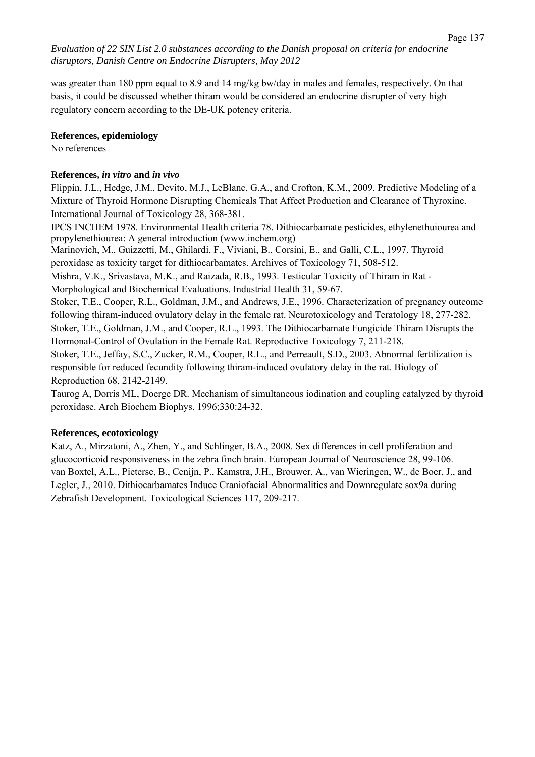was greater than 180 ppm equal to 8.9 and 14 mg/kg bw/day in males and females, respectively. On that basis, it could be discussed whether thiram would be considered an endocrine disrupter of very high regulatory concern according to the DE-UK potency criteria.

#### **References, epidemiology**

No references

#### **References,** *in vitro* **and** *in vivo*

Flippin, J.L., Hedge, J.M., Devito, M.J., LeBlanc, G.A., and Crofton, K.M., 2009. Predictive Modeling of a Mixture of Thyroid Hormone Disrupting Chemicals That Affect Production and Clearance of Thyroxine. International Journal of Toxicology 28, 368-381.

IPCS INCHEM 1978. Environmental Health criteria 78. Dithiocarbamate pesticides, ethylenethuiourea and propylenethiourea: A general introduction (www.inchem.org)

Marinovich, M., Guizzetti, M., Ghilardi, F., Viviani, B., Corsini, E., and Galli, C.L., 1997. Thyroid peroxidase as toxicity target for dithiocarbamates. Archives of Toxicology 71, 508-512.

Mishra, V.K., Srivastava, M.K., and Raizada, R.B., 1993. Testicular Toxicity of Thiram in Rat -

Morphological and Biochemical Evaluations. Industrial Health 31, 59-67.

Stoker, T.E., Cooper, R.L., Goldman, J.M., and Andrews, J.E., 1996. Characterization of pregnancy outcome following thiram-induced ovulatory delay in the female rat. Neurotoxicology and Teratology 18, 277-282. Stoker, T.E., Goldman, J.M., and Cooper, R.L., 1993. The Dithiocarbamate Fungicide Thiram Disrupts the Hormonal-Control of Ovulation in the Female Rat. Reproductive Toxicology 7, 211-218.

Stoker, T.E., Jeffay, S.C., Zucker, R.M., Cooper, R.L., and Perreault, S.D., 2003. Abnormal fertilization is responsible for reduced fecundity following thiram-induced ovulatory delay in the rat. Biology of Reproduction 68, 2142-2149.

Taurog A, Dorris ML, Doerge DR. Mechanism of simultaneous iodination and coupling catalyzed by thyroid peroxidase. Arch Biochem Biophys. 1996;330:24-32.

## **References, ecotoxicology**

Katz, A., Mirzatoni, A., Zhen, Y., and Schlinger, B.A., 2008. Sex differences in cell proliferation and glucocorticoid responsiveness in the zebra finch brain. European Journal of Neuroscience 28, 99-106. van Boxtel, A.L., Pieterse, B., Cenijn, P., Kamstra, J.H., Brouwer, A., van Wieringen, W., de Boer, J., and Legler, J., 2010. Dithiocarbamates Induce Craniofacial Abnormalities and Downregulate sox9a during Zebrafish Development. Toxicological Sciences 117, 209-217.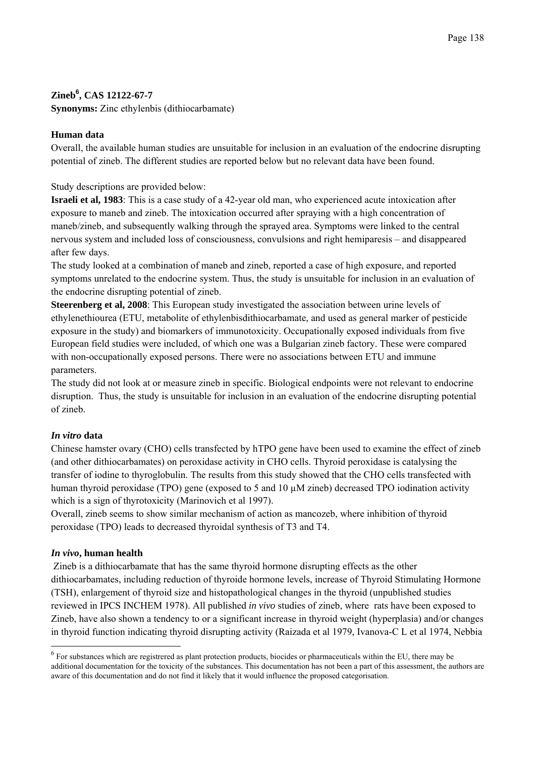# **Zineb<sup>6</sup> , CAS 12122-67-7**

**Synonyms:** Zinc ethylenbis (dithiocarbamate)

## **Human data**

Overall, the available human studies are unsuitable for inclusion in an evaluation of the endocrine disrupting potential of zineb. The different studies are reported below but no relevant data have been found.

Study descriptions are provided below:

**Israeli et al, 1983**: This is a case study of a 42-year old man, who experienced acute intoxication after exposure to maneb and zineb. The intoxication occurred after spraying with a high concentration of maneb/zineb, and subsequently walking through the sprayed area. Symptoms were linked to the central nervous system and included loss of consciousness, convulsions and right hemiparesis – and disappeared after few days.

The study looked at a combination of maneb and zineb, reported a case of high exposure, and reported symptoms unrelated to the endocrine system. Thus, the study is unsuitable for inclusion in an evaluation of the endocrine disrupting potential of zineb.

**Steerenberg et al, 2008**: This European study investigated the association between urine levels of ethylenethiourea (ETU, metabolite of ethylenbisdithiocarbamate, and used as general marker of pesticide exposure in the study) and biomarkers of immunotoxicity. Occupationally exposed individuals from five European field studies were included, of which one was a Bulgarian zineb factory. These were compared with non-occupationally exposed persons. There were no associations between ETU and immune parameters.

The study did not look at or measure zineb in specific. Biological endpoints were not relevant to endocrine disruption. Thus, the study is unsuitable for inclusion in an evaluation of the endocrine disrupting potential of zineb.

## *In vitro* **data**

Chinese hamster ovary (CHO) cells transfected by hTPO gene have been used to examine the effect of zineb (and other dithiocarbamates) on peroxidase activity in CHO cells. Thyroid peroxidase is catalysing the transfer of iodine to thyroglobulin. The results from this study showed that the CHO cells transfected with human thyroid peroxidase (TPO) gene (exposed to 5 and 10  $\mu$ M zineb) decreased TPO iodination activity which is a sign of thyrotoxicity (Marinovich et al 1997).

Overall, zineb seems to show similar mechanism of action as mancozeb, where inhibition of thyroid peroxidase (TPO) leads to decreased thyroidal synthesis of T3 and T4.

## *In vivo***, human health**

 $\overline{a}$ 

 Zineb is a dithiocarbamate that has the same thyroid hormone disrupting effects as the other dithiocarbamates, including reduction of thyroide hormone levels, increase of Thyroid Stimulating Hormone (TSH), enlargement of thyroid size and histopathological changes in the thyroid (unpublished studies reviewed in IPCS INCHEM 1978). All published *in vivo* studies of zineb, where rats have been exposed to Zineb, have also shown a tendency to or a significant increase in thyroid weight (hyperplasia) and/or changes in thyroid function indicating thyroid disrupting activity (Raizada et al 1979, Ivanova-C L et al 1974, Nebbia

 $<sup>6</sup>$  For substances which are registrered as plant protection products, biocides or pharmaceuticals within the EU, there may be</sup> additional documentation for the toxicity of the substances. This documentation has not been a part of this assessment, the authors are aware of this documentation and do not find it likely that it would influence the proposed categorisation.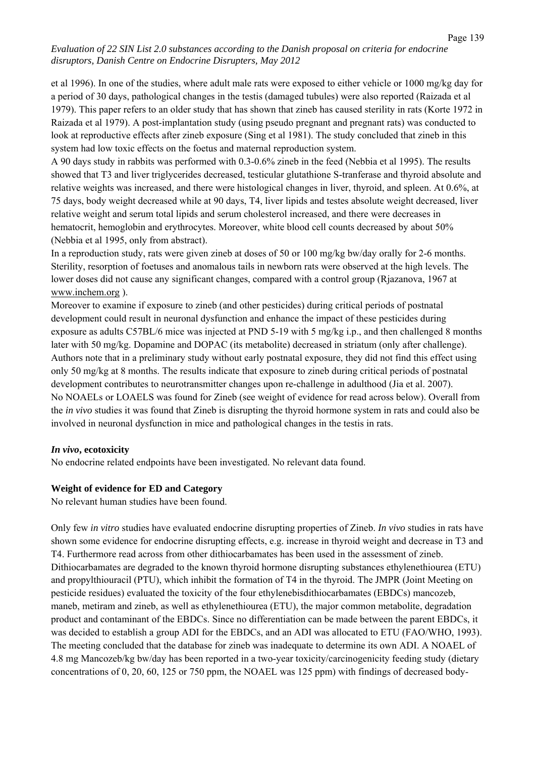et al 1996). In one of the studies, where adult male rats were exposed to either vehicle or 1000 mg/kg day for a period of 30 days, pathological changes in the testis (damaged tubules) were also reported (Raizada et al 1979). This paper refers to an older study that has shown that zineb has caused sterility in rats (Korte 1972 in Raizada et al 1979). A post-implantation study (using pseudo pregnant and pregnant rats) was conducted to look at reproductive effects after zineb exposure (Sing et al 1981). The study concluded that zineb in this system had low toxic effects on the foetus and maternal reproduction system.

A 90 days study in rabbits was performed with 0.3-0.6% zineb in the feed (Nebbia et al 1995). The results showed that T3 and liver triglycerides decreased, testicular glutathione S-tranferase and thyroid absolute and relative weights was increased, and there were histological changes in liver, thyroid, and spleen. At 0.6%, at 75 days, body weight decreased while at 90 days, T4, liver lipids and testes absolute weight decreased, liver relative weight and serum total lipids and serum cholesterol increased, and there were decreases in hematocrit, hemoglobin and erythrocytes. Moreover, white blood cell counts decreased by about 50% (Nebbia et al 1995, only from abstract).

In a reproduction study, rats were given zineb at doses of 50 or 100 mg/kg bw/day orally for 2-6 months. Sterility, resorption of foetuses and anomalous tails in newborn rats were observed at the high levels. The lower doses did not cause any significant changes, compared with a control group (Rjazanova, 1967 at www.inchem.org ).

Moreover to examine if exposure to zineb (and other pesticides) during critical periods of postnatal development could result in neuronal dysfunction and enhance the impact of these pesticides during exposure as adults C57BL/6 mice was injected at PND 5-19 with 5 mg/kg i.p., and then challenged 8 months later with 50 mg/kg. Dopamine and DOPAC (its metabolite) decreased in striatum (only after challenge). Authors note that in a preliminary study without early postnatal exposure, they did not find this effect using only 50 mg/kg at 8 months. The results indicate that exposure to zineb during critical periods of postnatal development contributes to neurotransmitter changes upon re-challenge in adulthood (Jia et al. 2007). No NOAELs or LOAELS was found for Zineb (see weight of evidence for read across below). Overall from the *in vivo* studies it was found that Zineb is disrupting the thyroid hormone system in rats and could also be involved in neuronal dysfunction in mice and pathological changes in the testis in rats.

## *In vivo***, ecotoxicity**

No endocrine related endpoints have been investigated. No relevant data found.

#### **Weight of evidence for ED and Category**

No relevant human studies have been found.

Only few *in vitro* studies have evaluated endocrine disrupting properties of Zineb. *In vivo* studies in rats have shown some evidence for endocrine disrupting effects, e.g. increase in thyroid weight and decrease in T3 and T4. Furthermore read across from other dithiocarbamates has been used in the assessment of zineb. Dithiocarbamates are degraded to the known thyroid hormone disrupting substances ethylenethiourea (ETU) and propylthiouracil (PTU), which inhibit the formation of T4 in the thyroid. The JMPR (Joint Meeting on pesticide residues) evaluated the toxicity of the four ethylenebisdithiocarbamates (EBDCs) mancozeb, maneb, metiram and zineb, as well as ethylenethiourea (ETU), the major common metabolite, degradation product and contaminant of the EBDCs. Since no differentiation can be made between the parent EBDCs, it was decided to establish a group ADI for the EBDCs, and an ADI was allocated to ETU (FAO/WHO, 1993). The meeting concluded that the database for zineb was inadequate to determine its own ADI. A NOAEL of 4.8 mg Mancozeb/kg bw/day has been reported in a two-year toxicity/carcinogenicity feeding study (dietary concentrations of 0, 20, 60, 125 or 750 ppm, the NOAEL was 125 ppm) with findings of decreased body-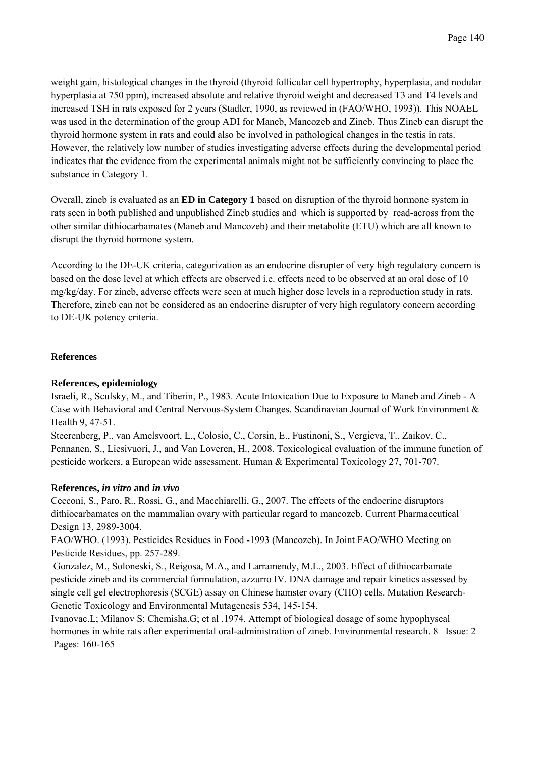weight gain, histological changes in the thyroid (thyroid follicular cell hypertrophy, hyperplasia, and nodular hyperplasia at 750 ppm), increased absolute and relative thyroid weight and decreased T3 and T4 levels and increased TSH in rats exposed for 2 years (Stadler, 1990, as reviewed in (FAO/WHO, 1993)). This NOAEL was used in the determination of the group ADI for Maneb, Mancozeb and Zineb. Thus Zineb can disrupt the thyroid hormone system in rats and could also be involved in pathological changes in the testis in rats. However, the relatively low number of studies investigating adverse effects during the developmental period indicates that the evidence from the experimental animals might not be sufficiently convincing to place the substance in Category 1.

Overall, zineb is evaluated as an **ED in Category 1** based on disruption of the thyroid hormone system in rats seen in both published and unpublished Zineb studies and which is supported by read-across from the other similar dithiocarbamates (Maneb and Mancozeb) and their metabolite (ETU) which are all known to disrupt the thyroid hormone system.

According to the DE-UK criteria, categorization as an endocrine disrupter of very high regulatory concern is based on the dose level at which effects are observed i.e. effects need to be observed at an oral dose of 10 mg/kg/day. For zineb, adverse effects were seen at much higher dose levels in a reproduction study in rats. Therefore, zineb can not be considered as an endocrine disrupter of very high regulatory concern according to DE-UK potency criteria.

## **References**

#### **References, epidemiology**

Israeli, R., Sculsky, M., and Tiberin, P., 1983. Acute Intoxication Due to Exposure to Maneb and Zineb - A Case with Behavioral and Central Nervous-System Changes. Scandinavian Journal of Work Environment & Health 9, 47-51.

Steerenberg, P., van Amelsvoort, L., Colosio, C., Corsin, E., Fustinoni, S., Vergieva, T., Zaikov, C., Pennanen, S., Liesivuori, J., and Van Loveren, H., 2008. Toxicological evaluation of the immune function of pesticide workers, a European wide assessment. Human & Experimental Toxicology 27, 701-707.

#### **References,** *in vitro* **and** *in vivo*

Cecconi, S., Paro, R., Rossi, G., and Macchiarelli, G., 2007. The effects of the endocrine disruptors dithiocarbamates on the mammalian ovary with particular regard to mancozeb. Current Pharmaceutical Design 13, 2989-3004.

FAO/WHO. (1993). Pesticides Residues in Food -1993 (Mancozeb). In Joint FAO/WHO Meeting on Pesticide Residues, pp. 257-289.

 Gonzalez, M., Soloneski, S., Reigosa, M.A., and Larramendy, M.L., 2003. Effect of dithiocarbamate pesticide zineb and its commercial formulation, azzurro IV. DNA damage and repair kinetics assessed by single cell gel electrophoresis (SCGE) assay on Chinese hamster ovary (CHO) cells. Mutation Research-Genetic Toxicology and Environmental Mutagenesis 534, 145-154.

Ivanovac.L; Milanov S; Chemisha.G; et al ,1974. Attempt of biological dosage of some hypophyseal hormones in white rats after experimental oral-administration of zineb. Environmental research. 8 Issue: 2 Pages: 160-165